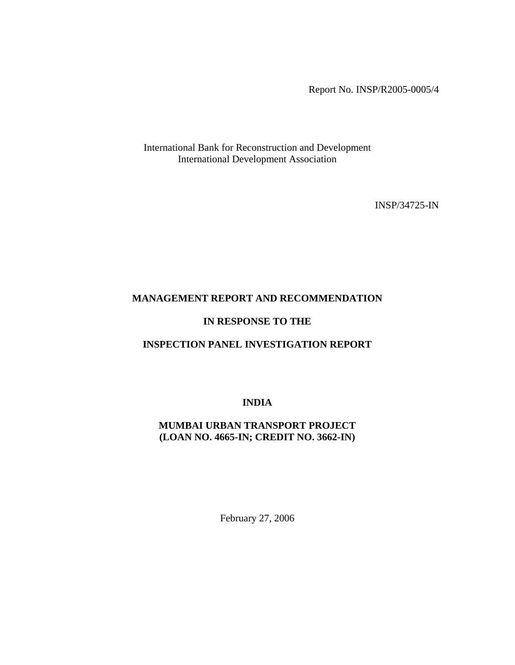Report No. INSP/R2005-0005/4

International Bank for Reconstruction and Development International Development Association

INSP/34725-IN

### **MANAGEMENT REPORT AND RECOMMENDATION**

#### **IN RESPONSE TO THE**

### **INSPECTION PANEL INVESTIGATION REPORT**

**INDIA** 

### **MUMBAI URBAN TRANSPORT PROJECT (LOAN NO. 4665-IN; CREDIT NO. 3662-IN)**

February 27, 2006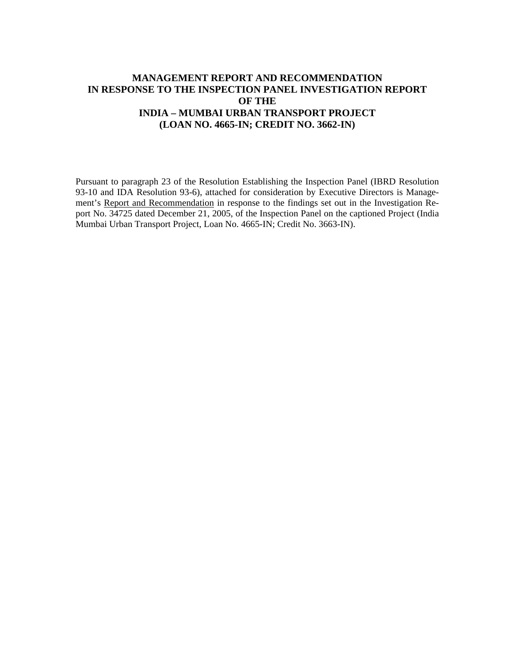### **MANAGEMENT REPORT AND RECOMMENDATION IN RESPONSE TO THE INSPECTION PANEL INVESTIGATION REPORT OF THE INDIA – MUMBAI URBAN TRANSPORT PROJECT (LOAN NO. 4665-IN; CREDIT NO. 3662-IN)**

Pursuant to paragraph 23 of the Resolution Establishing the Inspection Panel (IBRD Resolution 93-10 and IDA Resolution 93-6), attached for consideration by Executive Directors is Management's Report and Recommendation in response to the findings set out in the Investigation Report No. 34725 dated December 21, 2005, of the Inspection Panel on the captioned Project (India Mumbai Urban Transport Project, Loan No. 4665-IN; Credit No. 3663-IN).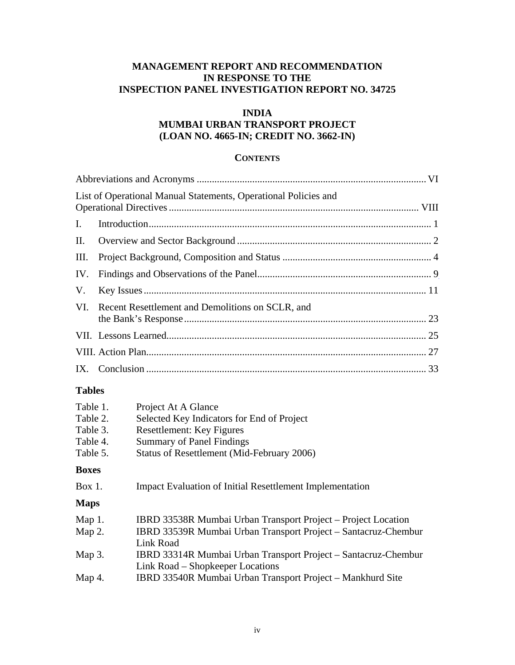### **MANAGEMENT REPORT AND RECOMMENDATION IN RESPONSE TO THE INSPECTION PANEL INVESTIGATION REPORT NO. 34725**

### **INDIA**

### **MUMBAI URBAN TRANSPORT PROJECT (LOAN NO. 4665-IN; CREDIT NO. 3662-IN)**

#### **CONTENTS**

|      | List of Operational Manual Statements, Operational Policies and |  |
|------|-----------------------------------------------------------------|--|
| I.   |                                                                 |  |
|      |                                                                 |  |
| III. |                                                                 |  |
|      |                                                                 |  |
| V.   |                                                                 |  |
|      | VI. Recent Resettlement and Demolitions on SCLR, and            |  |
|      |                                                                 |  |
|      |                                                                 |  |
|      |                                                                 |  |

### **Tables**

| Table 1.     | Project At A Glance                                             |
|--------------|-----------------------------------------------------------------|
| Table 2.     | Selected Key Indicators for End of Project                      |
| Table 3.     | <b>Resettlement: Key Figures</b>                                |
| Table 4.     | <b>Summary of Panel Findings</b>                                |
| Table 5.     | Status of Resettlement (Mid-February 2006)                      |
| <b>Boxes</b> |                                                                 |
| Box 1.       | <b>Impact Evaluation of Initial Resettlement Implementation</b> |
|              |                                                                 |
| <b>Maps</b>  |                                                                 |
| Map $1$ .    | IBRD 33538R Mumbai Urban Transport Project – Project Location   |
| Map $2$ .    | IBRD 33539R Mumbai Urban Transport Project – Santacruz-Chembur  |
|              | Link Road                                                       |
| Map $3.$     | IBRD 33314R Mumbai Urban Transport Project – Santacruz-Chembur  |
|              | Link Road – Shopkeeper Locations                                |
| Map 4.       | IBRD 33540R Mumbai Urban Transport Project – Mankhurd Site      |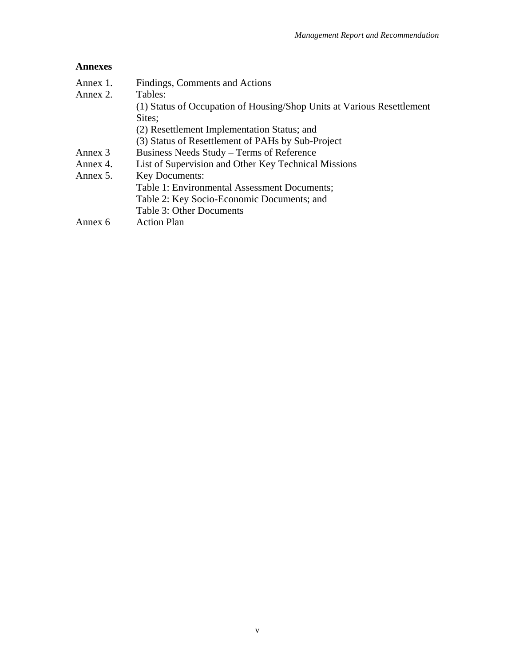### **Annexes**

| Annex 1. | Findings, Comments and Actions                                         |
|----------|------------------------------------------------------------------------|
| Annex 2. | Tables:                                                                |
|          | (1) Status of Occupation of Housing/Shop Units at Various Resettlement |
|          | Sites;                                                                 |
|          | (2) Resettlement Implementation Status; and                            |
|          | (3) Status of Resettlement of PAHs by Sub-Project                      |
| Annex 3  | Business Needs Study – Terms of Reference                              |
| Annex 4. | List of Supervision and Other Key Technical Missions                   |
| Annex 5. | <b>Key Documents:</b>                                                  |
|          | Table 1: Environmental Assessment Documents;                           |
|          | Table 2: Key Socio-Economic Documents; and                             |
|          | Table 3: Other Documents                                               |
| Annex 6  | <b>Action Plan</b>                                                     |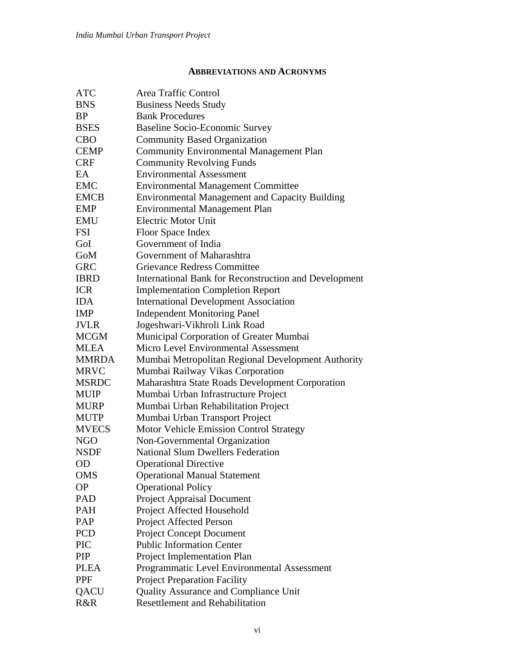### **ABBREVIATIONS AND ACRONYMS**

| <b>ATC</b>   | Area Traffic Control                                         |
|--------------|--------------------------------------------------------------|
| <b>BNS</b>   | <b>Business Needs Study</b>                                  |
| <b>BP</b>    | <b>Bank Procedures</b>                                       |
| <b>BSES</b>  | <b>Baseline Socio-Economic Survey</b>                        |
| <b>CBO</b>   | <b>Community Based Organization</b>                          |
| <b>CEMP</b>  | <b>Community Environmental Management Plan</b>               |
| <b>CRF</b>   | <b>Community Revolving Funds</b>                             |
| EA           | <b>Environmental Assessment</b>                              |
| <b>EMC</b>   | <b>Environmental Management Committee</b>                    |
| <b>EMCB</b>  | <b>Environmental Management and Capacity Building</b>        |
| <b>EMP</b>   | <b>Environmental Management Plan</b>                         |
| <b>EMU</b>   | <b>Electric Motor Unit</b>                                   |
| <b>FSI</b>   | Floor Space Index                                            |
| GoI          | Government of India                                          |
| GoM          | Government of Maharashtra                                    |
| <b>GRC</b>   | <b>Grievance Redress Committee</b>                           |
| <b>IBRD</b>  | <b>International Bank for Reconstruction and Development</b> |
| <b>ICR</b>   | <b>Implementation Completion Report</b>                      |
| <b>IDA</b>   | <b>International Development Association</b>                 |
| <b>IMP</b>   | <b>Independent Monitoring Panel</b>                          |
| <b>JVLR</b>  | Jogeshwari-Vikhroli Link Road                                |
| <b>MCGM</b>  | Municipal Corporation of Greater Mumbai                      |
| <b>MLEA</b>  | Micro Level Environmental Assessment                         |
| <b>MMRDA</b> | Mumbai Metropolitan Regional Development Authority           |
| <b>MRVC</b>  | Mumbai Railway Vikas Corporation                             |
| <b>MSRDC</b> | Maharashtra State Roads Development Corporation              |
| <b>MUIP</b>  | Mumbai Urban Infrastructure Project                          |
| <b>MURP</b>  | Mumbai Urban Rehabilitation Project                          |
| <b>MUTP</b>  | Mumbai Urban Transport Project                               |
| <b>MVECS</b> | <b>Motor Vehicle Emission Control Strategy</b>               |
| <b>NGO</b>   | Non-Governmental Organization                                |
| <b>NSDF</b>  | <b>National Slum Dwellers Federation</b>                     |
| <b>OD</b>    | <b>Operational Directive</b>                                 |
| <b>OMS</b>   | <b>Operational Manual Statement</b>                          |
| <b>OP</b>    | <b>Operational Policy</b>                                    |
| PAD          | <b>Project Appraisal Document</b>                            |
| PAH          | Project Affected Household                                   |
| PAP          | Project Affected Person                                      |
| <b>PCD</b>   | <b>Project Concept Document</b>                              |
| <b>PIC</b>   | <b>Public Information Center</b>                             |
| PIP          | Project Implementation Plan                                  |
| <b>PLEA</b>  | Programmatic Level Environmental Assessment                  |
| <b>PPF</b>   | <b>Project Preparation Facility</b>                          |
| QACU         | Quality Assurance and Compliance Unit                        |
| R&R          | <b>Resettlement and Rehabilitation</b>                       |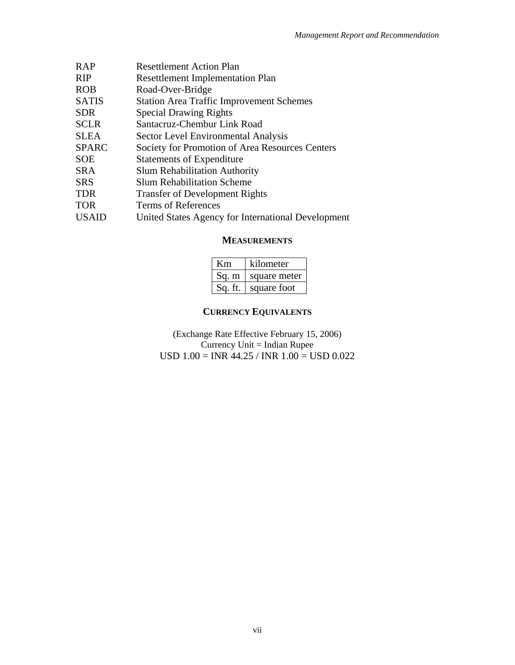| <b>RAP</b>   | <b>Resettlement Action Plan</b>                    |
|--------------|----------------------------------------------------|
| <b>RIP</b>   | <b>Resettlement Implementation Plan</b>            |
| <b>ROB</b>   | Road-Over-Bridge                                   |
| <b>SATIS</b> | <b>Station Area Traffic Improvement Schemes</b>    |
| <b>SDR</b>   | <b>Special Drawing Rights</b>                      |
| <b>SCLR</b>  | Santacruz-Chembur Link Road                        |
| <b>SLEA</b>  | Sector Level Environmental Analysis                |
| <b>SPARC</b> | Society for Promotion of Area Resources Centers    |
| <b>SOE</b>   | <b>Statements of Expenditure</b>                   |
| <b>SRA</b>   | <b>Slum Rehabilitation Authority</b>               |
| <b>SRS</b>   | <b>Slum Rehabilitation Scheme</b>                  |
| <b>TDR</b>   | <b>Transfer of Development Rights</b>              |
| <b>TOR</b>   | Terms of References                                |
| <b>USAID</b> | United States Agency for International Development |
|              |                                                    |

#### **MEASUREMENTS**

| Кm      | kilometer    |  |  |
|---------|--------------|--|--|
| Sq. m   | square meter |  |  |
| Sq. ft. | square foot  |  |  |

## **CURRENCY EQUIVALENTS**

(Exchange Rate Effective February 15, 2006) Currency Unit = Indian Rupee USD  $1.00 = \text{INR } 44.25 / \text{INR } 1.00 = \text{USD } 0.022$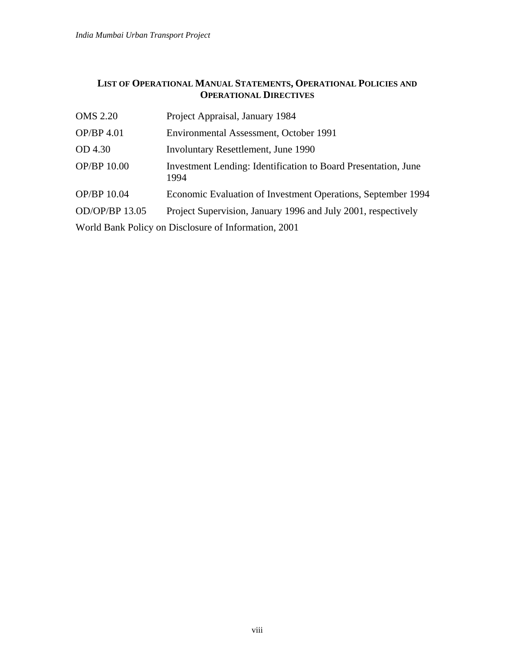### **LIST OF OPERATIONAL MANUAL STATEMENTS, OPERATIONAL POLICIES AND OPERATIONAL DIRECTIVES**

| <b>OMS 2.20</b>                                                                 | Project Appraisal, January 1984                                               |  |  |  |
|---------------------------------------------------------------------------------|-------------------------------------------------------------------------------|--|--|--|
| OP/BP 4.01                                                                      | Environmental Assessment, October 1991                                        |  |  |  |
| OD 4.30                                                                         | Involuntary Resettlement, June 1990                                           |  |  |  |
| <b>OP/BP 10.00</b>                                                              | <b>Investment Lending: Identification to Board Presentation, June</b><br>1994 |  |  |  |
| OP/BP 10.04                                                                     | Economic Evaluation of Investment Operations, September 1994                  |  |  |  |
| OD/OP/BP 13.05<br>Project Supervision, January 1996 and July 2001, respectively |                                                                               |  |  |  |
| World Bank Policy on Disclosure of Information, 2001                            |                                                                               |  |  |  |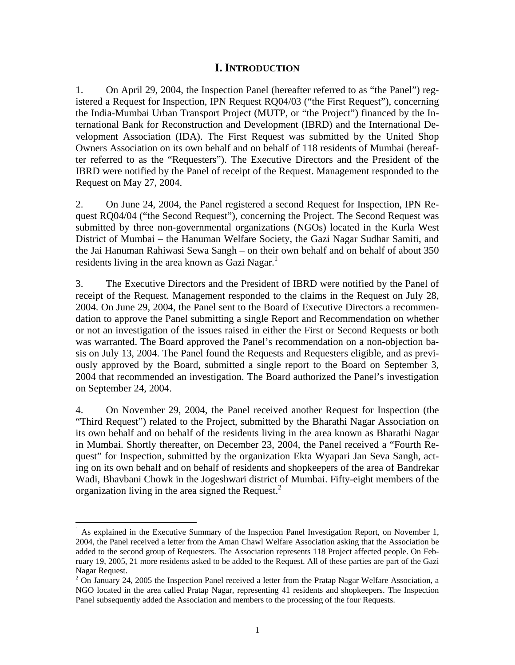### **I. INTRODUCTION**

1. On April 29, 2004, the Inspection Panel (hereafter referred to as "the Panel") registered a Request for Inspection, IPN Request RQ04/03 ("the First Request"), concerning the India-Mumbai Urban Transport Project (MUTP, or "the Project") financed by the International Bank for Reconstruction and Development (IBRD) and the International Development Association (IDA). The First Request was submitted by the United Shop Owners Association on its own behalf and on behalf of 118 residents of Mumbai (hereafter referred to as the "Requesters"). The Executive Directors and the President of the IBRD were notified by the Panel of receipt of the Request. Management responded to the Request on May 27, 2004.

2. On June 24, 2004, the Panel registered a second Request for Inspection, IPN Request RQ04/04 ("the Second Request"), concerning the Project. The Second Request was submitted by three non-governmental organizations (NGOs) located in the Kurla West District of Mumbai – the Hanuman Welfare Society, the Gazi Nagar Sudhar Samiti, and the Jai Hanuman Rahiwasi Sewa Sangh – on their own behalf and on behalf of about 350 residents living in the area known as Gazi Nagar. $<sup>1</sup>$ </sup>

3. The Executive Directors and the President of IBRD were notified by the Panel of receipt of the Request. Management responded to the claims in the Request on July 28, 2004. On June 29, 2004, the Panel sent to the Board of Executive Directors a recommendation to approve the Panel submitting a single Report and Recommendation on whether or not an investigation of the issues raised in either the First or Second Requests or both was warranted. The Board approved the Panel's recommendation on a non-objection basis on July 13, 2004. The Panel found the Requests and Requesters eligible, and as previously approved by the Board, submitted a single report to the Board on September 3, 2004 that recommended an investigation. The Board authorized the Panel's investigation on September 24, 2004.

4. On November 29, 2004, the Panel received another Request for Inspection (the "Third Request") related to the Project, submitted by the Bharathi Nagar Association on its own behalf and on behalf of the residents living in the area known as Bharathi Nagar in Mumbai. Shortly thereafter, on December 23, 2004, the Panel received a "Fourth Request" for Inspection, submitted by the organization Ekta Wyapari Jan Seva Sangh, acting on its own behalf and on behalf of residents and shopkeepers of the area of Bandrekar Wadi, Bhavbani Chowk in the Jogeshwari district of Mumbai. Fifty-eight members of the organization living in the area signed the Request.<sup>2</sup>

 $\overline{a}$ 

<sup>&</sup>lt;sup>1</sup> As explained in the Executive Summary of the Inspection Panel Investigation Report, on November 1, 2004, the Panel received a letter from the Aman Chawl Welfare Association asking that the Association be added to the second group of Requesters. The Association represents 118 Project affected people. On February 19, 2005, 21 more residents asked to be added to the Request. All of these parties are part of the Gazi Nagar Request.

 $2$  On January 24, 2005 the Inspection Panel received a letter from the Pratap Nagar Welfare Association, a NGO located in the area called Pratap Nagar, representing 41 residents and shopkeepers. The Inspection Panel subsequently added the Association and members to the processing of the four Requests.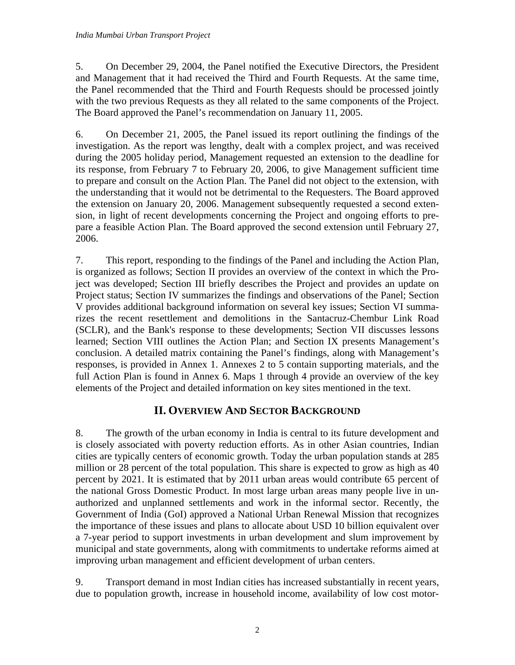5. On December 29, 2004, the Panel notified the Executive Directors, the President and Management that it had received the Third and Fourth Requests. At the same time, the Panel recommended that the Third and Fourth Requests should be processed jointly with the two previous Requests as they all related to the same components of the Project. The Board approved the Panel's recommendation on January 11, 2005.

6. On December 21, 2005, the Panel issued its report outlining the findings of the investigation. As the report was lengthy, dealt with a complex project, and was received during the 2005 holiday period, Management requested an extension to the deadline for its response, from February 7 to February 20, 2006, to give Management sufficient time to prepare and consult on the Action Plan. The Panel did not object to the extension, with the understanding that it would not be detrimental to the Requesters. The Board approved the extension on January 20, 2006. Management subsequently requested a second extension, in light of recent developments concerning the Project and ongoing efforts to prepare a feasible Action Plan. The Board approved the second extension until February 27, 2006.

7. This report, responding to the findings of the Panel and including the Action Plan, is organized as follows; Section II provides an overview of the context in which the Project was developed; Section III briefly describes the Project and provides an update on Project status; Section IV summarizes the findings and observations of the Panel; Section V provides additional background information on several key issues; Section VI summarizes the recent resettlement and demolitions in the Santacruz-Chembur Link Road (SCLR), and the Bank's response to these developments; Section VII discusses lessons learned; Section VIII outlines the Action Plan; and Section IX presents Management's conclusion. A detailed matrix containing the Panel's findings, along with Management's responses, is provided in Annex 1. Annexes 2 to 5 contain supporting materials, and the full Action Plan is found in Annex 6. Maps 1 through 4 provide an overview of the key elements of the Project and detailed information on key sites mentioned in the text.

# **II. OVERVIEW AND SECTOR BACKGROUND**

8. The growth of the urban economy in India is central to its future development and is closely associated with poverty reduction efforts. As in other Asian countries, Indian cities are typically centers of economic growth. Today the urban population stands at 285 million or 28 percent of the total population. This share is expected to grow as high as 40 percent by 2021. It is estimated that by 2011 urban areas would contribute 65 percent of the national Gross Domestic Product. In most large urban areas many people live in unauthorized and unplanned settlements and work in the informal sector. Recently, the Government of India (GoI) approved a National Urban Renewal Mission that recognizes the importance of these issues and plans to allocate about USD 10 billion equivalent over a 7-year period to support investments in urban development and slum improvement by municipal and state governments, along with commitments to undertake reforms aimed at improving urban management and efficient development of urban centers.

9. Transport demand in most Indian cities has increased substantially in recent years, due to population growth, increase in household income, availability of low cost motor-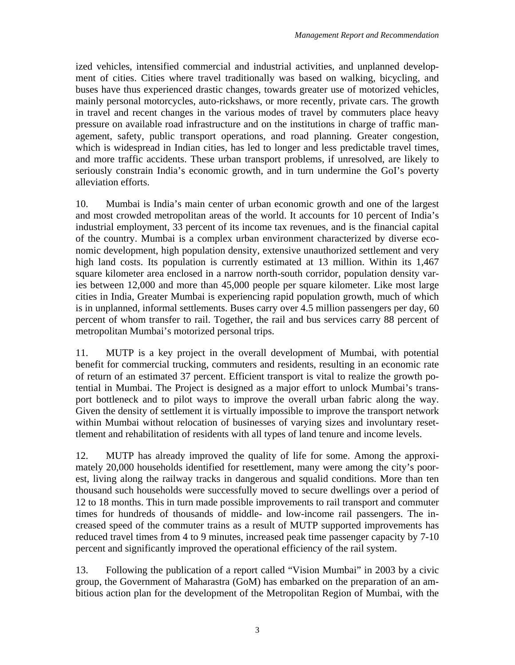ized vehicles, intensified commercial and industrial activities, and unplanned development of cities. Cities where travel traditionally was based on walking, bicycling, and buses have thus experienced drastic changes, towards greater use of motorized vehicles, mainly personal motorcycles, auto-rickshaws, or more recently, private cars. The growth in travel and recent changes in the various modes of travel by commuters place heavy pressure on available road infrastructure and on the institutions in charge of traffic management, safety, public transport operations, and road planning. Greater congestion, which is widespread in Indian cities, has led to longer and less predictable travel times, and more traffic accidents. These urban transport problems, if unresolved, are likely to seriously constrain India's economic growth, and in turn undermine the GoI's poverty alleviation efforts.

10. Mumbai is India's main center of urban economic growth and one of the largest and most crowded metropolitan areas of the world. It accounts for 10 percent of India's industrial employment, 33 percent of its income tax revenues, and is the financial capital of the country. Mumbai is a complex urban environment characterized by diverse economic development, high population density, extensive unauthorized settlement and very high land costs. Its population is currently estimated at 13 million. Within its 1,467 square kilometer area enclosed in a narrow north-south corridor, population density varies between 12,000 and more than 45,000 people per square kilometer. Like most large cities in India, Greater Mumbai is experiencing rapid population growth, much of which is in unplanned, informal settlements. Buses carry over 4.5 million passengers per day, 60 percent of whom transfer to rail. Together, the rail and bus services carry 88 percent of metropolitan Mumbai's motorized personal trips.

11. MUTP is a key project in the overall development of Mumbai, with potential benefit for commercial trucking, commuters and residents, resulting in an economic rate of return of an estimated 37 percent. Efficient transport is vital to realize the growth potential in Mumbai. The Project is designed as a major effort to unlock Mumbai's transport bottleneck and to pilot ways to improve the overall urban fabric along the way. Given the density of settlement it is virtually impossible to improve the transport network within Mumbai without relocation of businesses of varying sizes and involuntary resettlement and rehabilitation of residents with all types of land tenure and income levels.

12. MUTP has already improved the quality of life for some. Among the approximately 20,000 households identified for resettlement, many were among the city's poorest, living along the railway tracks in dangerous and squalid conditions. More than ten thousand such households were successfully moved to secure dwellings over a period of 12 to 18 months. This in turn made possible improvements to rail transport and commuter times for hundreds of thousands of middle- and low-income rail passengers. The increased speed of the commuter trains as a result of MUTP supported improvements has reduced travel times from 4 to 9 minutes, increased peak time passenger capacity by 7-10 percent and significantly improved the operational efficiency of the rail system.

13. Following the publication of a report called "Vision Mumbai" in 2003 by a civic group, the Government of Maharastra (GoM) has embarked on the preparation of an ambitious action plan for the development of the Metropolitan Region of Mumbai, with the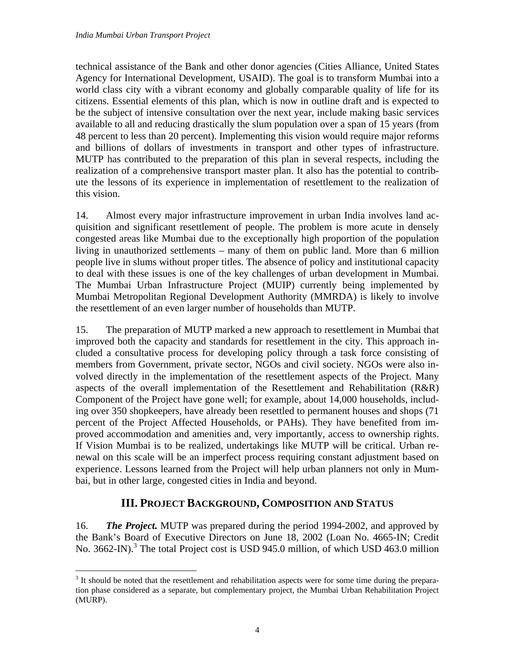technical assistance of the Bank and other donor agencies (Cities Alliance, United States Agency for International Development, USAID). The goal is to transform Mumbai into a world class city with a vibrant economy and globally comparable quality of life for its citizens. Essential elements of this plan, which is now in outline draft and is expected to be the subject of intensive consultation over the next year, include making basic services available to all and reducing drastically the slum population over a span of 15 years (from 48 percent to less than 20 percent). Implementing this vision would require major reforms and billions of dollars of investments in transport and other types of infrastructure. MUTP has contributed to the preparation of this plan in several respects, including the realization of a comprehensive transport master plan. It also has the potential to contribute the lessons of its experience in implementation of resettlement to the realization of this vision.

14. Almost every major infrastructure improvement in urban India involves land acquisition and significant resettlement of people. The problem is more acute in densely congested areas like Mumbai due to the exceptionally high proportion of the population living in unauthorized settlements – many of them on public land. More than 6 million people live in slums without proper titles. The absence of policy and institutional capacity to deal with these issues is one of the key challenges of urban development in Mumbai. The Mumbai Urban Infrastructure Project (MUIP) currently being implemented by Mumbai Metropolitan Regional Development Authority (MMRDA) is likely to involve the resettlement of an even larger number of households than MUTP.

15. The preparation of MUTP marked a new approach to resettlement in Mumbai that improved both the capacity and standards for resettlement in the city. This approach included a consultative process for developing policy through a task force consisting of members from Government, private sector, NGOs and civil society. NGOs were also involved directly in the implementation of the resettlement aspects of the Project. Many aspects of the overall implementation of the Resettlement and Rehabilitation (R&R) Component of the Project have gone well; for example, about 14,000 households, including over 350 shopkeepers, have already been resettled to permanent houses and shops (71 percent of the Project Affected Households, or PAHs). They have benefited from improved accommodation and amenities and, very importantly, access to ownership rights. If Vision Mumbai is to be realized, undertakings like MUTP will be critical. Urban renewal on this scale will be an imperfect process requiring constant adjustment based on experience. Lessons learned from the Project will help urban planners not only in Mumbai, but in other large, congested cities in India and beyond.

# **III. PROJECT BACKGROUND, COMPOSITION AND STATUS**

16. *The Project.* MUTP was prepared during the period 1994-2002, and approved by the Bank's Board of Executive Directors on June 18, 2002 (Loan No. 4665-IN; Credit No. 3662-IN).<sup>3</sup> The total Project cost is USD 945.0 million, of which USD 463.0 million

<sup>1</sup> <sup>3</sup> It should be noted that the resettlement and rehabilitation aspects were for some time during the preparation phase considered as a separate, but complementary project, the Mumbai Urban Rehabilitation Project (MURP).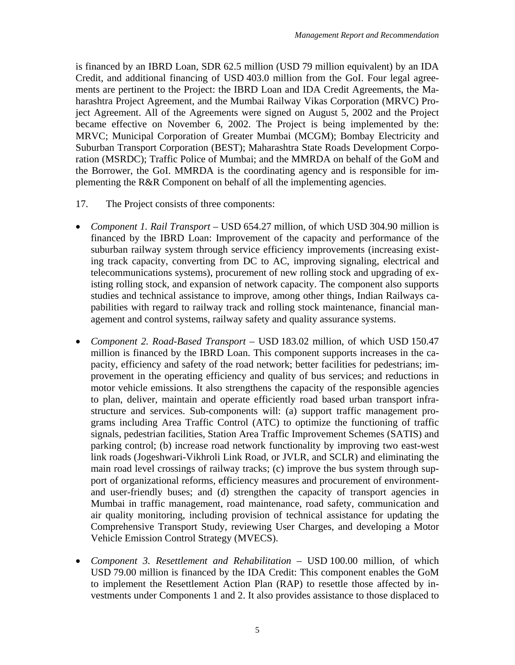is financed by an IBRD Loan, SDR 62.5 million (USD 79 million equivalent) by an IDA Credit, and additional financing of USD 403.0 million from the GoI. Four legal agreements are pertinent to the Project: the IBRD Loan and IDA Credit Agreements, the Maharashtra Project Agreement, and the Mumbai Railway Vikas Corporation (MRVC) Project Agreement. All of the Agreements were signed on August 5, 2002 and the Project became effective on November 6, 2002. The Project is being implemented by the: MRVC; Municipal Corporation of Greater Mumbai (MCGM); Bombay Electricity and Suburban Transport Corporation (BEST); Maharashtra State Roads Development Corporation (MSRDC); Traffic Police of Mumbai; and the MMRDA on behalf of the GoM and the Borrower, the GoI. MMRDA is the coordinating agency and is responsible for implementing the R&R Component on behalf of all the implementing agencies.

- 17. The Project consists of three components:
- *Component 1. Rail Transport* USD 654.27 million, of which USD 304.90 million is financed by the IBRD Loan: Improvement of the capacity and performance of the suburban railway system through service efficiency improvements (increasing existing track capacity, converting from DC to AC, improving signaling, electrical and telecommunications systems), procurement of new rolling stock and upgrading of existing rolling stock, and expansion of network capacity. The component also supports studies and technical assistance to improve, among other things, Indian Railways capabilities with regard to railway track and rolling stock maintenance, financial management and control systems, railway safety and quality assurance systems.
- *Component 2. Road-Based Transport* USD 183.02 million, of which USD 150.47 million is financed by the IBRD Loan. This component supports increases in the capacity, efficiency and safety of the road network; better facilities for pedestrians; improvement in the operating efficiency and quality of bus services; and reductions in motor vehicle emissions. It also strengthens the capacity of the responsible agencies to plan, deliver, maintain and operate efficiently road based urban transport infrastructure and services. Sub-components will: (a) support traffic management programs including Area Traffic Control (ATC) to optimize the functioning of traffic signals, pedestrian facilities, Station Area Traffic Improvement Schemes (SATIS) and parking control; (b) increase road network functionality by improving two east-west link roads (Jogeshwari-Vikhroli Link Road, or JVLR, and SCLR) and eliminating the main road level crossings of railway tracks; (c) improve the bus system through support of organizational reforms, efficiency measures and procurement of environmentand user-friendly buses; and (d) strengthen the capacity of transport agencies in Mumbai in traffic management, road maintenance, road safety, communication and air quality monitoring, including provision of technical assistance for updating the Comprehensive Transport Study, reviewing User Charges, and developing a Motor Vehicle Emission Control Strategy (MVECS).
- *Component 3. Resettlement and Rehabilitation* USD 100.00 million, of which USD 79.00 million is financed by the IDA Credit: This component enables the GoM to implement the Resettlement Action Plan (RAP) to resettle those affected by investments under Components 1 and 2. It also provides assistance to those displaced to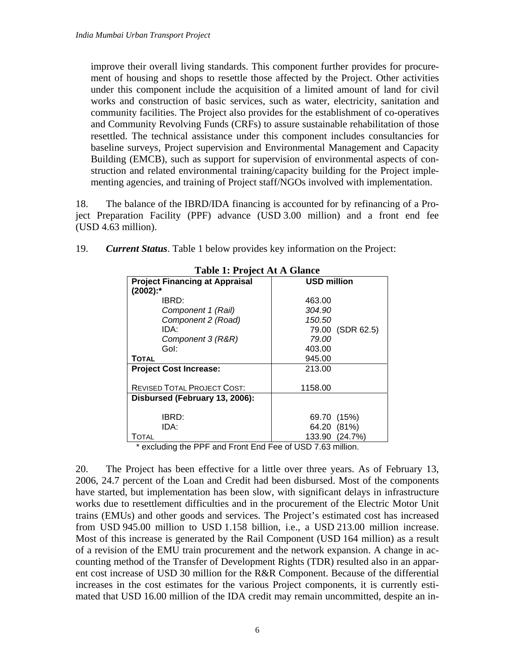improve their overall living standards. This component further provides for procurement of housing and shops to resettle those affected by the Project. Other activities under this component include the acquisition of a limited amount of land for civil works and construction of basic services, such as water, electricity, sanitation and community facilities. The Project also provides for the establishment of co-operatives and Community Revolving Funds (CRFs) to assure sustainable rehabilitation of those resettled. The technical assistance under this component includes consultancies for baseline surveys, Project supervision and Environmental Management and Capacity Building (EMCB), such as support for supervision of environmental aspects of construction and related environmental training/capacity building for the Project implementing agencies, and training of Project staff/NGOs involved with implementation.

18. The balance of the IBRD/IDA financing is accounted for by refinancing of a Project Preparation Facility (PPF) advance (USD 3.00 million) and a front end fee (USD 4.63 million).

| <b>Table 1: Project At A Glance</b>   |                    |                  |  |  |  |
|---------------------------------------|--------------------|------------------|--|--|--|
| <b>Project Financing at Appraisal</b> | <b>USD million</b> |                  |  |  |  |
| $(2002)$ :*                           |                    |                  |  |  |  |
| IBRD:                                 | 463.00             |                  |  |  |  |
| Component 1 (Rail)                    | 304.90             |                  |  |  |  |
| Component 2 (Road)                    | 150.50             |                  |  |  |  |
| IDA:                                  |                    | 79.00 (SDR 62.5) |  |  |  |
| Component 3 (R&R)                     | 79.00              |                  |  |  |  |
| Gol:                                  | 403.00             |                  |  |  |  |
| <b>TOTAL</b>                          | 945.00             |                  |  |  |  |
| <b>Project Cost Increase:</b>         | 213.00             |                  |  |  |  |
|                                       |                    |                  |  |  |  |
| <b>REVISED TOTAL PROJECT COST:</b>    | 1158.00            |                  |  |  |  |
| Disbursed (February 13, 2006):        |                    |                  |  |  |  |
|                                       |                    |                  |  |  |  |
| IBRD:                                 | 69.70 (15%)        |                  |  |  |  |
| IDA:                                  | 64.20 (81%)        |                  |  |  |  |
| TOTAL                                 | 133.90 (24.7%)     |                  |  |  |  |

| 19. | <b>Current Status.</b> Table 1 below provides key information on the Project: |  |  |
|-----|-------------------------------------------------------------------------------|--|--|
|     |                                                                               |  |  |

\* excluding the PPF and Front End Fee of USD 7.63 million.

20. The Project has been effective for a little over three years. As of February 13, 2006, 24.7 percent of the Loan and Credit had been disbursed. Most of the components have started, but implementation has been slow, with significant delays in infrastructure works due to resettlement difficulties and in the procurement of the Electric Motor Unit trains (EMUs) and other goods and services. The Project's estimated cost has increased from USD 945.00 million to USD 1.158 billion, i.e., a USD 213.00 million increase. Most of this increase is generated by the Rail Component (USD 164 million) as a result of a revision of the EMU train procurement and the network expansion. A change in accounting method of the Transfer of Development Rights (TDR) resulted also in an apparent cost increase of USD 30 million for the R&R Component. Because of the differential increases in the cost estimates for the various Project components, it is currently estimated that USD 16.00 million of the IDA credit may remain uncommitted, despite an in-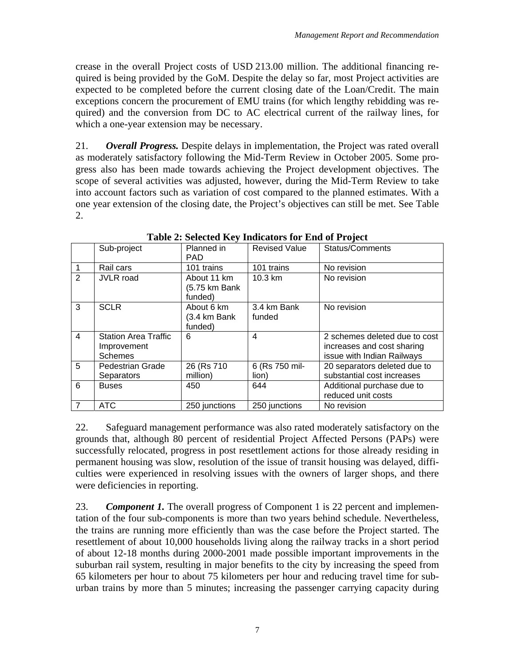crease in the overall Project costs of USD 213.00 million. The additional financing required is being provided by the GoM. Despite the delay so far, most Project activities are expected to be completed before the current closing date of the Loan/Credit. The main exceptions concern the procurement of EMU trains (for which lengthy rebidding was required) and the conversion from DC to AC electrical current of the railway lines, for which a one-year extension may be necessary.

21. *Overall Progress.* Despite delays in implementation, the Project was rated overall as moderately satisfactory following the Mid-Term Review in October 2005. Some progress also has been made towards achieving the Project development objectives. The scope of several activities was adjusted, however, during the Mid-Term Review to take into account factors such as variation of cost compared to the planned estimates. With a one year extension of the closing date, the Project's objectives can still be met. See Table 2.

|                | Sub-project                                                  | Planned in<br><b>PAD</b>                | <b>Revised Value</b>    | <b>Status/Comments</b>                                                                    |
|----------------|--------------------------------------------------------------|-----------------------------------------|-------------------------|-------------------------------------------------------------------------------------------|
|                | Rail cars                                                    | 101 trains                              | 101 trains              | No revision                                                                               |
| 2              | <b>JVLR</b> road                                             | About 11 km<br>(5.75 km Bank<br>funded) | $10.3 \text{ km}$       | No revision                                                                               |
| 3              | <b>SCLR</b>                                                  | About 6 km<br>(3.4 km Bank<br>funded)   | 3.4 km Bank<br>funded   | No revision                                                                               |
| 4              | <b>Station Area Traffic</b><br>Improvement<br><b>Schemes</b> | 6                                       | $\overline{4}$          | 2 schemes deleted due to cost<br>increases and cost sharing<br>issue with Indian Railways |
| 5              | Pedestrian Grade<br>Separators                               | 26 (Rs 710)<br>million)                 | 6 (Rs 750 mil-<br>lion) | 20 separators deleted due to<br>substantial cost increases                                |
| 6              | <b>Buses</b>                                                 | 450                                     | 644                     | Additional purchase due to<br>reduced unit costs                                          |
| $\overline{7}$ | <b>ATC</b>                                                   | 250 junctions                           | 250 junctions           | No revision                                                                               |

**Table 2: Selected Key Indicators for End of Project** 

22. Safeguard management performance was also rated moderately satisfactory on the grounds that, although 80 percent of residential Project Affected Persons (PAPs) were successfully relocated, progress in post resettlement actions for those already residing in permanent housing was slow, resolution of the issue of transit housing was delayed, difficulties were experienced in resolving issues with the owners of larger shops, and there were deficiencies in reporting.

23. *Component 1.* The overall progress of Component 1 is 22 percent and implementation of the four sub-components is more than two years behind schedule. Nevertheless, the trains are running more efficiently than was the case before the Project started. The resettlement of about 10,000 households living along the railway tracks in a short period of about 12-18 months during 2000-2001 made possible important improvements in the suburban rail system, resulting in major benefits to the city by increasing the speed from 65 kilometers per hour to about 75 kilometers per hour and reducing travel time for suburban trains by more than 5 minutes; increasing the passenger carrying capacity during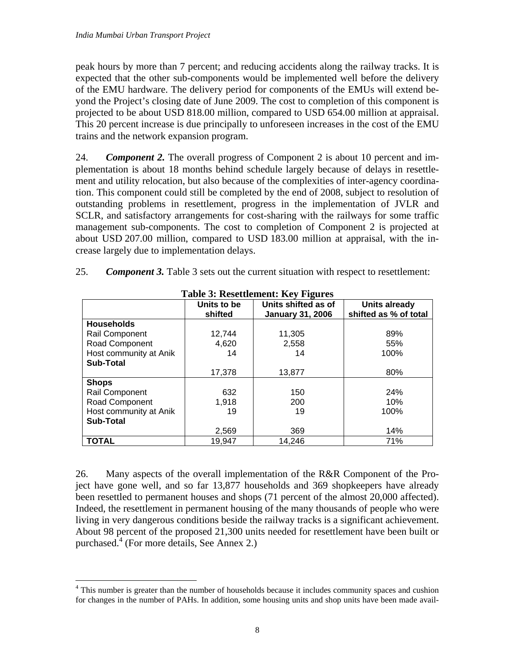$\overline{a}$ 

peak hours by more than 7 percent; and reducing accidents along the railway tracks. It is expected that the other sub-components would be implemented well before the delivery of the EMU hardware. The delivery period for components of the EMUs will extend beyond the Project's closing date of June 2009. The cost to completion of this component is projected to be about USD 818.00 million, compared to USD 654.00 million at appraisal. This 20 percent increase is due principally to unforeseen increases in the cost of the EMU trains and the network expansion program.

24. *Component 2.* The overall progress of Component 2 is about 10 percent and implementation is about 18 months behind schedule largely because of delays in resettlement and utility relocation, but also because of the complexities of inter-agency coordination. This component could still be completed by the end of 2008, subject to resolution of outstanding problems in resettlement, progress in the implementation of JVLR and SCLR, and satisfactory arrangements for cost-sharing with the railways for some traffic management sub-components. The cost to completion of Component 2 is projected at about USD 207.00 million, compared to USD 183.00 million at appraisal, with the increase largely due to implementation delays.

| 25. |  |  |  |  | <b>Component 3.</b> Table 3 sets out the current situation with respect to resettlement: |
|-----|--|--|--|--|------------------------------------------------------------------------------------------|
|-----|--|--|--|--|------------------------------------------------------------------------------------------|

| Tuble of Incocentement, Inc. I Indian |             |                         |                       |  |  |
|---------------------------------------|-------------|-------------------------|-----------------------|--|--|
|                                       | Units to be | Units shifted as of     | <b>Units already</b>  |  |  |
|                                       | shifted     | <b>January 31, 2006</b> | shifted as % of total |  |  |
| <b>Households</b>                     |             |                         |                       |  |  |
| <b>Rail Component</b>                 | 12,744      | 11,305                  | 89%                   |  |  |
| Road Component                        | 4,620       | 2,558                   | 55%                   |  |  |
| Host community at Anik                | 14          | 14                      | 100%                  |  |  |
| <b>Sub-Total</b>                      |             |                         |                       |  |  |
|                                       | 17,378      | 13,877                  | 80%                   |  |  |
| <b>Shops</b>                          |             |                         |                       |  |  |
| Rail Component                        | 632         | 150                     | 24%                   |  |  |
| Road Component                        | 1.918       | 200                     | 10%                   |  |  |
| Host community at Anik                | 19          | 19                      | 100%                  |  |  |
| <b>Sub-Total</b>                      |             |                         |                       |  |  |
|                                       | 2,569       | 369                     | 14%                   |  |  |
| <b>TOTAL</b>                          | 19,947      | 14,246                  | 71%                   |  |  |

**Table 3: Resettlement: Key Figures** 

26. Many aspects of the overall implementation of the R&R Component of the Project have gone well, and so far 13,877 households and 369 shopkeepers have already been resettled to permanent houses and shops (71 percent of the almost 20,000 affected). Indeed, the resettlement in permanent housing of the many thousands of people who were living in very dangerous conditions beside the railway tracks is a significant achievement. About 98 percent of the proposed 21,300 units needed for resettlement have been built or purchased.<sup>4</sup> (For more details, See Annex 2.)

<sup>&</sup>lt;sup>4</sup> This number is greater than the number of households because it includes community spaces and cushion for changes in the number of PAHs. In addition, some housing units and shop units have been made avail-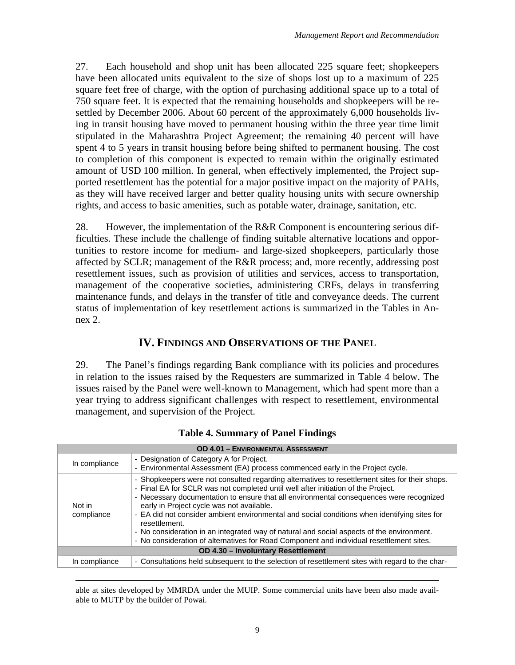27. Each household and shop unit has been allocated 225 square feet; shopkeepers have been allocated units equivalent to the size of shops lost up to a maximum of 225 square feet free of charge, with the option of purchasing additional space up to a total of 750 square feet. It is expected that the remaining households and shopkeepers will be resettled by December 2006. About 60 percent of the approximately 6,000 households living in transit housing have moved to permanent housing within the three year time limit stipulated in the Maharashtra Project Agreement; the remaining 40 percent will have spent 4 to 5 years in transit housing before being shifted to permanent housing. The cost to completion of this component is expected to remain within the originally estimated amount of USD 100 million. In general, when effectively implemented, the Project supported resettlement has the potential for a major positive impact on the majority of PAHs, as they will have received larger and better quality housing units with secure ownership rights, and access to basic amenities, such as potable water, drainage, sanitation, etc.

28. However, the implementation of the R&R Component is encountering serious difficulties. These include the challenge of finding suitable alternative locations and opportunities to restore income for medium- and large-sized shopkeepers, particularly those affected by SCLR; management of the R&R process; and, more recently, addressing post resettlement issues, such as provision of utilities and services, access to transportation, management of the cooperative societies, administering CRFs, delays in transferring maintenance funds, and delays in the transfer of title and conveyance deeds. The current status of implementation of key resettlement actions is summarized in the Tables in Annex 2.

# **IV. FINDINGS AND OBSERVATIONS OF THE PANEL**

29. The Panel's findings regarding Bank compliance with its policies and procedures in relation to the issues raised by the Requesters are summarized in Table 4 below. The issues raised by the Panel were well-known to Management, which had spent more than a year trying to address significant challenges with respect to resettlement, environmental management, and supervision of the Project.

| <b>OD 4.01 - ENVIRONMENTAL ASSESSMENT</b> |                                                                                                                                                                                                                                                                                                                                                                                                                                                                                                                                                                                                                                       |  |  |  |
|-------------------------------------------|---------------------------------------------------------------------------------------------------------------------------------------------------------------------------------------------------------------------------------------------------------------------------------------------------------------------------------------------------------------------------------------------------------------------------------------------------------------------------------------------------------------------------------------------------------------------------------------------------------------------------------------|--|--|--|
| In compliance                             | - Designation of Category A for Project.<br>- Environmental Assessment (EA) process commenced early in the Project cycle.                                                                                                                                                                                                                                                                                                                                                                                                                                                                                                             |  |  |  |
| Not in<br>compliance                      | - Shopkeepers were not consulted regarding alternatives to resettlement sites for their shops.<br>- Final EA for SCLR was not completed until well after initiation of the Project.<br>- Necessary documentation to ensure that all environmental consequences were recognized<br>early in Project cycle was not available.<br>- EA did not consider ambient environmental and social conditions when identifying sites for<br>resettlement.<br>- No consideration in an integrated way of natural and social aspects of the environment.<br>- No consideration of alternatives for Road Component and individual resettlement sites. |  |  |  |
| OD 4.30 - Involuntary Resettlement        |                                                                                                                                                                                                                                                                                                                                                                                                                                                                                                                                                                                                                                       |  |  |  |
| In compliance                             | - Consultations held subsequent to the selection of resettlement sites with regard to the char-                                                                                                                                                                                                                                                                                                                                                                                                                                                                                                                                       |  |  |  |

### **Table 4. Summary of Panel Findings**

 able at sites developed by MMRDA under the MUIP. Some commercial units have been also made available to MUTP by the builder of Powai.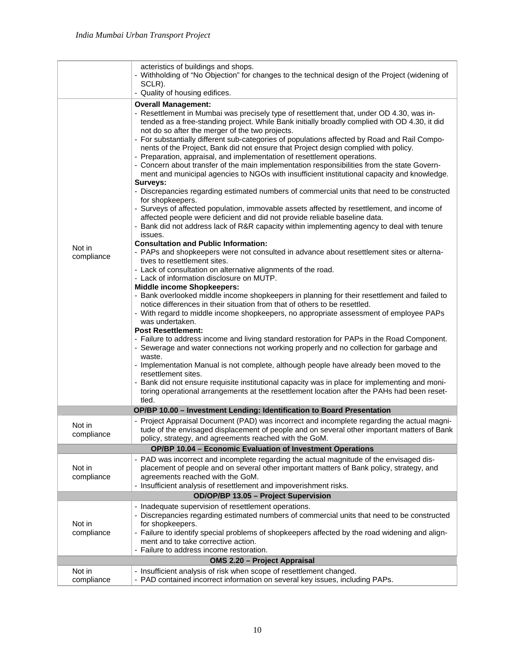|                                                            | acteristics of buildings and shops.<br>- Withholding of "No Objection" for changes to the technical design of the Project (widening of<br>SCLR).<br>- Quality of housing edifices.                                                                                                                                                                                                                                                                                                                                                                                                                                                                                                                                                                                                                                                                                                                                                                                                                                                                                                                                                                                                                                                                                                                                                                                                                                                                                                                                                                                                                                                                                                                                                                                                                                                                                                                                                                                                                                                                                                                                                                                                                                                                                                                                                            |  |  |  |  |
|------------------------------------------------------------|-----------------------------------------------------------------------------------------------------------------------------------------------------------------------------------------------------------------------------------------------------------------------------------------------------------------------------------------------------------------------------------------------------------------------------------------------------------------------------------------------------------------------------------------------------------------------------------------------------------------------------------------------------------------------------------------------------------------------------------------------------------------------------------------------------------------------------------------------------------------------------------------------------------------------------------------------------------------------------------------------------------------------------------------------------------------------------------------------------------------------------------------------------------------------------------------------------------------------------------------------------------------------------------------------------------------------------------------------------------------------------------------------------------------------------------------------------------------------------------------------------------------------------------------------------------------------------------------------------------------------------------------------------------------------------------------------------------------------------------------------------------------------------------------------------------------------------------------------------------------------------------------------------------------------------------------------------------------------------------------------------------------------------------------------------------------------------------------------------------------------------------------------------------------------------------------------------------------------------------------------------------------------------------------------------------------------------------------------|--|--|--|--|
|                                                            |                                                                                                                                                                                                                                                                                                                                                                                                                                                                                                                                                                                                                                                                                                                                                                                                                                                                                                                                                                                                                                                                                                                                                                                                                                                                                                                                                                                                                                                                                                                                                                                                                                                                                                                                                                                                                                                                                                                                                                                                                                                                                                                                                                                                                                                                                                                                               |  |  |  |  |
| Not in<br>compliance                                       | <b>Overall Management:</b><br>- Resettlement in Mumbai was precisely type of resettlement that, under OD 4.30, was in-<br>tended as a free-standing project. While Bank initially broadly complied with OD 4.30, it did<br>not do so after the merger of the two projects.<br>- For substantially different sub-categories of populations affected by Road and Rail Compo-<br>nents of the Project, Bank did not ensure that Project design complied with policy.<br>- Preparation, appraisal, and implementation of resettlement operations.<br>- Concern about transfer of the main implementation responsibilities from the state Govern-<br>ment and municipal agencies to NGOs with insufficient institutional capacity and knowledge.<br>Surveys:<br>- Discrepancies regarding estimated numbers of commercial units that need to be constructed<br>for shopkeepers.<br>- Surveys of affected population, immovable assets affected by resettlement, and income of<br>affected people were deficient and did not provide reliable baseline data.<br>- Bank did not address lack of R&R capacity within implementing agency to deal with tenure<br>issues.<br><b>Consultation and Public Information:</b><br>- PAPs and shopkeepers were not consulted in advance about resettlement sites or alterna-<br>tives to resettlement sites.<br>- Lack of consultation on alternative alignments of the road.<br>- Lack of information disclosure on MUTP.<br><b>Middle income Shopkeepers:</b><br>- Bank overlooked middle income shopkeepers in planning for their resettlement and failed to<br>notice differences in their situation from that of others to be resettled.<br>- With regard to middle income shopkeepers, no appropriate assessment of employee PAPs<br>was undertaken.<br><b>Post Resettlement:</b><br>- Failure to address income and living standard restoration for PAPs in the Road Component.<br>- Sewerage and water connections not working properly and no collection for garbage and<br>waste.<br>- Implementation Manual is not complete, although people have already been moved to the<br>resettlement sites.<br>- Bank did not ensure requisite institutional capacity was in place for implementing and moni-<br>toring operational arrangements at the resettlement location after the PAHs had been reset- |  |  |  |  |
|                                                            | tled.                                                                                                                                                                                                                                                                                                                                                                                                                                                                                                                                                                                                                                                                                                                                                                                                                                                                                                                                                                                                                                                                                                                                                                                                                                                                                                                                                                                                                                                                                                                                                                                                                                                                                                                                                                                                                                                                                                                                                                                                                                                                                                                                                                                                                                                                                                                                         |  |  |  |  |
|                                                            | OP/BP 10.00 - Investment Lending: Identification to Board Presentation                                                                                                                                                                                                                                                                                                                                                                                                                                                                                                                                                                                                                                                                                                                                                                                                                                                                                                                                                                                                                                                                                                                                                                                                                                                                                                                                                                                                                                                                                                                                                                                                                                                                                                                                                                                                                                                                                                                                                                                                                                                                                                                                                                                                                                                                        |  |  |  |  |
| Not in<br>compliance                                       | - Project Appraisal Document (PAD) was incorrect and incomplete regarding the actual magni-<br>tude of the envisaged displacement of people and on several other important matters of Bank<br>policy, strategy, and agreements reached with the GoM.                                                                                                                                                                                                                                                                                                                                                                                                                                                                                                                                                                                                                                                                                                                                                                                                                                                                                                                                                                                                                                                                                                                                                                                                                                                                                                                                                                                                                                                                                                                                                                                                                                                                                                                                                                                                                                                                                                                                                                                                                                                                                          |  |  |  |  |
| OP/BP 10.04 - Economic Evaluation of Investment Operations |                                                                                                                                                                                                                                                                                                                                                                                                                                                                                                                                                                                                                                                                                                                                                                                                                                                                                                                                                                                                                                                                                                                                                                                                                                                                                                                                                                                                                                                                                                                                                                                                                                                                                                                                                                                                                                                                                                                                                                                                                                                                                                                                                                                                                                                                                                                                               |  |  |  |  |
| Not in<br>compliance                                       | - PAD was incorrect and incomplete regarding the actual magnitude of the envisaged dis-<br>placement of people and on several other important matters of Bank policy, strategy, and<br>agreements reached with the GoM.<br>- Insufficient analysis of resettlement and impoverishment risks.                                                                                                                                                                                                                                                                                                                                                                                                                                                                                                                                                                                                                                                                                                                                                                                                                                                                                                                                                                                                                                                                                                                                                                                                                                                                                                                                                                                                                                                                                                                                                                                                                                                                                                                                                                                                                                                                                                                                                                                                                                                  |  |  |  |  |
|                                                            | OD/OP/BP 13.05 - Project Supervision                                                                                                                                                                                                                                                                                                                                                                                                                                                                                                                                                                                                                                                                                                                                                                                                                                                                                                                                                                                                                                                                                                                                                                                                                                                                                                                                                                                                                                                                                                                                                                                                                                                                                                                                                                                                                                                                                                                                                                                                                                                                                                                                                                                                                                                                                                          |  |  |  |  |
| Not in<br>compliance                                       | - Inadequate supervision of resettlement operations.<br>- Discrepancies regarding estimated numbers of commercial units that need to be constructed<br>for shopkeepers.<br>- Failure to identify special problems of shopkeepers affected by the road widening and align-<br>ment and to take corrective action.<br>- Failure to address income restoration.                                                                                                                                                                                                                                                                                                                                                                                                                                                                                                                                                                                                                                                                                                                                                                                                                                                                                                                                                                                                                                                                                                                                                                                                                                                                                                                                                                                                                                                                                                                                                                                                                                                                                                                                                                                                                                                                                                                                                                                  |  |  |  |  |
| OMS 2.20 - Project Appraisal                               |                                                                                                                                                                                                                                                                                                                                                                                                                                                                                                                                                                                                                                                                                                                                                                                                                                                                                                                                                                                                                                                                                                                                                                                                                                                                                                                                                                                                                                                                                                                                                                                                                                                                                                                                                                                                                                                                                                                                                                                                                                                                                                                                                                                                                                                                                                                                               |  |  |  |  |
| Not in<br>compliance                                       | - Insufficient analysis of risk when scope of resettlement changed.<br>- PAD contained incorrect information on several key issues, including PAPs.                                                                                                                                                                                                                                                                                                                                                                                                                                                                                                                                                                                                                                                                                                                                                                                                                                                                                                                                                                                                                                                                                                                                                                                                                                                                                                                                                                                                                                                                                                                                                                                                                                                                                                                                                                                                                                                                                                                                                                                                                                                                                                                                                                                           |  |  |  |  |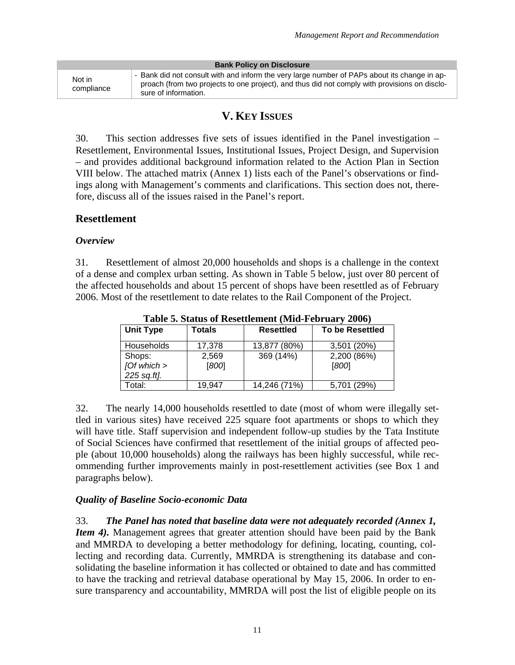| <b>Bank Policy on Disclosure</b> |                                                                                                                                                                                                                       |  |  |  |  |
|----------------------------------|-----------------------------------------------------------------------------------------------------------------------------------------------------------------------------------------------------------------------|--|--|--|--|
| Not in<br>compliance             | - Bank did not consult with and inform the very large number of PAPs about its change in ap-<br>proach (from two projects to one project), and thus did not comply with provisions on disclo-<br>sure of information. |  |  |  |  |

# **V. KEY ISSUES**

30. This section addresses five sets of issues identified in the Panel investigation – Resettlement, Environmental Issues, Institutional Issues, Project Design, and Supervision – and provides additional background information related to the Action Plan in Section VIII below. The attached matrix (Annex 1) lists each of the Panel's observations or findings along with Management's comments and clarifications. This section does not, therefore, discuss all of the issues raised in the Panel's report.

### **Resettlement**

#### *Overview*

31. Resettlement of almost 20,000 households and shops is a challenge in the context of a dense and complex urban setting. As shown in Table 5 below, just over 80 percent of the affected households and about 15 percent of shops have been resettled as of February 2006. Most of the resettlement to date relates to the Rail Component of the Project.

| Table 5. Status of Resettlement (Mild-February 2000) |                  |                  |                        |  |  |
|------------------------------------------------------|------------------|------------------|------------------------|--|--|
| <b>Unit Type</b>                                     | Totals           | <b>Resettled</b> | <b>To be Resettled</b> |  |  |
| <b>Households</b>                                    | 17,378           | 13,877 (80%)     | 3,501 (20%)            |  |  |
| Shops:<br>$J$ Of which $>$<br>225 sq.ft].            | 2,569<br>$[800]$ | 369 (14%)        | 2,200 (86%)<br>[800]   |  |  |
| Total:                                               | 19.947           | 14,246 (71%)     | 5,701 (29%)            |  |  |

**Table 5. Status of Resettlement (Mid-February 2006)** 

32. The nearly 14,000 households resettled to date (most of whom were illegally settled in various sites) have received 225 square foot apartments or shops to which they will have title. Staff supervision and independent follow-up studies by the Tata Institute of Social Sciences have confirmed that resettlement of the initial groups of affected people (about 10,000 households) along the railways has been highly successful, while recommending further improvements mainly in post-resettlement activities (see Box 1 and paragraphs below).

### *Quality of Baseline Socio-economic Data*

33. *The Panel has noted that baseline data were not adequately recorded (Annex 1, Item 4*). Management agrees that greater attention should have been paid by the Bank and MMRDA to developing a better methodology for defining, locating, counting, collecting and recording data. Currently, MMRDA is strengthening its database and consolidating the baseline information it has collected or obtained to date and has committed to have the tracking and retrieval database operational by May 15, 2006. In order to ensure transparency and accountability, MMRDA will post the list of eligible people on its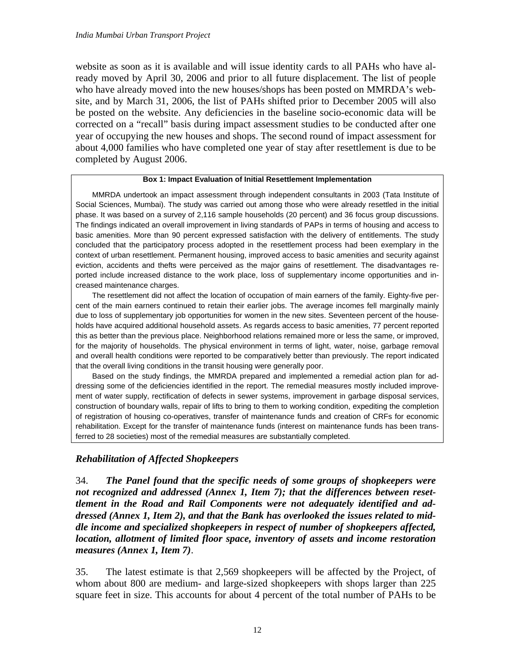website as soon as it is available and will issue identity cards to all PAHs who have already moved by April 30, 2006 and prior to all future displacement. The list of people who have already moved into the new houses/shops has been posted on MMRDA's website, and by March 31, 2006, the list of PAHs shifted prior to December 2005 will also be posted on the website. Any deficiencies in the baseline socio-economic data will be corrected on a "recall" basis during impact assessment studies to be conducted after one year of occupying the new houses and shops. The second round of impact assessment for about 4,000 families who have completed one year of stay after resettlement is due to be completed by August 2006.

#### **Box 1: Impact Evaluation of Initial Resettlement Implementation**

 MMRDA undertook an impact assessment through independent consultants in 2003 (Tata Institute of Social Sciences, Mumbai). The study was carried out among those who were already resettled in the initial phase. It was based on a survey of 2,116 sample households (20 percent) and 36 focus group discussions. The findings indicated an overall improvement in living standards of PAPs in terms of housing and access to basic amenities. More than 90 percent expressed satisfaction with the delivery of entitlements. The study concluded that the participatory process adopted in the resettlement process had been exemplary in the context of urban resettlement. Permanent housing, improved access to basic amenities and security against eviction, accidents and thefts were perceived as the major gains of resettlement. The disadvantages reported include increased distance to the work place, loss of supplementary income opportunities and increased maintenance charges.

 The resettlement did not affect the location of occupation of main earners of the family. Eighty-five percent of the main earners continued to retain their earlier jobs. The average incomes fell marginally mainly due to loss of supplementary job opportunities for women in the new sites. Seventeen percent of the households have acquired additional household assets. As regards access to basic amenities, 77 percent reported this as better than the previous place. Neighborhood relations remained more or less the same, or improved, for the majority of households. The physical environment in terms of light, water, noise, garbage removal and overall health conditions were reported to be comparatively better than previously. The report indicated that the overall living conditions in the transit housing were generally poor.

 Based on the study findings, the MMRDA prepared and implemented a remedial action plan for addressing some of the deficiencies identified in the report. The remedial measures mostly included improvement of water supply, rectification of defects in sewer systems, improvement in garbage disposal services, construction of boundary walls, repair of lifts to bring to them to working condition, expediting the completion of registration of housing co-operatives, transfer of maintenance funds and creation of CRFs for economic rehabilitation. Except for the transfer of maintenance funds (interest on maintenance funds has been transferred to 28 societies) most of the remedial measures are substantially completed.

### *Rehabilitation of Affected Shopkeepers*

34. *The Panel found that the specific needs of some groups of shopkeepers were not recognized and addressed (Annex 1, Item 7); that the differences between resettlement in the Road and Rail Components were not adequately identified and addressed (Annex 1, Item 2), and that the Bank has overlooked the issues related to middle income and specialized shopkeepers in respect of number of shopkeepers affected, location, allotment of limited floor space, inventory of assets and income restoration measures (Annex 1, Item 7)*.

35. The latest estimate is that 2,569 shopkeepers will be affected by the Project, of whom about 800 are medium- and large-sized shopkeepers with shops larger than 225 square feet in size. This accounts for about 4 percent of the total number of PAHs to be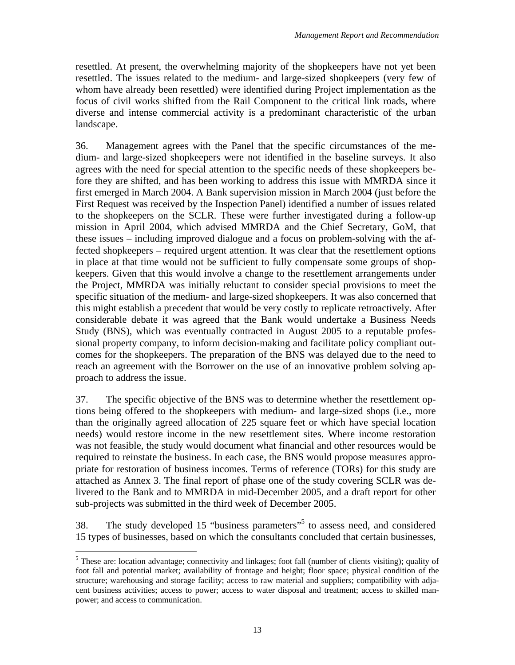resettled. At present, the overwhelming majority of the shopkeepers have not yet been resettled. The issues related to the medium- and large-sized shopkeepers (very few of whom have already been resettled) were identified during Project implementation as the focus of civil works shifted from the Rail Component to the critical link roads, where diverse and intense commercial activity is a predominant characteristic of the urban landscape.

36. Management agrees with the Panel that the specific circumstances of the medium- and large-sized shopkeepers were not identified in the baseline surveys. It also agrees with the need for special attention to the specific needs of these shopkeepers before they are shifted, and has been working to address this issue with MMRDA since it first emerged in March 2004. A Bank supervision mission in March 2004 (just before the First Request was received by the Inspection Panel) identified a number of issues related to the shopkeepers on the SCLR. These were further investigated during a follow-up mission in April 2004, which advised MMRDA and the Chief Secretary, GoM, that these issues – including improved dialogue and a focus on problem-solving with the affected shopkeepers – required urgent attention. It was clear that the resettlement options in place at that time would not be sufficient to fully compensate some groups of shopkeepers. Given that this would involve a change to the resettlement arrangements under the Project, MMRDA was initially reluctant to consider special provisions to meet the specific situation of the medium- and large-sized shopkeepers. It was also concerned that this might establish a precedent that would be very costly to replicate retroactively. After considerable debate it was agreed that the Bank would undertake a Business Needs Study (BNS), which was eventually contracted in August 2005 to a reputable professional property company, to inform decision-making and facilitate policy compliant outcomes for the shopkeepers. The preparation of the BNS was delayed due to the need to reach an agreement with the Borrower on the use of an innovative problem solving approach to address the issue.

37. The specific objective of the BNS was to determine whether the resettlement options being offered to the shopkeepers with medium- and large-sized shops (i.e., more than the originally agreed allocation of 225 square feet or which have special location needs) would restore income in the new resettlement sites. Where income restoration was not feasible, the study would document what financial and other resources would be required to reinstate the business. In each case, the BNS would propose measures appropriate for restoration of business incomes. Terms of reference (TORs) for this study are attached as Annex 3. The final report of phase one of the study covering SCLR was delivered to the Bank and to MMRDA in mid-December 2005, and a draft report for other sub-projects was submitted in the third week of December 2005.

38. The study developed 15 "business parameters"<sup>5</sup> to assess need, and considered 15 types of businesses, based on which the consultants concluded that certain businesses,

 $\overline{a}$ 

<sup>&</sup>lt;sup>5</sup> These are: location advantage; connectivity and linkages; foot fall (number of clients visiting); quality of foot fall and potential market; availability of frontage and height; floor space; physical condition of the structure; warehousing and storage facility; access to raw material and suppliers; compatibility with adjacent business activities; access to power; access to water disposal and treatment; access to skilled manpower; and access to communication.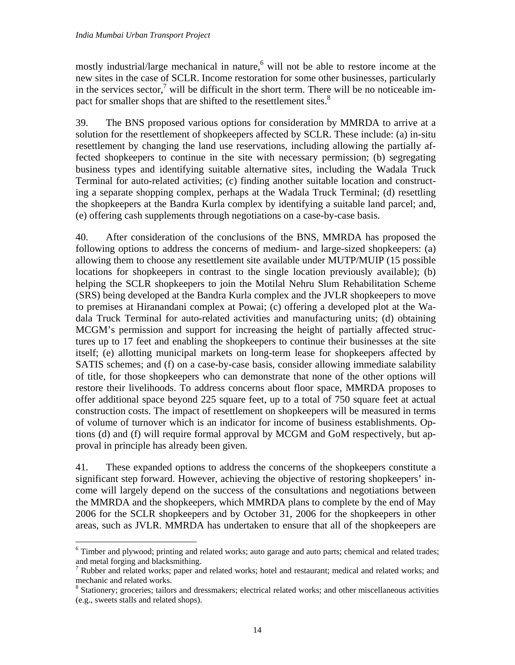mostly industrial/large mechanical in nature,<sup>6</sup> will not be able to restore income at the new sites in the case of SCLR. Income restoration for some other businesses, particularly in the services sector, $\frac{7}{1}$  will be difficult in the short term. There will be no noticeable impact for smaller shops that are shifted to the resettlement sites.<sup>8</sup>

39. The BNS proposed various options for consideration by MMRDA to arrive at a solution for the resettlement of shopkeepers affected by SCLR. These include: (a) in-situ resettlement by changing the land use reservations, including allowing the partially affected shopkeepers to continue in the site with necessary permission; (b) segregating business types and identifying suitable alternative sites, including the Wadala Truck Terminal for auto-related activities; (c) finding another suitable location and constructing a separate shopping complex, perhaps at the Wadala Truck Terminal; (d) resettling the shopkeepers at the Bandra Kurla complex by identifying a suitable land parcel; and, (e) offering cash supplements through negotiations on a case-by-case basis.

40. After consideration of the conclusions of the BNS, MMRDA has proposed the following options to address the concerns of medium- and large-sized shopkeepers: (a) allowing them to choose any resettlement site available under MUTP/MUIP (15 possible locations for shopkeepers in contrast to the single location previously available); (b) helping the SCLR shopkeepers to join the Motilal Nehru Slum Rehabilitation Scheme (SRS) being developed at the Bandra Kurla complex and the JVLR shopkeepers to move to premises at Hiranandani complex at Powai; (c) offering a developed plot at the Wadala Truck Terminal for auto-related activities and manufacturing units; (d) obtaining MCGM's permission and support for increasing the height of partially affected structures up to 17 feet and enabling the shopkeepers to continue their businesses at the site itself; (e) allotting municipal markets on long-term lease for shopkeepers affected by SATIS schemes; and (f) on a case-by-case basis, consider allowing immediate salability of title, for those shopkeepers who can demonstrate that none of the other options will restore their livelihoods. To address concerns about floor space, MMRDA proposes to offer additional space beyond 225 square feet, up to a total of 750 square feet at actual construction costs. The impact of resettlement on shopkeepers will be measured in terms of volume of turnover which is an indicator for income of business establishments. Options (d) and (f) will require formal approval by MCGM and GoM respectively, but approval in principle has already been given.

41. These expanded options to address the concerns of the shopkeepers constitute a significant step forward. However, achieving the objective of restoring shopkeepers' income will largely depend on the success of the consultations and negotiations between the MMRDA and the shopkeepers, which MMRDA plans to complete by the end of May 2006 for the SCLR shopkeepers and by October 31, 2006 for the shopkeepers in other areas, such as JVLR. MMRDA has undertaken to ensure that all of the shopkeepers are

 $\overline{a}$ <sup>6</sup> Timber and plywood; printing and related works; auto garage and auto parts; chemical and related trades; and metal forging and blacksmithing.

<sup>&</sup>lt;sup>7</sup> Rubber and related works; paper and related works; hotel and restaurant; medical and related works; and mechanic and related works.

<sup>&</sup>lt;sup>8</sup> Stationery; groceries; tailors and dressmakers; electrical related works; and other miscellaneous activities (e.g., sweets stalls and related shops).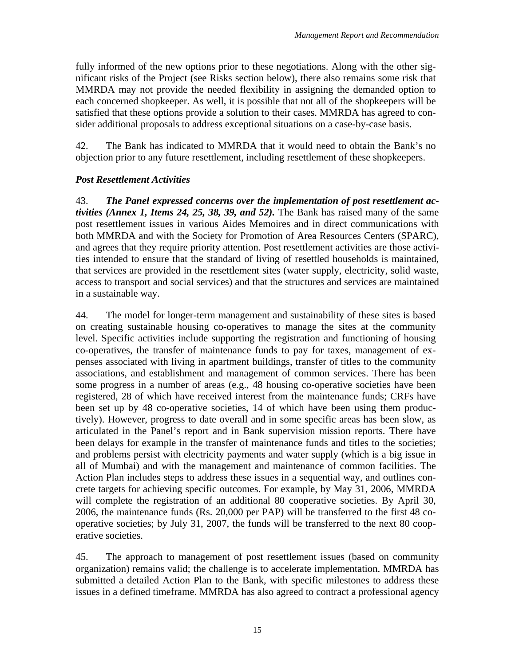fully informed of the new options prior to these negotiations. Along with the other significant risks of the Project (see Risks section below), there also remains some risk that MMRDA may not provide the needed flexibility in assigning the demanded option to each concerned shopkeeper. As well, it is possible that not all of the shopkeepers will be satisfied that these options provide a solution to their cases. MMRDA has agreed to consider additional proposals to address exceptional situations on a case-by-case basis.

42. The Bank has indicated to MMRDA that it would need to obtain the Bank's no objection prior to any future resettlement, including resettlement of these shopkeepers.

### *Post Resettlement Activities*

43. *The Panel expressed concerns over the implementation of post resettlement activities (Annex 1, Items 24, 25, 38, 39, and 52).* The Bank has raised many of the same post resettlement issues in various Aides Memoires and in direct communications with both MMRDA and with the Society for Promotion of Area Resources Centers (SPARC), and agrees that they require priority attention. Post resettlement activities are those activities intended to ensure that the standard of living of resettled households is maintained, that services are provided in the resettlement sites (water supply, electricity, solid waste, access to transport and social services) and that the structures and services are maintained in a sustainable way.

44. The model for longer-term management and sustainability of these sites is based on creating sustainable housing co-operatives to manage the sites at the community level. Specific activities include supporting the registration and functioning of housing co-operatives, the transfer of maintenance funds to pay for taxes, management of expenses associated with living in apartment buildings, transfer of titles to the community associations, and establishment and management of common services. There has been some progress in a number of areas (e.g., 48 housing co-operative societies have been registered, 28 of which have received interest from the maintenance funds; CRFs have been set up by 48 co-operative societies, 14 of which have been using them productively). However, progress to date overall and in some specific areas has been slow, as articulated in the Panel's report and in Bank supervision mission reports. There have been delays for example in the transfer of maintenance funds and titles to the societies; and problems persist with electricity payments and water supply (which is a big issue in all of Mumbai) and with the management and maintenance of common facilities. The Action Plan includes steps to address these issues in a sequential way, and outlines concrete targets for achieving specific outcomes. For example, by May 31, 2006, MMRDA will complete the registration of an additional 80 cooperative societies. By April 30, 2006, the maintenance funds (Rs. 20,000 per PAP) will be transferred to the first 48 cooperative societies; by July 31, 2007, the funds will be transferred to the next 80 cooperative societies.

45. The approach to management of post resettlement issues (based on community organization) remains valid; the challenge is to accelerate implementation. MMRDA has submitted a detailed Action Plan to the Bank, with specific milestones to address these issues in a defined timeframe. MMRDA has also agreed to contract a professional agency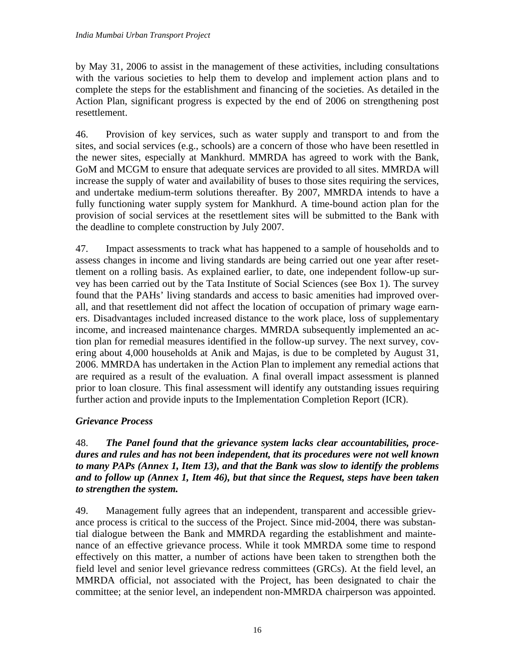by May 31, 2006 to assist in the management of these activities, including consultations with the various societies to help them to develop and implement action plans and to complete the steps for the establishment and financing of the societies. As detailed in the Action Plan, significant progress is expected by the end of 2006 on strengthening post resettlement.

46. Provision of key services, such as water supply and transport to and from the sites, and social services (e.g., schools) are a concern of those who have been resettled in the newer sites, especially at Mankhurd. MMRDA has agreed to work with the Bank, GoM and MCGM to ensure that adequate services are provided to all sites. MMRDA will increase the supply of water and availability of buses to those sites requiring the services, and undertake medium-term solutions thereafter. By 2007, MMRDA intends to have a fully functioning water supply system for Mankhurd. A time-bound action plan for the provision of social services at the resettlement sites will be submitted to the Bank with the deadline to complete construction by July 2007.

47. Impact assessments to track what has happened to a sample of households and to assess changes in income and living standards are being carried out one year after resettlement on a rolling basis. As explained earlier, to date, one independent follow-up survey has been carried out by the Tata Institute of Social Sciences (see Box 1). The survey found that the PAHs' living standards and access to basic amenities had improved overall, and that resettlement did not affect the location of occupation of primary wage earners. Disadvantages included increased distance to the work place, loss of supplementary income, and increased maintenance charges. MMRDA subsequently implemented an action plan for remedial measures identified in the follow-up survey. The next survey, covering about 4,000 households at Anik and Majas, is due to be completed by August 31, 2006. MMRDA has undertaken in the Action Plan to implement any remedial actions that are required as a result of the evaluation. A final overall impact assessment is planned prior to loan closure. This final assessment will identify any outstanding issues requiring further action and provide inputs to the Implementation Completion Report (ICR).

### *Grievance Process*

48. *The Panel found that the grievance system lacks clear accountabilities, procedures and rules and has not been independent, that its procedures were not well known to many PAPs (Annex 1, Item 13), and that the Bank was slow to identify the problems and to follow up (Annex 1, Item 46), but that since the Request, steps have been taken to strengthen the system.*

49. Management fully agrees that an independent, transparent and accessible grievance process is critical to the success of the Project. Since mid-2004, there was substantial dialogue between the Bank and MMRDA regarding the establishment and maintenance of an effective grievance process. While it took MMRDA some time to respond effectively on this matter, a number of actions have been taken to strengthen both the field level and senior level grievance redress committees (GRCs). At the field level, an MMRDA official, not associated with the Project, has been designated to chair the committee; at the senior level, an independent non-MMRDA chairperson was appointed.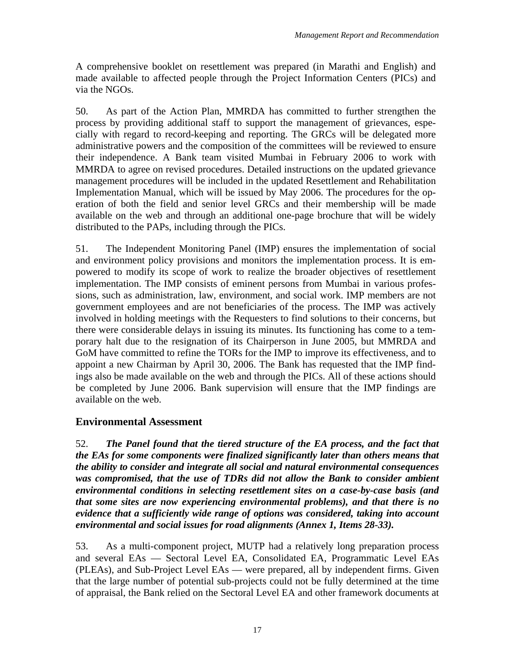A comprehensive booklet on resettlement was prepared (in Marathi and English) and made available to affected people through the Project Information Centers (PICs) and via the NGOs.

50. As part of the Action Plan, MMRDA has committed to further strengthen the process by providing additional staff to support the management of grievances, especially with regard to record-keeping and reporting. The GRCs will be delegated more administrative powers and the composition of the committees will be reviewed to ensure their independence. A Bank team visited Mumbai in February 2006 to work with MMRDA to agree on revised procedures. Detailed instructions on the updated grievance management procedures will be included in the updated Resettlement and Rehabilitation Implementation Manual, which will be issued by May 2006. The procedures for the operation of both the field and senior level GRCs and their membership will be made available on the web and through an additional one-page brochure that will be widely distributed to the PAPs, including through the PICs.

51. The Independent Monitoring Panel (IMP) ensures the implementation of social and environment policy provisions and monitors the implementation process. It is empowered to modify its scope of work to realize the broader objectives of resettlement implementation. The IMP consists of eminent persons from Mumbai in various professions, such as administration, law, environment, and social work. IMP members are not government employees and are not beneficiaries of the process. The IMP was actively involved in holding meetings with the Requesters to find solutions to their concerns, but there were considerable delays in issuing its minutes. Its functioning has come to a temporary halt due to the resignation of its Chairperson in June 2005, but MMRDA and GoM have committed to refine the TORs for the IMP to improve its effectiveness, and to appoint a new Chairman by April 30, 2006. The Bank has requested that the IMP findings also be made available on the web and through the PICs. All of these actions should be completed by June 2006. Bank supervision will ensure that the IMP findings are available on the web.

# **Environmental Assessment**

52. *The Panel found that the tiered structure of the EA process, and the fact that the EAs for some components were finalized significantly later than others means that the ability to consider and integrate all social and natural environmental consequences*  was compromised, that the use of TDRs did not allow the Bank to consider ambient *environmental conditions in selecting resettlement sites on a case-by-case basis (and that some sites are now experiencing environmental problems), and that there is no evidence that a sufficiently wide range of options was considered, taking into account environmental and social issues for road alignments (Annex 1, Items 28-33).*

53. As a multi-component project, MUTP had a relatively long preparation process and several EAs — Sectoral Level EA, Consolidated EA, Programmatic Level EAs (PLEAs), and Sub-Project Level EAs — were prepared, all by independent firms. Given that the large number of potential sub-projects could not be fully determined at the time of appraisal, the Bank relied on the Sectoral Level EA and other framework documents at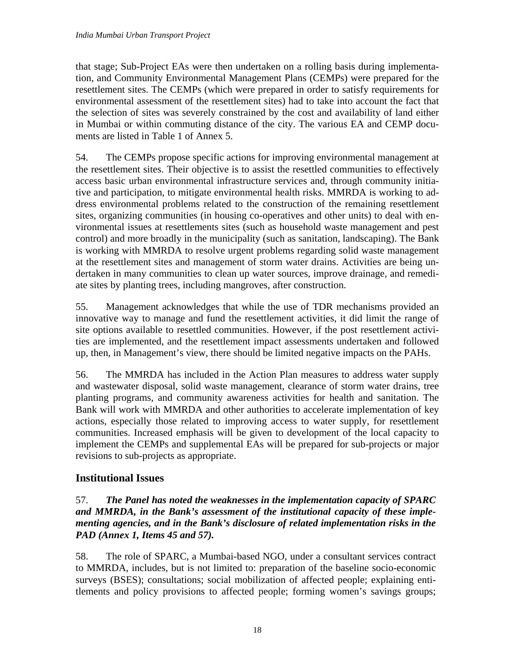that stage; Sub-Project EAs were then undertaken on a rolling basis during implementation, and Community Environmental Management Plans (CEMPs) were prepared for the resettlement sites. The CEMPs (which were prepared in order to satisfy requirements for environmental assessment of the resettlement sites) had to take into account the fact that the selection of sites was severely constrained by the cost and availability of land either in Mumbai or within commuting distance of the city. The various EA and CEMP documents are listed in Table 1 of Annex 5.

54. The CEMPs propose specific actions for improving environmental management at the resettlement sites. Their objective is to assist the resettled communities to effectively access basic urban environmental infrastructure services and, through community initiative and participation, to mitigate environmental health risks. MMRDA is working to address environmental problems related to the construction of the remaining resettlement sites, organizing communities (in housing co-operatives and other units) to deal with environmental issues at resettlements sites (such as household waste management and pest control) and more broadly in the municipality (such as sanitation, landscaping). The Bank is working with MMRDA to resolve urgent problems regarding solid waste management at the resettlement sites and management of storm water drains. Activities are being undertaken in many communities to clean up water sources, improve drainage, and remediate sites by planting trees, including mangroves, after construction.

55. Management acknowledges that while the use of TDR mechanisms provided an innovative way to manage and fund the resettlement activities, it did limit the range of site options available to resettled communities. However, if the post resettlement activities are implemented, and the resettlement impact assessments undertaken and followed up, then, in Management's view, there should be limited negative impacts on the PAHs.

56. The MMRDA has included in the Action Plan measures to address water supply and wastewater disposal, solid waste management, clearance of storm water drains, tree planting programs, and community awareness activities for health and sanitation. The Bank will work with MMRDA and other authorities to accelerate implementation of key actions, especially those related to improving access to water supply, for resettlement communities. Increased emphasis will be given to development of the local capacity to implement the CEMPs and supplemental EAs will be prepared for sub-projects or major revisions to sub-projects as appropriate.

# **Institutional Issues**

### 57. *The Panel has noted the weaknesses in the implementation capacity of SPARC and MMRDA, in the Bank's assessment of the institutional capacity of these implementing agencies, and in the Bank's disclosure of related implementation risks in the PAD (Annex 1, Items 45 and 57).*

58. The role of SPARC, a Mumbai-based NGO, under a consultant services contract to MMRDA, includes, but is not limited to: preparation of the baseline socio-economic surveys (BSES); consultations; social mobilization of affected people; explaining entitlements and policy provisions to affected people; forming women's savings groups;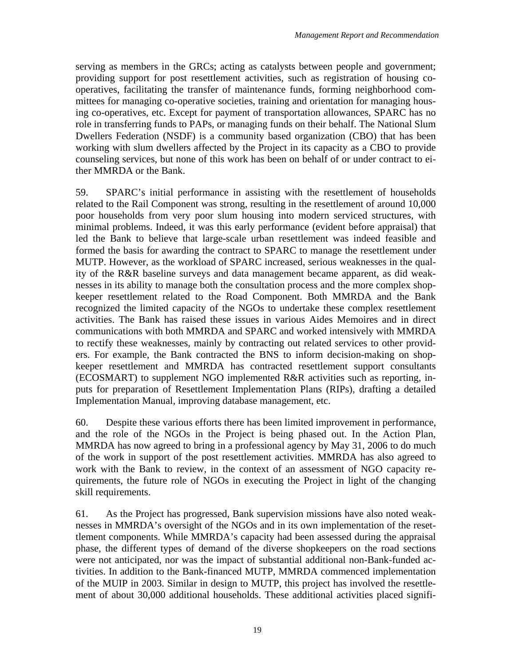serving as members in the GRCs; acting as catalysts between people and government; providing support for post resettlement activities, such as registration of housing cooperatives, facilitating the transfer of maintenance funds, forming neighborhood committees for managing co-operative societies, training and orientation for managing housing co-operatives, etc. Except for payment of transportation allowances, SPARC has no role in transferring funds to PAPs, or managing funds on their behalf. The National Slum Dwellers Federation (NSDF) is a community based organization (CBO) that has been working with slum dwellers affected by the Project in its capacity as a CBO to provide counseling services, but none of this work has been on behalf of or under contract to either MMRDA or the Bank.

59. SPARC's initial performance in assisting with the resettlement of households related to the Rail Component was strong, resulting in the resettlement of around 10,000 poor households from very poor slum housing into modern serviced structures, with minimal problems. Indeed, it was this early performance (evident before appraisal) that led the Bank to believe that large-scale urban resettlement was indeed feasible and formed the basis for awarding the contract to SPARC to manage the resettlement under MUTP. However, as the workload of SPARC increased, serious weaknesses in the quality of the R&R baseline surveys and data management became apparent, as did weaknesses in its ability to manage both the consultation process and the more complex shopkeeper resettlement related to the Road Component. Both MMRDA and the Bank recognized the limited capacity of the NGOs to undertake these complex resettlement activities. The Bank has raised these issues in various Aides Memoires and in direct communications with both MMRDA and SPARC and worked intensively with MMRDA to rectify these weaknesses, mainly by contracting out related services to other providers. For example, the Bank contracted the BNS to inform decision-making on shopkeeper resettlement and MMRDA has contracted resettlement support consultants (ECOSMART) to supplement NGO implemented R&R activities such as reporting, inputs for preparation of Resettlement Implementation Plans (RIPs), drafting a detailed Implementation Manual, improving database management, etc.

60. Despite these various efforts there has been limited improvement in performance, and the role of the NGOs in the Project is being phased out. In the Action Plan, MMRDA has now agreed to bring in a professional agency by May 31, 2006 to do much of the work in support of the post resettlement activities. MMRDA has also agreed to work with the Bank to review, in the context of an assessment of NGO capacity requirements, the future role of NGOs in executing the Project in light of the changing skill requirements.

61. As the Project has progressed, Bank supervision missions have also noted weaknesses in MMRDA's oversight of the NGOs and in its own implementation of the resettlement components. While MMRDA's capacity had been assessed during the appraisal phase, the different types of demand of the diverse shopkeepers on the road sections were not anticipated, nor was the impact of substantial additional non-Bank-funded activities. In addition to the Bank-financed MUTP, MMRDA commenced implementation of the MUIP in 2003. Similar in design to MUTP, this project has involved the resettlement of about 30,000 additional households. These additional activities placed signifi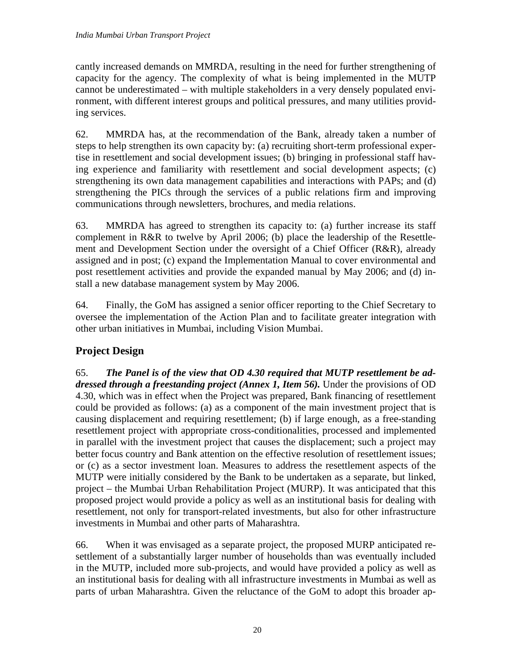cantly increased demands on MMRDA, resulting in the need for further strengthening of capacity for the agency. The complexity of what is being implemented in the MUTP cannot be underestimated – with multiple stakeholders in a very densely populated environment, with different interest groups and political pressures, and many utilities providing services.

62. MMRDA has, at the recommendation of the Bank, already taken a number of steps to help strengthen its own capacity by: (a) recruiting short-term professional expertise in resettlement and social development issues; (b) bringing in professional staff having experience and familiarity with resettlement and social development aspects; (c) strengthening its own data management capabilities and interactions with PAPs; and (d) strengthening the PICs through the services of a public relations firm and improving communications through newsletters, brochures, and media relations.

63. MMRDA has agreed to strengthen its capacity to: (a) further increase its staff complement in R&R to twelve by April 2006; (b) place the leadership of the Resettlement and Development Section under the oversight of a Chief Officer (R&R), already assigned and in post; (c) expand the Implementation Manual to cover environmental and post resettlement activities and provide the expanded manual by May 2006; and (d) install a new database management system by May 2006.

64. Finally, the GoM has assigned a senior officer reporting to the Chief Secretary to oversee the implementation of the Action Plan and to facilitate greater integration with other urban initiatives in Mumbai, including Vision Mumbai.

# **Project Design**

65. *The Panel is of the view that OD 4.30 required that MUTP resettlement be addressed through a freestanding project (Annex 1, Item 56).* Under the provisions of OD 4.30, which was in effect when the Project was prepared, Bank financing of resettlement could be provided as follows: (a) as a component of the main investment project that is causing displacement and requiring resettlement; (b) if large enough, as a free-standing resettlement project with appropriate cross-conditionalities, processed and implemented in parallel with the investment project that causes the displacement; such a project may better focus country and Bank attention on the effective resolution of resettlement issues; or (c) as a sector investment loan. Measures to address the resettlement aspects of the MUTP were initially considered by the Bank to be undertaken as a separate, but linked, project – the Mumbai Urban Rehabilitation Project (MURP). It was anticipated that this proposed project would provide a policy as well as an institutional basis for dealing with resettlement, not only for transport-related investments, but also for other infrastructure investments in Mumbai and other parts of Maharashtra.

66. When it was envisaged as a separate project, the proposed MURP anticipated resettlement of a substantially larger number of households than was eventually included in the MUTP, included more sub-projects, and would have provided a policy as well as an institutional basis for dealing with all infrastructure investments in Mumbai as well as parts of urban Maharashtra. Given the reluctance of the GoM to adopt this broader ap-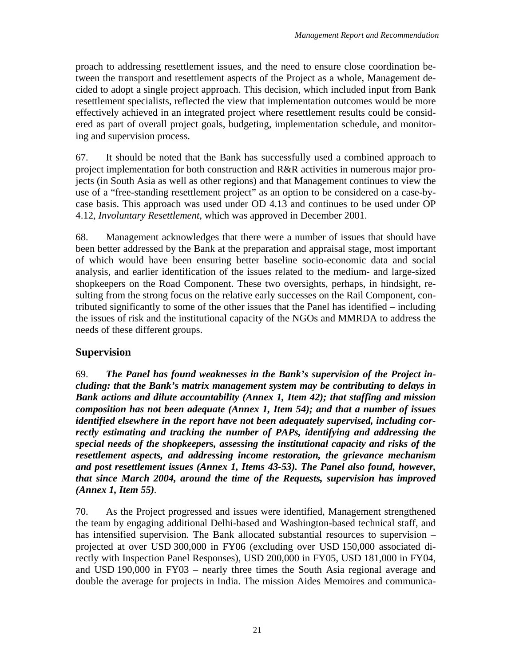proach to addressing resettlement issues, and the need to ensure close coordination between the transport and resettlement aspects of the Project as a whole, Management decided to adopt a single project approach. This decision, which included input from Bank resettlement specialists, reflected the view that implementation outcomes would be more effectively achieved in an integrated project where resettlement results could be considered as part of overall project goals, budgeting, implementation schedule, and monitoring and supervision process.

67. It should be noted that the Bank has successfully used a combined approach to project implementation for both construction and R&R activities in numerous major projects (in South Asia as well as other regions) and that Management continues to view the use of a "free-standing resettlement project" as an option to be considered on a case-bycase basis. This approach was used under OD 4.13 and continues to be used under OP 4.12, *Involuntary Resettlement*, which was approved in December 2001.

68. Management acknowledges that there were a number of issues that should have been better addressed by the Bank at the preparation and appraisal stage, most important of which would have been ensuring better baseline socio-economic data and social analysis, and earlier identification of the issues related to the medium- and large-sized shopkeepers on the Road Component. These two oversights, perhaps, in hindsight, resulting from the strong focus on the relative early successes on the Rail Component, contributed significantly to some of the other issues that the Panel has identified – including the issues of risk and the institutional capacity of the NGOs and MMRDA to address the needs of these different groups.

### **Supervision**

69. *The Panel has found weaknesses in the Bank's supervision of the Project including: that the Bank's matrix management system may be contributing to delays in Bank actions and dilute accountability (Annex 1, Item 42); that staffing and mission composition has not been adequate (Annex 1, Item 54); and that a number of issues identified elsewhere in the report have not been adequately supervised, including correctly estimating and tracking the number of PAPs, identifying and addressing the special needs of the shopkeepers, assessing the institutional capacity and risks of the resettlement aspects, and addressing income restoration, the grievance mechanism and post resettlement issues (Annex 1, Items 43-53). The Panel also found, however, that since March 2004, around the time of the Requests, supervision has improved (Annex 1, Item 55).*

70. As the Project progressed and issues were identified, Management strengthened the team by engaging additional Delhi-based and Washington-based technical staff, and has intensified supervision. The Bank allocated substantial resources to supervision – projected at over USD 300,000 in FY06 (excluding over USD 150,000 associated directly with Inspection Panel Responses), USD 200,000 in FY05, USD 181,000 in FY04, and USD 190,000 in FY03 – nearly three times the South Asia regional average and double the average for projects in India. The mission Aides Memoires and communica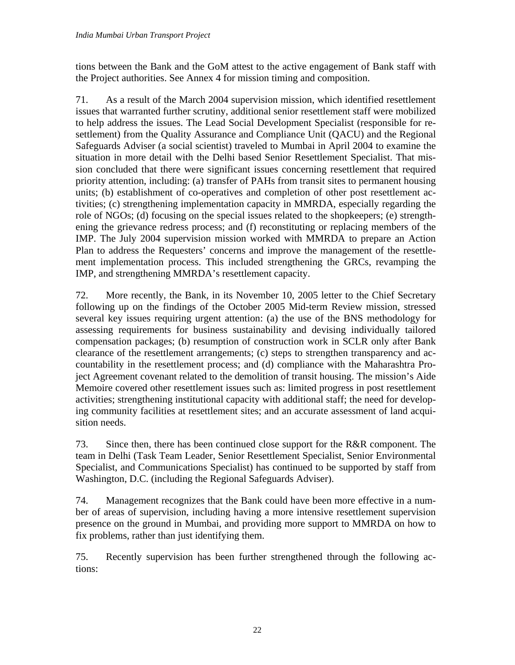tions between the Bank and the GoM attest to the active engagement of Bank staff with the Project authorities. See Annex 4 for mission timing and composition.

71. As a result of the March 2004 supervision mission, which identified resettlement issues that warranted further scrutiny, additional senior resettlement staff were mobilized to help address the issues. The Lead Social Development Specialist (responsible for resettlement) from the Quality Assurance and Compliance Unit (QACU) and the Regional Safeguards Adviser (a social scientist) traveled to Mumbai in April 2004 to examine the situation in more detail with the Delhi based Senior Resettlement Specialist. That mission concluded that there were significant issues concerning resettlement that required priority attention, including: (a) transfer of PAHs from transit sites to permanent housing units; (b) establishment of co-operatives and completion of other post resettlement activities; (c) strengthening implementation capacity in MMRDA, especially regarding the role of NGOs; (d) focusing on the special issues related to the shopkeepers; (e) strengthening the grievance redress process; and (f) reconstituting or replacing members of the IMP. The July 2004 supervision mission worked with MMRDA to prepare an Action Plan to address the Requesters' concerns and improve the management of the resettlement implementation process. This included strengthening the GRCs, revamping the IMP, and strengthening MMRDA's resettlement capacity.

72. More recently, the Bank, in its November 10, 2005 letter to the Chief Secretary following up on the findings of the October 2005 Mid-term Review mission, stressed several key issues requiring urgent attention: (a) the use of the BNS methodology for assessing requirements for business sustainability and devising individually tailored compensation packages; (b) resumption of construction work in SCLR only after Bank clearance of the resettlement arrangements; (c) steps to strengthen transparency and accountability in the resettlement process; and (d) compliance with the Maharashtra Project Agreement covenant related to the demolition of transit housing. The mission's Aide Memoire covered other resettlement issues such as: limited progress in post resettlement activities; strengthening institutional capacity with additional staff; the need for developing community facilities at resettlement sites; and an accurate assessment of land acquisition needs.

73. Since then, there has been continued close support for the R&R component. The team in Delhi (Task Team Leader, Senior Resettlement Specialist, Senior Environmental Specialist, and Communications Specialist) has continued to be supported by staff from Washington, D.C. (including the Regional Safeguards Adviser).

74. Management recognizes that the Bank could have been more effective in a number of areas of supervision, including having a more intensive resettlement supervision presence on the ground in Mumbai, and providing more support to MMRDA on how to fix problems, rather than just identifying them.

75. Recently supervision has been further strengthened through the following actions: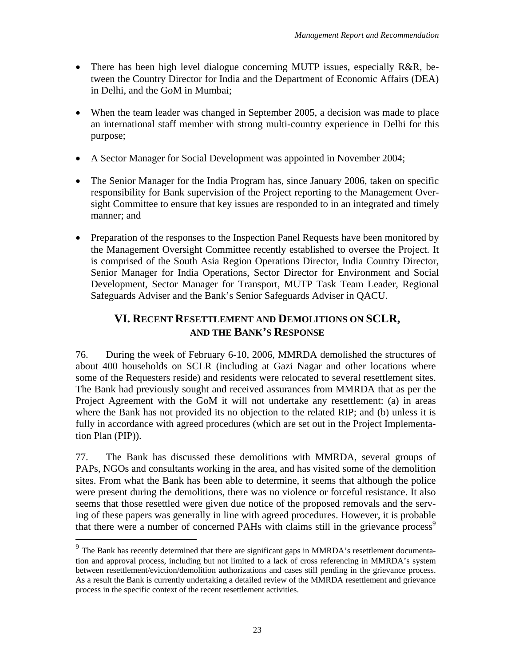- There has been high level dialogue concerning MUTP issues, especially R&R, between the Country Director for India and the Department of Economic Affairs (DEA) in Delhi, and the GoM in Mumbai;
- When the team leader was changed in September 2005, a decision was made to place an international staff member with strong multi-country experience in Delhi for this purpose;
- A Sector Manager for Social Development was appointed in November 2004;
- The Senior Manager for the India Program has, since January 2006, taken on specific responsibility for Bank supervision of the Project reporting to the Management Oversight Committee to ensure that key issues are responded to in an integrated and timely manner; and
- Preparation of the responses to the Inspection Panel Requests have been monitored by the Management Oversight Committee recently established to oversee the Project. It is comprised of the South Asia Region Operations Director, India Country Director, Senior Manager for India Operations, Sector Director for Environment and Social Development, Sector Manager for Transport, MUTP Task Team Leader, Regional Safeguards Adviser and the Bank's Senior Safeguards Adviser in QACU.

# **VI. RECENT RESETTLEMENT AND DEMOLITIONS ON SCLR, AND THE BANK'S RESPONSE**

76. During the week of February 6-10, 2006, MMRDA demolished the structures of about 400 households on SCLR (including at Gazi Nagar and other locations where some of the Requesters reside) and residents were relocated to several resettlement sites. The Bank had previously sought and received assurances from MMRDA that as per the Project Agreement with the GoM it will not undertake any resettlement: (a) in areas where the Bank has not provided its no objection to the related RIP; and (b) unless it is fully in accordance with agreed procedures (which are set out in the Project Implementation Plan (PIP)).

77. The Bank has discussed these demolitions with MMRDA, several groups of PAPs, NGOs and consultants working in the area, and has visited some of the demolition sites. From what the Bank has been able to determine, it seems that although the police were present during the demolitions, there was no violence or forceful resistance. It also seems that those resettled were given due notice of the proposed removals and the serving of these papers was generally in line with agreed procedures. However, it is probable that there were a number of concerned PAHs with claims still in the grievance process<sup>9</sup>

1

<sup>&</sup>lt;sup>9</sup> The Bank has recently determined that there are significant gaps in MMRDA's resettlement documentation and approval process, including but not limited to a lack of cross referencing in MMRDA's system between resettlement/eviction/demolition authorizations and cases still pending in the grievance process. As a result the Bank is currently undertaking a detailed review of the MMRDA resettlement and grievance process in the specific context of the recent resettlement activities.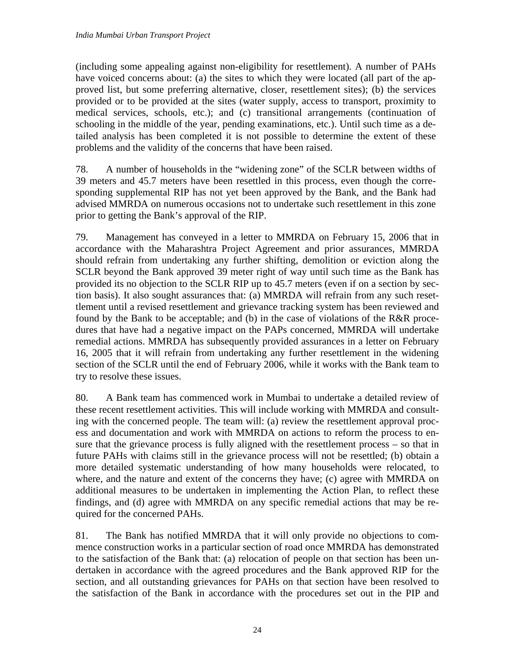(including some appealing against non-eligibility for resettlement). A number of PAHs have voiced concerns about: (a) the sites to which they were located (all part of the approved list, but some preferring alternative, closer, resettlement sites); (b) the services provided or to be provided at the sites (water supply, access to transport, proximity to medical services, schools, etc.); and (c) transitional arrangements (continuation of schooling in the middle of the year, pending examinations, etc.). Until such time as a detailed analysis has been completed it is not possible to determine the extent of these problems and the validity of the concerns that have been raised.

78. A number of households in the "widening zone" of the SCLR between widths of 39 meters and 45.7 meters have been resettled in this process, even though the corresponding supplemental RIP has not yet been approved by the Bank, and the Bank had advised MMRDA on numerous occasions not to undertake such resettlement in this zone prior to getting the Bank's approval of the RIP.

79. Management has conveyed in a letter to MMRDA on February 15, 2006 that in accordance with the Maharashtra Project Agreement and prior assurances, MMRDA should refrain from undertaking any further shifting, demolition or eviction along the SCLR beyond the Bank approved 39 meter right of way until such time as the Bank has provided its no objection to the SCLR RIP up to 45.7 meters (even if on a section by section basis). It also sought assurances that: (a) MMRDA will refrain from any such resettlement until a revised resettlement and grievance tracking system has been reviewed and found by the Bank to be acceptable; and (b) in the case of violations of the R&R procedures that have had a negative impact on the PAPs concerned, MMRDA will undertake remedial actions. MMRDA has subsequently provided assurances in a letter on February 16, 2005 that it will refrain from undertaking any further resettlement in the widening section of the SCLR until the end of February 2006, while it works with the Bank team to try to resolve these issues.

80. A Bank team has commenced work in Mumbai to undertake a detailed review of these recent resettlement activities. This will include working with MMRDA and consulting with the concerned people. The team will: (a) review the resettlement approval process and documentation and work with MMRDA on actions to reform the process to ensure that the grievance process is fully aligned with the resettlement process – so that in future PAHs with claims still in the grievance process will not be resettled; (b) obtain a more detailed systematic understanding of how many households were relocated, to where, and the nature and extent of the concerns they have; (c) agree with MMRDA on additional measures to be undertaken in implementing the Action Plan, to reflect these findings, and (d) agree with MMRDA on any specific remedial actions that may be required for the concerned PAHs.

81. The Bank has notified MMRDA that it will only provide no objections to commence construction works in a particular section of road once MMRDA has demonstrated to the satisfaction of the Bank that: (a) relocation of people on that section has been undertaken in accordance with the agreed procedures and the Bank approved RIP for the section, and all outstanding grievances for PAHs on that section have been resolved to the satisfaction of the Bank in accordance with the procedures set out in the PIP and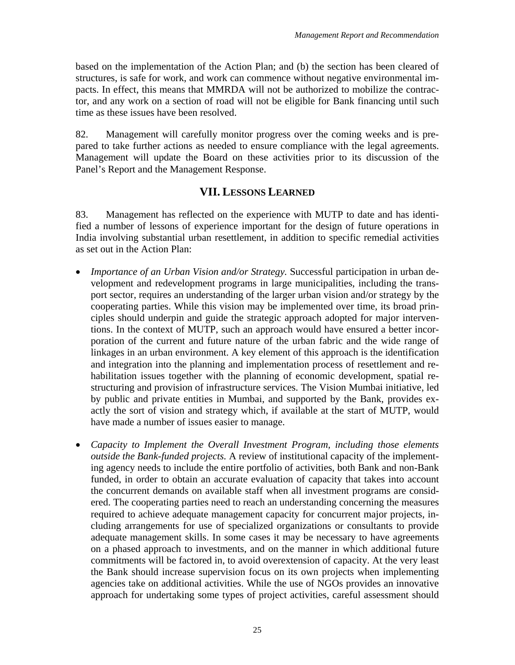based on the implementation of the Action Plan; and (b) the section has been cleared of structures, is safe for work, and work can commence without negative environmental impacts. In effect, this means that MMRDA will not be authorized to mobilize the contractor, and any work on a section of road will not be eligible for Bank financing until such time as these issues have been resolved.

82. Management will carefully monitor progress over the coming weeks and is prepared to take further actions as needed to ensure compliance with the legal agreements. Management will update the Board on these activities prior to its discussion of the Panel's Report and the Management Response.

## **VII. LESSONS LEARNED**

83. Management has reflected on the experience with MUTP to date and has identified a number of lessons of experience important for the design of future operations in India involving substantial urban resettlement, in addition to specific remedial activities as set out in the Action Plan:

- *Importance of an Urban Vision and/or Strategy.* Successful participation in urban development and redevelopment programs in large municipalities, including the transport sector, requires an understanding of the larger urban vision and/or strategy by the cooperating parties. While this vision may be implemented over time, its broad principles should underpin and guide the strategic approach adopted for major interventions. In the context of MUTP, such an approach would have ensured a better incorporation of the current and future nature of the urban fabric and the wide range of linkages in an urban environment. A key element of this approach is the identification and integration into the planning and implementation process of resettlement and rehabilitation issues together with the planning of economic development, spatial restructuring and provision of infrastructure services. The Vision Mumbai initiative, led by public and private entities in Mumbai, and supported by the Bank, provides exactly the sort of vision and strategy which, if available at the start of MUTP, would have made a number of issues easier to manage.
- *Capacity to Implement the Overall Investment Program, including those elements outside the Bank-funded projects.* A review of institutional capacity of the implementing agency needs to include the entire portfolio of activities, both Bank and non-Bank funded, in order to obtain an accurate evaluation of capacity that takes into account the concurrent demands on available staff when all investment programs are considered. The cooperating parties need to reach an understanding concerning the measures required to achieve adequate management capacity for concurrent major projects, including arrangements for use of specialized organizations or consultants to provide adequate management skills. In some cases it may be necessary to have agreements on a phased approach to investments, and on the manner in which additional future commitments will be factored in, to avoid overextension of capacity. At the very least the Bank should increase supervision focus on its own projects when implementing agencies take on additional activities. While the use of NGOs provides an innovative approach for undertaking some types of project activities, careful assessment should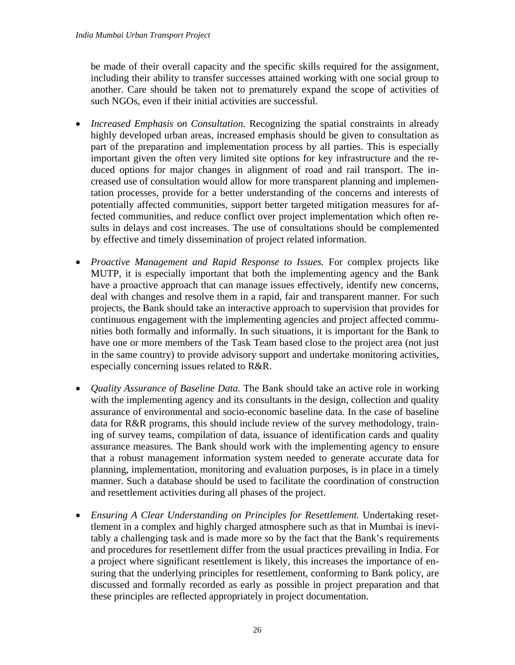be made of their overall capacity and the specific skills required for the assignment, including their ability to transfer successes attained working with one social group to another. Care should be taken not to prematurely expand the scope of activities of such NGOs, even if their initial activities are successful.

- *Increased Emphasis on Consultation.* Recognizing the spatial constraints in already highly developed urban areas, increased emphasis should be given to consultation as part of the preparation and implementation process by all parties. This is especially important given the often very limited site options for key infrastructure and the reduced options for major changes in alignment of road and rail transport. The increased use of consultation would allow for more transparent planning and implementation processes, provide for a better understanding of the concerns and interests of potentially affected communities, support better targeted mitigation measures for affected communities, and reduce conflict over project implementation which often results in delays and cost increases. The use of consultations should be complemented by effective and timely dissemination of project related information.
- *Proactive Management and Rapid Response to Issues.* For complex projects like MUTP, it is especially important that both the implementing agency and the Bank have a proactive approach that can manage issues effectively, identify new concerns, deal with changes and resolve them in a rapid, fair and transparent manner. For such projects, the Bank should take an interactive approach to supervision that provides for continuous engagement with the implementing agencies and project affected communities both formally and informally. In such situations, it is important for the Bank to have one or more members of the Task Team based close to the project area (not just in the same country) to provide advisory support and undertake monitoring activities, especially concerning issues related to R&R.
- *Quality Assurance of Baseline Data.* The Bank should take an active role in working with the implementing agency and its consultants in the design, collection and quality assurance of environmental and socio-economic baseline data. In the case of baseline data for R&R programs, this should include review of the survey methodology, training of survey teams, compilation of data, issuance of identification cards and quality assurance measures. The Bank should work with the implementing agency to ensure that a robust management information system needed to generate accurate data for planning, implementation, monitoring and evaluation purposes, is in place in a timely manner. Such a database should be used to facilitate the coordination of construction and resettlement activities during all phases of the project.
- *Ensuring A Clear Understanding on Principles for Resettlement.* Undertaking resettlement in a complex and highly charged atmosphere such as that in Mumbai is inevitably a challenging task and is made more so by the fact that the Bank's requirements and procedures for resettlement differ from the usual practices prevailing in India. For a project where significant resettlement is likely, this increases the importance of ensuring that the underlying principles for resettlement, conforming to Bank policy, are discussed and formally recorded as early as possible in project preparation and that these principles are reflected appropriately in project documentation.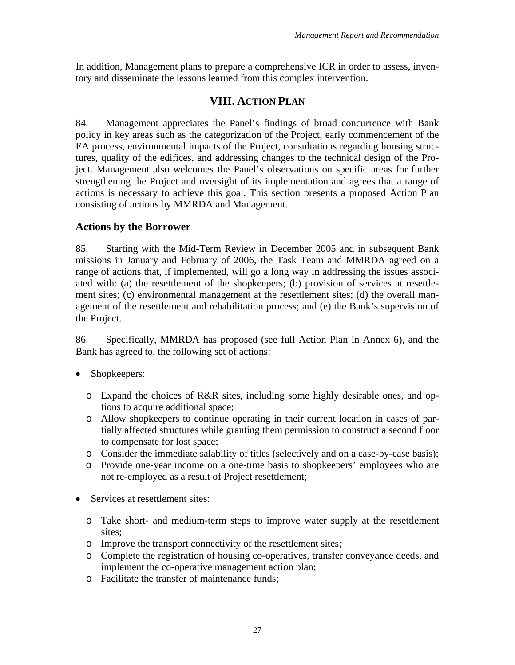In addition, Management plans to prepare a comprehensive ICR in order to assess, inventory and disseminate the lessons learned from this complex intervention.

# **VIII. ACTION PLAN**

84. Management appreciates the Panel's findings of broad concurrence with Bank policy in key areas such as the categorization of the Project, early commencement of the EA process, environmental impacts of the Project, consultations regarding housing structures, quality of the edifices, and addressing changes to the technical design of the Project. Management also welcomes the Panel's observations on specific areas for further strengthening the Project and oversight of its implementation and agrees that a range of actions is necessary to achieve this goal. This section presents a proposed Action Plan consisting of actions by MMRDA and Management.

### **Actions by the Borrower**

85. Starting with the Mid-Term Review in December 2005 and in subsequent Bank missions in January and February of 2006, the Task Team and MMRDA agreed on a range of actions that, if implemented, will go a long way in addressing the issues associated with: (a) the resettlement of the shopkeepers; (b) provision of services at resettlement sites; (c) environmental management at the resettlement sites; (d) the overall management of the resettlement and rehabilitation process; and (e) the Bank's supervision of the Project.

86. Specifically, MMRDA has proposed (see full Action Plan in Annex 6), and the Bank has agreed to, the following set of actions:

- Shopkeepers:
	- o Expand the choices of R&R sites, including some highly desirable ones, and options to acquire additional space;
	- o Allow shopkeepers to continue operating in their current location in cases of partially affected structures while granting them permission to construct a second floor to compensate for lost space;
	- o Consider the immediate salability of titles (selectively and on a case-by-case basis);
	- o Provide one-year income on a one-time basis to shopkeepers' employees who are not re-employed as a result of Project resettlement;
- Services at resettlement sites:
	- o Take short- and medium-term steps to improve water supply at the resettlement sites;
	- o Improve the transport connectivity of the resettlement sites;
	- o Complete the registration of housing co-operatives, transfer conveyance deeds, and implement the co-operative management action plan;
	- o Facilitate the transfer of maintenance funds;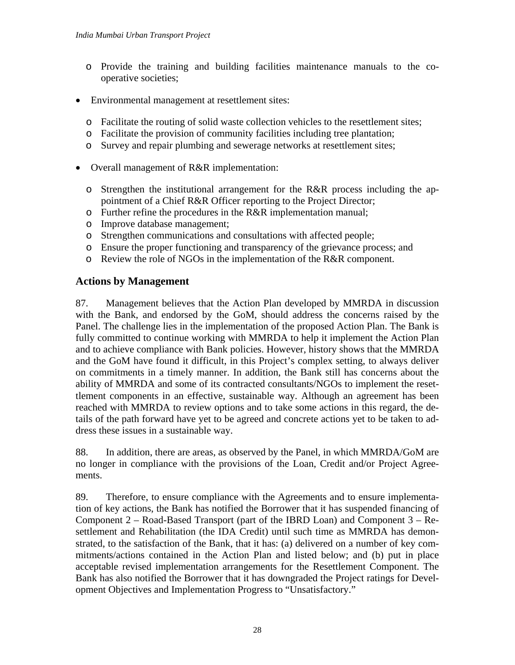- o Provide the training and building facilities maintenance manuals to the cooperative societies;
- Environmental management at resettlement sites:
	- o Facilitate the routing of solid waste collection vehicles to the resettlement sites;
	- o Facilitate the provision of community facilities including tree plantation;
	- o Survey and repair plumbing and sewerage networks at resettlement sites;
- Overall management of R&R implementation:
	- o Strengthen the institutional arrangement for the R&R process including the appointment of a Chief R&R Officer reporting to the Project Director;
	- o Further refine the procedures in the R&R implementation manual;
	- o Improve database management;
	- o Strengthen communications and consultations with affected people;
	- o Ensure the proper functioning and transparency of the grievance process; and
	- o Review the role of NGOs in the implementation of the R&R component.

## **Actions by Management**

87. Management believes that the Action Plan developed by MMRDA in discussion with the Bank, and endorsed by the GoM, should address the concerns raised by the Panel. The challenge lies in the implementation of the proposed Action Plan. The Bank is fully committed to continue working with MMRDA to help it implement the Action Plan and to achieve compliance with Bank policies. However, history shows that the MMRDA and the GoM have found it difficult, in this Project's complex setting, to always deliver on commitments in a timely manner. In addition, the Bank still has concerns about the ability of MMRDA and some of its contracted consultants/NGOs to implement the resettlement components in an effective, sustainable way. Although an agreement has been reached with MMRDA to review options and to take some actions in this regard, the details of the path forward have yet to be agreed and concrete actions yet to be taken to address these issues in a sustainable way.

88. In addition, there are areas, as observed by the Panel, in which MMRDA/GoM are no longer in compliance with the provisions of the Loan, Credit and/or Project Agreements.

89. Therefore, to ensure compliance with the Agreements and to ensure implementation of key actions, the Bank has notified the Borrower that it has suspended financing of Component 2 – Road-Based Transport (part of the IBRD Loan) and Component 3 – Resettlement and Rehabilitation (the IDA Credit) until such time as MMRDA has demonstrated, to the satisfaction of the Bank, that it has: (a) delivered on a number of key commitments/actions contained in the Action Plan and listed below; and (b) put in place acceptable revised implementation arrangements for the Resettlement Component. The Bank has also notified the Borrower that it has downgraded the Project ratings for Development Objectives and Implementation Progress to "Unsatisfactory."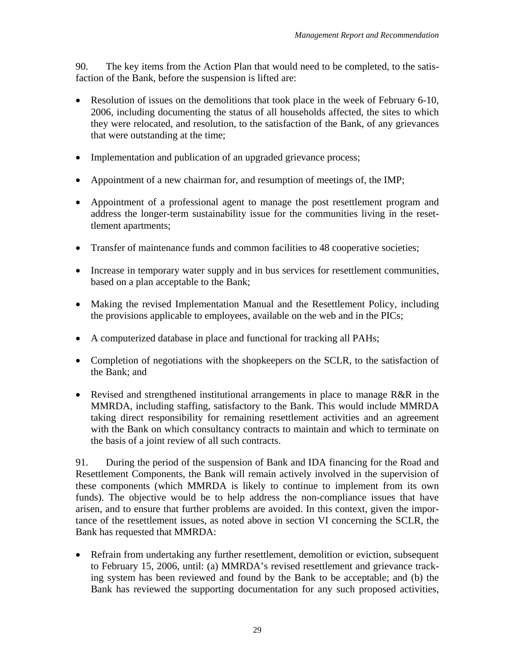90. The key items from the Action Plan that would need to be completed, to the satisfaction of the Bank, before the suspension is lifted are:

- Resolution of issues on the demolitions that took place in the week of February 6-10, 2006, including documenting the status of all households affected, the sites to which they were relocated, and resolution, to the satisfaction of the Bank, of any grievances that were outstanding at the time;
- Implementation and publication of an upgraded grievance process;
- Appointment of a new chairman for, and resumption of meetings of, the IMP;
- Appointment of a professional agent to manage the post resettlement program and address the longer-term sustainability issue for the communities living in the resettlement apartments;
- Transfer of maintenance funds and common facilities to 48 cooperative societies;
- Increase in temporary water supply and in bus services for resettlement communities, based on a plan acceptable to the Bank;
- Making the revised Implementation Manual and the Resettlement Policy, including the provisions applicable to employees, available on the web and in the PICs;
- A computerized database in place and functional for tracking all PAHs;
- Completion of negotiations with the shopkeepers on the SCLR, to the satisfaction of the Bank; and
- Revised and strengthened institutional arrangements in place to manage R&R in the MMRDA, including staffing, satisfactory to the Bank. This would include MMRDA taking direct responsibility for remaining resettlement activities and an agreement with the Bank on which consultancy contracts to maintain and which to terminate on the basis of a joint review of all such contracts.

91. During the period of the suspension of Bank and IDA financing for the Road and Resettlement Components, the Bank will remain actively involved in the supervision of these components (which MMRDA is likely to continue to implement from its own funds). The objective would be to help address the non-compliance issues that have arisen, and to ensure that further problems are avoided. In this context, given the importance of the resettlement issues, as noted above in section VI concerning the SCLR, the Bank has requested that MMRDA:

• Refrain from undertaking any further resettlement, demolition or eviction, subsequent to February 15, 2006, until: (a) MMRDA's revised resettlement and grievance tracking system has been reviewed and found by the Bank to be acceptable; and (b) the Bank has reviewed the supporting documentation for any such proposed activities,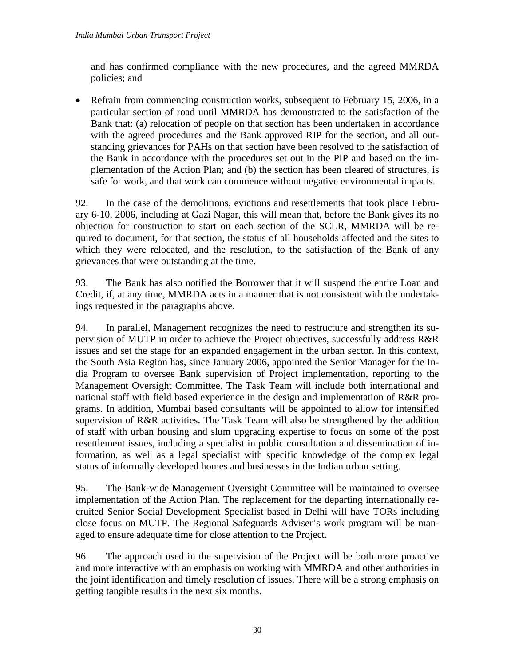and has confirmed compliance with the new procedures, and the agreed MMRDA policies; and

• Refrain from commencing construction works, subsequent to February 15, 2006, in a particular section of road until MMRDA has demonstrated to the satisfaction of the Bank that: (a) relocation of people on that section has been undertaken in accordance with the agreed procedures and the Bank approved RIP for the section, and all outstanding grievances for PAHs on that section have been resolved to the satisfaction of the Bank in accordance with the procedures set out in the PIP and based on the implementation of the Action Plan; and (b) the section has been cleared of structures, is safe for work, and that work can commence without negative environmental impacts.

92. In the case of the demolitions, evictions and resettlements that took place February 6-10, 2006, including at Gazi Nagar, this will mean that, before the Bank gives its no objection for construction to start on each section of the SCLR, MMRDA will be required to document, for that section, the status of all households affected and the sites to which they were relocated, and the resolution, to the satisfaction of the Bank of any grievances that were outstanding at the time.

93. The Bank has also notified the Borrower that it will suspend the entire Loan and Credit, if, at any time, MMRDA acts in a manner that is not consistent with the undertakings requested in the paragraphs above.

94. In parallel, Management recognizes the need to restructure and strengthen its supervision of MUTP in order to achieve the Project objectives, successfully address R&R issues and set the stage for an expanded engagement in the urban sector. In this context, the South Asia Region has, since January 2006, appointed the Senior Manager for the India Program to oversee Bank supervision of Project implementation, reporting to the Management Oversight Committee. The Task Team will include both international and national staff with field based experience in the design and implementation of R&R programs. In addition, Mumbai based consultants will be appointed to allow for intensified supervision of R&R activities. The Task Team will also be strengthened by the addition of staff with urban housing and slum upgrading expertise to focus on some of the post resettlement issues, including a specialist in public consultation and dissemination of information, as well as a legal specialist with specific knowledge of the complex legal status of informally developed homes and businesses in the Indian urban setting.

95. The Bank-wide Management Oversight Committee will be maintained to oversee implementation of the Action Plan. The replacement for the departing internationally recruited Senior Social Development Specialist based in Delhi will have TORs including close focus on MUTP. The Regional Safeguards Adviser's work program will be managed to ensure adequate time for close attention to the Project.

96. The approach used in the supervision of the Project will be both more proactive and more interactive with an emphasis on working with MMRDA and other authorities in the joint identification and timely resolution of issues. There will be a strong emphasis on getting tangible results in the next six months.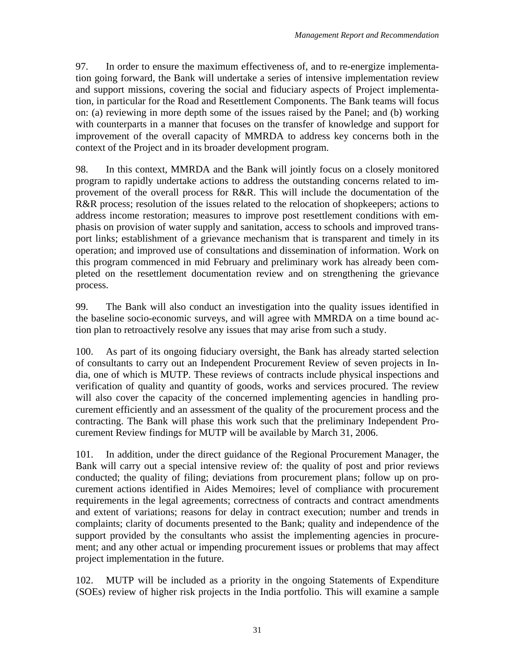97. In order to ensure the maximum effectiveness of, and to re-energize implementation going forward, the Bank will undertake a series of intensive implementation review and support missions, covering the social and fiduciary aspects of Project implementation, in particular for the Road and Resettlement Components. The Bank teams will focus on: (a) reviewing in more depth some of the issues raised by the Panel; and (b) working with counterparts in a manner that focuses on the transfer of knowledge and support for improvement of the overall capacity of MMRDA to address key concerns both in the context of the Project and in its broader development program.

98. In this context, MMRDA and the Bank will jointly focus on a closely monitored program to rapidly undertake actions to address the outstanding concerns related to improvement of the overall process for R&R. This will include the documentation of the R&R process; resolution of the issues related to the relocation of shopkeepers; actions to address income restoration; measures to improve post resettlement conditions with emphasis on provision of water supply and sanitation, access to schools and improved transport links; establishment of a grievance mechanism that is transparent and timely in its operation; and improved use of consultations and dissemination of information. Work on this program commenced in mid February and preliminary work has already been completed on the resettlement documentation review and on strengthening the grievance process.

99. The Bank will also conduct an investigation into the quality issues identified in the baseline socio-economic surveys, and will agree with MMRDA on a time bound action plan to retroactively resolve any issues that may arise from such a study.

100. As part of its ongoing fiduciary oversight, the Bank has already started selection of consultants to carry out an Independent Procurement Review of seven projects in India, one of which is MUTP. These reviews of contracts include physical inspections and verification of quality and quantity of goods, works and services procured. The review will also cover the capacity of the concerned implementing agencies in handling procurement efficiently and an assessment of the quality of the procurement process and the contracting. The Bank will phase this work such that the preliminary Independent Procurement Review findings for MUTP will be available by March 31, 2006.

101. In addition, under the direct guidance of the Regional Procurement Manager, the Bank will carry out a special intensive review of: the quality of post and prior reviews conducted; the quality of filing; deviations from procurement plans; follow up on procurement actions identified in Aides Memoires; level of compliance with procurement requirements in the legal agreements; correctness of contracts and contract amendments and extent of variations; reasons for delay in contract execution; number and trends in complaints; clarity of documents presented to the Bank; quality and independence of the support provided by the consultants who assist the implementing agencies in procurement; and any other actual or impending procurement issues or problems that may affect project implementation in the future.

102. MUTP will be included as a priority in the ongoing Statements of Expenditure (SOEs) review of higher risk projects in the India portfolio. This will examine a sample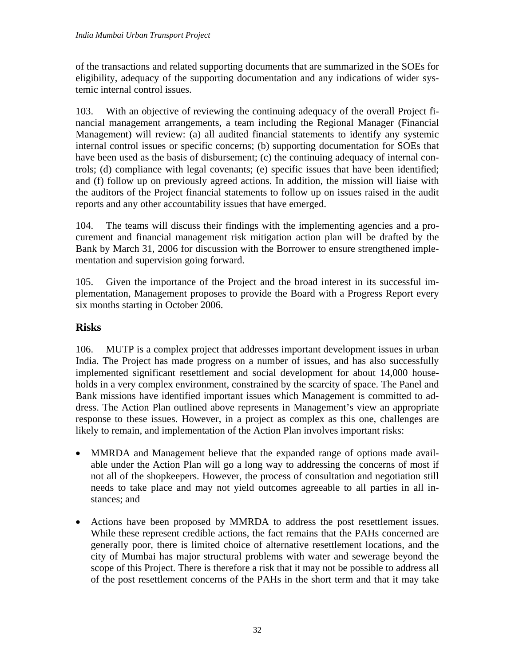of the transactions and related supporting documents that are summarized in the SOEs for eligibility, adequacy of the supporting documentation and any indications of wider systemic internal control issues.

103. With an objective of reviewing the continuing adequacy of the overall Project financial management arrangements, a team including the Regional Manager (Financial Management) will review: (a) all audited financial statements to identify any systemic internal control issues or specific concerns; (b) supporting documentation for SOEs that have been used as the basis of disbursement; (c) the continuing adequacy of internal controls; (d) compliance with legal covenants; (e) specific issues that have been identified; and (f) follow up on previously agreed actions. In addition, the mission will liaise with the auditors of the Project financial statements to follow up on issues raised in the audit reports and any other accountability issues that have emerged.

104. The teams will discuss their findings with the implementing agencies and a procurement and financial management risk mitigation action plan will be drafted by the Bank by March 31, 2006 for discussion with the Borrower to ensure strengthened implementation and supervision going forward.

105. Given the importance of the Project and the broad interest in its successful implementation, Management proposes to provide the Board with a Progress Report every six months starting in October 2006.

# **Risks**

106. MUTP is a complex project that addresses important development issues in urban India. The Project has made progress on a number of issues, and has also successfully implemented significant resettlement and social development for about 14,000 households in a very complex environment, constrained by the scarcity of space. The Panel and Bank missions have identified important issues which Management is committed to address. The Action Plan outlined above represents in Management's view an appropriate response to these issues. However, in a project as complex as this one, challenges are likely to remain, and implementation of the Action Plan involves important risks:

- MMRDA and Management believe that the expanded range of options made available under the Action Plan will go a long way to addressing the concerns of most if not all of the shopkeepers. However, the process of consultation and negotiation still needs to take place and may not yield outcomes agreeable to all parties in all instances; and
- Actions have been proposed by MMRDA to address the post resettlement issues. While these represent credible actions, the fact remains that the PAHs concerned are generally poor, there is limited choice of alternative resettlement locations, and the city of Mumbai has major structural problems with water and sewerage beyond the scope of this Project. There is therefore a risk that it may not be possible to address all of the post resettlement concerns of the PAHs in the short term and that it may take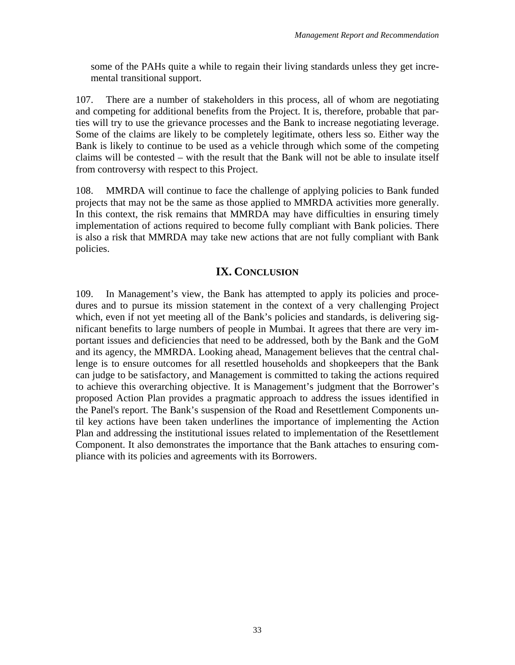some of the PAHs quite a while to regain their living standards unless they get incremental transitional support.

107. There are a number of stakeholders in this process, all of whom are negotiating and competing for additional benefits from the Project. It is, therefore, probable that parties will try to use the grievance processes and the Bank to increase negotiating leverage. Some of the claims are likely to be completely legitimate, others less so. Either way the Bank is likely to continue to be used as a vehicle through which some of the competing claims will be contested – with the result that the Bank will not be able to insulate itself from controversy with respect to this Project.

108. MMRDA will continue to face the challenge of applying policies to Bank funded projects that may not be the same as those applied to MMRDA activities more generally. In this context, the risk remains that MMRDA may have difficulties in ensuring timely implementation of actions required to become fully compliant with Bank policies. There is also a risk that MMRDA may take new actions that are not fully compliant with Bank policies.

# **IX. CONCLUSION**

109. In Management's view, the Bank has attempted to apply its policies and procedures and to pursue its mission statement in the context of a very challenging Project which, even if not yet meeting all of the Bank's policies and standards, is delivering significant benefits to large numbers of people in Mumbai. It agrees that there are very important issues and deficiencies that need to be addressed, both by the Bank and the GoM and its agency, the MMRDA. Looking ahead, Management believes that the central challenge is to ensure outcomes for all resettled households and shopkeepers that the Bank can judge to be satisfactory, and Management is committed to taking the actions required to achieve this overarching objective. It is Management's judgment that the Borrower's proposed Action Plan provides a pragmatic approach to address the issues identified in the Panel's report. The Bank's suspension of the Road and Resettlement Components until key actions have been taken underlines the importance of implementing the Action Plan and addressing the institutional issues related to implementation of the Resettlement Component. It also demonstrates the importance that the Bank attaches to ensuring compliance with its policies and agreements with its Borrowers.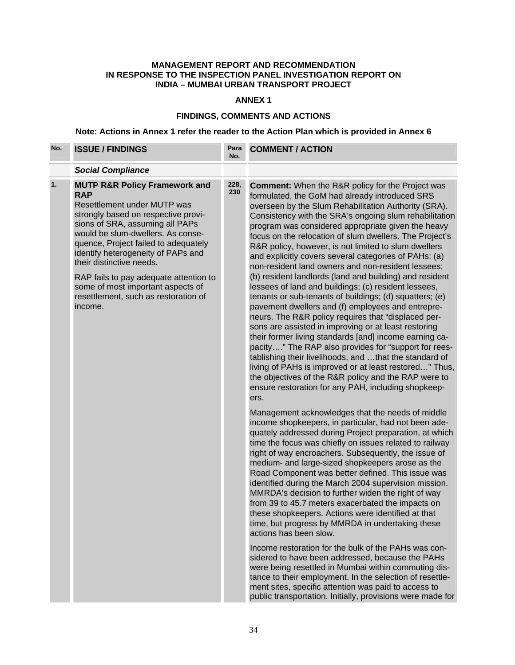### **MANAGEMENT REPORT AND RECOMMENDATION IN RESPONSE TO THE INSPECTION PANEL INVESTIGATION REPORT ON INDIA – MUMBAI URBAN TRANSPORT PROJECT**

### **ANNEX 1**

### **FINDINGS, COMMENTS AND ACTIONS**

# **Note: Actions in Annex 1 refer the reader to the Action Plan which is provided in Annex 6**

| No. | <b>ISSUE / FINDINGS</b>                                                                                                                                                                                                                                                                                                                                  | Para<br>No. | <b>COMMENT / ACTION</b>                                                                                                                                                                                                                                                                                                                                                                                                                                                                                                                                                                                                                                                                                |
|-----|----------------------------------------------------------------------------------------------------------------------------------------------------------------------------------------------------------------------------------------------------------------------------------------------------------------------------------------------------------|-------------|--------------------------------------------------------------------------------------------------------------------------------------------------------------------------------------------------------------------------------------------------------------------------------------------------------------------------------------------------------------------------------------------------------------------------------------------------------------------------------------------------------------------------------------------------------------------------------------------------------------------------------------------------------------------------------------------------------|
|     | <b>Social Compliance</b>                                                                                                                                                                                                                                                                                                                                 |             |                                                                                                                                                                                                                                                                                                                                                                                                                                                                                                                                                                                                                                                                                                        |
| 1.  | <b>MUTP R&amp;R Policy Framework and</b><br><b>RAP</b><br>Resettlement under MUTP was<br>strongly based on respective provi-<br>sions of SRA, assuming all PAPs<br>would be slum-dwellers. As conse-<br>quence, Project failed to adequately<br>identify heterogeneity of PAPs and<br>their distinctive needs.<br>RAP fails to pay adequate attention to | 228,<br>230 | <b>Comment:</b> When the R&R policy for the Project was<br>formulated, the GoM had already introduced SRS<br>overseen by the Slum Rehabilitation Authority (SRA).<br>Consistency with the SRA's ongoing slum rehabilitation<br>program was considered appropriate given the heavy<br>focus on the relocation of slum dwellers. The Project's<br>R&R policy, however, is not limited to slum dwellers<br>and explicitly covers several categories of PAHs: (a)<br>non-resident land owners and non-resident lessees;<br>(b) resident landlords (land and building) and resident                                                                                                                         |
|     | some of most important aspects of<br>resettlement, such as restoration of<br>income.                                                                                                                                                                                                                                                                     |             | lessees of land and buildings; (c) resident lessees,<br>tenants or sub-tenants of buildings; (d) squatters; (e)<br>pavement dwellers and (f) employees and entrepre-<br>neurs. The R&R policy requires that "displaced per-<br>sons are assisted in improving or at least restoring<br>their former living standards [and] income earning ca-<br>pacity" The RAP also provides for "support for rees-<br>tablishing their livelihoods, and that the standard of<br>living of PAHs is improved or at least restored" Thus,<br>the objectives of the R&R policy and the RAP were to<br>ensure restoration for any PAH, including shopkeep-<br>ers.                                                       |
|     |                                                                                                                                                                                                                                                                                                                                                          |             | Management acknowledges that the needs of middle<br>income shopkeepers, in particular, had not been ade-<br>quately addressed during Project preparation, at which<br>time the focus was chiefly on issues related to railway<br>right of way encroachers. Subsequently, the issue of<br>medium- and large-sized shopkeepers arose as the<br>Road Component was better defined. This issue was<br>identified during the March 2004 supervision mission.<br>MMRDA's decision to further widen the right of way<br>from 39 to 45.7 meters exacerbated the impacts on<br>these shopkeepers. Actions were identified at that<br>time, but progress by MMRDA in undertaking these<br>actions has been slow. |
|     |                                                                                                                                                                                                                                                                                                                                                          |             | Income restoration for the bulk of the PAHs was con-<br>sidered to have been addressed, because the PAHs<br>were being resettled in Mumbai within commuting dis-<br>tance to their employment. In the selection of resettle-<br>ment sites, specific attention was paid to access to<br>public transportation. Initially, provisions were made for                                                                                                                                                                                                                                                                                                                                                     |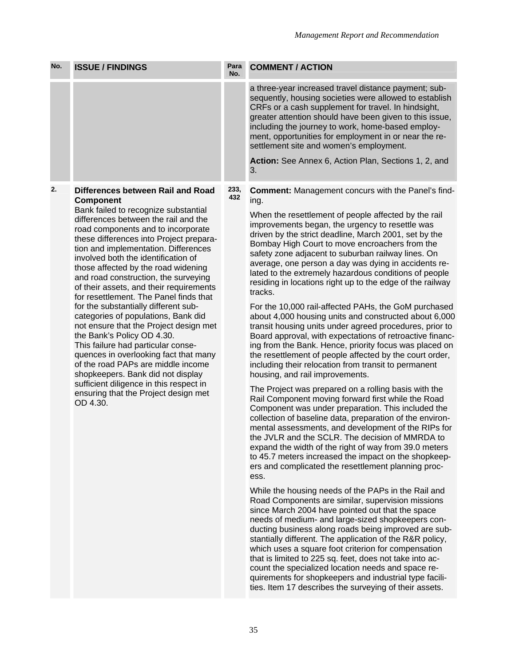| No. | <b>ISSUE / FINDINGS</b>                                                                                                                                                                                                                                                                                                                                                                                                                                                                                                                                                                                                                                                                                                                                                                                                                                                            | Para<br>No. | <b>COMMENT / ACTION</b>                                                                                                                                                                                                                                                                                                                                                                                                                                                                                                                                                                                                                                                                                                                                                                                                                                                                                                                                                                                                                                                                                                                                                                                                                                                                                                                                                                                                                                                                                                                                                                                                                                                                                                                                                                                                                                                                                                                                                                                                                                                                             |
|-----|------------------------------------------------------------------------------------------------------------------------------------------------------------------------------------------------------------------------------------------------------------------------------------------------------------------------------------------------------------------------------------------------------------------------------------------------------------------------------------------------------------------------------------------------------------------------------------------------------------------------------------------------------------------------------------------------------------------------------------------------------------------------------------------------------------------------------------------------------------------------------------|-------------|-----------------------------------------------------------------------------------------------------------------------------------------------------------------------------------------------------------------------------------------------------------------------------------------------------------------------------------------------------------------------------------------------------------------------------------------------------------------------------------------------------------------------------------------------------------------------------------------------------------------------------------------------------------------------------------------------------------------------------------------------------------------------------------------------------------------------------------------------------------------------------------------------------------------------------------------------------------------------------------------------------------------------------------------------------------------------------------------------------------------------------------------------------------------------------------------------------------------------------------------------------------------------------------------------------------------------------------------------------------------------------------------------------------------------------------------------------------------------------------------------------------------------------------------------------------------------------------------------------------------------------------------------------------------------------------------------------------------------------------------------------------------------------------------------------------------------------------------------------------------------------------------------------------------------------------------------------------------------------------------------------------------------------------------------------------------------------------------------------|
|     |                                                                                                                                                                                                                                                                                                                                                                                                                                                                                                                                                                                                                                                                                                                                                                                                                                                                                    |             | a three-year increased travel distance payment; sub-<br>sequently, housing societies were allowed to establish<br>CRFs or a cash supplement for travel. In hindsight,<br>greater attention should have been given to this issue,<br>including the journey to work, home-based employ-<br>ment, opportunities for employment in or near the re-<br>settlement site and women's employment.                                                                                                                                                                                                                                                                                                                                                                                                                                                                                                                                                                                                                                                                                                                                                                                                                                                                                                                                                                                                                                                                                                                                                                                                                                                                                                                                                                                                                                                                                                                                                                                                                                                                                                           |
|     |                                                                                                                                                                                                                                                                                                                                                                                                                                                                                                                                                                                                                                                                                                                                                                                                                                                                                    |             | Action: See Annex 6, Action Plan, Sections 1, 2, and<br>3.                                                                                                                                                                                                                                                                                                                                                                                                                                                                                                                                                                                                                                                                                                                                                                                                                                                                                                                                                                                                                                                                                                                                                                                                                                                                                                                                                                                                                                                                                                                                                                                                                                                                                                                                                                                                                                                                                                                                                                                                                                          |
| 2.  | Differences between Rail and Road<br>Component<br>Bank failed to recognize substantial<br>differences between the rail and the<br>road components and to incorporate<br>these differences into Project prepara-<br>tion and implementation. Differences<br>involved both the identification of<br>those affected by the road widening<br>and road construction, the surveying<br>of their assets, and their requirements<br>for resettlement. The Panel finds that<br>for the substantially different sub-<br>categories of populations, Bank did<br>not ensure that the Project design met<br>the Bank's Policy OD 4.30.<br>This failure had particular conse-<br>quences in overlooking fact that many<br>of the road PAPs are middle income<br>shopkeepers. Bank did not display<br>sufficient diligence in this respect in<br>ensuring that the Project design met<br>OD 4.30. | 233,<br>432 | <b>Comment: Management concurs with the Panel's find-</b><br>ing.<br>When the resettlement of people affected by the rail<br>improvements began, the urgency to resettle was<br>driven by the strict deadline, March 2001, set by the<br>Bombay High Court to move encroachers from the<br>safety zone adjacent to suburban railway lines. On<br>average, one person a day was dying in accidents re-<br>lated to the extremely hazardous conditions of people<br>residing in locations right up to the edge of the railway<br>tracks.<br>For the 10,000 rail-affected PAHs, the GoM purchased<br>about 4,000 housing units and constructed about 6,000<br>transit housing units under agreed procedures, prior to<br>Board approval, with expectations of retroactive financ-<br>ing from the Bank. Hence, priority focus was placed on<br>the resettlement of people affected by the court order,<br>including their relocation from transit to permanent<br>housing, and rail improvements.<br>The Project was prepared on a rolling basis with the<br>Rail Component moving forward first while the Road<br>Component was under preparation. This included the<br>collection of baseline data, preparation of the environ-<br>mental assessments, and development of the RIPs for<br>the JVLR and the SCLR. The decision of MMRDA to<br>expand the width of the right of way from 39.0 meters<br>to 45.7 meters increased the impact on the shopkeep-<br>ers and complicated the resettlement planning proc-<br>ess.<br>While the housing needs of the PAPs in the Rail and<br>Road Components are similar, supervision missions<br>since March 2004 have pointed out that the space<br>needs of medium- and large-sized shopkeepers con-<br>ducting business along roads being improved are sub-<br>stantially different. The application of the R&R policy,<br>which uses a square foot criterion for compensation<br>that is limited to 225 sq. feet, does not take into ac-<br>count the specialized location needs and space re-<br>quirements for shopkeepers and industrial type facili- |

ties. Item 17 describes the surveying of their assets.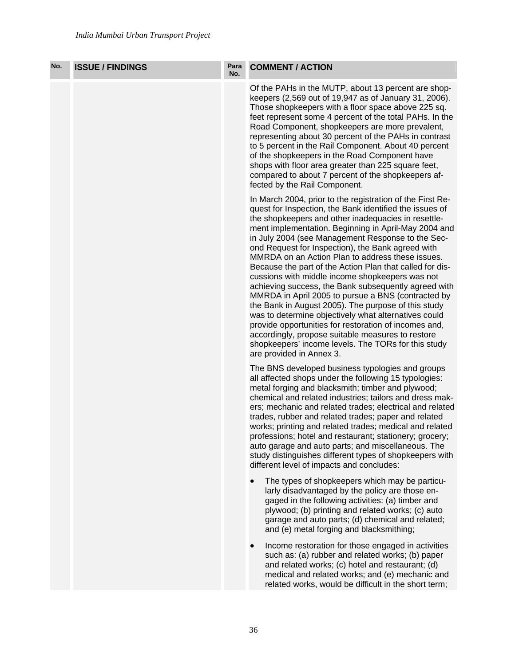| No. | <b>ISSUE / FINDINGS</b> | Para<br>No. | <b>COMMENT / ACTION</b>                                                                                                                                                                                                                                                                                                                                                                                                                                                                                                                                                                                                                                                                                                                                                                                                                                                                                                                        |
|-----|-------------------------|-------------|------------------------------------------------------------------------------------------------------------------------------------------------------------------------------------------------------------------------------------------------------------------------------------------------------------------------------------------------------------------------------------------------------------------------------------------------------------------------------------------------------------------------------------------------------------------------------------------------------------------------------------------------------------------------------------------------------------------------------------------------------------------------------------------------------------------------------------------------------------------------------------------------------------------------------------------------|
|     |                         |             | Of the PAHs in the MUTP, about 13 percent are shop-<br>keepers (2,569 out of 19,947 as of January 31, 2006).<br>Those shopkeepers with a floor space above 225 sq.<br>feet represent some 4 percent of the total PAHs. In the<br>Road Component, shopkeepers are more prevalent,<br>representing about 30 percent of the PAHs in contrast<br>to 5 percent in the Rail Component. About 40 percent<br>of the shopkeepers in the Road Component have<br>shops with floor area greater than 225 square feet,<br>compared to about 7 percent of the shopkeepers af-<br>fected by the Rail Component.                                                                                                                                                                                                                                                                                                                                               |
|     |                         |             | In March 2004, prior to the registration of the First Re-<br>quest for Inspection, the Bank identified the issues of<br>the shopkeepers and other inadequacies in resettle-<br>ment implementation. Beginning in April-May 2004 and<br>in July 2004 (see Management Response to the Sec-<br>ond Request for Inspection), the Bank agreed with<br>MMRDA on an Action Plan to address these issues.<br>Because the part of the Action Plan that called for dis-<br>cussions with middle income shopkeepers was not<br>achieving success, the Bank subsequently agreed with<br>MMRDA in April 2005 to pursue a BNS (contracted by<br>the Bank in August 2005). The purpose of this study<br>was to determine objectively what alternatives could<br>provide opportunities for restoration of incomes and,<br>accordingly, propose suitable measures to restore<br>shopkeepers' income levels. The TORs for this study<br>are provided in Annex 3. |
|     |                         |             | The BNS developed business typologies and groups<br>all affected shops under the following 15 typologies:<br>metal forging and blacksmith; timber and plywood;<br>chemical and related industries; tailors and dress mak-<br>ers; mechanic and related trades; electrical and related<br>trades, rubber and related trades; paper and related<br>works; printing and related trades; medical and related<br>professions; hotel and restaurant; stationery; grocery;<br>auto garage and auto parts; and miscellaneous. The<br>study distinguishes different types of shopkeepers with<br>different level of impacts and concludes:                                                                                                                                                                                                                                                                                                              |
|     |                         |             | The types of shopkeepers which may be particu-<br>larly disadvantaged by the policy are those en-<br>gaged in the following activities: (a) timber and<br>plywood; (b) printing and related works; (c) auto<br>garage and auto parts; (d) chemical and related;<br>and (e) metal forging and blacksmithing;                                                                                                                                                                                                                                                                                                                                                                                                                                                                                                                                                                                                                                    |
|     |                         |             | Income restoration for those engaged in activities<br>such as: (a) rubber and related works; (b) paper<br>and related works; (c) hotel and restaurant; (d)<br>medical and related works; and (e) mechanic and<br>related works, would be difficult in the short term;                                                                                                                                                                                                                                                                                                                                                                                                                                                                                                                                                                                                                                                                          |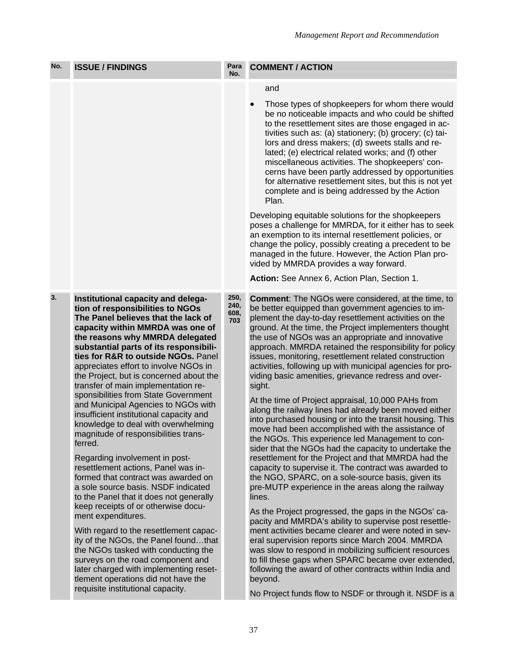| No. | <b>ISSUE / FINDINGS</b>                                                                                                                                                                                                                                                                                                                                                                                                                                                                                                                                                                                                                                                                                                                                                                                                                                                                                                                                                                                                                                                                                                                                                 | Para<br>No.                 | <b>COMMENT / ACTION</b>                                                                                                                                                                                                                                                                                                                                                                                                                                                                                                                                                                                                                                                                                                                                                                                                                                                                                                                                                                                                                                                                                                                                                                                                                                                                                                                                                                                                                                                                                                                                                                                   |
|-----|-------------------------------------------------------------------------------------------------------------------------------------------------------------------------------------------------------------------------------------------------------------------------------------------------------------------------------------------------------------------------------------------------------------------------------------------------------------------------------------------------------------------------------------------------------------------------------------------------------------------------------------------------------------------------------------------------------------------------------------------------------------------------------------------------------------------------------------------------------------------------------------------------------------------------------------------------------------------------------------------------------------------------------------------------------------------------------------------------------------------------------------------------------------------------|-----------------------------|-----------------------------------------------------------------------------------------------------------------------------------------------------------------------------------------------------------------------------------------------------------------------------------------------------------------------------------------------------------------------------------------------------------------------------------------------------------------------------------------------------------------------------------------------------------------------------------------------------------------------------------------------------------------------------------------------------------------------------------------------------------------------------------------------------------------------------------------------------------------------------------------------------------------------------------------------------------------------------------------------------------------------------------------------------------------------------------------------------------------------------------------------------------------------------------------------------------------------------------------------------------------------------------------------------------------------------------------------------------------------------------------------------------------------------------------------------------------------------------------------------------------------------------------------------------------------------------------------------------|
|     |                                                                                                                                                                                                                                                                                                                                                                                                                                                                                                                                                                                                                                                                                                                                                                                                                                                                                                                                                                                                                                                                                                                                                                         |                             | and<br>Those types of shopkeepers for whom there would<br>be no noticeable impacts and who could be shifted<br>to the resettlement sites are those engaged in ac-<br>tivities such as: (a) stationery; (b) grocery; (c) tai-<br>lors and dress makers; (d) sweets stalls and re-<br>lated; (e) electrical related works; and (f) other<br>miscellaneous activities. The shopkeepers' con-<br>cerns have been partly addressed by opportunities<br>for alternative resettlement sites, but this is not yet<br>complete and is being addressed by the Action<br>Plan.<br>Developing equitable solutions for the shopkeepers<br>poses a challenge for MMRDA, for it either has to seek<br>an exemption to its internal resettlement policies, or<br>change the policy, possibly creating a precedent to be<br>managed in the future. However, the Action Plan pro-<br>vided by MMRDA provides a way forward.<br>Action: See Annex 6, Action Plan, Section 1.                                                                                                                                                                                                                                                                                                                                                                                                                                                                                                                                                                                                                                                 |
| 3.  | Institutional capacity and delega-<br>tion of responsibilities to NGOs<br>The Panel believes that the lack of<br>capacity within MMRDA was one of<br>the reasons why MMRDA delegated<br>substantial parts of its responsibili-<br>ties for R&R to outside NGOs. Panel<br>appreciates effort to involve NGOs in<br>the Project, but is concerned about the<br>transfer of main implementation re-<br>sponsibilities from State Government<br>and Municipal Agencies to NGOs with<br>insufficient institutional capacity and<br>knowledge to deal with overwhelming<br>magnitude of responsibilities trans-<br>ferred.<br>Regarding involvement in post-<br>resettlement actions, Panel was in-<br>formed that contract was awarded on<br>a sole source basis. NSDF indicated<br>to the Panel that it does not generally<br>keep receipts of or otherwise docu-<br>ment expenditures.<br>With regard to the resettlement capac-<br>ity of the NGOs, the Panel foundthat<br>the NGOs tasked with conducting the<br>surveys on the road component and<br>later charged with implementing reset-<br>tlement operations did not have the<br>requisite institutional capacity. | 250,<br>240,<br>608,<br>703 | <b>Comment:</b> The NGOs were considered, at the time, to<br>be better equipped than government agencies to im-<br>plement the day-to-day resettlement activities on the<br>ground. At the time, the Project implementers thought<br>the use of NGOs was an appropriate and innovative<br>approach. MMRDA retained the responsibility for policy<br>issues, monitoring, resettlement related construction<br>activities, following up with municipal agencies for pro-<br>viding basic amenities, grievance redress and over-<br>sight.<br>At the time of Project appraisal, 10,000 PAHs from<br>along the railway lines had already been moved either<br>into purchased housing or into the transit housing. This<br>move had been accomplished with the assistance of<br>the NGOs. This experience led Management to con-<br>sider that the NGOs had the capacity to undertake the<br>resettlement for the Project and that MMRDA had the<br>capacity to supervise it. The contract was awarded to<br>the NGO, SPARC, on a sole-source basis, given its<br>pre-MUTP experience in the areas along the railway<br>lines.<br>As the Project progressed, the gaps in the NGOs' ca-<br>pacity and MMRDA's ability to supervise post resettle-<br>ment activities became clearer and were noted in sev-<br>eral supervision reports since March 2004. MMRDA<br>was slow to respond in mobilizing sufficient resources<br>to fill these gaps when SPARC became over extended,<br>following the award of other contracts within India and<br>beyond.<br>No Project funds flow to NSDF or through it. NSDF is a |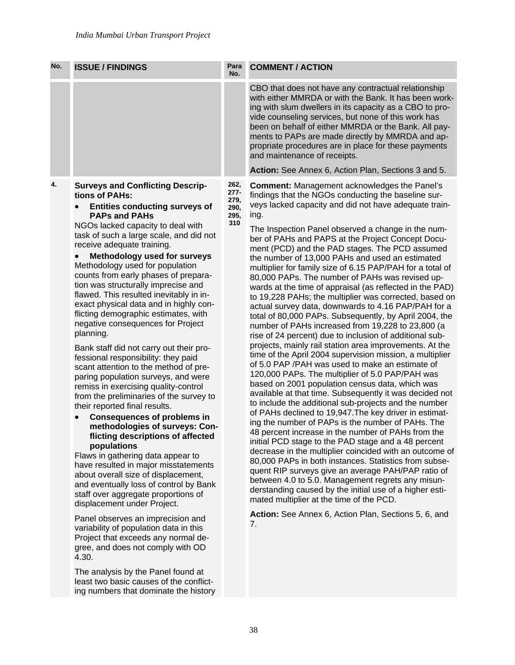ing numbers that dominate the history

| vide counseling services, but none of this work has<br>and maintenance of receipts.<br>4.<br>262,<br><b>Surveys and Conflicting Descrip-</b><br><b>Comment: Management acknowledges the Panel's</b><br>$277-$<br>tions of PAHs:<br>findings that the NGOs conducting the baseline sur-<br>279,<br><b>Entities conducting surveys of</b><br>290,<br>ing.<br><b>PAPs and PAHs</b><br>295,<br>310<br>NGOs lacked capacity to deal with<br>task of such a large scale, and did not<br>receive adequate training.<br><b>Methodology used for surveys</b><br>the number of 13,000 PAHs and used an estimated<br>Methodology used for population<br>counts from early phases of prepara-<br>80,000 PAPs. The number of PAHs was revised up-<br>tion was structurally imprecise and<br>flawed. This resulted inevitably in in-<br>exact physical data and in highly con-<br>flicting demographic estimates, with<br>negative consequences for Project<br>planning.<br>Bank staff did not carry out their pro-<br>fessional responsibility: they paid<br>of 5.0 PAP /PAH was used to make an estimate of<br>scant attention to the method of pre-<br>120,000 PAPs. The multiplier of 5.0 PAP/PAH was<br>paring population surveys, and were<br>based on 2001 population census data, which was<br>remiss in exercising quality-control<br>from the preliminaries of the survey to<br>their reported final results.<br><b>Consequences of problems in</b><br>methodologies of surveys: Con-<br>flicting descriptions of affected<br>populations<br>Flaws in gathering data appear to<br>have resulted in major misstatements<br>about overall size of displacement,<br>and eventually loss of control by Bank<br>staff over aggregate proportions of<br>mated multiplier at the time of the PCD.<br>displacement under Project. | No. | <b>ISSUE / FINDINGS</b> | Para<br>No. | <b>COMMENT / ACTION</b>                                                                                                                                                                                                                                                                                                                                                                                                                                                                                                                                                                                                                                                                                                                                                                                                                                                                                                                                                                                                                                                                                                                                                                                                                                                                                                                                                                                                                                         |
|-----------------------------------------------------------------------------------------------------------------------------------------------------------------------------------------------------------------------------------------------------------------------------------------------------------------------------------------------------------------------------------------------------------------------------------------------------------------------------------------------------------------------------------------------------------------------------------------------------------------------------------------------------------------------------------------------------------------------------------------------------------------------------------------------------------------------------------------------------------------------------------------------------------------------------------------------------------------------------------------------------------------------------------------------------------------------------------------------------------------------------------------------------------------------------------------------------------------------------------------------------------------------------------------------------------------------------------------------------------------------------------------------------------------------------------------------------------------------------------------------------------------------------------------------------------------------------------------------------------------------------------------------------------------------------------------------------------------------------------------------------------------------------------------------------------------------|-----|-------------------------|-------------|-----------------------------------------------------------------------------------------------------------------------------------------------------------------------------------------------------------------------------------------------------------------------------------------------------------------------------------------------------------------------------------------------------------------------------------------------------------------------------------------------------------------------------------------------------------------------------------------------------------------------------------------------------------------------------------------------------------------------------------------------------------------------------------------------------------------------------------------------------------------------------------------------------------------------------------------------------------------------------------------------------------------------------------------------------------------------------------------------------------------------------------------------------------------------------------------------------------------------------------------------------------------------------------------------------------------------------------------------------------------------------------------------------------------------------------------------------------------|
|                                                                                                                                                                                                                                                                                                                                                                                                                                                                                                                                                                                                                                                                                                                                                                                                                                                                                                                                                                                                                                                                                                                                                                                                                                                                                                                                                                                                                                                                                                                                                                                                                                                                                                                                                                                                                       |     |                         |             | CBO that does not have any contractual relationship<br>with either MMRDA or with the Bank. It has been work-<br>ing with slum dwellers in its capacity as a CBO to pro-<br>been on behalf of either MMRDA or the Bank. All pay-<br>ments to PAPs are made directly by MMRDA and ap-<br>propriate procedures are in place for these payments                                                                                                                                                                                                                                                                                                                                                                                                                                                                                                                                                                                                                                                                                                                                                                                                                                                                                                                                                                                                                                                                                                                     |
|                                                                                                                                                                                                                                                                                                                                                                                                                                                                                                                                                                                                                                                                                                                                                                                                                                                                                                                                                                                                                                                                                                                                                                                                                                                                                                                                                                                                                                                                                                                                                                                                                                                                                                                                                                                                                       |     |                         |             | Action: See Annex 6, Action Plan, Sections 3 and 5.                                                                                                                                                                                                                                                                                                                                                                                                                                                                                                                                                                                                                                                                                                                                                                                                                                                                                                                                                                                                                                                                                                                                                                                                                                                                                                                                                                                                             |
| Panel observes an imprecision and<br>7.<br>variability of population data in this<br>Project that exceeds any normal de-<br>gree, and does not comply with OD<br>4.30.<br>The analysis by the Panel found at<br>least two basic causes of the conflict-                                                                                                                                                                                                                                                                                                                                                                                                                                                                                                                                                                                                                                                                                                                                                                                                                                                                                                                                                                                                                                                                                                                                                                                                                                                                                                                                                                                                                                                                                                                                                               |     |                         |             | veys lacked capacity and did not have adequate train-<br>The Inspection Panel observed a change in the num-<br>ber of PAHs and PAPS at the Project Concept Docu-<br>ment (PCD) and the PAD stages. The PCD assumed<br>multiplier for family size of 6.15 PAP/PAH for a total of<br>wards at the time of appraisal (as reflected in the PAD)<br>to 19,228 PAHs; the multiplier was corrected, based on<br>actual survey data, downwards to 4.16 PAP/PAH for a<br>total of 80,000 PAPs. Subsequently, by April 2004, the<br>number of PAHs increased from 19,228 to 23,800 (a<br>rise of 24 percent) due to inclusion of additional sub-<br>projects, mainly rail station area improvements. At the<br>time of the April 2004 supervision mission, a multiplier<br>available at that time. Subsequently it was decided not<br>to include the additional sub-projects and the number<br>of PAHs declined to 19,947. The key driver in estimat-<br>ing the number of PAPs is the number of PAHs. The<br>48 percent increase in the number of PAHs from the<br>initial PCD stage to the PAD stage and a 48 percent<br>decrease in the multiplier coincided with an outcome of<br>80,000 PAPs in both instances. Statistics from subse-<br>quent RIP surveys give an average PAH/PAP ratio of<br>between 4.0 to 5.0. Management regrets any misun-<br>derstanding caused by the initial use of a higher esti-<br>Action: See Annex 6, Action Plan, Sections 5, 6, and |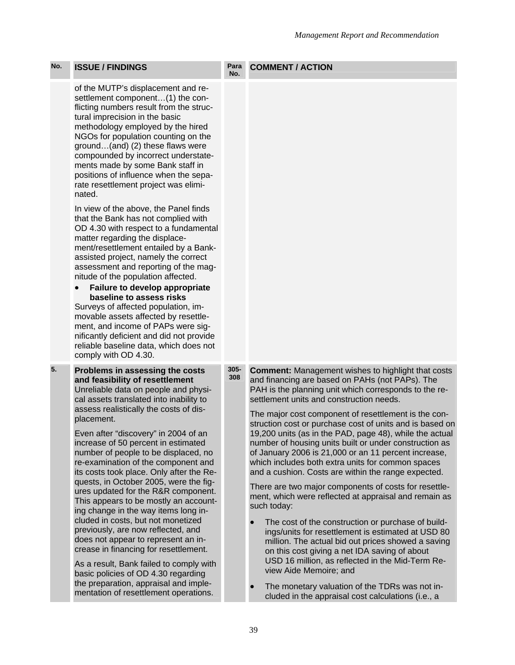**COMMENT / ACTION** 

#### **No.**  of the MUTP's displacement and resettlement component…(1) the conflicting numbers result from the structural imprecision in the basic methodology employed by the hired NGOs for population counting on the ground…(and) (2) these flaws were compounded by incorrect understatements made by some Bank staff in positions of influence when the separate resettlement project was eliminated. In view of the above, the Panel finds that the Bank has not complied with OD 4.30 with respect to a fundamental matter regarding the displacement/resettlement entailed by a Bankassisted project, namely the correct assessment and reporting of the magnitude of the population affected. • **Failure to develop appropriate baseline to assess risks**  Surveys of affected population, immovable assets affected by resettlement, and income of PAPs were significantly deficient and did not provide reliable baseline data, which does not comply with OD 4.30. **5. Problems in assessing the costs and feasibility of resettlement**  Unreliable data on people and physical assets translated into inability to assess realistically the costs of displacement. Even after "discovery" in 2004 of an increase of 50 percent in estimated number of people to be displaced, no re-examination of the component and its costs took place. Only after the Requests, in October 2005, were the figures updated for the R&R component. This appears to be mostly an accounting change in the way items long in-**305- 308 Comment:** Management wishes to highlight that costs and financing are based on PAHs (not PAPs). The PAH is the planning unit which corresponds to the resettlement units and construction needs. The major cost component of resettlement is the construction cost or purchase cost of units and is based on 19,200 units (as in the PAD, page 48), while the actual number of housing units built or under construction as of January 2006 is 21,000 or an 11 percent increase, which includes both extra units for common spaces and a cushion. Costs are within the range expected. There are two major components of costs for resettlement, which were reflected at appraisal and remain as such today:

No. **ISSUE / FINDINGS** Para

cluded in costs, but not monetized previously, are now reflected, and does not appear to represent an increase in financing for resettlement. As a result, Bank failed to comply with basic policies of OD 4.30 regarding the preparation, appraisal and implementation of resettlement operations.

- The cost of the construction or purchase of buildings/units for resettlement is estimated at USD 80 million. The actual bid out prices showed a saving on this cost giving a net IDA saving of about USD 16 million, as reflected in the Mid-Term Review Aide Memoire; and
- The monetary valuation of the TDRs was not included in the appraisal cost calculations (i.e., a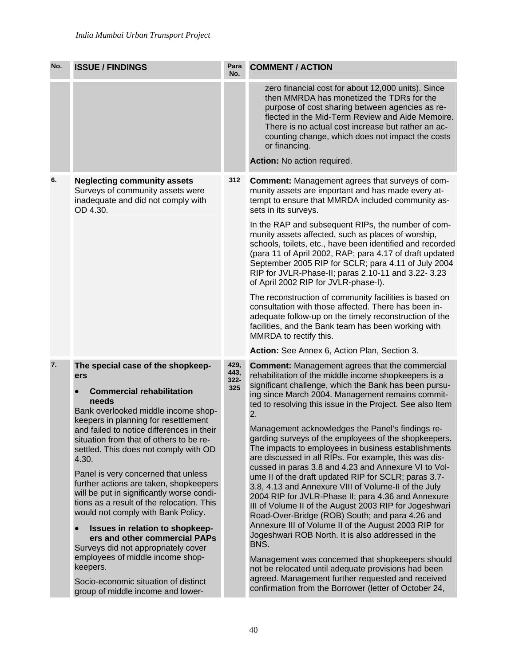| No. | <b>ISSUE / FINDINGS</b>                                                                                                                                                                                                                                                                                                                                                                                                                                                                                                                                                                                                                               | Para<br>No.            | <b>COMMENT / ACTION</b>                                                                                                                                                                                                                                                                                                                                                                                                                                                                                                                                                                                                                                                                                                                                                                                                                                                                                                                                                              |
|-----|-------------------------------------------------------------------------------------------------------------------------------------------------------------------------------------------------------------------------------------------------------------------------------------------------------------------------------------------------------------------------------------------------------------------------------------------------------------------------------------------------------------------------------------------------------------------------------------------------------------------------------------------------------|------------------------|--------------------------------------------------------------------------------------------------------------------------------------------------------------------------------------------------------------------------------------------------------------------------------------------------------------------------------------------------------------------------------------------------------------------------------------------------------------------------------------------------------------------------------------------------------------------------------------------------------------------------------------------------------------------------------------------------------------------------------------------------------------------------------------------------------------------------------------------------------------------------------------------------------------------------------------------------------------------------------------|
|     |                                                                                                                                                                                                                                                                                                                                                                                                                                                                                                                                                                                                                                                       |                        | zero financial cost for about 12,000 units). Since<br>then MMRDA has monetized the TDRs for the<br>purpose of cost sharing between agencies as re-<br>flected in the Mid-Term Review and Aide Memoire.<br>There is no actual cost increase but rather an ac-<br>counting change, which does not impact the costs<br>or financing.                                                                                                                                                                                                                                                                                                                                                                                                                                                                                                                                                                                                                                                    |
|     |                                                                                                                                                                                                                                                                                                                                                                                                                                                                                                                                                                                                                                                       |                        | Action: No action required.                                                                                                                                                                                                                                                                                                                                                                                                                                                                                                                                                                                                                                                                                                                                                                                                                                                                                                                                                          |
| 6.  | <b>Neglecting community assets</b><br>Surveys of community assets were<br>inadequate and did not comply with<br>OD 4.30.                                                                                                                                                                                                                                                                                                                                                                                                                                                                                                                              | 312                    | <b>Comment:</b> Management agrees that surveys of com-<br>munity assets are important and has made every at-<br>tempt to ensure that MMRDA included community as-<br>sets in its surveys.<br>In the RAP and subsequent RIPs, the number of com-<br>munity assets affected, such as places of worship,<br>schools, toilets, etc., have been identified and recorded<br>(para 11 of April 2002, RAP; para 4.17 of draft updated<br>September 2005 RIP for SCLR; para 4.11 of July 2004<br>RIP for JVLR-Phase-II; paras 2.10-11 and 3.22- 3.23<br>of April 2002 RIP for JVLR-phase-I).                                                                                                                                                                                                                                                                                                                                                                                                  |
|     |                                                                                                                                                                                                                                                                                                                                                                                                                                                                                                                                                                                                                                                       |                        | The reconstruction of community facilities is based on<br>consultation with those affected. There has been in-<br>adequate follow-up on the timely reconstruction of the<br>facilities, and the Bank team has been working with<br>MMRDA to rectify this.                                                                                                                                                                                                                                                                                                                                                                                                                                                                                                                                                                                                                                                                                                                            |
| 7.  | The special case of the shopkeep-                                                                                                                                                                                                                                                                                                                                                                                                                                                                                                                                                                                                                     | 429,                   | Action: See Annex 6, Action Plan, Section 3.<br><b>Comment:</b> Management agrees that the commercial                                                                                                                                                                                                                                                                                                                                                                                                                                                                                                                                                                                                                                                                                                                                                                                                                                                                                |
|     | ers<br><b>Commercial rehabilitation</b><br>needs<br>Bank overlooked middle income shop-<br>keepers in planning for resettlement<br>and failed to notice differences in their<br>situation from that of others to be re-<br>settled. This does not comply with OD<br>4.30.<br>Panel is very concerned that unless<br>further actions are taken, shopkeepers<br>will be put in significantly worse condi-<br>tions as a result of the relocation. This<br>would not comply with Bank Policy.<br>Issues in relation to shopkeep-<br>ers and other commercial PAPs<br>Surveys did not appropriately cover<br>employees of middle income shop-<br>keepers. | 443,<br>$322 -$<br>325 | rehabilitation of the middle income shopkeepers is a<br>significant challenge, which the Bank has been pursu-<br>ing since March 2004. Management remains commit-<br>ted to resolving this issue in the Project. See also Item<br>2.<br>Management acknowledges the Panel's findings re-<br>garding surveys of the employees of the shopkeepers.<br>The impacts to employees in business establishments<br>are discussed in all RIPs. For example, this was dis-<br>cussed in paras 3.8 and 4.23 and Annexure VI to Vol-<br>ume II of the draft updated RIP for SCLR; paras 3.7-<br>3.8, 4.13 and Annexure VIII of Volume-II of the July<br>2004 RIP for JVLR-Phase II; para 4.36 and Annexure<br>III of Volume II of the August 2003 RIP for Jogeshwari<br>Road-Over-Bridge (ROB) South; and para 4.26 and<br>Annexure III of Volume II of the August 2003 RIP for<br>Jogeshwari ROB North. It is also addressed in the<br>BNS.<br>Management was concerned that shopkeepers should |
|     | Socio-economic situation of distinct<br>group of middle income and lower-                                                                                                                                                                                                                                                                                                                                                                                                                                                                                                                                                                             |                        | not be relocated until adequate provisions had been<br>agreed. Management further requested and received<br>confirmation from the Borrower (letter of October 24,                                                                                                                                                                                                                                                                                                                                                                                                                                                                                                                                                                                                                                                                                                                                                                                                                    |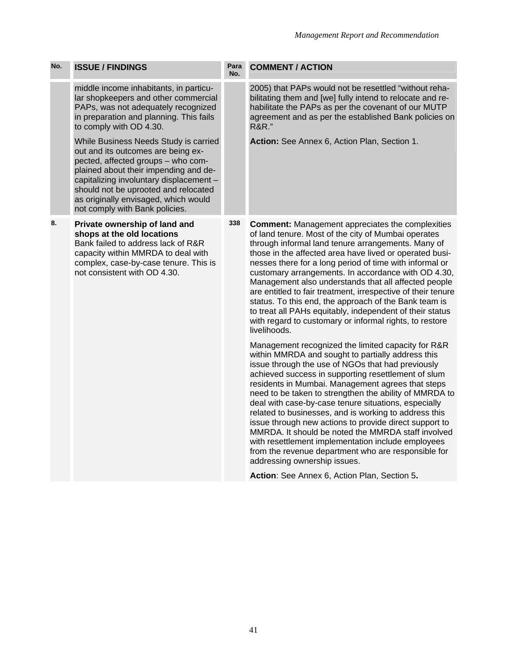| No. | <b>ISSUE / FINDINGS</b>                                                                                                                                                                                                                                                                                                 | Para<br>No. | <b>COMMENT / ACTION</b>                                                                                                                                                                                                                                                                                                                                                                                                                                                                                                                                                                                                                                                                                          |
|-----|-------------------------------------------------------------------------------------------------------------------------------------------------------------------------------------------------------------------------------------------------------------------------------------------------------------------------|-------------|------------------------------------------------------------------------------------------------------------------------------------------------------------------------------------------------------------------------------------------------------------------------------------------------------------------------------------------------------------------------------------------------------------------------------------------------------------------------------------------------------------------------------------------------------------------------------------------------------------------------------------------------------------------------------------------------------------------|
|     | middle income inhabitants, in particu-<br>lar shopkeepers and other commercial<br>PAPs, was not adequately recognized<br>in preparation and planning. This fails<br>to comply with OD 4.30.                                                                                                                             |             | 2005) that PAPs would not be resettled "without reha-<br>bilitating them and [we] fully intend to relocate and re-<br>habilitate the PAPs as per the covenant of our MUTP<br>agreement and as per the established Bank policies on<br><b>R&amp;R.</b> "                                                                                                                                                                                                                                                                                                                                                                                                                                                          |
|     | While Business Needs Study is carried<br>out and its outcomes are being ex-<br>pected, affected groups - who com-<br>plained about their impending and de-<br>capitalizing involuntary displacement -<br>should not be uprooted and relocated<br>as originally envisaged, which would<br>not comply with Bank policies. |             | Action: See Annex 6, Action Plan, Section 1.                                                                                                                                                                                                                                                                                                                                                                                                                                                                                                                                                                                                                                                                     |
| 8.  | Private ownership of land and<br>shops at the old locations<br>Bank failed to address lack of R&R<br>capacity within MMRDA to deal with<br>complex, case-by-case tenure. This is<br>not consistent with OD 4.30.                                                                                                        | 338         | <b>Comment:</b> Management appreciates the complexities<br>of land tenure. Most of the city of Mumbai operates<br>through informal land tenure arrangements. Many of<br>those in the affected area have lived or operated busi-<br>nesses there for a long period of time with informal or<br>customary arrangements. In accordance with OD 4.30,<br>Management also understands that all affected people<br>are entitled to fair treatment, irrespective of their tenure<br>status. To this end, the approach of the Bank team is<br>to treat all PAHs equitably, independent of their status<br>with regard to customary or informal rights, to restore<br>livelihoods.                                        |
|     |                                                                                                                                                                                                                                                                                                                         |             | Management recognized the limited capacity for R&R<br>within MMRDA and sought to partially address this<br>issue through the use of NGOs that had previously<br>achieved success in supporting resettlement of slum<br>residents in Mumbai. Management agrees that steps<br>need to be taken to strengthen the ability of MMRDA to<br>deal with case-by-case tenure situations, especially<br>related to businesses, and is working to address this<br>issue through new actions to provide direct support to<br>MMRDA. It should be noted the MMRDA staff involved<br>with resettlement implementation include employees<br>from the revenue department who are responsible for<br>addressing ownership issues. |
|     |                                                                                                                                                                                                                                                                                                                         |             | Action: See Annex 6, Action Plan, Section 5.                                                                                                                                                                                                                                                                                                                                                                                                                                                                                                                                                                                                                                                                     |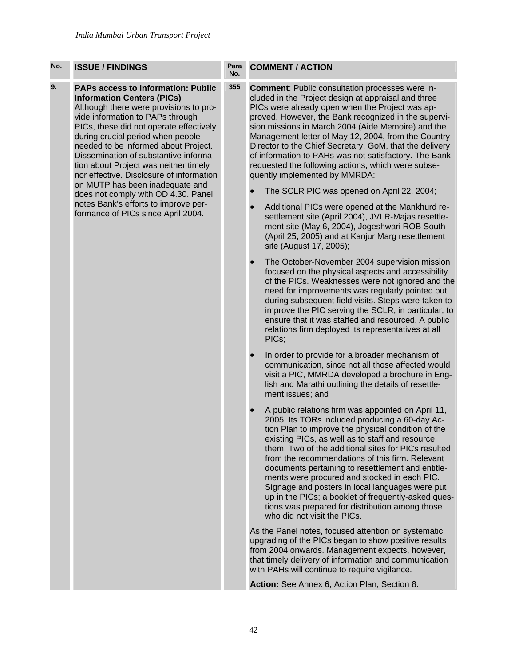#### **9. PAPs access to information: Public Information Centers (PICs)**  Although there were provisions to provide information to PAPs through PICs, these did not operate effectively during crucial period when people

needed to be informed about Project. Dissemination of substantive information about Project was neither timely nor effective. Disclosure of information on MUTP has been inadequate and does not comply with OD 4.30. Panel notes Bank's efforts to improve performance of PICs since April 2004.

#### **No. COMMENT / ACTION**

**355 Comment**: Public consultation processes were included in the Project design at appraisal and three PICs were already open when the Project was approved. However, the Bank recognized in the supervision missions in March 2004 (Aide Memoire) and the Management letter of May 12, 2004, from the Country Director to the Chief Secretary, GoM, that the delivery of information to PAHs was not satisfactory. The Bank requested the following actions, which were subsequently implemented by MMRDA:

- The SCLR PIC was opened on April 22, 2004;
- Additional PICs were opened at the Mankhurd resettlement site (April 2004), JVLR-Majas resettlement site (May 6, 2004), Jogeshwari ROB South (April 25, 2005) and at Kanjur Marg resettlement site (August 17, 2005);
- The October-November 2004 supervision mission focused on the physical aspects and accessibility of the PICs. Weaknesses were not ignored and the need for improvements was regularly pointed out during subsequent field visits. Steps were taken to improve the PIC serving the SCLR, in particular, to ensure that it was staffed and resourced. A public relations firm deployed its representatives at all PICs;
- In order to provide for a broader mechanism of communication, since not all those affected would visit a PIC, MMRDA developed a brochure in English and Marathi outlining the details of resettlement issues; and
- A public relations firm was appointed on April 11, 2005. Its TORs included producing a 60-day Action Plan to improve the physical condition of the existing PICs, as well as to staff and resource them. Two of the additional sites for PICs resulted from the recommendations of this firm. Relevant documents pertaining to resettlement and entitlements were procured and stocked in each PIC. Signage and posters in local languages were put up in the PICs; a booklet of frequently-asked questions was prepared for distribution among those who did not visit the PICs.

As the Panel notes, focused attention on systematic upgrading of the PICs began to show positive results from 2004 onwards. Management expects, however, that timely delivery of information and communication with PAHs will continue to require vigilance.

**Action:** See Annex 6, Action Plan, Section 8.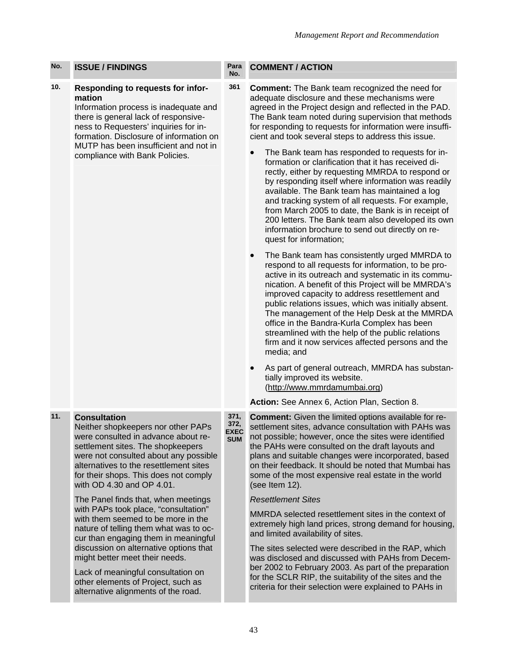**10. Responding to requests for information** 

Information process is inadequate and there is general lack of responsiveness to Requesters' inquiries for information. Disclosure of information on MUTP has been insufficient and not in compliance with Bank Policies.

# **11. Consultation**

Neither shopkeepers nor other PAPs were consulted in advance about resettlement sites. The shopkeepers were not consulted about any possible alternatives to the resettlement sites for their shops. This does not comply with OD 4.30 and OP 4.01.

The Panel finds that, when meetings with PAPs took place, "consultation" with them seemed to be more in the nature of telling them what was to occur than engaging them in meaningful discussion on alternative options that might better meet their needs.

Lack of meaningful consultation on other elements of Project, such as alternative alignments of the road.

## **COMMENT / ACTION**

**No.** 

**361 Comment:** The Bank team recognized the need for adequate disclosure and these mechanisms were agreed in the Project design and reflected in the PAD. The Bank team noted during supervision that methods for responding to requests for information were insufficient and took several steps to address this issue.

- The Bank team has responded to requests for information or clarification that it has received directly, either by requesting MMRDA to respond or by responding itself where information was readily available. The Bank team has maintained a log and tracking system of all requests. For example, from March 2005 to date, the Bank is in receipt of 200 letters. The Bank team also developed its own information brochure to send out directly on request for information;
- The Bank team has consistently urged MMRDA to respond to all requests for information, to be proactive in its outreach and systematic in its communication. A benefit of this Project will be MMRDA's improved capacity to address resettlement and public relations issues, which was initially absent. The management of the Help Desk at the MMRDA office in the Bandra-Kurla Complex has been streamlined with the help of the public relations firm and it now services affected persons and the media; and
- As part of general outreach, MMRDA has substantially improved its website. (http://www.mmrdamumbai.org)

### **Action:** See Annex 6, Action Plan, Section 8.

**EXEC Comment:** Given the limited options available for resettlement sites, advance consultation with PAHs was not possible; however, once the sites were identified the PAHs were consulted on the draft layouts and plans and suitable changes were incorporated, based on their feedback. It should be noted that Mumbai has some of the most expensive real estate in the world (see Item 12).

### *Resettlement Sites*

MMRDA selected resettlement sites in the context of extremely high land prices, strong demand for housing, and limited availability of sites.

The sites selected were described in the RAP, which was disclosed and discussed with PAHs from December 2002 to February 2003. As part of the preparation for the SCLR RIP, the suitability of the sites and the criteria for their selection were explained to PAHs in

**371, 372,** 

**SUM**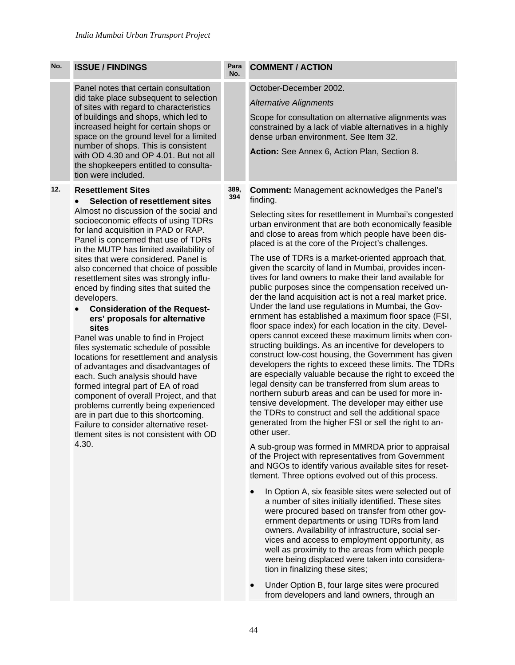| No. | <b>ISSUE / FINDINGS</b>                                                                                                                                                                                                                                                                                                                                                                                                                                                                                                                                                                                                                                                                                                                                                                                                                                                                                                                                                                                                 | Para<br>No. | <b>COMMENT / ACTION</b>                                                                                                                                                                                                                                                                                                                                                                                                                                                                                                                                                                                                                                                                                                                                                                                                                                                                                                                                                                                                                                                                                                                                                                                                                                                                                                                                                                                                    |
|-----|-------------------------------------------------------------------------------------------------------------------------------------------------------------------------------------------------------------------------------------------------------------------------------------------------------------------------------------------------------------------------------------------------------------------------------------------------------------------------------------------------------------------------------------------------------------------------------------------------------------------------------------------------------------------------------------------------------------------------------------------------------------------------------------------------------------------------------------------------------------------------------------------------------------------------------------------------------------------------------------------------------------------------|-------------|----------------------------------------------------------------------------------------------------------------------------------------------------------------------------------------------------------------------------------------------------------------------------------------------------------------------------------------------------------------------------------------------------------------------------------------------------------------------------------------------------------------------------------------------------------------------------------------------------------------------------------------------------------------------------------------------------------------------------------------------------------------------------------------------------------------------------------------------------------------------------------------------------------------------------------------------------------------------------------------------------------------------------------------------------------------------------------------------------------------------------------------------------------------------------------------------------------------------------------------------------------------------------------------------------------------------------------------------------------------------------------------------------------------------------|
|     | Panel notes that certain consultation<br>did take place subsequent to selection<br>of sites with regard to characteristics<br>of buildings and shops, which led to<br>increased height for certain shops or<br>space on the ground level for a limited<br>number of shops. This is consistent<br>with OD 4.30 and OP 4.01. But not all<br>the shopkeepers entitled to consulta-<br>tion were included.                                                                                                                                                                                                                                                                                                                                                                                                                                                                                                                                                                                                                  |             | October-December 2002.<br><b>Alternative Alignments</b><br>Scope for consultation on alternative alignments was<br>constrained by a lack of viable alternatives in a highly<br>dense urban environment. See Item 32.<br>Action: See Annex 6, Action Plan, Section 8.                                                                                                                                                                                                                                                                                                                                                                                                                                                                                                                                                                                                                                                                                                                                                                                                                                                                                                                                                                                                                                                                                                                                                       |
| 12. | <b>Resettlement Sites</b><br><b>Selection of resettlement sites</b><br>Almost no discussion of the social and<br>socioeconomic effects of using TDRs<br>for land acquisition in PAD or RAP.<br>Panel is concerned that use of TDRs<br>in the MUTP has limited availability of<br>sites that were considered. Panel is<br>also concerned that choice of possible<br>resettlement sites was strongly influ-<br>enced by finding sites that suited the<br>developers.<br><b>Consideration of the Request-</b><br>ers' proposals for alternative<br>sites<br>Panel was unable to find in Project<br>files systematic schedule of possible<br>locations for resettlement and analysis<br>of advantages and disadvantages of<br>each. Such analysis should have<br>formed integral part of EA of road<br>component of overall Project, and that<br>problems currently being experienced<br>are in part due to this shortcoming.<br>Failure to consider alternative reset-<br>tlement sites is not consistent with OD<br>4.30. | 389,<br>394 | <b>Comment: Management acknowledges the Panel's</b><br>finding.<br>Selecting sites for resettlement in Mumbai's congested<br>urban environment that are both economically feasible<br>and close to areas from which people have been dis-<br>placed is at the core of the Project's challenges.<br>The use of TDRs is a market-oriented approach that,<br>given the scarcity of land in Mumbai, provides incen-<br>tives for land owners to make their land available for<br>public purposes since the compensation received un-<br>der the land acquisition act is not a real market price.<br>Under the land use regulations in Mumbai, the Gov-<br>ernment has established a maximum floor space (FSI,<br>floor space index) for each location in the city. Devel-<br>opers cannot exceed these maximum limits when con-<br>structing buildings. As an incentive for developers to<br>construct low-cost housing, the Government has given<br>developers the rights to exceed these limits. The TDRs<br>are especially valuable because the right to exceed the<br>legal density can be transferred from slum areas to<br>northern suburb areas and can be used for more in-<br>tensive development. The developer may either use<br>the TDRs to construct and sell the additional space<br>generated from the higher FSI or sell the right to an-<br>other user.<br>A sub-group was formed in MMRDA prior to appraisal |

of the Project with representatives from Government and NGOs to identify various available sites for resettlement. Three options evolved out of this process.

- In Option A, six feasible sites were selected out of a number of sites initially identified. These sites were procured based on transfer from other government departments or using TDRs from land owners. Availability of infrastructure, social services and access to employment opportunity, as well as proximity to the areas from which people were being displaced were taken into consideration in finalizing these sites;
- Under Option B, four large sites were procured from developers and land owners, through an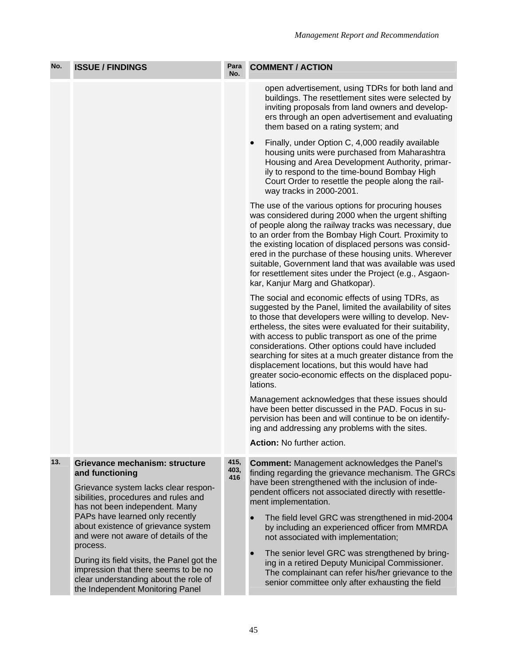| No. | <b>ISSUE / FINDINGS</b>                                                                                                                                                                                                                                                                           | Para<br>No. | <b>COMMENT / ACTION</b>                                                                                                                                                                                                                                                                                                                                                                                                                                                                                                               |
|-----|---------------------------------------------------------------------------------------------------------------------------------------------------------------------------------------------------------------------------------------------------------------------------------------------------|-------------|---------------------------------------------------------------------------------------------------------------------------------------------------------------------------------------------------------------------------------------------------------------------------------------------------------------------------------------------------------------------------------------------------------------------------------------------------------------------------------------------------------------------------------------|
|     |                                                                                                                                                                                                                                                                                                   |             | open advertisement, using TDRs for both land and<br>buildings. The resettlement sites were selected by<br>inviting proposals from land owners and develop-<br>ers through an open advertisement and evaluating<br>them based on a rating system; and                                                                                                                                                                                                                                                                                  |
|     |                                                                                                                                                                                                                                                                                                   |             | Finally, under Option C, 4,000 readily available<br>$\bullet$<br>housing units were purchased from Maharashtra<br>Housing and Area Development Authority, primar-<br>ily to respond to the time-bound Bombay High<br>Court Order to resettle the people along the rail-<br>way tracks in 2000-2001.                                                                                                                                                                                                                                   |
|     |                                                                                                                                                                                                                                                                                                   |             | The use of the various options for procuring houses<br>was considered during 2000 when the urgent shifting<br>of people along the railway tracks was necessary, due<br>to an order from the Bombay High Court. Proximity to<br>the existing location of displaced persons was consid-<br>ered in the purchase of these housing units. Wherever<br>suitable, Government land that was available was used<br>for resettlement sites under the Project (e.g., Asgaon-<br>kar, Kanjur Marg and Ghatkopar).                                |
|     |                                                                                                                                                                                                                                                                                                   |             | The social and economic effects of using TDRs, as<br>suggested by the Panel, limited the availability of sites<br>to those that developers were willing to develop. Nev-<br>ertheless, the sites were evaluated for their suitability,<br>with access to public transport as one of the prime<br>considerations. Other options could have included<br>searching for sites at a much greater distance from the<br>displacement locations, but this would have had<br>greater socio-economic effects on the displaced popu-<br>lations. |
|     |                                                                                                                                                                                                                                                                                                   |             | Management acknowledges that these issues should<br>have been better discussed in the PAD. Focus in su-<br>pervision has been and will continue to be on identify-<br>ing and addressing any problems with the sites.<br>Action: No further action.                                                                                                                                                                                                                                                                                   |
| 13. |                                                                                                                                                                                                                                                                                                   | 415,        |                                                                                                                                                                                                                                                                                                                                                                                                                                                                                                                                       |
|     | Grievance mechanism: structure<br>and functioning<br>Grievance system lacks clear respon-<br>sibilities, procedures and rules and<br>has not been independent. Many<br>PAPs have learned only recently<br>about existence of grievance system<br>and were not aware of details of the<br>process. | 403,<br>416 | <b>Comment:</b> Management acknowledges the Panel's<br>finding regarding the grievance mechanism. The GRCs<br>have been strengthened with the inclusion of inde-<br>pendent officers not associated directly with resettle-<br>ment implementation.<br>The field level GRC was strengthened in mid-2004<br>by including an experienced officer from MMRDA<br>not associated with implementation;<br>The senior level GRC was strengthened by bring-                                                                                   |
|     | During its field visits, the Panel got the<br>impression that there seems to be no<br>clear understanding about the role of<br>the Independent Monitoring Panel                                                                                                                                   |             | ing in a retired Deputy Municipal Commissioner.<br>The complainant can refer his/her grievance to the<br>senior committee only after exhausting the field                                                                                                                                                                                                                                                                                                                                                                             |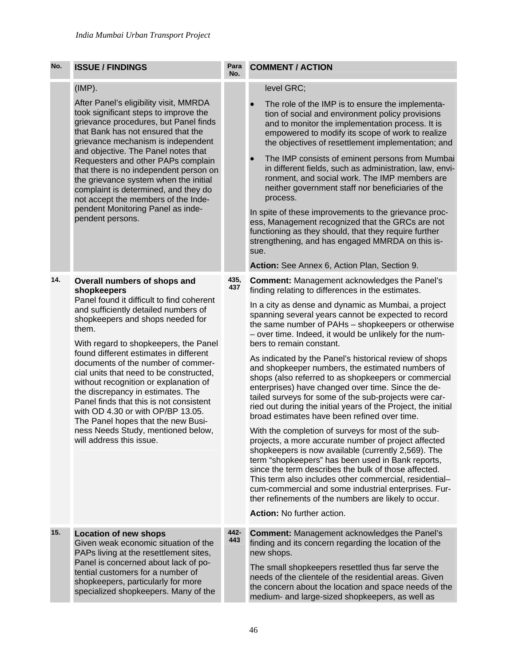| No. | <b>ISSUE / FINDINGS</b>                                                                                                                                                                                                                                                                                                                                                                                                                                                                                                                                                                                                 | Para<br>No. | <b>COMMENT / ACTION</b>                                                                                                                                                                                                                                                                                                                                                                                                                                                                                                                                                                                                                                                                                                                                                                                                                                                                                                                                                                                                                                                                                                                                                                                                                                             |
|-----|-------------------------------------------------------------------------------------------------------------------------------------------------------------------------------------------------------------------------------------------------------------------------------------------------------------------------------------------------------------------------------------------------------------------------------------------------------------------------------------------------------------------------------------------------------------------------------------------------------------------------|-------------|---------------------------------------------------------------------------------------------------------------------------------------------------------------------------------------------------------------------------------------------------------------------------------------------------------------------------------------------------------------------------------------------------------------------------------------------------------------------------------------------------------------------------------------------------------------------------------------------------------------------------------------------------------------------------------------------------------------------------------------------------------------------------------------------------------------------------------------------------------------------------------------------------------------------------------------------------------------------------------------------------------------------------------------------------------------------------------------------------------------------------------------------------------------------------------------------------------------------------------------------------------------------|
|     | (IMP).<br>After Panel's eligibility visit, MMRDA<br>took significant steps to improve the<br>grievance procedures, but Panel finds<br>that Bank has not ensured that the<br>grievance mechanism is independent<br>and objective. The Panel notes that<br>Requesters and other PAPs complain<br>that there is no independent person on<br>the grievance system when the initial<br>complaint is determined, and they do<br>not accept the members of the Inde-<br>pendent Monitoring Panel as inde-<br>pendent persons.                                                                                                  |             | level GRC;<br>The role of the IMP is to ensure the implementa-<br>tion of social and environment policy provisions<br>and to monitor the implementation process. It is<br>empowered to modify its scope of work to realize<br>the objectives of resettlement implementation; and<br>The IMP consists of eminent persons from Mumbai<br>in different fields, such as administration, law, envi-<br>ronment, and social work. The IMP members are<br>neither government staff nor beneficiaries of the<br>process.<br>In spite of these improvements to the grievance proc-<br>ess, Management recognized that the GRCs are not<br>functioning as they should, that they require further<br>strengthening, and has engaged MMRDA on this is-<br>sue.<br>Action: See Annex 6, Action Plan, Section 9.                                                                                                                                                                                                                                                                                                                                                                                                                                                                  |
| 14. | Overall numbers of shops and<br>shopkeepers<br>Panel found it difficult to find coherent<br>and sufficiently detailed numbers of<br>shopkeepers and shops needed for<br>them.<br>With regard to shopkeepers, the Panel<br>found different estimates in different<br>documents of the number of commer-<br>cial units that need to be constructed,<br>without recognition or explanation of<br>the discrepancy in estimates. The<br>Panel finds that this is not consistent<br>with OD 4.30 or with OP/BP 13.05.<br>The Panel hopes that the new Busi-<br>ness Needs Study, mentioned below,<br>will address this issue. | 435,<br>437 | <b>Comment:</b> Management acknowledges the Panel's<br>finding relating to differences in the estimates.<br>In a city as dense and dynamic as Mumbai, a project<br>spanning several years cannot be expected to record<br>the same number of PAHs - shopkeepers or otherwise<br>- over time. Indeed, it would be unlikely for the num-<br>bers to remain constant.<br>As indicated by the Panel's historical review of shops<br>and shopkeeper numbers, the estimated numbers of<br>shops (also referred to as shopkeepers or commercial<br>enterprises) have changed over time. Since the de-<br>tailed surveys for some of the sub-projects were car-<br>ried out during the initial years of the Project, the initial<br>broad estimates have been refined over time.<br>With the completion of surveys for most of the sub-<br>projects, a more accurate number of project affected<br>shopkeepers is now available (currently 2,569). The<br>term "shopkeepers" has been used in Bank reports,<br>since the term describes the bulk of those affected.<br>This term also includes other commercial, residential-<br>cum-commercial and some industrial enterprises. Fur-<br>ther refinements of the numbers are likely to occur.<br>Action: No further action. |
| 15. | <b>Location of new shops</b><br>Given weak economic situation of the<br>PAPs living at the resettlement sites,<br>Panel is concerned about lack of po-<br>tential customers for a number of<br>shopkeepers, particularly for more<br>specialized shopkeepers. Many of the                                                                                                                                                                                                                                                                                                                                               | 442-<br>443 | <b>Comment: Management acknowledges the Panel's</b><br>finding and its concern regarding the location of the<br>new shops.<br>The small shopkeepers resettled thus far serve the<br>needs of the clientele of the residential areas. Given<br>the concern about the location and space needs of the<br>medium- and large-sized shopkeepers, as well as                                                                                                                                                                                                                                                                                                                                                                                                                                                                                                                                                                                                                                                                                                                                                                                                                                                                                                              |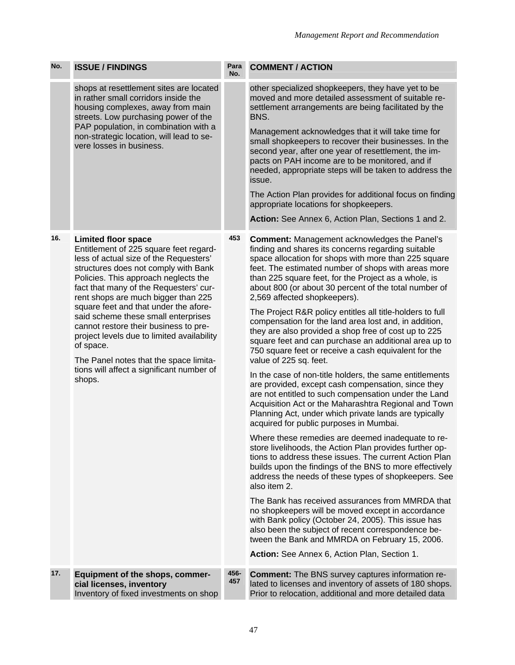| No. | <b>ISSUE / FINDINGS</b>                                                                                                                                                                                                                                                                                                                                                                                                                                                                                                                                    | Para<br>No. | <b>COMMENT / ACTION</b>                                                                                                                                                                                                                                                                                                                                                                                                                                                                                                                                                                                                                                                                                                                                       |
|-----|------------------------------------------------------------------------------------------------------------------------------------------------------------------------------------------------------------------------------------------------------------------------------------------------------------------------------------------------------------------------------------------------------------------------------------------------------------------------------------------------------------------------------------------------------------|-------------|---------------------------------------------------------------------------------------------------------------------------------------------------------------------------------------------------------------------------------------------------------------------------------------------------------------------------------------------------------------------------------------------------------------------------------------------------------------------------------------------------------------------------------------------------------------------------------------------------------------------------------------------------------------------------------------------------------------------------------------------------------------|
|     | shops at resettlement sites are located<br>in rather small corridors inside the<br>housing complexes, away from main<br>streets. Low purchasing power of the<br>PAP population, in combination with a<br>non-strategic location, will lead to se-<br>vere losses in business.                                                                                                                                                                                                                                                                              |             | other specialized shopkeepers, they have yet to be<br>moved and more detailed assessment of suitable re-<br>settlement arrangements are being facilitated by the<br>BNS.<br>Management acknowledges that it will take time for<br>small shopkeepers to recover their businesses. In the                                                                                                                                                                                                                                                                                                                                                                                                                                                                       |
|     |                                                                                                                                                                                                                                                                                                                                                                                                                                                                                                                                                            |             | second year, after one year of resettlement, the im-<br>pacts on PAH income are to be monitored, and if<br>needed, appropriate steps will be taken to address the<br>issue.                                                                                                                                                                                                                                                                                                                                                                                                                                                                                                                                                                                   |
|     |                                                                                                                                                                                                                                                                                                                                                                                                                                                                                                                                                            |             | The Action Plan provides for additional focus on finding<br>appropriate locations for shopkeepers.                                                                                                                                                                                                                                                                                                                                                                                                                                                                                                                                                                                                                                                            |
|     |                                                                                                                                                                                                                                                                                                                                                                                                                                                                                                                                                            |             | Action: See Annex 6, Action Plan, Sections 1 and 2.                                                                                                                                                                                                                                                                                                                                                                                                                                                                                                                                                                                                                                                                                                           |
| 16. | <b>Limited floor space</b><br>Entitlement of 225 square feet regard-<br>less of actual size of the Requesters'<br>structures does not comply with Bank<br>Policies. This approach neglects the<br>fact that many of the Requesters' cur-<br>rent shops are much bigger than 225<br>square feet and that under the afore-<br>said scheme these small enterprises<br>cannot restore their business to pre-<br>project levels due to limited availability<br>of space.<br>The Panel notes that the space limita-<br>tions will affect a significant number of | 453         | <b>Comment: Management acknowledges the Panel's</b><br>finding and shares its concerns regarding suitable<br>space allocation for shops with more than 225 square<br>feet. The estimated number of shops with areas more<br>than 225 square feet, for the Project as a whole, is<br>about 800 (or about 30 percent of the total number of<br>2,569 affected shopkeepers).<br>The Project R&R policy entitles all title-holders to full<br>compensation for the land area lost and, in addition,<br>they are also provided a shop free of cost up to 225<br>square feet and can purchase an additional area up to<br>750 square feet or receive a cash equivalent for the<br>value of 225 sq. feet.<br>In the case of non-title holders, the same entitlements |
|     | shops.                                                                                                                                                                                                                                                                                                                                                                                                                                                                                                                                                     |             | are provided, except cash compensation, since they<br>are not entitled to such compensation under the Land<br>Acquisition Act or the Maharashtra Regional and Town<br>Planning Act, under which private lands are typically<br>acquired for public purposes in Mumbai.                                                                                                                                                                                                                                                                                                                                                                                                                                                                                        |
|     |                                                                                                                                                                                                                                                                                                                                                                                                                                                                                                                                                            |             | Where these remedies are deemed inadequate to re-<br>store livelihoods, the Action Plan provides further op-<br>tions to address these issues. The current Action Plan<br>builds upon the findings of the BNS to more effectively<br>address the needs of these types of shopkeepers. See<br>also item 2.                                                                                                                                                                                                                                                                                                                                                                                                                                                     |
|     |                                                                                                                                                                                                                                                                                                                                                                                                                                                                                                                                                            |             | The Bank has received assurances from MMRDA that<br>no shopkeepers will be moved except in accordance<br>with Bank policy (October 24, 2005). This issue has<br>also been the subject of recent correspondence be-<br>tween the Bank and MMRDA on February 15, 2006.                                                                                                                                                                                                                                                                                                                                                                                                                                                                                          |
|     |                                                                                                                                                                                                                                                                                                                                                                                                                                                                                                                                                            |             | Action: See Annex 6, Action Plan, Section 1.                                                                                                                                                                                                                                                                                                                                                                                                                                                                                                                                                                                                                                                                                                                  |
| 17. | Equipment of the shops, commer-<br>cial licenses, inventory<br>Inventory of fixed investments on shop                                                                                                                                                                                                                                                                                                                                                                                                                                                      | 456-<br>457 | <b>Comment:</b> The BNS survey captures information re-<br>lated to licenses and inventory of assets of 180 shops.<br>Prior to relocation, additional and more detailed data                                                                                                                                                                                                                                                                                                                                                                                                                                                                                                                                                                                  |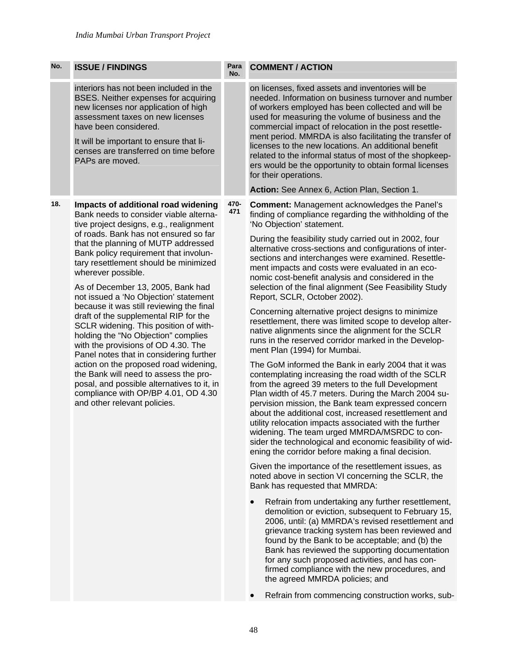| No. | <b>ISSUE / FINDINGS</b>                                                                                                                                                                                                                                                                                                                                                                                                                                                                                                                                                                                                                                                                                                                                                                                                                                      | Para<br>No. | <b>COMMENT / ACTION</b>                                                                                                                                                                                                                                                                                                                                                                                                                                                                                                                                                                                                                                                                                                                                                                                                                                                                                                                                                                                                                                                                                                                                                                                                                                                                                                                                                                                                                                                                                                                                                                                                                                                                                                                                                                                                                                                                  |
|-----|--------------------------------------------------------------------------------------------------------------------------------------------------------------------------------------------------------------------------------------------------------------------------------------------------------------------------------------------------------------------------------------------------------------------------------------------------------------------------------------------------------------------------------------------------------------------------------------------------------------------------------------------------------------------------------------------------------------------------------------------------------------------------------------------------------------------------------------------------------------|-------------|------------------------------------------------------------------------------------------------------------------------------------------------------------------------------------------------------------------------------------------------------------------------------------------------------------------------------------------------------------------------------------------------------------------------------------------------------------------------------------------------------------------------------------------------------------------------------------------------------------------------------------------------------------------------------------------------------------------------------------------------------------------------------------------------------------------------------------------------------------------------------------------------------------------------------------------------------------------------------------------------------------------------------------------------------------------------------------------------------------------------------------------------------------------------------------------------------------------------------------------------------------------------------------------------------------------------------------------------------------------------------------------------------------------------------------------------------------------------------------------------------------------------------------------------------------------------------------------------------------------------------------------------------------------------------------------------------------------------------------------------------------------------------------------------------------------------------------------------------------------------------------------|
|     | interiors has not been included in the<br>BSES. Neither expenses for acquiring<br>new licenses nor application of high<br>assessment taxes on new licenses<br>have been considered.<br>It will be important to ensure that li-<br>censes are transferred on time before<br>PAPs are moved.                                                                                                                                                                                                                                                                                                                                                                                                                                                                                                                                                                   |             | on licenses, fixed assets and inventories will be<br>needed. Information on business turnover and number<br>of workers employed has been collected and will be<br>used for measuring the volume of business and the<br>commercial impact of relocation in the post resettle-<br>ment period. MMRDA is also facilitating the transfer of<br>licenses to the new locations. An additional benefit<br>related to the informal status of most of the shopkeep-<br>ers would be the opportunity to obtain formal licenses<br>for their operations.<br>Action: See Annex 6, Action Plan, Section 1.                                                                                                                                                                                                                                                                                                                                                                                                                                                                                                                                                                                                                                                                                                                                                                                                                                                                                                                                                                                                                                                                                                                                                                                                                                                                                            |
| 18. | Impacts of additional road widening<br>Bank needs to consider viable alterna-<br>tive project designs, e.g., realignment<br>of roads. Bank has not ensured so far<br>that the planning of MUTP addressed<br>Bank policy requirement that involun-<br>tary resettlement should be minimized<br>wherever possible.<br>As of December 13, 2005, Bank had<br>not issued a 'No Objection' statement<br>because it was still reviewing the final<br>draft of the supplemental RIP for the<br>SCLR widening. This position of with-<br>holding the "No Objection" complies<br>with the provisions of OD 4.30. The<br>Panel notes that in considering further<br>action on the proposed road widening,<br>the Bank will need to assess the pro-<br>posal, and possible alternatives to it, in<br>compliance with OP/BP 4.01, OD 4.30<br>and other relevant policies. | 470-<br>471 | <b>Comment: Management acknowledges the Panel's</b><br>finding of compliance regarding the withholding of the<br>'No Objection' statement.<br>During the feasibility study carried out in 2002, four<br>alternative cross-sections and configurations of inter-<br>sections and interchanges were examined. Resettle-<br>ment impacts and costs were evaluated in an eco-<br>nomic cost-benefit analysis and considered in the<br>selection of the final alignment (See Feasibility Study<br>Report, SCLR, October 2002).<br>Concerning alternative project designs to minimize<br>resettlement, there was limited scope to develop alter-<br>native alignments since the alignment for the SCLR<br>runs in the reserved corridor marked in the Develop-<br>ment Plan (1994) for Mumbai.<br>The GoM informed the Bank in early 2004 that it was<br>contemplating increasing the road width of the SCLR<br>from the agreed 39 meters to the full Development<br>Plan width of 45.7 meters. During the March 2004 su-<br>pervision mission, the Bank team expressed concern<br>about the additional cost, increased resettlement and<br>utility relocation impacts associated with the further<br>widening. The team urged MMRDA/MSRDC to con-<br>sider the technological and economic feasibility of wid-<br>ening the corridor before making a final decision.<br>Given the importance of the resettlement issues, as<br>noted above in section VI concerning the SCLR, the<br>Bank has requested that MMRDA:<br>Refrain from undertaking any further resettlement,<br>demolition or eviction, subsequent to February 15,<br>2006, until: (a) MMRDA's revised resettlement and<br>grievance tracking system has been reviewed and<br>found by the Bank to be acceptable; and (b) the<br>Bank has reviewed the supporting documentation<br>for any such proposed activities, and has con- |

• Refrain from commencing construction works, sub-

the agreed MMRDA policies; and

firmed compliance with the new procedures, and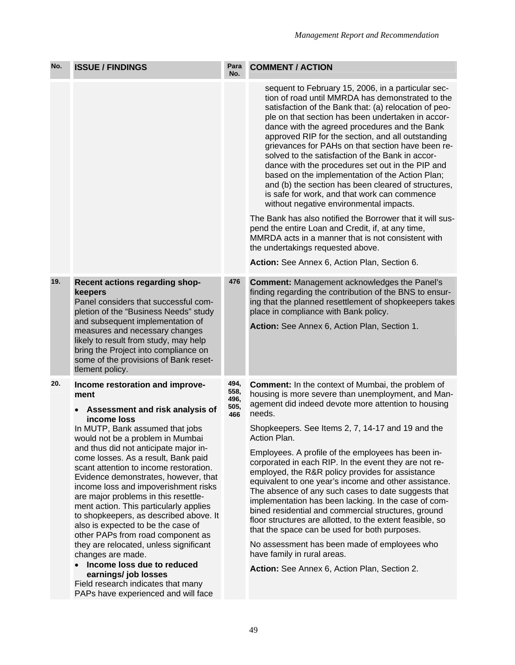| No. | <b>ISSUE / FINDINGS</b>                                                                                                                                                                                                                                                                                                                                                                                                                                                                                                                                                                               | Para<br>No.         | <b>COMMENT / ACTION</b>                                                                                                                                                                                                                                                                                                                                                                                                                                                                                                                                                                                                                                                                                                                                                                                                                                                                                                                                   |
|-----|-------------------------------------------------------------------------------------------------------------------------------------------------------------------------------------------------------------------------------------------------------------------------------------------------------------------------------------------------------------------------------------------------------------------------------------------------------------------------------------------------------------------------------------------------------------------------------------------------------|---------------------|-----------------------------------------------------------------------------------------------------------------------------------------------------------------------------------------------------------------------------------------------------------------------------------------------------------------------------------------------------------------------------------------------------------------------------------------------------------------------------------------------------------------------------------------------------------------------------------------------------------------------------------------------------------------------------------------------------------------------------------------------------------------------------------------------------------------------------------------------------------------------------------------------------------------------------------------------------------|
|     |                                                                                                                                                                                                                                                                                                                                                                                                                                                                                                                                                                                                       |                     | sequent to February 15, 2006, in a particular sec-<br>tion of road until MMRDA has demonstrated to the<br>satisfaction of the Bank that: (a) relocation of peo-<br>ple on that section has been undertaken in accor-<br>dance with the agreed procedures and the Bank<br>approved RIP for the section, and all outstanding<br>grievances for PAHs on that section have been re-<br>solved to the satisfaction of the Bank in accor-<br>dance with the procedures set out in the PIP and<br>based on the implementation of the Action Plan;<br>and (b) the section has been cleared of structures,<br>is safe for work, and that work can commence<br>without negative environmental impacts.<br>The Bank has also notified the Borrower that it will sus-<br>pend the entire Loan and Credit, if, at any time,<br>MMRDA acts in a manner that is not consistent with<br>the undertakings requested above.<br>Action: See Annex 6, Action Plan, Section 6. |
| 19. | Recent actions regarding shop-                                                                                                                                                                                                                                                                                                                                                                                                                                                                                                                                                                        | 476                 | <b>Comment:</b> Management acknowledges the Panel's                                                                                                                                                                                                                                                                                                                                                                                                                                                                                                                                                                                                                                                                                                                                                                                                                                                                                                       |
|     | keepers<br>Panel considers that successful com-<br>pletion of the "Business Needs" study<br>and subsequent implementation of<br>measures and necessary changes<br>likely to result from study, may help<br>bring the Project into compliance on<br>some of the provisions of Bank reset-<br>tlement policy.                                                                                                                                                                                                                                                                                           |                     | finding regarding the contribution of the BNS to ensur-<br>ing that the planned resettlement of shopkeepers takes<br>place in compliance with Bank policy.<br>Action: See Annex 6, Action Plan, Section 1.                                                                                                                                                                                                                                                                                                                                                                                                                                                                                                                                                                                                                                                                                                                                                |
| 20. | Income restoration and improve-<br>ment                                                                                                                                                                                                                                                                                                                                                                                                                                                                                                                                                               | 494,<br>558,        | <b>Comment:</b> In the context of Mumbai, the problem of<br>housing is more severe than unemployment, and Man-                                                                                                                                                                                                                                                                                                                                                                                                                                                                                                                                                                                                                                                                                                                                                                                                                                            |
|     | Assessment and risk analysis of<br>income loss<br>In MUTP, Bank assumed that jobs<br>would not be a problem in Mumbai<br>and thus did not anticipate major in-<br>come losses. As a result, Bank paid<br>scant attention to income restoration.<br>Evidence demonstrates, however, that<br>income loss and impoverishment risks<br>are major problems in this resettle-<br>ment action. This particularly applies<br>to shopkeepers, as described above. It<br>also is expected to be the case of<br>other PAPs from road component as<br>they are relocated, unless significant<br>changes are made. | 496,<br>505,<br>466 | agement did indeed devote more attention to housing<br>needs.                                                                                                                                                                                                                                                                                                                                                                                                                                                                                                                                                                                                                                                                                                                                                                                                                                                                                             |
|     |                                                                                                                                                                                                                                                                                                                                                                                                                                                                                                                                                                                                       |                     | Shopkeepers. See Items 2, 7, 14-17 and 19 and the<br>Action Plan.                                                                                                                                                                                                                                                                                                                                                                                                                                                                                                                                                                                                                                                                                                                                                                                                                                                                                         |
|     |                                                                                                                                                                                                                                                                                                                                                                                                                                                                                                                                                                                                       |                     | Employees. A profile of the employees has been in-<br>corporated in each RIP. In the event they are not re-<br>employed, the R&R policy provides for assistance<br>equivalent to one year's income and other assistance.<br>The absence of any such cases to date suggests that<br>implementation has been lacking. In the case of com-<br>bined residential and commercial structures, ground<br>floor structures are allotted, to the extent feasible, so<br>that the space can be used for both purposes.<br>No assessment has been made of employees who<br>have family in rural areas.                                                                                                                                                                                                                                                                                                                                                               |
|     | Income loss due to reduced<br>earnings/ job losses                                                                                                                                                                                                                                                                                                                                                                                                                                                                                                                                                    |                     | Action: See Annex 6, Action Plan, Section 2.                                                                                                                                                                                                                                                                                                                                                                                                                                                                                                                                                                                                                                                                                                                                                                                                                                                                                                              |
|     | Field research indicates that many<br>PAPs have experienced and will face                                                                                                                                                                                                                                                                                                                                                                                                                                                                                                                             |                     |                                                                                                                                                                                                                                                                                                                                                                                                                                                                                                                                                                                                                                                                                                                                                                                                                                                                                                                                                           |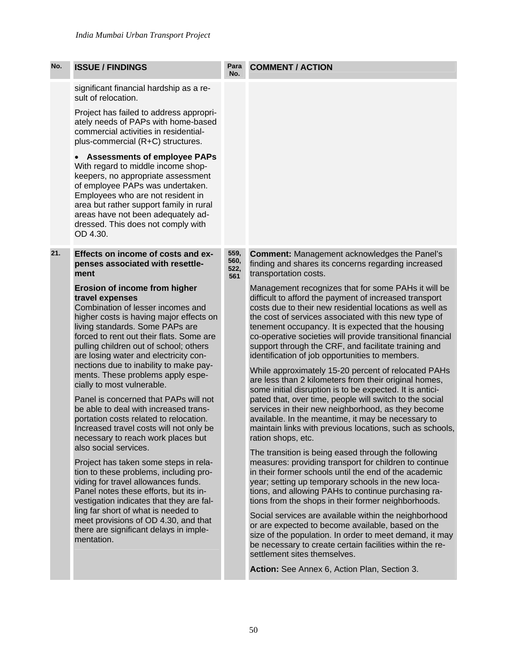| No. | <b>ISSUE / FINDINGS</b>                                                                                                                                                                                                                                                                                                                                                           | Para<br>No.                 | <b>COMMENT / ACTION</b>                                                                                                                                                                                                                                                                                                                                                                                                                                                                                                  |
|-----|-----------------------------------------------------------------------------------------------------------------------------------------------------------------------------------------------------------------------------------------------------------------------------------------------------------------------------------------------------------------------------------|-----------------------------|--------------------------------------------------------------------------------------------------------------------------------------------------------------------------------------------------------------------------------------------------------------------------------------------------------------------------------------------------------------------------------------------------------------------------------------------------------------------------------------------------------------------------|
|     | significant financial hardship as a re-<br>sult of relocation.                                                                                                                                                                                                                                                                                                                    |                             |                                                                                                                                                                                                                                                                                                                                                                                                                                                                                                                          |
|     | Project has failed to address appropri-<br>ately needs of PAPs with home-based<br>commercial activities in residential-<br>plus-commercial (R+C) structures.                                                                                                                                                                                                                      |                             |                                                                                                                                                                                                                                                                                                                                                                                                                                                                                                                          |
|     | <b>Assessments of employee PAPs</b><br>With regard to middle income shop-<br>keepers, no appropriate assessment<br>of employee PAPs was undertaken.<br>Employees who are not resident in<br>area but rather support family in rural<br>areas have not been adequately ad-<br>dressed. This does not comply with<br>OD 4.30.                                                       |                             |                                                                                                                                                                                                                                                                                                                                                                                                                                                                                                                          |
| 21. | Effects on income of costs and ex-<br>penses associated with resettle-<br>ment                                                                                                                                                                                                                                                                                                    | 559,<br>560,<br>522,<br>561 | <b>Comment: Management acknowledges the Panel's</b><br>finding and shares its concerns regarding increased<br>transportation costs.                                                                                                                                                                                                                                                                                                                                                                                      |
|     | Erosion of income from higher<br>travel expenses<br>Combination of lesser incomes and<br>higher costs is having major effects on<br>living standards. Some PAPs are<br>forced to rent out their flats. Some are<br>pulling children out of school; others<br>are losing water and electricity con-<br>nections due to inability to make pay-<br>ments. These problems apply espe- |                             | Management recognizes that for some PAHs it will be<br>difficult to afford the payment of increased transport<br>costs due to their new residential locations as well as<br>the cost of services associated with this new type of<br>tenement occupancy. It is expected that the housing<br>co-operative societies will provide transitional financial<br>support through the CRF, and facilitate training and<br>identification of job opportunities to members.<br>While approximately 15-20 percent of relocated PAHs |
|     | cially to most vulnerable.<br>Panel is concerned that PAPs will not<br>be able to deal with increased trans-<br>portation costs related to relocation.<br>Increased travel costs will not only be<br>necessary to reach work places but                                                                                                                                           |                             | are less than 2 kilometers from their original homes,<br>some initial disruption is to be expected. It is antici-<br>pated that, over time, people will switch to the social<br>services in their new neighborhood, as they become<br>available. In the meantime, it may be necessary to<br>maintain links with previous locations, such as schools,<br>ration shops, etc.                                                                                                                                               |
|     | also social services.<br>Project has taken some steps in rela-<br>tion to these problems, including pro-<br>viding for travel allowances funds.<br>Panel notes these efforts, but its in-<br>vestigation indicates that they are fal-                                                                                                                                             |                             | The transition is being eased through the following<br>measures: providing transport for children to continue<br>in their former schools until the end of the academic<br>year; setting up temporary schools in the new loca-<br>tions, and allowing PAHs to continue purchasing ra-<br>tions from the shops in their former neighborhoods.                                                                                                                                                                              |
|     | ling far short of what is needed to<br>meet provisions of OD 4.30, and that<br>there are significant delays in imple-<br>mentation.                                                                                                                                                                                                                                               |                             | Social services are available within the neighborhood<br>or are expected to become available, based on the<br>size of the population. In order to meet demand, it may<br>be necessary to create certain facilities within the re-<br>settlement sites themselves.                                                                                                                                                                                                                                                        |
|     |                                                                                                                                                                                                                                                                                                                                                                                   |                             | Action: See Annex 6, Action Plan, Section 3.                                                                                                                                                                                                                                                                                                                                                                                                                                                                             |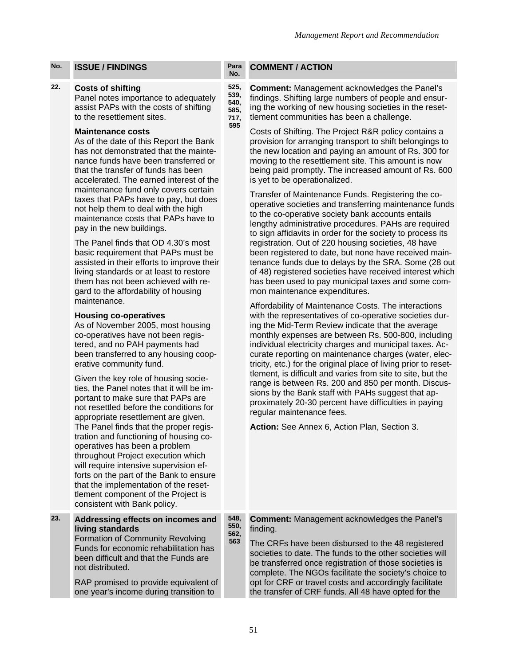# **22. Costs of shifting**

Panel notes importance to adequately assist PAPs with the costs of shifting to the resettlement sites.

## **Maintenance costs**

As of the date of this Report the Bank has not demonstrated that the maintenance funds have been transferred or that the transfer of funds has been accelerated. The earned interest of the maintenance fund only covers certain taxes that PAPs have to pay, but does not help them to deal with the high maintenance costs that PAPs have to pay in the new buildings.

The Panel finds that OD 4.30's most basic requirement that PAPs must be assisted in their efforts to improve their living standards or at least to restore them has not been achieved with regard to the affordability of housing maintenance.

## **Housing co-operatives**

As of November 2005, most housing co-operatives have not been registered, and no PAH payments had been transferred to any housing cooperative community fund.

Given the key role of housing societies, the Panel notes that it will be important to make sure that PAPs are not resettled before the conditions for appropriate resettlement are given. The Panel finds that the proper registration and functioning of housing cooperatives has been a problem throughout Project execution which will require intensive supervision efforts on the part of the Bank to ensure that the implementation of the resettlement component of the Project is consistent with Bank policy.

| 23. | Addressing effects on incomes and<br>living standards | 548.<br>550.<br>562, |
|-----|-------------------------------------------------------|----------------------|
|     | Formation of Community Revolving                      | 563                  |
|     | Funds for economic rehabilitation has                 |                      |
|     | been difficult and that the Funds are                 |                      |
|     | not distributed.                                      |                      |

RAP promised to provide equivalent of one year's income during transition to

#### **No. COMMENT / ACTION**

**525, 539, 540, 585, 717, 595** 

**Comment:** Management acknowledges the Panel's findings. Shifting large numbers of people and ensuring the working of new housing societies in the resettlement communities has been a challenge.

Costs of Shifting. The Project R&R policy contains a provision for arranging transport to shift belongings to the new location and paying an amount of Rs. 300 for moving to the resettlement site. This amount is now being paid promptly. The increased amount of Rs. 600 is yet to be operationalized.

Transfer of Maintenance Funds. Registering the cooperative societies and transferring maintenance funds to the co-operative society bank accounts entails lengthy administrative procedures. PAHs are required to sign affidavits in order for the society to process its registration. Out of 220 housing societies, 48 have been registered to date, but none have received maintenance funds due to delays by the SRA. Some (28 out of 48) registered societies have received interest which has been used to pay municipal taxes and some common maintenance expenditures.

Affordability of Maintenance Costs. The interactions with the representatives of co-operative societies during the Mid-Term Review indicate that the average monthly expenses are between Rs. 500-800, including individual electricity charges and municipal taxes. Accurate reporting on maintenance charges (water, electricity, etc.) for the original place of living prior to resettlement, is difficult and varies from site to site, but the range is between Rs. 200 and 850 per month. Discussions by the Bank staff with PAHs suggest that approximately 20-30 percent have difficulties in paying regular maintenance fees.

**Action:** See Annex 6, Action Plan, Section 3.

**Comment:** Management acknowledges the Panel's finding.

The CRFs have been disbursed to the 48 registered societies to date. The funds to the other societies will be transferred once registration of those societies is complete. The NGOs facilitate the society's choice to opt for CRF or travel costs and accordingly facilitate the transfer of CRF funds. All 48 have opted for the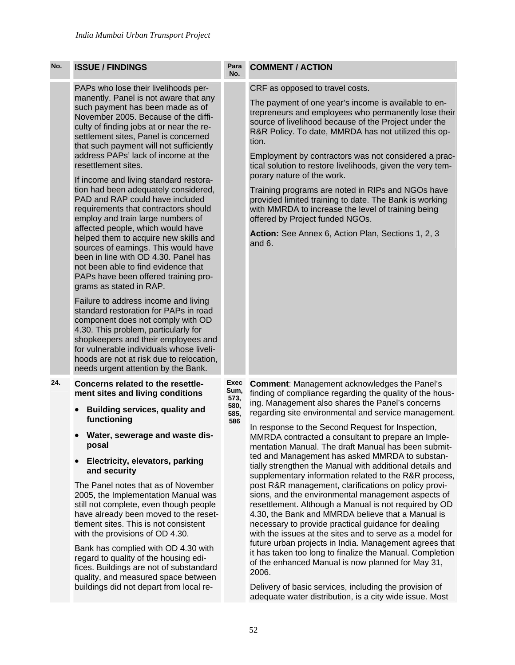quality, and measured space between buildings did not depart from local re-

| No. | <b>ISSUE / FINDINGS</b>                                                                                                                                                                                                                                                                                                                                                                                                                                                                                                                                                                                                                                                                                                                                                                                                                                                                                                                                                                                                                                                                                                                                              | Para<br>No.                                 | <b>COMMENT / ACTION</b>                                                                                                                                                                                                                                                                                                                                                                                                                                                                                                                                                                                                                                                                                                                                                                                                                                                                                                                                                                                                                                                                                |
|-----|----------------------------------------------------------------------------------------------------------------------------------------------------------------------------------------------------------------------------------------------------------------------------------------------------------------------------------------------------------------------------------------------------------------------------------------------------------------------------------------------------------------------------------------------------------------------------------------------------------------------------------------------------------------------------------------------------------------------------------------------------------------------------------------------------------------------------------------------------------------------------------------------------------------------------------------------------------------------------------------------------------------------------------------------------------------------------------------------------------------------------------------------------------------------|---------------------------------------------|--------------------------------------------------------------------------------------------------------------------------------------------------------------------------------------------------------------------------------------------------------------------------------------------------------------------------------------------------------------------------------------------------------------------------------------------------------------------------------------------------------------------------------------------------------------------------------------------------------------------------------------------------------------------------------------------------------------------------------------------------------------------------------------------------------------------------------------------------------------------------------------------------------------------------------------------------------------------------------------------------------------------------------------------------------------------------------------------------------|
|     | PAPs who lose their livelihoods per-<br>manently. Panel is not aware that any<br>such payment has been made as of<br>November 2005. Because of the diffi-<br>culty of finding jobs at or near the re-<br>settlement sites, Panel is concerned<br>that such payment will not sufficiently<br>address PAPs' lack of income at the<br>resettlement sites.<br>If income and living standard restora-<br>tion had been adequately considered,<br>PAD and RAP could have included<br>requirements that contractors should<br>employ and train large numbers of<br>affected people, which would have<br>helped them to acquire new skills and<br>sources of earnings. This would have<br>been in line with OD 4.30. Panel has<br>not been able to find evidence that<br>PAPs have been offered training pro-<br>grams as stated in RAP.<br>Failure to address income and living<br>standard restoration for PAPs in road<br>component does not comply with OD<br>4.30. This problem, particularly for<br>shopkeepers and their employees and<br>for vulnerable individuals whose liveli-<br>hoods are not at risk due to relocation,<br>needs urgent attention by the Bank. |                                             | CRF as opposed to travel costs.<br>The payment of one year's income is available to en-<br>trepreneurs and employees who permanently lose their<br>source of livelihood because of the Project under the<br>R&R Policy. To date, MMRDA has not utilized this op-<br>tion.<br>Employment by contractors was not considered a prac-<br>tical solution to restore livelihoods, given the very tem-<br>porary nature of the work.<br>Training programs are noted in RIPs and NGOs have<br>provided limited training to date. The Bank is working<br>with MMRDA to increase the level of training being<br>offered by Project funded NGOs.<br>Action: See Annex 6, Action Plan, Sections 1, 2, 3<br>and 6.                                                                                                                                                                                                                                                                                                                                                                                                  |
| 24. | Concerns related to the resettle-<br>ment sites and living conditions<br><b>Building services, quality and</b><br>functioning<br>Water, sewerage and waste dis-<br>posal<br>Electricity, elevators, parking<br>and security<br>The Panel notes that as of November<br>2005, the Implementation Manual was<br>still not complete, even though people<br>have already been moved to the reset-<br>tlement sites. This is not consistent<br>with the provisions of OD 4.30.<br>Bank has complied with OD 4.30 with<br>regard to quality of the housing edi-<br>fices. Buildings are not of substandard                                                                                                                                                                                                                                                                                                                                                                                                                                                                                                                                                                  | Exec<br>Sum,<br>573,<br>580,<br>585,<br>586 | <b>Comment: Management acknowledges the Panel's</b><br>finding of compliance regarding the quality of the hous-<br>ing. Management also shares the Panel's concerns<br>regarding site environmental and service management.<br>In response to the Second Request for Inspection,<br>MMRDA contracted a consultant to prepare an Imple-<br>mentation Manual. The draft Manual has been submit-<br>ted and Management has asked MMRDA to substan-<br>tially strengthen the Manual with additional details and<br>supplementary information related to the R&R process,<br>post R&R management, clarifications on policy provi-<br>sions, and the environmental management aspects of<br>resettlement. Although a Manual is not required by OD<br>4.30, the Bank and MMRDA believe that a Manual is<br>necessary to provide practical guidance for dealing<br>with the issues at the sites and to serve as a model for<br>future urban projects in India. Management agrees that<br>it has taken too long to finalize the Manual. Completion<br>of the enhanced Manual is now planned for May 31,<br>∍∩∩ר |

Delivery of basic services, including the provision of adequate water distribution, is a city wide issue. Most

2006.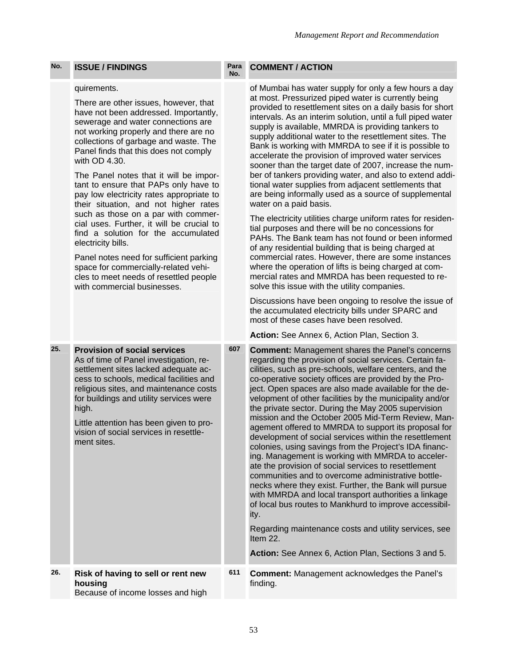### quirements.

There are other issues, however, that have not been addressed. Importantly, sewerage and water connections are not working properly and there are no collections of garbage and waste. The Panel finds that this does not comply with OD 4.30.

The Panel notes that it will be important to ensure that PAPs only have to pay low electricity rates appropriate to their situation, and not higher rates such as those on a par with commercial uses. Further, it will be crucial to find a solution for the accumulated electricity bills.

Panel notes need for sufficient parking space for commercially-related vehicles to meet needs of resettled people with commercial businesses.

#### **No. COMMENT / ACTION**

of Mumbai has water supply for only a few hours a day at most. Pressurized piped water is currently being provided to resettlement sites on a daily basis for short intervals. As an interim solution, until a full piped water supply is available, MMRDA is providing tankers to supply additional water to the resettlement sites. The Bank is working with MMRDA to see if it is possible to accelerate the provision of improved water services sooner than the target date of 2007, increase the number of tankers providing water, and also to extend additional water supplies from adjacent settlements that are being informally used as a source of supplemental water on a paid basis.

The electricity utilities charge uniform rates for residential purposes and there will be no concessions for PAHs. The Bank team has not found or been informed of any residential building that is being charged at commercial rates. However, there are some instances where the operation of lifts is being charged at commercial rates and MMRDA has been requested to resolve this issue with the utility companies.

Discussions have been ongoing to resolve the issue of the accumulated electricity bills under SPARC and most of these cases have been resolved.

**Action:** See Annex 6, Action Plan, Section 3.

| 25. | <b>Provision of social services</b><br>As of time of Panel investigation, re-<br>settlement sites lacked adequate ac-<br>cess to schools, medical facilities and<br>religious sites, and maintenance costs<br>for buildings and utility services were<br>high.<br>Little attention has been given to pro-<br>vision of social services in resettle-<br>ment sites. | 607 | <b>Comment:</b> Management shares the Panel's concerns<br>regarding the provision of social services. Certain fa-<br>cilities, such as pre-schools, welfare centers, and the<br>co-operative society offices are provided by the Pro-<br>ject. Open spaces are also made available for the de-<br>velopment of other facilities by the municipality and/or<br>the private sector. During the May 2005 supervision<br>mission and the October 2005 Mid-Term Review, Man-<br>agement offered to MMRDA to support its proposal for<br>development of social services within the resettlement<br>colonies, using savings from the Project's IDA financ-<br>ing. Management is working with MMRDA to acceler-<br>ate the provision of social services to resettlement<br>communities and to overcome administrative bottle-<br>necks where they exist. Further, the Bank will pursue<br>with MMRDA and local transport authorities a linkage<br>of local bus routes to Mankhurd to improve accessibil-<br>ity.<br>Regarding maintenance costs and utility services, see<br>Item 22.<br>Action: See Annex 6, Action Plan, Sections 3 and 5. |
|-----|--------------------------------------------------------------------------------------------------------------------------------------------------------------------------------------------------------------------------------------------------------------------------------------------------------------------------------------------------------------------|-----|---------------------------------------------------------------------------------------------------------------------------------------------------------------------------------------------------------------------------------------------------------------------------------------------------------------------------------------------------------------------------------------------------------------------------------------------------------------------------------------------------------------------------------------------------------------------------------------------------------------------------------------------------------------------------------------------------------------------------------------------------------------------------------------------------------------------------------------------------------------------------------------------------------------------------------------------------------------------------------------------------------------------------------------------------------------------------------------------------------------------------------------|
| 26. | Risk of having to sell or rent new<br>housing<br>Because of income losses and high                                                                                                                                                                                                                                                                                 | 611 | <b>Comment: Management acknowledges the Panel's</b><br>finding.                                                                                                                                                                                                                                                                                                                                                                                                                                                                                                                                                                                                                                                                                                                                                                                                                                                                                                                                                                                                                                                                       |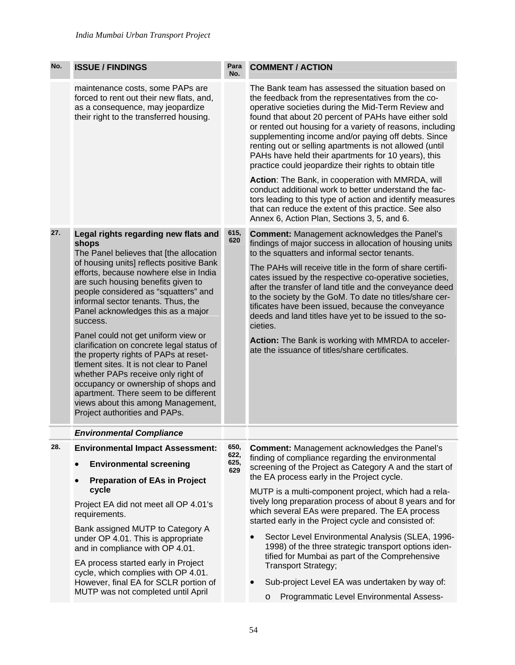| No. | <b>ISSUE / FINDINGS</b>                                                                                                                                                                                                                                                                                                                                                                                                                                                                                                                                                                                                                                                                                                   | Para<br>No.                 | <b>COMMENT / ACTION</b>                                                                                                                                                                                                                                                                                                                                                                                                                                                                                                                                                                                                                                                                                                                                                                                  |
|-----|---------------------------------------------------------------------------------------------------------------------------------------------------------------------------------------------------------------------------------------------------------------------------------------------------------------------------------------------------------------------------------------------------------------------------------------------------------------------------------------------------------------------------------------------------------------------------------------------------------------------------------------------------------------------------------------------------------------------------|-----------------------------|----------------------------------------------------------------------------------------------------------------------------------------------------------------------------------------------------------------------------------------------------------------------------------------------------------------------------------------------------------------------------------------------------------------------------------------------------------------------------------------------------------------------------------------------------------------------------------------------------------------------------------------------------------------------------------------------------------------------------------------------------------------------------------------------------------|
|     | maintenance costs, some PAPs are<br>forced to rent out their new flats, and,<br>as a consequence, may jeopardize<br>their right to the transferred housing.                                                                                                                                                                                                                                                                                                                                                                                                                                                                                                                                                               |                             | The Bank team has assessed the situation based on<br>the feedback from the representatives from the co-<br>operative societies during the Mid-Term Review and<br>found that about 20 percent of PAHs have either sold<br>or rented out housing for a variety of reasons, including<br>supplementing income and/or paying off debts. Since<br>renting out or selling apartments is not allowed (until<br>PAHs have held their apartments for 10 years), this<br>practice could jeopardize their rights to obtain title<br>Action: The Bank, in cooperation with MMRDA, will<br>conduct additional work to better understand the fac-<br>tors leading to this type of action and identify measures<br>that can reduce the extent of this practice. See also<br>Annex 6, Action Plan, Sections 3, 5, and 6. |
| 27. | Legal rights regarding new flats and<br>shops<br>The Panel believes that [the allocation<br>of housing units] reflects positive Bank<br>efforts, because nowhere else in India<br>are such housing benefits given to<br>people considered as "squatters" and<br>informal sector tenants. Thus, the<br>Panel acknowledges this as a major<br>success.<br>Panel could not get uniform view or<br>clarification on concrete legal status of<br>the property rights of PAPs at reset-<br>tlement sites. It is not clear to Panel<br>whether PAPs receive only right of<br>occupancy or ownership of shops and<br>apartment. There seem to be different<br>views about this among Management,<br>Project authorities and PAPs. | 615,<br>620                 | <b>Comment: Management acknowledges the Panel's</b><br>findings of major success in allocation of housing units<br>to the squatters and informal sector tenants.<br>The PAHs will receive title in the form of share certifi-<br>cates issued by the respective co-operative societies,<br>after the transfer of land title and the conveyance deed<br>to the society by the GoM. To date no titles/share cer-<br>tificates have been issued, because the conveyance<br>deeds and land titles have yet to be issued to the so-<br>cieties.<br>Action: The Bank is working with MMRDA to acceler-<br>ate the issuance of titles/share certificates.                                                                                                                                                       |
|     | <b>Environmental Compliance</b>                                                                                                                                                                                                                                                                                                                                                                                                                                                                                                                                                                                                                                                                                           |                             |                                                                                                                                                                                                                                                                                                                                                                                                                                                                                                                                                                                                                                                                                                                                                                                                          |
| 28. | <b>Environmental Impact Assessment:</b><br><b>Environmental screening</b><br>$\bullet$<br><b>Preparation of EAs in Project</b><br>cycle<br>Project EA did not meet all OP 4.01's<br>requirements.<br>Bank assigned MUTP to Category A<br>under OP 4.01. This is appropriate<br>and in compliance with OP 4.01.<br>EA process started early in Project<br>cycle, which complies with OP 4.01.<br>However, final EA for SCLR portion of<br>MUTP was not completed until April                                                                                                                                                                                                                                               | 650,<br>622,<br>625,<br>629 | <b>Comment: Management acknowledges the Panel's</b><br>finding of compliance regarding the environmental<br>screening of the Project as Category A and the start of<br>the EA process early in the Project cycle.<br>MUTP is a multi-component project, which had a rela-<br>tively long preparation process of about 8 years and for<br>which several EAs were prepared. The EA process<br>started early in the Project cycle and consisted of:<br>Sector Level Environmental Analysis (SLEA, 1996-<br>1998) of the three strategic transport options iden-<br>tified for Mumbai as part of the Comprehensive<br><b>Transport Strategy;</b><br>Sub-project Level EA was undertaken by way of:<br>Programmatic Level Environmental Assess-<br>$\circ$                                                    |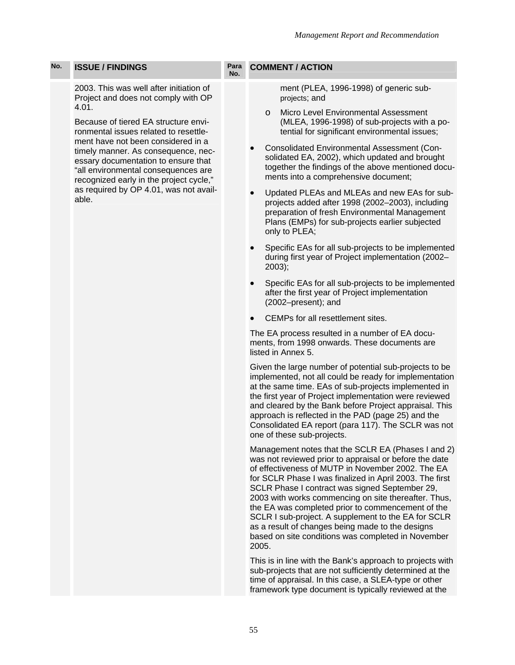2003. This was well after initiation of Project and does not comply with OP 4.01.

Because of tiered EA structure environmental issues related to resettlement have not been considered in a timely manner. As consequence, necessary documentation to ensure that "all environmental consequences are recognized early in the project cycle," as required by OP 4.01, was not available.

#### **No. COMMENT / ACTION**

ment (PLEA, 1996-1998) of generic subprojects; and

- o Micro Level Environmental Assessment (MLEA, 1996-1998) of sub-projects with a potential for significant environmental issues;
- Consolidated Environmental Assessment (Consolidated EA, 2002), which updated and brought together the findings of the above mentioned documents into a comprehensive document;
- Updated PLEAs and MLEAs and new EAs for subprojects added after 1998 (2002–2003), including preparation of fresh Environmental Management Plans (EMPs) for sub-projects earlier subjected only to PLEA;
- Specific EAs for all sub-projects to be implemented during first year of Project implementation (2002– 2003);
- Specific EAs for all sub-projects to be implemented after the first year of Project implementation (2002–present); and
- CEMPs for all resettlement sites.

The EA process resulted in a number of EA documents, from 1998 onwards. These documents are listed in Annex 5.

Given the large number of potential sub-projects to be implemented, not all could be ready for implementation at the same time. EAs of sub-projects implemented in the first year of Project implementation were reviewed and cleared by the Bank before Project appraisal. This approach is reflected in the PAD (page 25) and the Consolidated EA report (para 117). The SCLR was not one of these sub-projects.

Management notes that the SCLR EA (Phases I and 2) was not reviewed prior to appraisal or before the date of effectiveness of MUTP in November 2002. The EA for SCLR Phase I was finalized in April 2003. The first SCLR Phase I contract was signed September 29, 2003 with works commencing on site thereafter. Thus, the EA was completed prior to commencement of the SCLR I sub-project. A supplement to the EA for SCLR as a result of changes being made to the designs based on site conditions was completed in November 2005.

This is in line with the Bank's approach to projects with sub-projects that are not sufficiently determined at the time of appraisal. In this case, a SLEA-type or other framework type document is typically reviewed at the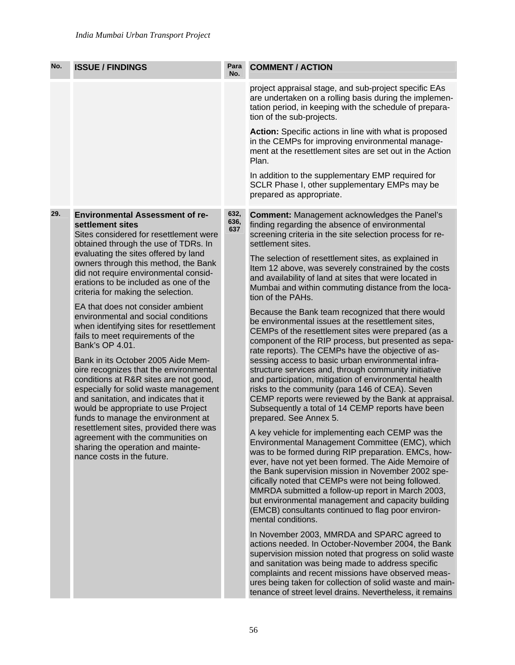| No. | <b>ISSUE / FINDINGS</b>                                                                                                                                                                                                                                                                                                                                                                                                                | Para<br>No.         | <b>COMMENT / ACTION</b>                                                                                                                                                                                                                                                                                                                                                                                                                                                                                               |
|-----|----------------------------------------------------------------------------------------------------------------------------------------------------------------------------------------------------------------------------------------------------------------------------------------------------------------------------------------------------------------------------------------------------------------------------------------|---------------------|-----------------------------------------------------------------------------------------------------------------------------------------------------------------------------------------------------------------------------------------------------------------------------------------------------------------------------------------------------------------------------------------------------------------------------------------------------------------------------------------------------------------------|
|     |                                                                                                                                                                                                                                                                                                                                                                                                                                        |                     | project appraisal stage, and sub-project specific EAs<br>are undertaken on a rolling basis during the implemen-<br>tation period, in keeping with the schedule of prepara-<br>tion of the sub-projects.                                                                                                                                                                                                                                                                                                               |
|     |                                                                                                                                                                                                                                                                                                                                                                                                                                        |                     | Action: Specific actions in line with what is proposed<br>in the CEMPs for improving environmental manage-<br>ment at the resettlement sites are set out in the Action<br>Plan.                                                                                                                                                                                                                                                                                                                                       |
|     |                                                                                                                                                                                                                                                                                                                                                                                                                                        |                     | In addition to the supplementary EMP required for<br>SCLR Phase I, other supplementary EMPs may be<br>prepared as appropriate.                                                                                                                                                                                                                                                                                                                                                                                        |
| 29. | <b>Environmental Assessment of re-</b><br>settlement sites<br>Sites considered for resettlement were<br>obtained through the use of TDRs. In<br>evaluating the sites offered by land<br>owners through this method, the Bank<br>did not require environmental consid-<br>erations to be included as one of the<br>criteria for making the selection.                                                                                   | 632,<br>636,<br>637 | <b>Comment: Management acknowledges the Panel's</b><br>finding regarding the absence of environmental<br>screening criteria in the site selection process for re-<br>settlement sites.                                                                                                                                                                                                                                                                                                                                |
|     |                                                                                                                                                                                                                                                                                                                                                                                                                                        |                     | The selection of resettlement sites, as explained in<br>Item 12 above, was severely constrained by the costs<br>and availability of land at sites that were located in<br>Mumbai and within commuting distance from the loca-<br>tion of the PAHs.                                                                                                                                                                                                                                                                    |
|     | EA that does not consider ambient<br>environmental and social conditions<br>when identifying sites for resettlement<br>fails to meet requirements of the<br>Bank's OP 4.01.                                                                                                                                                                                                                                                            |                     | Because the Bank team recognized that there would<br>be environmental issues at the resettlement sites,<br>CEMPs of the resettlement sites were prepared (as a<br>component of the RIP process, but presented as sepa-<br>rate reports). The CEMPs have the objective of as-                                                                                                                                                                                                                                          |
|     | Bank in its October 2005 Aide Mem-<br>oire recognizes that the environmental<br>conditions at R&R sites are not good,<br>especially for solid waste management<br>and sanitation, and indicates that it<br>would be appropriate to use Project<br>funds to manage the environment at<br>resettlement sites, provided there was<br>agreement with the communities on<br>sharing the operation and mainte-<br>nance costs in the future. |                     | sessing access to basic urban environmental infra-<br>structure services and, through community initiative<br>and participation, mitigation of environmental health<br>risks to the community (para 146 of CEA). Seven<br>CEMP reports were reviewed by the Bank at appraisal.<br>Subsequently a total of 14 CEMP reports have been<br>prepared. See Annex 5.                                                                                                                                                         |
|     |                                                                                                                                                                                                                                                                                                                                                                                                                                        |                     | A key vehicle for implementing each CEMP was the<br>Environmental Management Committee (EMC), which<br>was to be formed during RIP preparation. EMCs, how-<br>ever, have not yet been formed. The Aide Memoire of<br>the Bank supervision mission in November 2002 spe-<br>cifically noted that CEMPs were not being followed.<br>MMRDA submitted a follow-up report in March 2003,<br>but environmental management and capacity building<br>(EMCB) consultants continued to flag poor environ-<br>mental conditions. |
|     |                                                                                                                                                                                                                                                                                                                                                                                                                                        |                     | In November 2003, MMRDA and SPARC agreed to<br>actions needed. In October-November 2004, the Bank<br>supervision mission noted that progress on solid waste<br>and sanitation was being made to address specific<br>complaints and recent missions have observed meas-<br>ures being taken for collection of solid waste and main-<br>tenance of street level drains. Nevertheless, it remains                                                                                                                        |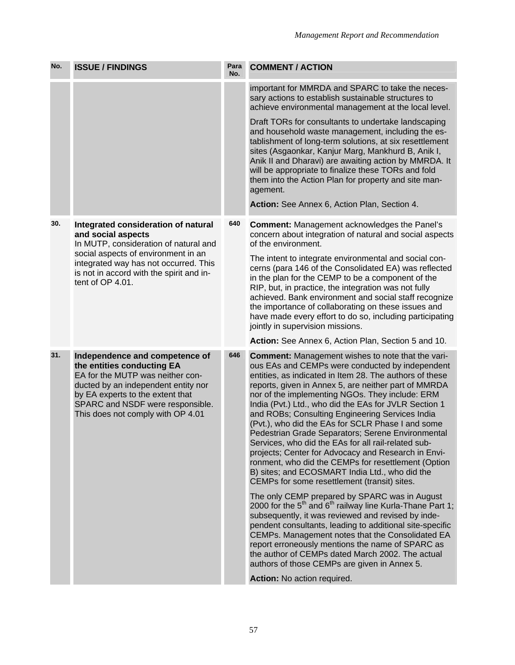| No. | <b>ISSUE / FINDINGS</b>                                                                                                                                                                                                                              | Para<br>No. | <b>COMMENT / ACTION</b>                                                                                                                                                                                                                                                                                                                                                                                                                                                                                                                                                                                                                                                  |
|-----|------------------------------------------------------------------------------------------------------------------------------------------------------------------------------------------------------------------------------------------------------|-------------|--------------------------------------------------------------------------------------------------------------------------------------------------------------------------------------------------------------------------------------------------------------------------------------------------------------------------------------------------------------------------------------------------------------------------------------------------------------------------------------------------------------------------------------------------------------------------------------------------------------------------------------------------------------------------|
|     |                                                                                                                                                                                                                                                      |             | important for MMRDA and SPARC to take the neces-<br>sary actions to establish sustainable structures to<br>achieve environmental management at the local level.                                                                                                                                                                                                                                                                                                                                                                                                                                                                                                          |
|     |                                                                                                                                                                                                                                                      |             | Draft TORs for consultants to undertake landscaping<br>and household waste management, including the es-<br>tablishment of long-term solutions, at six resettlement<br>sites (Asgaonkar, Kanjur Marg, Mankhurd B, Anik I,<br>Anik II and Dharavi) are awaiting action by MMRDA. It<br>will be appropriate to finalize these TORs and fold<br>them into the Action Plan for property and site man-<br>agement.<br>Action: See Annex 6, Action Plan, Section 4.                                                                                                                                                                                                            |
| 30. | Integrated consideration of natural<br>and social aspects<br>In MUTP, consideration of natural and<br>social aspects of environment in an<br>integrated way has not occurred. This                                                                   | 640         | <b>Comment: Management acknowledges the Panel's</b><br>concern about integration of natural and social aspects<br>of the environment.<br>The intent to integrate environmental and social con-<br>cerns (para 146 of the Consolidated EA) was reflected<br>in the plan for the CEMP to be a component of the<br>RIP, but, in practice, the integration was not fully<br>jointly in supervision missions.<br>nor of the implementing NGOs. They include: ERM<br>and ROBs; Consulting Engineering Services India                                                                                                                                                           |
|     | is not in accord with the spirit and in-<br>tent of OP 4.01.                                                                                                                                                                                         |             | achieved. Bank environment and social staff recognize<br>the importance of collaborating on these issues and<br>have made every effort to do so, including participating                                                                                                                                                                                                                                                                                                                                                                                                                                                                                                 |
|     |                                                                                                                                                                                                                                                      |             | Action: See Annex 6, Action Plan, Section 5 and 10.                                                                                                                                                                                                                                                                                                                                                                                                                                                                                                                                                                                                                      |
| 31. | Independence and competence of<br>the entities conducting EA<br>EA for the MUTP was neither con-<br>ducted by an independent entity nor<br>by EA experts to the extent that<br>SPARC and NSDF were responsible.<br>This does not comply with OP 4.01 | 646         | <b>Comment:</b> Management wishes to note that the vari-<br>ous EAs and CEMPs were conducted by independent<br>entities, as indicated in Item 28. The authors of these<br>reports, given in Annex 5, are neither part of MMRDA<br>India (Pvt.) Ltd., who did the EAs for JVLR Section 1<br>(Pvt.), who did the EAs for SCLR Phase I and some<br>Pedestrian Grade Separators; Serene Environmental<br>Services, who did the EAs for all rail-related sub-<br>projects; Center for Advocacy and Research in Envi-<br>ronment, who did the CEMPs for resettlement (Option<br>B) sites; and ECOSMART India Ltd., who did the<br>CEMPs for some resettlement (transit) sites. |
|     |                                                                                                                                                                                                                                                      |             | The only CEMP prepared by SPARC was in August<br>2000 for the $5th$ and $6th$ railway line Kurla-Thane Part 1;<br>subsequently, it was reviewed and revised by inde-<br>pendent consultants, leading to additional site-specific<br>CEMPs. Management notes that the Consolidated EA<br>report erroneously mentions the name of SPARC as<br>the author of CEMPs dated March 2002. The actual<br>authors of those CEMPs are given in Annex 5.                                                                                                                                                                                                                             |
|     |                                                                                                                                                                                                                                                      |             | Action: No action required.                                                                                                                                                                                                                                                                                                                                                                                                                                                                                                                                                                                                                                              |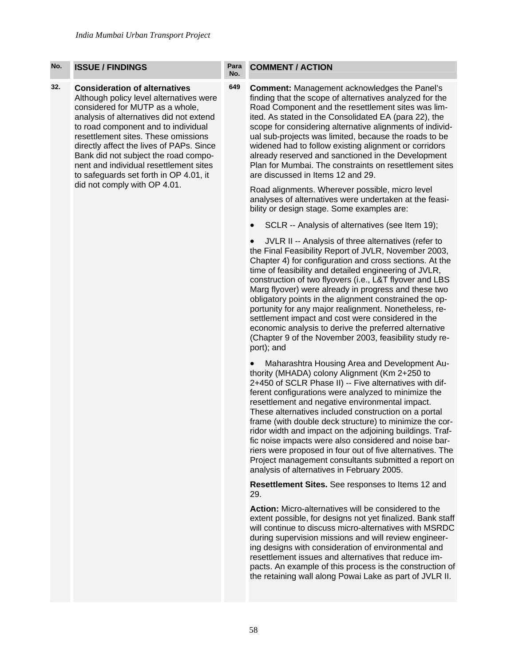**32. Consideration of alternatives**  Although policy level alternatives were considered for MUTP as a whole, analysis of alternatives did not extend to road component and to individual resettlement sites. These omissions directly affect the lives of PAPs. Since Bank did not subject the road component and individual resettlement sites to safeguards set forth in OP 4.01, it did not comply with OP 4.01.

#### **No. COMMENT / ACTION**

**649 Comment:** Management acknowledges the Panel's finding that the scope of alternatives analyzed for the Road Component and the resettlement sites was limited. As stated in the Consolidated EA (para 22), the scope for considering alternative alignments of individual sub-projects was limited, because the roads to be widened had to follow existing alignment or corridors already reserved and sanctioned in the Development Plan for Mumbai. The constraints on resettlement sites are discussed in Items 12 and 29.

Road alignments. Wherever possible, micro level analyses of alternatives were undertaken at the feasibility or design stage. Some examples are:

SCLR -- Analysis of alternatives (see Item 19);

• JVLR II -- Analysis of three alternatives (refer to the Final Feasibility Report of JVLR, November 2003, Chapter 4) for configuration and cross sections. At the time of feasibility and detailed engineering of JVLR, construction of two flyovers (i.e., L&T flyover and LBS Marg flyover) were already in progress and these two obligatory points in the alignment constrained the opportunity for any major realignment. Nonetheless, resettlement impact and cost were considered in the economic analysis to derive the preferred alternative (Chapter 9 of the November 2003, feasibility study report); and

• Maharashtra Housing Area and Development Authority (MHADA) colony Alignment (Km 2+250 to 2+450 of SCLR Phase II) -- Five alternatives with different configurations were analyzed to minimize the resettlement and negative environmental impact. These alternatives included construction on a portal frame (with double deck structure) to minimize the corridor width and impact on the adjoining buildings. Traffic noise impacts were also considered and noise barriers were proposed in four out of five alternatives. The Project management consultants submitted a report on analysis of alternatives in February 2005.

**Resettlement Sites.** See responses to Items 12 and 29.

**Action:** Micro-alternatives will be considered to the extent possible, for designs not yet finalized. Bank staff will continue to discuss micro-alternatives with MSRDC during supervision missions and will review engineering designs with consideration of environmental and resettlement issues and alternatives that reduce impacts. An example of this process is the construction of the retaining wall along Powai Lake as part of JVLR II.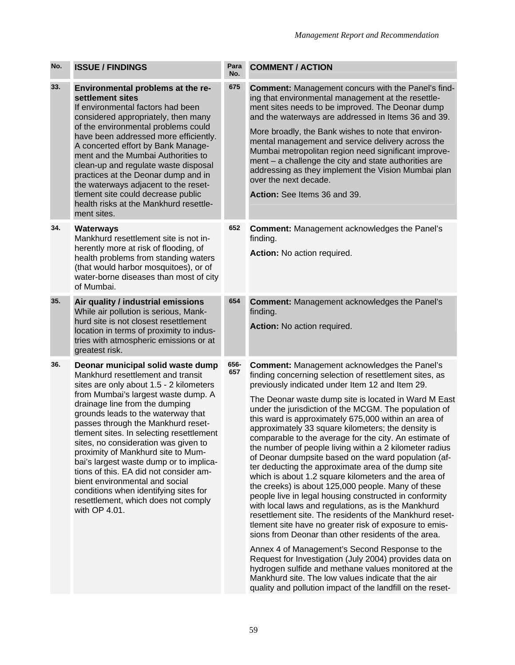| No. | <b>ISSUE / FINDINGS</b>                                                                                                                                                                                                                                                                                                                                                                                                                                                                                                                                                                                                  | Para<br>No. | <b>COMMENT / ACTION</b>                                                                                                                                                                                                                                                                                                                                                                                                                                                                                                                                                                                                                                                                                                                                                                                                                                                                                                                                                                                                                                                                                                                                                                                                                                                                                                                 |
|-----|--------------------------------------------------------------------------------------------------------------------------------------------------------------------------------------------------------------------------------------------------------------------------------------------------------------------------------------------------------------------------------------------------------------------------------------------------------------------------------------------------------------------------------------------------------------------------------------------------------------------------|-------------|-----------------------------------------------------------------------------------------------------------------------------------------------------------------------------------------------------------------------------------------------------------------------------------------------------------------------------------------------------------------------------------------------------------------------------------------------------------------------------------------------------------------------------------------------------------------------------------------------------------------------------------------------------------------------------------------------------------------------------------------------------------------------------------------------------------------------------------------------------------------------------------------------------------------------------------------------------------------------------------------------------------------------------------------------------------------------------------------------------------------------------------------------------------------------------------------------------------------------------------------------------------------------------------------------------------------------------------------|
| 33. | Environmental problems at the re-<br>settlement sites<br>If environmental factors had been<br>considered appropriately, then many<br>of the environmental problems could<br>have been addressed more efficiently.<br>A concerted effort by Bank Manage-<br>ment and the Mumbai Authorities to<br>clean-up and regulate waste disposal<br>practices at the Deonar dump and in<br>the waterways adjacent to the reset-<br>tlement site could decrease public<br>health risks at the Mankhurd resettle-<br>ment sites.                                                                                                      | 675         | <b>Comment:</b> Management concurs with the Panel's find-<br>ing that environmental management at the resettle-<br>ment sites needs to be improved. The Deonar dump<br>and the waterways are addressed in Items 36 and 39.<br>More broadly, the Bank wishes to note that environ-<br>mental management and service delivery across the<br>Mumbai metropolitan region need significant improve-<br>ment - a challenge the city and state authorities are<br>addressing as they implement the Vision Mumbai plan<br>over the next decade.<br>Action: See Items 36 and 39.                                                                                                                                                                                                                                                                                                                                                                                                                                                                                                                                                                                                                                                                                                                                                                 |
| 34. | <b>Waterways</b><br>Mankhurd resettlement site is not in-<br>herently more at risk of flooding, of<br>health problems from standing waters<br>(that would harbor mosquitoes), or of<br>water-borne diseases than most of city<br>of Mumbai.                                                                                                                                                                                                                                                                                                                                                                              | 652         | <b>Comment: Management acknowledges the Panel's</b><br>finding.<br>Action: No action required.                                                                                                                                                                                                                                                                                                                                                                                                                                                                                                                                                                                                                                                                                                                                                                                                                                                                                                                                                                                                                                                                                                                                                                                                                                          |
| 35. | Air quality / industrial emissions<br>While air pollution is serious, Mank-<br>hurd site is not closest resettlement<br>location in terms of proximity to indus-<br>tries with atmospheric emissions or at<br>greatest risk.                                                                                                                                                                                                                                                                                                                                                                                             | 654         | <b>Comment: Management acknowledges the Panel's</b><br>finding.<br>Action: No action required.                                                                                                                                                                                                                                                                                                                                                                                                                                                                                                                                                                                                                                                                                                                                                                                                                                                                                                                                                                                                                                                                                                                                                                                                                                          |
| 36. | Deonar municipal solid waste dump<br>Mankhurd resettlement and transit<br>sites are only about 1.5 - 2 kilometers<br>from Mumbai's largest waste dump. A<br>drainage line from the dumping<br>grounds leads to the waterway that<br>passes through the Mankhurd reset-<br>tlement sites. In selecting resettlement<br>sites, no consideration was given to<br>proximity of Mankhurd site to Mum-<br>bai's largest waste dump or to implica-<br>tions of this. EA did not consider am-<br>bient environmental and social<br>conditions when identifying sites for<br>resettlement, which does not comply<br>with OP 4.01. | 656-<br>657 | <b>Comment: Management acknowledges the Panel's</b><br>finding concerning selection of resettlement sites, as<br>previously indicated under Item 12 and Item 29.<br>The Deonar waste dump site is located in Ward M East<br>under the jurisdiction of the MCGM. The population of<br>this ward is approximately 675,000 within an area of<br>approximately 33 square kilometers; the density is<br>comparable to the average for the city. An estimate of<br>the number of people living within a 2 kilometer radius<br>of Deonar dumpsite based on the ward population (af-<br>ter deducting the approximate area of the dump site<br>which is about 1.2 square kilometers and the area of<br>the creeks) is about 125,000 people. Many of these<br>people live in legal housing constructed in conformity<br>with local laws and regulations, as is the Mankhurd<br>resettlement site. The residents of the Mankhurd reset-<br>tlement site have no greater risk of exposure to emis-<br>sions from Deonar than other residents of the area.<br>Annex 4 of Management's Second Response to the<br>Request for Investigation (July 2004) provides data on<br>hydrogen sulfide and methane values monitored at the<br>Mankhurd site. The low values indicate that the air<br>quality and pollution impact of the landfill on the reset- |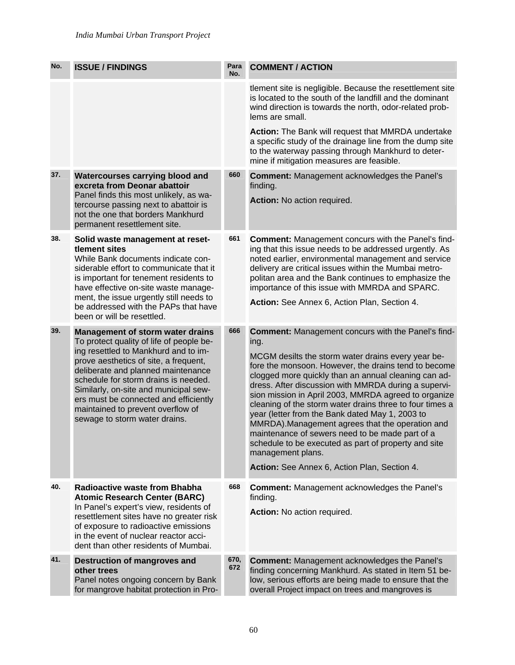| No. | <b>ISSUE / FINDINGS</b>                                                                                                                                                                                                                                                                                                                                                                                    | Para<br>No. | <b>COMMENT / ACTION</b>                                                                                                                                                                                                                                                                                                                                                                                                                                                                                                                                                                                                                                                                                    |
|-----|------------------------------------------------------------------------------------------------------------------------------------------------------------------------------------------------------------------------------------------------------------------------------------------------------------------------------------------------------------------------------------------------------------|-------------|------------------------------------------------------------------------------------------------------------------------------------------------------------------------------------------------------------------------------------------------------------------------------------------------------------------------------------------------------------------------------------------------------------------------------------------------------------------------------------------------------------------------------------------------------------------------------------------------------------------------------------------------------------------------------------------------------------|
|     |                                                                                                                                                                                                                                                                                                                                                                                                            |             | tlement site is negligible. Because the resettlement site<br>is located to the south of the landfill and the dominant<br>wind direction is towards the north, odor-related prob-<br>lems are small.                                                                                                                                                                                                                                                                                                                                                                                                                                                                                                        |
|     |                                                                                                                                                                                                                                                                                                                                                                                                            |             | Action: The Bank will request that MMRDA undertake<br>a specific study of the drainage line from the dump site<br>to the waterway passing through Mankhurd to deter-<br>mine if mitigation measures are feasible.                                                                                                                                                                                                                                                                                                                                                                                                                                                                                          |
| 37. | <b>Watercourses carrying blood and</b><br>excreta from Deonar abattoir<br>Panel finds this most unlikely, as wa-<br>tercourse passing next to abattoir is<br>not the one that borders Mankhurd                                                                                                                                                                                                             | 660         | <b>Comment: Management acknowledges the Panel's</b><br>finding.<br>Action: No action required.                                                                                                                                                                                                                                                                                                                                                                                                                                                                                                                                                                                                             |
| 38. | permanent resettlement site.<br>Solid waste management at reset-<br>tlement sites<br>While Bank documents indicate con-<br>siderable effort to communicate that it<br>is important for tenement residents to<br>have effective on-site waste manage-<br>ment, the issue urgently still needs to<br>be addressed with the PAPs that have<br>been or will be resettled.                                      | 661         | <b>Comment:</b> Management concurs with the Panel's find-<br>ing that this issue needs to be addressed urgently. As<br>noted earlier, environmental management and service<br>delivery are critical issues within the Mumbai metro-<br>politan area and the Bank continues to emphasize the<br>importance of this issue with MMRDA and SPARC.<br>Action: See Annex 6, Action Plan, Section 4.                                                                                                                                                                                                                                                                                                              |
| 39. | <b>Management of storm water drains</b><br>To protect quality of life of people be-<br>ing resettled to Mankhurd and to im-<br>prove aesthetics of site, a frequent,<br>deliberate and planned maintenance<br>schedule for storm drains is needed.<br>Similarly, on-site and municipal sew-<br>ers must be connected and efficiently<br>maintained to prevent overflow of<br>sewage to storm water drains. | 666         | <b>Comment:</b> Management concurs with the Panel's find-<br>ing.<br>MCGM desilts the storm water drains every year be-<br>fore the monsoon. However, the drains tend to become<br>clogged more quickly than an annual cleaning can ad-<br>dress. After discussion with MMRDA during a supervi-<br>sion mission in April 2003, MMRDA agreed to organize<br>cleaning of the storm water drains three to four times a<br>year (letter from the Bank dated May 1, 2003 to<br>MMRDA). Management agrees that the operation and<br>maintenance of sewers need to be made part of a<br>schedule to be executed as part of property and site<br>management plans.<br>Action: See Annex 6, Action Plan, Section 4. |
| 40. | <b>Radioactive waste from Bhabha</b><br><b>Atomic Research Center (BARC)</b><br>In Panel's expert's view, residents of<br>resettlement sites have no greater risk<br>of exposure to radioactive emissions<br>in the event of nuclear reactor acci-<br>dent than other residents of Mumbai.                                                                                                                 | 668         | <b>Comment: Management acknowledges the Panel's</b><br>finding.<br>Action: No action required.                                                                                                                                                                                                                                                                                                                                                                                                                                                                                                                                                                                                             |
| 41. | Destruction of mangroves and<br>other trees<br>Panel notes ongoing concern by Bank<br>for mangrove habitat protection in Pro-                                                                                                                                                                                                                                                                              | 670,<br>672 | <b>Comment: Management acknowledges the Panel's</b><br>finding concerning Mankhurd. As stated in Item 51 be-<br>low, serious efforts are being made to ensure that the<br>overall Project impact on trees and mangroves is                                                                                                                                                                                                                                                                                                                                                                                                                                                                                 |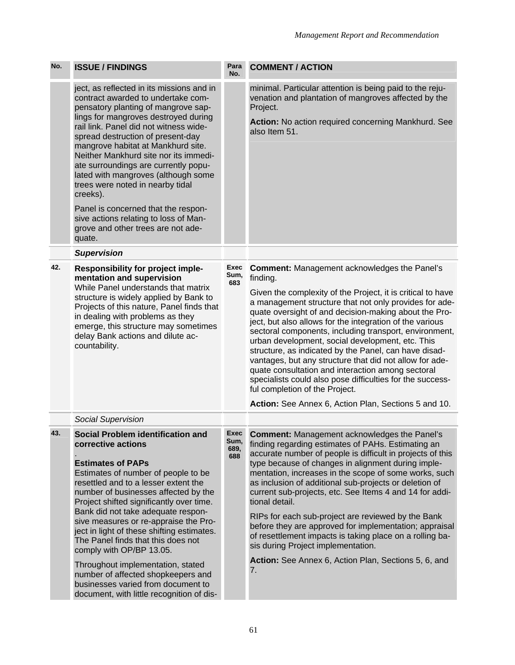| No. | <b>ISSUE / FINDINGS</b>                                                                                                                                                                                                                                                                                                                                                                                                                                                                                                                                                                                             | Para<br>No.                 | <b>COMMENT / ACTION</b>                                                                                                                                                                                                                                                                                                                                                                                                                                                                                                                                                                                                                                                                                                                                     |
|-----|---------------------------------------------------------------------------------------------------------------------------------------------------------------------------------------------------------------------------------------------------------------------------------------------------------------------------------------------------------------------------------------------------------------------------------------------------------------------------------------------------------------------------------------------------------------------------------------------------------------------|-----------------------------|-------------------------------------------------------------------------------------------------------------------------------------------------------------------------------------------------------------------------------------------------------------------------------------------------------------------------------------------------------------------------------------------------------------------------------------------------------------------------------------------------------------------------------------------------------------------------------------------------------------------------------------------------------------------------------------------------------------------------------------------------------------|
|     | ject, as reflected in its missions and in<br>contract awarded to undertake com-<br>pensatory planting of mangrove sap-<br>lings for mangroves destroyed during<br>rail link. Panel did not witness wide-<br>spread destruction of present-day<br>mangrove habitat at Mankhurd site.<br>Neither Mankhurd site nor its immedi-<br>ate surroundings are currently popu-<br>lated with mangroves (although some<br>trees were noted in nearby tidal<br>creeks).<br>Panel is concerned that the respon-<br>sive actions relating to loss of Man-<br>grove and other trees are not ade-<br>quate.                         |                             | minimal. Particular attention is being paid to the reju-<br>venation and plantation of mangroves affected by the<br>Project.<br>Action: No action required concerning Mankhurd. See<br>also Item 51.                                                                                                                                                                                                                                                                                                                                                                                                                                                                                                                                                        |
|     | <b>Supervision</b>                                                                                                                                                                                                                                                                                                                                                                                                                                                                                                                                                                                                  |                             |                                                                                                                                                                                                                                                                                                                                                                                                                                                                                                                                                                                                                                                                                                                                                             |
| 42. | Responsibility for project imple-<br>mentation and supervision<br>While Panel understands that matrix<br>structure is widely applied by Bank to<br>Projects of this nature, Panel finds that<br>in dealing with problems as they<br>emerge, this structure may sometimes<br>delay Bank actions and dilute ac-<br>countability.                                                                                                                                                                                                                                                                                      | Exec<br>Sum,<br>683         | <b>Comment:</b> Management acknowledges the Panel's<br>finding.<br>Given the complexity of the Project, it is critical to have<br>a management structure that not only provides for ade-<br>quate oversight of and decision-making about the Pro-<br>ject, but also allows for the integration of the various<br>sectoral components, including transport, environment,<br>urban development, social development, etc. This<br>structure, as indicated by the Panel, can have disad-<br>vantages, but any structure that did not allow for ade-<br>quate consultation and interaction among sectoral<br>specialists could also pose difficulties for the success-<br>ful completion of the Project.<br>Action: See Annex 6, Action Plan, Sections 5 and 10. |
|     | Social Supervision                                                                                                                                                                                                                                                                                                                                                                                                                                                                                                                                                                                                  |                             |                                                                                                                                                                                                                                                                                                                                                                                                                                                                                                                                                                                                                                                                                                                                                             |
| 43. | Social Problem identification and<br>corrective actions<br><b>Estimates of PAPs</b><br>Estimates of number of people to be<br>resettled and to a lesser extent the<br>number of businesses affected by the<br>Project shifted significantly over time.<br>Bank did not take adequate respon-<br>sive measures or re-appraise the Pro-<br>ject in light of these shifting estimates.<br>The Panel finds that this does not<br>comply with OP/BP 13.05.<br>Throughout implementation, stated<br>number of affected shopkeepers and<br>businesses varied from document to<br>document, with little recognition of dis- | Exec<br>Sum,<br>689,<br>688 | <b>Comment: Management acknowledges the Panel's</b><br>finding regarding estimates of PAHs. Estimating an<br>accurate number of people is difficult in projects of this<br>type because of changes in alignment during imple-<br>mentation, increases in the scope of some works, such<br>as inclusion of additional sub-projects or deletion of<br>current sub-projects, etc. See Items 4 and 14 for addi-<br>tional detail.<br>RIPs for each sub-project are reviewed by the Bank<br>before they are approved for implementation; appraisal<br>of resettlement impacts is taking place on a rolling ba-<br>sis during Project implementation.<br>Action: See Annex 6, Action Plan, Sections 5, 6, and<br>7.                                               |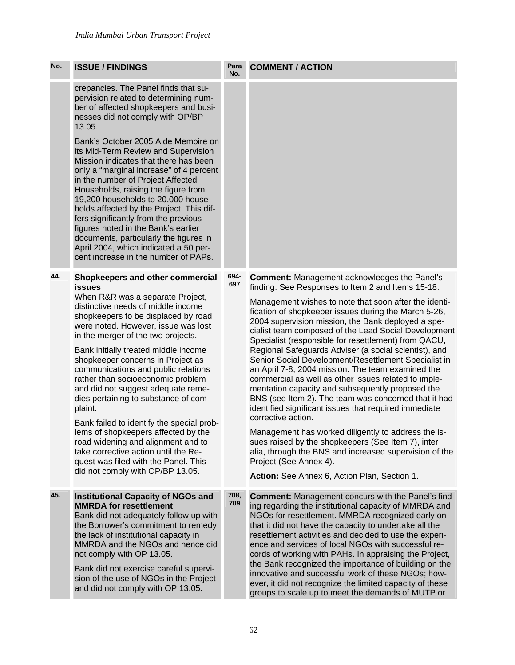| No. | <b>ISSUE / FINDINGS</b>                                                                                                                                                                                                                                                                                                                                                                                                                                                                                                                                                                                                                                                                                                                  | Para<br>No. | <b>COMMENT / ACTION</b>                                                                                                                                                                                                                                                                                                                                                                                                                                                                                                                                                                                                                                                                                                                                                                                                                                                                                                                                                                                                                                                   |
|-----|------------------------------------------------------------------------------------------------------------------------------------------------------------------------------------------------------------------------------------------------------------------------------------------------------------------------------------------------------------------------------------------------------------------------------------------------------------------------------------------------------------------------------------------------------------------------------------------------------------------------------------------------------------------------------------------------------------------------------------------|-------------|---------------------------------------------------------------------------------------------------------------------------------------------------------------------------------------------------------------------------------------------------------------------------------------------------------------------------------------------------------------------------------------------------------------------------------------------------------------------------------------------------------------------------------------------------------------------------------------------------------------------------------------------------------------------------------------------------------------------------------------------------------------------------------------------------------------------------------------------------------------------------------------------------------------------------------------------------------------------------------------------------------------------------------------------------------------------------|
|     | crepancies. The Panel finds that su-<br>pervision related to determining num-<br>ber of affected shopkeepers and busi-<br>nesses did not comply with OP/BP<br>13.05.                                                                                                                                                                                                                                                                                                                                                                                                                                                                                                                                                                     |             |                                                                                                                                                                                                                                                                                                                                                                                                                                                                                                                                                                                                                                                                                                                                                                                                                                                                                                                                                                                                                                                                           |
|     | Bank's October 2005 Aide Memoire on<br>its Mid-Term Review and Supervision<br>Mission indicates that there has been<br>only a "marginal increase" of 4 percent<br>in the number of Project Affected<br>Households, raising the figure from<br>19,200 households to 20,000 house-<br>holds affected by the Project. This dif-<br>fers significantly from the previous<br>figures noted in the Bank's earlier<br>documents, particularly the figures in<br>April 2004, which indicated a 50 per-<br>cent increase in the number of PAPs.                                                                                                                                                                                                   |             |                                                                                                                                                                                                                                                                                                                                                                                                                                                                                                                                                                                                                                                                                                                                                                                                                                                                                                                                                                                                                                                                           |
| 44. | Shopkeepers and other commercial<br>issues<br>When R&R was a separate Project,<br>distinctive needs of middle income<br>shopkeepers to be displaced by road<br>were noted. However, issue was lost<br>in the merger of the two projects.<br>Bank initially treated middle income<br>shopkeeper concerns in Project as<br>communications and public relations<br>rather than socioeconomic problem<br>and did not suggest adequate reme-<br>dies pertaining to substance of com-<br>plaint.<br>Bank failed to identify the special prob-<br>lems of shopkeepers affected by the<br>road widening and alignment and to<br>take corrective action until the Re-<br>quest was filed with the Panel. This<br>did not comply with OP/BP 13.05. | 694-<br>697 | <b>Comment: Management acknowledges the Panel's</b><br>finding. See Responses to Item 2 and Items 15-18.<br>Management wishes to note that soon after the identi-<br>fication of shopkeeper issues during the March 5-26,<br>2004 supervision mission, the Bank deployed a spe-<br>cialist team composed of the Lead Social Development<br>Specialist (responsible for resettlement) from QACU,<br>Regional Safeguards Adviser (a social scientist), and<br>Senior Social Development/Resettlement Specialist in<br>an April 7-8, 2004 mission. The team examined the<br>commercial as well as other issues related to imple-<br>mentation capacity and subsequently proposed the<br>BNS (see Item 2). The team was concerned that it had<br>identified significant issues that required immediate<br>corrective action.<br>Management has worked diligently to address the is-<br>sues raised by the shopkeepers (See Item 7), inter<br>alia, through the BNS and increased supervision of the<br>Project (See Annex 4).<br>Action: See Annex 6, Action Plan, Section 1. |
| 45. | <b>Institutional Capacity of NGOs and</b><br><b>MMRDA for resettlement</b><br>Bank did not adequately follow up with<br>the Borrower's commitment to remedy<br>the lack of institutional capacity in<br>MMRDA and the NGOs and hence did<br>not comply with OP 13.05.<br>Bank did not exercise careful supervi-<br>sion of the use of NGOs in the Project<br>and did not comply with OP 13.05.                                                                                                                                                                                                                                                                                                                                           | 708,<br>709 | <b>Comment:</b> Management concurs with the Panel's find-<br>ing regarding the institutional capacity of MMRDA and<br>NGOs for resettlement. MMRDA recognized early on<br>that it did not have the capacity to undertake all the<br>resettlement activities and decided to use the experi-<br>ence and services of local NGOs with successful re-<br>cords of working with PAHs. In appraising the Project,<br>the Bank recognized the importance of building on the<br>innovative and successful work of these NGOs; how-<br>ever, it did not recognize the limited capacity of these<br>groups to scale up to meet the demands of MUTP or                                                                                                                                                                                                                                                                                                                                                                                                                               |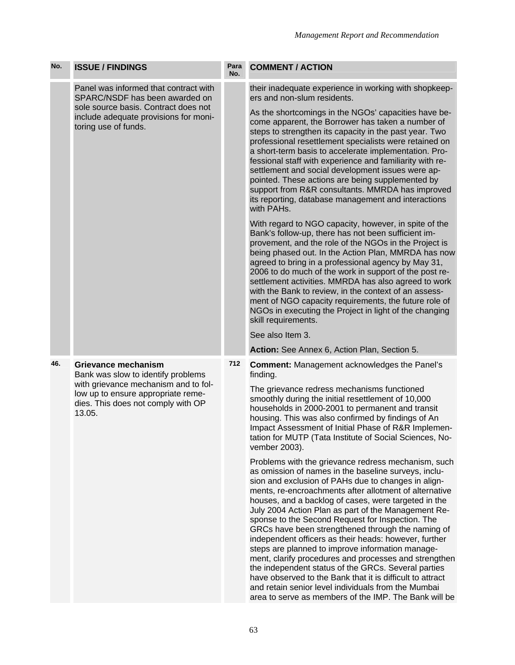| No. | <b>ISSUE / FINDINGS</b>                                                                                                                                                                        | Para<br>No. | <b>COMMENT / ACTION</b>                                                                                                                                                                                                                                                                                                                                                                                                                                                                                                                                                                                                                                                                                                                                                                                                                                        |
|-----|------------------------------------------------------------------------------------------------------------------------------------------------------------------------------------------------|-------------|----------------------------------------------------------------------------------------------------------------------------------------------------------------------------------------------------------------------------------------------------------------------------------------------------------------------------------------------------------------------------------------------------------------------------------------------------------------------------------------------------------------------------------------------------------------------------------------------------------------------------------------------------------------------------------------------------------------------------------------------------------------------------------------------------------------------------------------------------------------|
|     | Panel was informed that contract with<br>SPARC/NSDF has been awarded on<br>sole source basis. Contract does not<br>include adequate provisions for moni-<br>toring use of funds.               |             | their inadequate experience in working with shopkeep-<br>ers and non-slum residents.                                                                                                                                                                                                                                                                                                                                                                                                                                                                                                                                                                                                                                                                                                                                                                           |
|     |                                                                                                                                                                                                |             | As the shortcomings in the NGOs' capacities have be-<br>come apparent, the Borrower has taken a number of<br>steps to strengthen its capacity in the past year. Two<br>professional resettlement specialists were retained on<br>a short-term basis to accelerate implementation. Pro-<br>fessional staff with experience and familiarity with re-<br>settlement and social development issues were ap-<br>pointed. These actions are being supplemented by<br>support from R&R consultants. MMRDA has improved<br>its reporting, database management and interactions<br>with PAHs.                                                                                                                                                                                                                                                                           |
|     |                                                                                                                                                                                                |             | With regard to NGO capacity, however, in spite of the<br>Bank's follow-up, there has not been sufficient im-<br>provement, and the role of the NGOs in the Project is<br>being phased out. In the Action Plan, MMRDA has now<br>agreed to bring in a professional agency by May 31,<br>2006 to do much of the work in support of the post re-<br>settlement activities. MMRDA has also agreed to work<br>with the Bank to review, in the context of an assess-<br>ment of NGO capacity requirements, the future role of<br>NGOs in executing the Project in light of the changing<br>skill requirements.                                                                                                                                                                                                                                                       |
|     |                                                                                                                                                                                                |             | See also Item 3.                                                                                                                                                                                                                                                                                                                                                                                                                                                                                                                                                                                                                                                                                                                                                                                                                                               |
|     |                                                                                                                                                                                                |             | Action: See Annex 6, Action Plan, Section 5.                                                                                                                                                                                                                                                                                                                                                                                                                                                                                                                                                                                                                                                                                                                                                                                                                   |
| 46. | <b>Grievance mechanism</b><br>Bank was slow to identify problems<br>with grievance mechanism and to fol-<br>low up to ensure appropriate reme-<br>dies. This does not comply with OP<br>13.05. | 712         | <b>Comment: Management acknowledges the Panel's</b><br>finding.                                                                                                                                                                                                                                                                                                                                                                                                                                                                                                                                                                                                                                                                                                                                                                                                |
|     |                                                                                                                                                                                                |             | The grievance redress mechanisms functioned<br>smoothly during the initial resettlement of 10,000<br>households in 2000-2001 to permanent and transit<br>housing. This was also confirmed by findings of An<br>Impact Assessment of Initial Phase of R&R Implemen-<br>tation for MUTP (Tata Institute of Social Sciences, No-<br>vember 2003).                                                                                                                                                                                                                                                                                                                                                                                                                                                                                                                 |
|     |                                                                                                                                                                                                |             | Problems with the grievance redress mechanism, such<br>as omission of names in the baseline surveys, inclu-<br>sion and exclusion of PAHs due to changes in align-<br>ments, re-encroachments after allotment of alternative<br>houses, and a backlog of cases, were targeted in the<br>July 2004 Action Plan as part of the Management Re-<br>sponse to the Second Request for Inspection. The<br>GRCs have been strengthened through the naming of<br>independent officers as their heads: however, further<br>steps are planned to improve information manage-<br>ment, clarify procedures and processes and strengthen<br>the independent status of the GRCs. Several parties<br>have observed to the Bank that it is difficult to attract<br>and retain senior level individuals from the Mumbai<br>area to serve as members of the IMP. The Bank will be |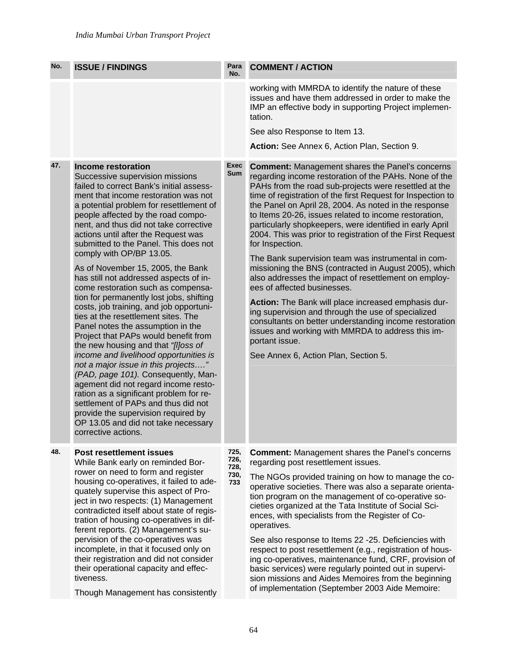| No. | <b>ISSUE / FINDINGS</b>                                                                                                                                                                                                                                                                                                                                                                                                                                                                                                                                                                                                                                                                                                                                                                                                                                                                                                                                                                                                                                                                                               | Para<br>No.                         | <b>COMMENT / ACTION</b>                                                                                                                                                                                                                                                                                                                                                                                                                                                                                                                                                                                                                                                                                                                                                                                                                                                                                                                                                                           |
|-----|-----------------------------------------------------------------------------------------------------------------------------------------------------------------------------------------------------------------------------------------------------------------------------------------------------------------------------------------------------------------------------------------------------------------------------------------------------------------------------------------------------------------------------------------------------------------------------------------------------------------------------------------------------------------------------------------------------------------------------------------------------------------------------------------------------------------------------------------------------------------------------------------------------------------------------------------------------------------------------------------------------------------------------------------------------------------------------------------------------------------------|-------------------------------------|---------------------------------------------------------------------------------------------------------------------------------------------------------------------------------------------------------------------------------------------------------------------------------------------------------------------------------------------------------------------------------------------------------------------------------------------------------------------------------------------------------------------------------------------------------------------------------------------------------------------------------------------------------------------------------------------------------------------------------------------------------------------------------------------------------------------------------------------------------------------------------------------------------------------------------------------------------------------------------------------------|
|     |                                                                                                                                                                                                                                                                                                                                                                                                                                                                                                                                                                                                                                                                                                                                                                                                                                                                                                                                                                                                                                                                                                                       |                                     | working with MMRDA to identify the nature of these<br>issues and have them addressed in order to make the<br>IMP an effective body in supporting Project implemen-<br>tation.<br>See also Response to Item 13.                                                                                                                                                                                                                                                                                                                                                                                                                                                                                                                                                                                                                                                                                                                                                                                    |
|     |                                                                                                                                                                                                                                                                                                                                                                                                                                                                                                                                                                                                                                                                                                                                                                                                                                                                                                                                                                                                                                                                                                                       |                                     | Action: See Annex 6, Action Plan, Section 9.                                                                                                                                                                                                                                                                                                                                                                                                                                                                                                                                                                                                                                                                                                                                                                                                                                                                                                                                                      |
| 47. | <b>Income restoration</b><br>Successive supervision missions<br>failed to correct Bank's initial assess-<br>ment that income restoration was not<br>a potential problem for resettlement of<br>people affected by the road compo-<br>nent, and thus did not take corrective<br>actions until after the Request was<br>submitted to the Panel. This does not<br>comply with OP/BP 13.05.<br>As of November 15, 2005, the Bank<br>has still not addressed aspects of in-<br>come restoration such as compensa-<br>tion for permanently lost jobs, shifting<br>costs, job training, and job opportuni-<br>ties at the resettlement sites. The<br>Panel notes the assumption in the<br>Project that PAPs would benefit from<br>the new housing and that "[I]oss of<br>income and livelihood opportunities is<br>not a major issue in this projects"<br>(PAD, page 101). Consequently, Man-<br>agement did not regard income resto-<br>ration as a significant problem for re-<br>settlement of PAPs and thus did not<br>provide the supervision required by<br>OP 13.05 and did not take necessary<br>corrective actions. | <b>Exec</b><br><b>Sum</b>           | <b>Comment:</b> Management shares the Panel's concerns<br>regarding income restoration of the PAHs. None of the<br>PAHs from the road sub-projects were resettled at the<br>time of registration of the first Request for Inspection to<br>the Panel on April 28, 2004. As noted in the response<br>to Items 20-26, issues related to income restoration,<br>particularly shopkeepers, were identified in early April<br>2004. This was prior to registration of the First Request<br>for Inspection.<br>The Bank supervision team was instrumental in com-<br>missioning the BNS (contracted in August 2005), which<br>also addresses the impact of resettlement on employ-<br>ees of affected businesses.<br>Action: The Bank will place increased emphasis dur-<br>ing supervision and through the use of specialized<br>consultants on better understanding income restoration<br>issues and working with MMRDA to address this im-<br>portant issue.<br>See Annex 6, Action Plan, Section 5. |
| 48. | <b>Post resettlement issues</b><br>While Bank early on reminded Bor-<br>rower on need to form and register<br>housing co-operatives, it failed to ade-<br>quately supervise this aspect of Pro-<br>ject in two respects: (1) Management<br>contradicted itself about state of regis-<br>tration of housing co-operatives in dif-<br>ferent reports. (2) Management's su-<br>pervision of the co-operatives was<br>incomplete, in that it focused only on<br>their registration and did not consider<br>their operational capacity and effec-<br>tiveness.<br>Though Management has consistently                                                                                                                                                                                                                                                                                                                                                                                                                                                                                                                       | 725,<br>726,<br>728,<br>730,<br>733 | <b>Comment: Management shares the Panel's concerns</b><br>regarding post resettlement issues.<br>The NGOs provided training on how to manage the co-<br>operative societies. There was also a separate orienta-<br>tion program on the management of co-operative so-<br>cieties organized at the Tata Institute of Social Sci-<br>ences, with specialists from the Register of Co-<br>operatives.<br>See also response to Items 22 -25. Deficiencies with<br>respect to post resettlement (e.g., registration of hous-<br>ing co-operatives, maintenance fund, CRF, provision of<br>basic services) were regularly pointed out in supervi-<br>sion missions and Aides Memoires from the beginning<br>of implementation (September 2003 Aide Memoire:                                                                                                                                                                                                                                             |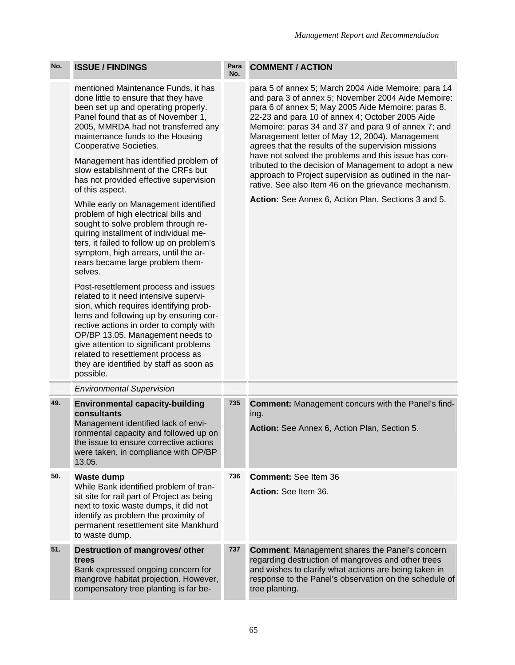| No. | <b>ISSUE / FINDINGS</b>                                                                                                                                                                                                                                                                                                                                                                                                                                                                                                                                                                                                                                                                                                                                                                                                                                                                                                                                                                                                                                                                                  | Para<br>No. | <b>COMMENT / ACTION</b>                                                                                                                                                                                                                                                                                                                                                                                                                                                                                                                                                                                                                                                       |
|-----|----------------------------------------------------------------------------------------------------------------------------------------------------------------------------------------------------------------------------------------------------------------------------------------------------------------------------------------------------------------------------------------------------------------------------------------------------------------------------------------------------------------------------------------------------------------------------------------------------------------------------------------------------------------------------------------------------------------------------------------------------------------------------------------------------------------------------------------------------------------------------------------------------------------------------------------------------------------------------------------------------------------------------------------------------------------------------------------------------------|-------------|-------------------------------------------------------------------------------------------------------------------------------------------------------------------------------------------------------------------------------------------------------------------------------------------------------------------------------------------------------------------------------------------------------------------------------------------------------------------------------------------------------------------------------------------------------------------------------------------------------------------------------------------------------------------------------|
|     | mentioned Maintenance Funds, it has<br>done little to ensure that they have<br>been set up and operating properly.<br>Panel found that as of November 1,<br>2005, MMRDA had not transferred any<br>maintenance funds to the Housing<br>Cooperative Societies.<br>Management has identified problem of<br>slow establishment of the CRFs but<br>has not provided effective supervision<br>of this aspect.<br>While early on Management identified<br>problem of high electrical bills and<br>sought to solve problem through re-<br>quiring installment of individual me-<br>ters, it failed to follow up on problem's<br>symptom, high arrears, until the ar-<br>rears became large problem them-<br>selves.<br>Post-resettlement process and issues<br>related to it need intensive supervi-<br>sion, which requires identifying prob-<br>lems and following up by ensuring cor-<br>rective actions in order to comply with<br>OP/BP 13.05. Management needs to<br>give attention to significant problems<br>related to resettlement process as<br>they are identified by staff as soon as<br>possible. |             | para 5 of annex 5; March 2004 Aide Memoire: para 14<br>and para 3 of annex 5; November 2004 Aide Memoire:<br>para 6 of annex 5; May 2005 Aide Memoire: paras 8,<br>22-23 and para 10 of annex 4; October 2005 Aide<br>Memoire: paras 34 and 37 and para 9 of annex 7; and<br>Management letter of May 12, 2004). Management<br>agrees that the results of the supervision missions<br>have not solved the problems and this issue has con-<br>tributed to the decision of Management to adopt a new<br>approach to Project supervision as outlined in the nar-<br>rative. See also Item 46 on the grievance mechanism.<br>Action: See Annex 6, Action Plan, Sections 3 and 5. |
|     | <b>Environmental Supervision</b>                                                                                                                                                                                                                                                                                                                                                                                                                                                                                                                                                                                                                                                                                                                                                                                                                                                                                                                                                                                                                                                                         |             |                                                                                                                                                                                                                                                                                                                                                                                                                                                                                                                                                                                                                                                                               |
| 49. | <b>Environmental capacity-building</b><br>consultants<br>Management identified lack of envi-<br>ronmental capacity and followed up on<br>the issue to ensure corrective actions<br>were taken, in compliance with OP/BP<br>13.05.                                                                                                                                                                                                                                                                                                                                                                                                                                                                                                                                                                                                                                                                                                                                                                                                                                                                        | 735         | <b>Comment:</b> Management concurs with the Panel's find-<br>ing.<br>Action: See Annex 6, Action Plan, Section 5.                                                                                                                                                                                                                                                                                                                                                                                                                                                                                                                                                             |
| 50. | <b>Waste dump</b><br>While Bank identified problem of tran-<br>sit site for rail part of Project as being<br>next to toxic waste dumps, it did not<br>identify as problem the proximity of<br>permanent resettlement site Mankhurd<br>to waste dump.                                                                                                                                                                                                                                                                                                                                                                                                                                                                                                                                                                                                                                                                                                                                                                                                                                                     | 736         | Comment: See Item 36<br>Action: See Item 36.                                                                                                                                                                                                                                                                                                                                                                                                                                                                                                                                                                                                                                  |
| 51. | Destruction of mangroves/ other<br>trees<br>Bank expressed ongoing concern for<br>mangrove habitat projection. However,<br>compensatory tree planting is far be-                                                                                                                                                                                                                                                                                                                                                                                                                                                                                                                                                                                                                                                                                                                                                                                                                                                                                                                                         | 737         | <b>Comment: Management shares the Panel's concern</b><br>regarding destruction of mangroves and other trees<br>and wishes to clarify what actions are being taken in<br>response to the Panel's observation on the schedule of<br>tree planting.                                                                                                                                                                                                                                                                                                                                                                                                                              |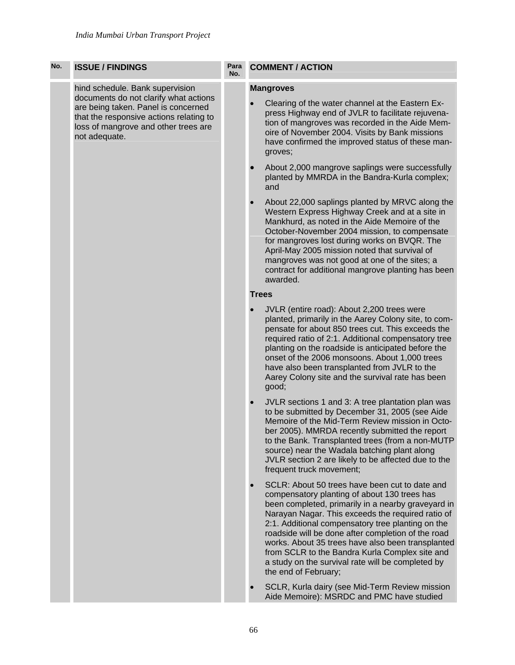| No. | <b>ISSUE / FINDINGS</b>                                                                                                                                                                                             | Para<br>No. | <b>COMMENT / ACTION</b>                                                                                                                                                                                                                                                                                                                                                                                                                                                                                               |  |  |  |
|-----|---------------------------------------------------------------------------------------------------------------------------------------------------------------------------------------------------------------------|-------------|-----------------------------------------------------------------------------------------------------------------------------------------------------------------------------------------------------------------------------------------------------------------------------------------------------------------------------------------------------------------------------------------------------------------------------------------------------------------------------------------------------------------------|--|--|--|
|     | hind schedule. Bank supervision<br>documents do not clarify what actions<br>are being taken. Panel is concerned<br>that the responsive actions relating to<br>loss of mangrove and other trees are<br>not adequate. |             | <b>Mangroves</b><br>Clearing of the water channel at the Eastern Ex-<br>press Highway end of JVLR to facilitate rejuvena-<br>tion of mangroves was recorded in the Aide Mem-<br>oire of November 2004. Visits by Bank missions<br>have confirmed the improved status of these man-<br>groves;                                                                                                                                                                                                                         |  |  |  |
|     |                                                                                                                                                                                                                     |             | About 2,000 mangrove saplings were successfully<br>$\bullet$<br>planted by MMRDA in the Bandra-Kurla complex;<br>and                                                                                                                                                                                                                                                                                                                                                                                                  |  |  |  |
|     |                                                                                                                                                                                                                     |             | About 22,000 saplings planted by MRVC along the<br>$\bullet$<br>Western Express Highway Creek and at a site in<br>Mankhurd, as noted in the Aide Memoire of the<br>October-November 2004 mission, to compensate<br>for mangroves lost during works on BVQR. The<br>April-May 2005 mission noted that survival of<br>mangroves was not good at one of the sites; a<br>contract for additional mangrove planting has been<br>awarded.                                                                                   |  |  |  |
|     |                                                                                                                                                                                                                     |             | <b>Trees</b>                                                                                                                                                                                                                                                                                                                                                                                                                                                                                                          |  |  |  |
|     |                                                                                                                                                                                                                     |             | JVLR (entire road): About 2,200 trees were<br>planted, primarily in the Aarey Colony site, to com-<br>pensate for about 850 trees cut. This exceeds the<br>required ratio of 2:1. Additional compensatory tree<br>planting on the roadside is anticipated before the<br>onset of the 2006 monsoons. About 1,000 trees<br>have also been transplanted from JVLR to the<br>Aarey Colony site and the survival rate has been<br>good;                                                                                    |  |  |  |
|     |                                                                                                                                                                                                                     |             | JVLR sections 1 and 3: A tree plantation plan was<br>$\bullet$<br>to be submitted by December 31, 2005 (see Aide<br>Memoire of the Mid-Term Review mission in Octo-<br>ber 2005). MMRDA recently submitted the report<br>to the Bank. Transplanted trees (from a non-MUTP<br>source) near the Wadala batching plant along<br>JVLR section 2 are likely to be affected due to the<br>frequent truck movement;                                                                                                          |  |  |  |
|     |                                                                                                                                                                                                                     |             | SCLR: About 50 trees have been cut to date and<br>$\bullet$<br>compensatory planting of about 130 trees has<br>been completed, primarily in a nearby graveyard in<br>Narayan Nagar. This exceeds the required ratio of<br>2:1. Additional compensatory tree planting on the<br>roadside will be done after completion of the road<br>works. About 35 trees have also been transplanted<br>from SCLR to the Bandra Kurla Complex site and<br>a study on the survival rate will be completed by<br>the end of February; |  |  |  |
|     |                                                                                                                                                                                                                     |             | SCLR, Kurla dairy (see Mid-Term Review mission<br>Aide Memoire): MSRDC and PMC have studied                                                                                                                                                                                                                                                                                                                                                                                                                           |  |  |  |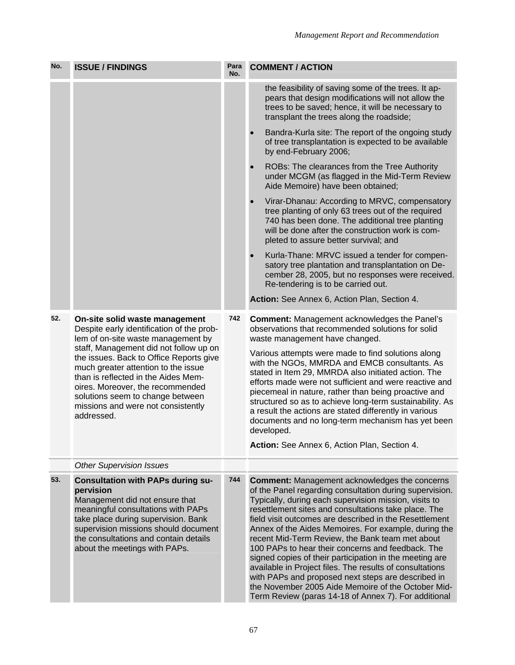| No. | <b>ISSUE / FINDINGS</b>                                                                                                                                                                                                                                                                                                                                                                                          | Para<br>No. | <b>COMMENT / ACTION</b>                                                                                                                                                                                                                                                                                                                                                                                                                                                                                                                                                                                                                                                                                                                               |  |  |
|-----|------------------------------------------------------------------------------------------------------------------------------------------------------------------------------------------------------------------------------------------------------------------------------------------------------------------------------------------------------------------------------------------------------------------|-------------|-------------------------------------------------------------------------------------------------------------------------------------------------------------------------------------------------------------------------------------------------------------------------------------------------------------------------------------------------------------------------------------------------------------------------------------------------------------------------------------------------------------------------------------------------------------------------------------------------------------------------------------------------------------------------------------------------------------------------------------------------------|--|--|
|     |                                                                                                                                                                                                                                                                                                                                                                                                                  |             | the feasibility of saving some of the trees. It ap-<br>pears that design modifications will not allow the<br>trees to be saved; hence, it will be necessary to<br>transplant the trees along the roadside;                                                                                                                                                                                                                                                                                                                                                                                                                                                                                                                                            |  |  |
|     |                                                                                                                                                                                                                                                                                                                                                                                                                  |             | Bandra-Kurla site: The report of the ongoing study<br>of tree transplantation is expected to be available<br>by end-February 2006;                                                                                                                                                                                                                                                                                                                                                                                                                                                                                                                                                                                                                    |  |  |
|     |                                                                                                                                                                                                                                                                                                                                                                                                                  |             | ROBs: The clearances from the Tree Authority<br>under MCGM (as flagged in the Mid-Term Review<br>Aide Memoire) have been obtained;                                                                                                                                                                                                                                                                                                                                                                                                                                                                                                                                                                                                                    |  |  |
|     |                                                                                                                                                                                                                                                                                                                                                                                                                  |             | Virar-Dhanau: According to MRVC, compensatory<br>tree planting of only 63 trees out of the required<br>740 has been done. The additional tree planting<br>will be done after the construction work is com-<br>pleted to assure better survival; and                                                                                                                                                                                                                                                                                                                                                                                                                                                                                                   |  |  |
|     |                                                                                                                                                                                                                                                                                                                                                                                                                  |             | Kurla-Thane: MRVC issued a tender for compen-<br>satory tree plantation and transplantation on De-<br>cember 28, 2005, but no responses were received.<br>Re-tendering is to be carried out.                                                                                                                                                                                                                                                                                                                                                                                                                                                                                                                                                          |  |  |
|     |                                                                                                                                                                                                                                                                                                                                                                                                                  |             | Action: See Annex 6, Action Plan, Section 4.                                                                                                                                                                                                                                                                                                                                                                                                                                                                                                                                                                                                                                                                                                          |  |  |
| 52. | On-site solid waste management<br>Despite early identification of the prob-<br>lem of on-site waste management by<br>staff, Management did not follow up on<br>the issues. Back to Office Reports give<br>much greater attention to the issue<br>than is reflected in the Aides Mem-<br>oires. Moreover, the recommended<br>solutions seem to change between<br>missions and were not consistently<br>addressed. | 742         | <b>Comment: Management acknowledges the Panel's</b><br>observations that recommended solutions for solid<br>waste management have changed.<br>Various attempts were made to find solutions along<br>with the NGOs, MMRDA and EMCB consultants. As<br>stated in Item 29, MMRDA also initiated action. The<br>efforts made were not sufficient and were reactive and<br>piecemeal in nature, rather than being proactive and<br>structured so as to achieve long-term sustainability. As<br>a result the actions are stated differently in various<br>documents and no long-term mechanism has yet been<br>developed.                                                                                                                                   |  |  |
|     |                                                                                                                                                                                                                                                                                                                                                                                                                  |             | Action: See Annex 6, Action Plan, Section 4.                                                                                                                                                                                                                                                                                                                                                                                                                                                                                                                                                                                                                                                                                                          |  |  |
|     | <b>Other Supervision Issues</b>                                                                                                                                                                                                                                                                                                                                                                                  |             |                                                                                                                                                                                                                                                                                                                                                                                                                                                                                                                                                                                                                                                                                                                                                       |  |  |
| 53. | <b>Consultation with PAPs during su-</b><br>pervision<br>Management did not ensure that<br>meaningful consultations with PAPs<br>take place during supervision. Bank<br>supervision missions should document<br>the consultations and contain details<br>about the meetings with PAPs.                                                                                                                           | 744         | <b>Comment:</b> Management acknowledges the concerns<br>of the Panel regarding consultation during supervision.<br>Typically, during each supervision mission, visits to<br>resettlement sites and consultations take place. The<br>field visit outcomes are described in the Resettlement<br>Annex of the Aides Memoires. For example, during the<br>recent Mid-Term Review, the Bank team met about<br>100 PAPs to hear their concerns and feedback. The<br>signed copies of their participation in the meeting are<br>available in Project files. The results of consultations<br>with PAPs and proposed next steps are described in<br>the November 2005 Aide Memoire of the October Mid-<br>Term Review (paras 14-18 of Annex 7). For additional |  |  |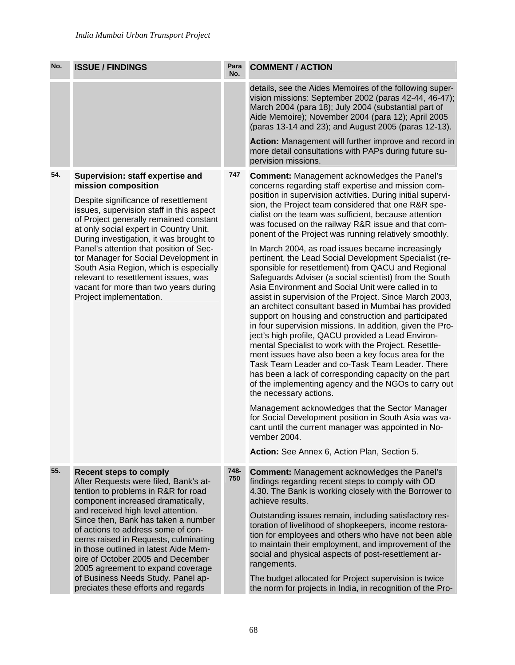| No. | <b>ISSUE / FINDINGS</b>                                                                                                                                                                                                                                                                                                                                                                                                                                                                                              | Para<br>No. | <b>COMMENT / ACTION</b>                                                                                                                                                                                                                                                                                                                                                                                                                                                                                                                                                                                                                                                                                                                                                                                                                                                                                                                                                                                                                                                                                                                                                                                                                                                                                                                                                                                                                                                                                                                       |
|-----|----------------------------------------------------------------------------------------------------------------------------------------------------------------------------------------------------------------------------------------------------------------------------------------------------------------------------------------------------------------------------------------------------------------------------------------------------------------------------------------------------------------------|-------------|-----------------------------------------------------------------------------------------------------------------------------------------------------------------------------------------------------------------------------------------------------------------------------------------------------------------------------------------------------------------------------------------------------------------------------------------------------------------------------------------------------------------------------------------------------------------------------------------------------------------------------------------------------------------------------------------------------------------------------------------------------------------------------------------------------------------------------------------------------------------------------------------------------------------------------------------------------------------------------------------------------------------------------------------------------------------------------------------------------------------------------------------------------------------------------------------------------------------------------------------------------------------------------------------------------------------------------------------------------------------------------------------------------------------------------------------------------------------------------------------------------------------------------------------------|
|     |                                                                                                                                                                                                                                                                                                                                                                                                                                                                                                                      |             | details, see the Aides Memoires of the following super-<br>vision missions: September 2002 (paras 42-44, 46-47);<br>March 2004 (para 18); July 2004 (substantial part of<br>Aide Memoire); November 2004 (para 12); April 2005<br>(paras 13-14 and 23); and August 2005 (paras 12-13).                                                                                                                                                                                                                                                                                                                                                                                                                                                                                                                                                                                                                                                                                                                                                                                                                                                                                                                                                                                                                                                                                                                                                                                                                                                        |
|     |                                                                                                                                                                                                                                                                                                                                                                                                                                                                                                                      |             | Action: Management will further improve and record in<br>more detail consultations with PAPs during future su-<br>pervision missions.                                                                                                                                                                                                                                                                                                                                                                                                                                                                                                                                                                                                                                                                                                                                                                                                                                                                                                                                                                                                                                                                                                                                                                                                                                                                                                                                                                                                         |
| 54. | Supervision: staff expertise and<br>mission composition<br>Despite significance of resettlement<br>issues, supervision staff in this aspect<br>of Project generally remained constant<br>at only social expert in Country Unit.<br>During investigation, it was brought to<br>Panel's attention that position of Sec-<br>tor Manager for Social Development in<br>South Asia Region, which is especially<br>relevant to resettlement issues, was<br>vacant for more than two years during<br>Project implementation. | 747         | <b>Comment: Management acknowledges the Panel's</b><br>concerns regarding staff expertise and mission com-<br>position in supervision activities. During initial supervi-<br>sion, the Project team considered that one R&R spe-<br>cialist on the team was sufficient, because attention<br>was focused on the railway R&R issue and that com-<br>ponent of the Project was running relatively smoothly.<br>In March 2004, as road issues became increasingly<br>pertinent, the Lead Social Development Specialist (re-<br>sponsible for resettlement) from QACU and Regional<br>Safeguards Adviser (a social scientist) from the South<br>Asia Environment and Social Unit were called in to<br>assist in supervision of the Project. Since March 2003,<br>an architect consultant based in Mumbai has provided<br>support on housing and construction and participated<br>in four supervision missions. In addition, given the Pro-<br>ject's high profile, QACU provided a Lead Environ-<br>mental Specialist to work with the Project. Resettle-<br>ment issues have also been a key focus area for the<br>Task Team Leader and co-Task Team Leader. There<br>has been a lack of corresponding capacity on the part<br>of the implementing agency and the NGOs to carry out<br>the necessary actions.<br>Management acknowledges that the Sector Manager<br>for Social Development position in South Asia was va-<br>cant until the current manager was appointed in No-<br>vember 2004.<br>Action: See Annex 6, Action Plan, Section 5. |
| 55. | <b>Recent steps to comply</b><br>After Requests were filed, Bank's at-<br>tention to problems in R&R for road<br>component increased dramatically,<br>and received high level attention.<br>Since then, Bank has taken a number<br>of actions to address some of con-<br>cerns raised in Requests, culminating<br>in those outlined in latest Aide Mem-<br>oire of October 2005 and December<br>2005 agreement to expand coverage<br>of Business Needs Study. Panel ap-<br>preciates these efforts and regards       | 748-<br>750 | <b>Comment: Management acknowledges the Panel's</b><br>findings regarding recent steps to comply with OD<br>4.30. The Bank is working closely with the Borrower to<br>achieve results.<br>Outstanding issues remain, including satisfactory res-<br>toration of livelihood of shopkeepers, income restora-<br>tion for employees and others who have not been able<br>to maintain their employment, and improvement of the<br>social and physical aspects of post-resettlement ar-<br>rangements.<br>The budget allocated for Project supervision is twice<br>the norm for projects in India, in recognition of the Pro-                                                                                                                                                                                                                                                                                                                                                                                                                                                                                                                                                                                                                                                                                                                                                                                                                                                                                                                      |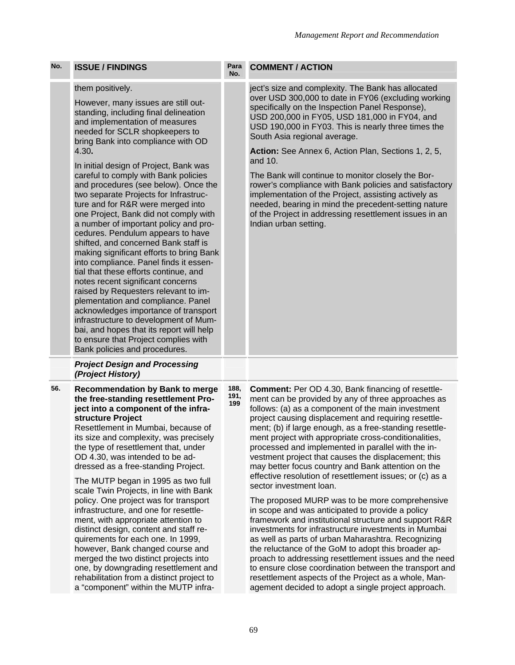| No. | <b>ISSUE / FINDINGS</b>                                                                                                                                                                                                                                                                                                                                                                                                                                                                                                                                                                                                                                                                                                                                                                                                                                                                                                                                                                                                                            | Para<br>No.         | <b>COMMENT / ACTION</b>                                                                                                                                                                                                                                                                                                                                                                                                                                                                                                                                                                                                                                                                                                                                                                                                                                                                                                                                                                                 |
|-----|----------------------------------------------------------------------------------------------------------------------------------------------------------------------------------------------------------------------------------------------------------------------------------------------------------------------------------------------------------------------------------------------------------------------------------------------------------------------------------------------------------------------------------------------------------------------------------------------------------------------------------------------------------------------------------------------------------------------------------------------------------------------------------------------------------------------------------------------------------------------------------------------------------------------------------------------------------------------------------------------------------------------------------------------------|---------------------|---------------------------------------------------------------------------------------------------------------------------------------------------------------------------------------------------------------------------------------------------------------------------------------------------------------------------------------------------------------------------------------------------------------------------------------------------------------------------------------------------------------------------------------------------------------------------------------------------------------------------------------------------------------------------------------------------------------------------------------------------------------------------------------------------------------------------------------------------------------------------------------------------------------------------------------------------------------------------------------------------------|
|     | them positively.<br>However, many issues are still out-<br>standing, including final delineation<br>and implementation of measures<br>needed for SCLR shopkeepers to<br>bring Bank into compliance with OD<br>4.30.<br>In initial design of Project, Bank was<br>careful to comply with Bank policies<br>and procedures (see below). Once the<br>two separate Projects for Infrastruc-<br>ture and for R&R were merged into<br>one Project, Bank did not comply with<br>a number of important policy and pro-<br>cedures. Pendulum appears to have<br>shifted, and concerned Bank staff is<br>making significant efforts to bring Bank<br>into compliance. Panel finds it essen-<br>tial that these efforts continue, and<br>notes recent significant concerns<br>raised by Requesters relevant to im-<br>plementation and compliance. Panel<br>acknowledges importance of transport<br>infrastructure to development of Mum-<br>bai, and hopes that its report will help<br>to ensure that Project complies with<br>Bank policies and procedures. |                     | ject's size and complexity. The Bank has allocated<br>over USD 300,000 to date in FY06 (excluding working<br>specifically on the Inspection Panel Response),<br>USD 200,000 in FY05, USD 181,000 in FY04, and<br>USD 190,000 in FY03. This is nearly three times the<br>South Asia regional average.<br>Action: See Annex 6, Action Plan, Sections 1, 2, 5,<br>and 10.<br>The Bank will continue to monitor closely the Bor-<br>rower's compliance with Bank policies and satisfactory<br>implementation of the Project, assisting actively as<br>needed, bearing in mind the precedent-setting nature<br>of the Project in addressing resettlement issues in an<br>Indian urban setting.                                                                                                                                                                                                                                                                                                               |
|     | <b>Project Design and Processing</b><br>(Project History)                                                                                                                                                                                                                                                                                                                                                                                                                                                                                                                                                                                                                                                                                                                                                                                                                                                                                                                                                                                          |                     |                                                                                                                                                                                                                                                                                                                                                                                                                                                                                                                                                                                                                                                                                                                                                                                                                                                                                                                                                                                                         |
| 56. | <b>Recommendation by Bank to merge</b><br>the free-standing resettlement Pro-<br>ject into a component of the infra-<br>structure Project<br>Resettlement in Mumbai, because of<br>its size and complexity, was precisely<br>the type of resettlement that, under<br>OD 4.30, was intended to be ad-<br>dressed as a free-standing Project.<br>The MUTP began in 1995 as two full<br>scale Twin Projects, in line with Bank<br>policy. One project was for transport<br>infrastructure, and one for resettle-<br>ment, with appropriate attention to<br>distinct design, content and staff re-<br>quirements for each one. In 1999,<br>however, Bank changed course and<br>merged the two distinct projects into                                                                                                                                                                                                                                                                                                                                   | 188,<br>191,<br>199 | <b>Comment:</b> Per OD 4.30, Bank financing of resettle-<br>ment can be provided by any of three approaches as<br>follows: (a) as a component of the main investment<br>project causing displacement and requiring resettle-<br>ment; (b) if large enough, as a free-standing resettle-<br>ment project with appropriate cross-conditionalities,<br>processed and implemented in parallel with the in-<br>vestment project that causes the displacement; this<br>may better focus country and Bank attention on the<br>effective resolution of resettlement issues; or (c) as a<br>sector investment loan.<br>The proposed MURP was to be more comprehensive<br>in scope and was anticipated to provide a policy<br>framework and institutional structure and support R&R<br>investments for infrastructure investments in Mumbai<br>as well as parts of urban Maharashtra. Recognizing<br>the reluctance of the GoM to adopt this broader ap-<br>proach to addressing resettlement issues and the need |

to ensure close coordination between the transport and resettlement aspects of the Project as a whole, Management decided to adopt a single project approach.

one, by downgrading resettlement and rehabilitation from a distinct project to a "component" within the MUTP infra-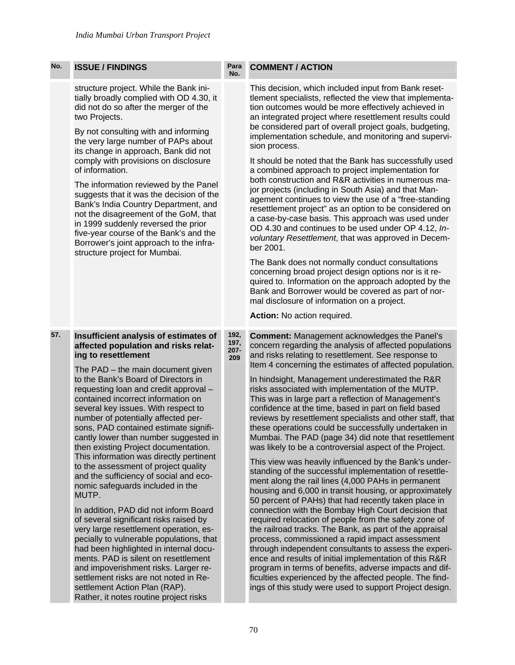| No. | <b>ISSUE / FINDINGS</b>                                                                                                                                                                                                                                                                                                                                                                                                                                                                                                                                                                                                                                                                                                                                                                                                                                                                                                                                                                                                                                                  | Para<br>No.                 | <b>COMMENT / ACTION</b>                                                                                                                                                                                                                                                                                                                                                                                                                                                                                                                                                                                                                                                                                                                                                                                                                                                                                                                                                                                                                                                                                                                                                                                                                                                                                                                                                                                                                                                                                                    |
|-----|--------------------------------------------------------------------------------------------------------------------------------------------------------------------------------------------------------------------------------------------------------------------------------------------------------------------------------------------------------------------------------------------------------------------------------------------------------------------------------------------------------------------------------------------------------------------------------------------------------------------------------------------------------------------------------------------------------------------------------------------------------------------------------------------------------------------------------------------------------------------------------------------------------------------------------------------------------------------------------------------------------------------------------------------------------------------------|-----------------------------|----------------------------------------------------------------------------------------------------------------------------------------------------------------------------------------------------------------------------------------------------------------------------------------------------------------------------------------------------------------------------------------------------------------------------------------------------------------------------------------------------------------------------------------------------------------------------------------------------------------------------------------------------------------------------------------------------------------------------------------------------------------------------------------------------------------------------------------------------------------------------------------------------------------------------------------------------------------------------------------------------------------------------------------------------------------------------------------------------------------------------------------------------------------------------------------------------------------------------------------------------------------------------------------------------------------------------------------------------------------------------------------------------------------------------------------------------------------------------------------------------------------------------|
|     | structure project. While the Bank ini-<br>tially broadly complied with OD 4.30, it<br>did not do so after the merger of the<br>two Projects.<br>By not consulting with and informing<br>the very large number of PAPs about<br>its change in approach, Bank did not<br>comply with provisions on disclosure<br>of information.<br>The information reviewed by the Panel<br>suggests that it was the decision of the<br>Bank's India Country Department, and<br>not the disagreement of the GoM, that<br>in 1999 suddenly reversed the prior<br>five-year course of the Bank's and the<br>Borrower's joint approach to the infra-<br>structure project for Mumbai.                                                                                                                                                                                                                                                                                                                                                                                                        |                             | This decision, which included input from Bank reset-<br>tlement specialists, reflected the view that implementa-<br>tion outcomes would be more effectively achieved in<br>an integrated project where resettlement results could<br>be considered part of overall project goals, budgeting,<br>implementation schedule, and monitoring and supervi-<br>sion process.<br>It should be noted that the Bank has successfully used<br>a combined approach to project implementation for<br>both construction and R&R activities in numerous ma-<br>jor projects (including in South Asia) and that Man-<br>agement continues to view the use of a "free-standing<br>resettlement project" as an option to be considered on<br>a case-by-case basis. This approach was used under<br>OD 4.30 and continues to be used under OP 4.12, In-<br>voluntary Resettlement, that was approved in Decem-<br>ber 2001.<br>The Bank does not normally conduct consultations<br>concerning broad project design options nor is it re-<br>quired to. Information on the approach adopted by the<br>Bank and Borrower would be covered as part of nor-<br>mal disclosure of information on a project.<br>Action: No action required.                                                                                                                                                                                                                                                                                                         |
| 57. | Insufficient analysis of estimates of<br>affected population and risks relat-<br>ing to resettlement<br>The PAD - the main document given<br>to the Bank's Board of Directors in<br>requesting loan and credit approval -<br>contained incorrect information on<br>several key issues. With respect to<br>number of potentially affected per-<br>sons, PAD contained estimate signifi-<br>cantly lower than number suggested in<br>then existing Project documentation.<br>This information was directly pertinent<br>to the assessment of project quality<br>and the sufficiency of social and eco-<br>nomic safeguards included in the<br>MUTP.<br>In addition, PAD did not inform Board<br>of several significant risks raised by<br>very large resettlement operation, es-<br>pecially to vulnerable populations, that<br>had been highlighted in internal docu-<br>ments. PAD is silent on resettlement<br>and impoverishment risks. Larger re-<br>settlement risks are not noted in Re-<br>settlement Action Plan (RAP).<br>Rather, it notes routine project risks | 192,<br>197,<br>207-<br>209 | <b>Comment: Management acknowledges the Panel's</b><br>concern regarding the analysis of affected populations<br>and risks relating to resettlement. See response to<br>Item 4 concerning the estimates of affected population.<br>In hindsight, Management underestimated the R&R<br>risks associated with implementation of the MUTP.<br>This was in large part a reflection of Management's<br>confidence at the time, based in part on field based<br>reviews by resettlement specialists and other staff, that<br>these operations could be successfully undertaken in<br>Mumbai. The PAD (page 34) did note that resettlement<br>was likely to be a controversial aspect of the Project.<br>This view was heavily influenced by the Bank's under-<br>standing of the successful implementation of resettle-<br>ment along the rail lines (4,000 PAHs in permanent<br>housing and 6,000 in transit housing, or approximately<br>50 percent of PAHs) that had recently taken place in<br>connection with the Bombay High Court decision that<br>required relocation of people from the safety zone of<br>the railroad tracks. The Bank, as part of the appraisal<br>process, commissioned a rapid impact assessment<br>through independent consultants to assess the experi-<br>ence and results of initial implementation of this R&R<br>program in terms of benefits, adverse impacts and dif-<br>ficulties experienced by the affected people. The find-<br>ings of this study were used to support Project design. |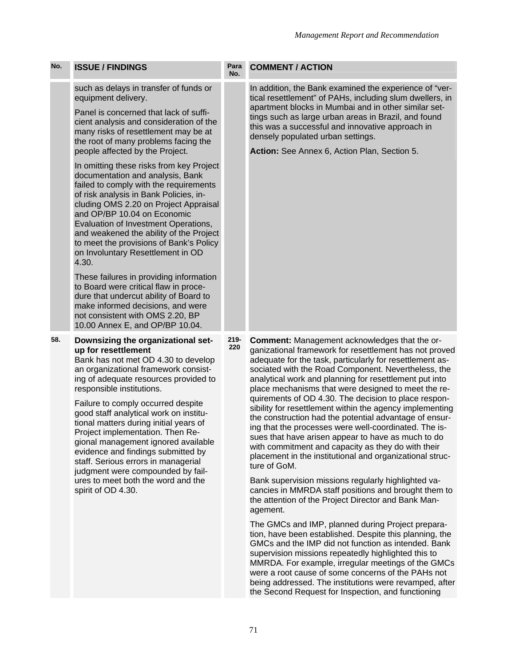| No. | <b>ISSUE / FINDINGS</b>                                                                                                                                                                                                                                                                                                                                                                                                                                                                                                               | Para<br>No.    | <b>COMMENT / ACTION</b>                                                                                                                                                                                                                                                                                                                                                                                                                                                                                                                                                                                                                                                                                                                                                           |
|-----|---------------------------------------------------------------------------------------------------------------------------------------------------------------------------------------------------------------------------------------------------------------------------------------------------------------------------------------------------------------------------------------------------------------------------------------------------------------------------------------------------------------------------------------|----------------|-----------------------------------------------------------------------------------------------------------------------------------------------------------------------------------------------------------------------------------------------------------------------------------------------------------------------------------------------------------------------------------------------------------------------------------------------------------------------------------------------------------------------------------------------------------------------------------------------------------------------------------------------------------------------------------------------------------------------------------------------------------------------------------|
|     | such as delays in transfer of funds or<br>equipment delivery.<br>Panel is concerned that lack of suffi-<br>cient analysis and consideration of the<br>many risks of resettlement may be at<br>the root of many problems facing the<br>people affected by the Project.                                                                                                                                                                                                                                                                 |                | In addition, the Bank examined the experience of "ver-<br>tical resettlement" of PAHs, including slum dwellers, in<br>apartment blocks in Mumbai and in other similar set-<br>tings such as large urban areas in Brazil, and found<br>this was a successful and innovative approach in<br>densely populated urban settings.<br>Action: See Annex 6, Action Plan, Section 5.                                                                                                                                                                                                                                                                                                                                                                                                       |
|     | In omitting these risks from key Project<br>documentation and analysis, Bank<br>failed to comply with the requirements<br>of risk analysis in Bank Policies, in-<br>cluding OMS 2.20 on Project Appraisal<br>and OP/BP 10.04 on Economic<br>Evaluation of Investment Operations,<br>and weakened the ability of the Project<br>to meet the provisions of Bank's Policy<br>on Involuntary Resettlement in OD<br>4.30.                                                                                                                  |                |                                                                                                                                                                                                                                                                                                                                                                                                                                                                                                                                                                                                                                                                                                                                                                                   |
|     | These failures in providing information<br>to Board were critical flaw in proce-<br>dure that undercut ability of Board to<br>make informed decisions, and were<br>not consistent with OMS 2.20, BP<br>10.00 Annex E, and OP/BP 10.04.                                                                                                                                                                                                                                                                                                |                |                                                                                                                                                                                                                                                                                                                                                                                                                                                                                                                                                                                                                                                                                                                                                                                   |
| 58. | Downsizing the organizational set-<br>up for resettlement<br>Bank has not met OD 4.30 to develop<br>an organizational framework consist-<br>ing of adequate resources provided to<br>responsible institutions.<br>Failure to comply occurred despite<br>good staff analytical work on institu-<br>tional matters during initial years of<br>Project implementation. Then Re-<br>gional management ignored available<br>evidence and findings submitted by<br>staff. Serious errors in managerial<br>judgment were compounded by fail- | $219 -$<br>220 | <b>Comment:</b> Management acknowledges that the or-<br>ganizational framework for resettlement has not proved<br>adequate for the task, particularly for resettlement as-<br>sociated with the Road Component. Nevertheless, the<br>analytical work and planning for resettlement put into<br>place mechanisms that were designed to meet the re-<br>quirements of OD 4.30. The decision to place respon-<br>sibility for resettlement within the agency implementing<br>the construction had the potential advantage of ensur-<br>ing that the processes were well-coordinated. The is-<br>sues that have arisen appear to have as much to do<br>with commitment and capacity as they do with their<br>placement in the institutional and organizational struc-<br>ture of GoM. |
|     | ures to meet both the word and the<br>spirit of OD 4.30.                                                                                                                                                                                                                                                                                                                                                                                                                                                                              |                | Bank supervision missions regularly highlighted va-<br>cancies in MMRDA staff positions and brought them to<br>the attention of the Project Director and Bank Man-<br>agement.                                                                                                                                                                                                                                                                                                                                                                                                                                                                                                                                                                                                    |
|     |                                                                                                                                                                                                                                                                                                                                                                                                                                                                                                                                       |                | The GMCs and IMP, planned during Project prepara-<br>tion, have been established. Despite this planning, the<br>GMCs and the IMP did not function as intended. Bank<br>supervision missions repeatedly highlighted this to                                                                                                                                                                                                                                                                                                                                                                                                                                                                                                                                                        |

MMRDA. For example, irregular meetings of the GMCs were a root cause of some concerns of the PAHs not being addressed. The institutions were revamped, after the Second Request for Inspection, and functioning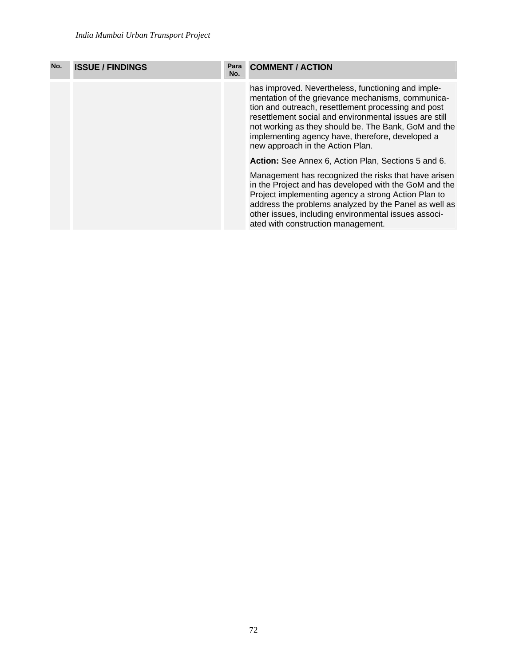| No. | <b>ISSUE / FINDINGS</b> | Para<br>No. | <b>COMMENT / ACTION</b>                                                                                                                                                                                                                                                                                                                                                  |
|-----|-------------------------|-------------|--------------------------------------------------------------------------------------------------------------------------------------------------------------------------------------------------------------------------------------------------------------------------------------------------------------------------------------------------------------------------|
|     |                         |             | has improved. Nevertheless, functioning and imple-<br>mentation of the grievance mechanisms, communica-<br>tion and outreach, resettlement processing and post<br>resettlement social and environmental issues are still<br>not working as they should be. The Bank, GoM and the<br>implementing agency have, therefore, developed a<br>new approach in the Action Plan. |
|     |                         |             | Action: See Annex 6, Action Plan, Sections 5 and 6.                                                                                                                                                                                                                                                                                                                      |
|     |                         |             | Management has recognized the risks that have arisen<br>in the Project and has developed with the GoM and the<br>Project implementing agency a strong Action Plan to<br>address the problems analyzed by the Panel as well as<br>other issues, including environmental issues associ-<br>ated with construction management.                                              |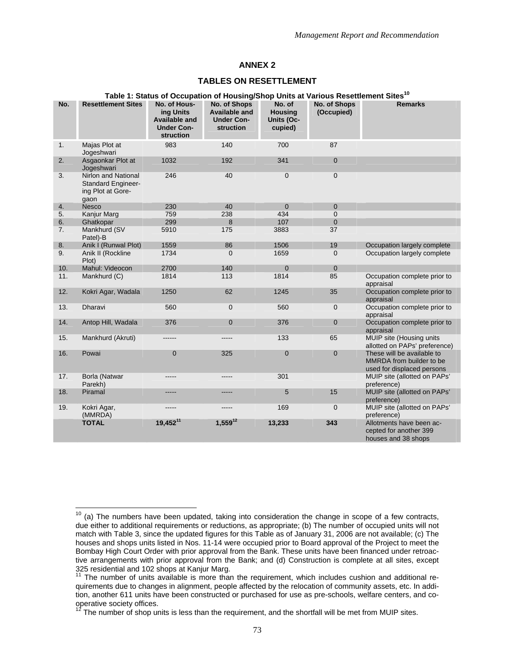#### **TABLES ON RESETTLEMENT**

|     | Table 1: Status of Occupation of Housing/Shop Units at Various Resettlement Sites <sup>10</sup> |                                                                              |                                                                        |                                                          |                                   |                                                                                      |  |  |  |
|-----|-------------------------------------------------------------------------------------------------|------------------------------------------------------------------------------|------------------------------------------------------------------------|----------------------------------------------------------|-----------------------------------|--------------------------------------------------------------------------------------|--|--|--|
| No. | <b>Resettlement Sites</b>                                                                       | No. of Hous-<br>ing Units<br>Available and<br><b>Under Con-</b><br>struction | No. of Shops<br><b>Available and</b><br><b>Under Con-</b><br>struction | No. of<br><b>Housing</b><br><b>Units (Oc-</b><br>cupied) | <b>No. of Shops</b><br>(Occupied) | <b>Remarks</b>                                                                       |  |  |  |
| 1.  | Majas Plot at<br>Jogeshwari                                                                     | 983                                                                          | 140                                                                    | 700                                                      | 87                                |                                                                                      |  |  |  |
| 2.  | Asgaonkar Plot at<br>Jogeshwari                                                                 | 1032                                                                         | 192                                                                    | 341                                                      | $\mathbf 0$                       |                                                                                      |  |  |  |
| 3.  | Nirlon and National<br><b>Standard Engineer-</b><br>ing Plot at Gore-<br>gaon                   | 246                                                                          | 40                                                                     | $\mathbf 0$                                              | $\pmb{0}$                         |                                                                                      |  |  |  |
| 4.  | Nesco                                                                                           | 230                                                                          | 40                                                                     | $\Omega$                                                 | $\mathbf{0}$                      |                                                                                      |  |  |  |
| 5.  | Kanjur Marg                                                                                     | 759                                                                          | 238                                                                    | 434                                                      | $\mathbf{0}$                      |                                                                                      |  |  |  |
| 6.  | Ghatkopar                                                                                       | 299                                                                          | 8                                                                      | 107                                                      | $\mathbf 0$                       |                                                                                      |  |  |  |
| 7.  | Mankhurd (SV<br>Patel)-B                                                                        | 5910                                                                         | 175                                                                    | 3883                                                     | 37                                |                                                                                      |  |  |  |
| 8.  | Anik I (Runwal Plot)                                                                            | 1559                                                                         | 86                                                                     | 1506                                                     | 19                                | Occupation largely complete                                                          |  |  |  |
| 9.  | Anik II (Rockline<br>Plot)                                                                      | 1734                                                                         | $\overline{0}$                                                         | 1659                                                     | $\mathbf 0$                       | Occupation largely complete                                                          |  |  |  |
| 10. | Mahul: Videocon                                                                                 | 2700                                                                         | 140                                                                    | $\Omega$                                                 | $\mathbf{0}$                      |                                                                                      |  |  |  |
| 11. | Mankhurd (C)                                                                                    | 1814                                                                         | 113                                                                    | 1814                                                     | 85                                | Occupation complete prior to<br>appraisal                                            |  |  |  |
| 12. | Kokri Agar, Wadala                                                                              | 1250                                                                         | 62                                                                     | 1245                                                     | 35                                | Occupation complete prior to<br>appraisal                                            |  |  |  |
| 13. | Dharavi                                                                                         | 560                                                                          | $\mathbf 0$                                                            | 560                                                      | $\mathbf 0$                       | Occupation complete prior to<br>appraisal                                            |  |  |  |
| 14. | Antop Hill, Wadala                                                                              | 376                                                                          | $\mathbf 0$                                                            | 376                                                      | $\pmb{0}$                         | Occupation complete prior to<br>appraisal                                            |  |  |  |
| 15. | Mankhurd (Akruti)                                                                               | ------                                                                       | -----                                                                  | 133                                                      | 65                                | MUIP site (Housing units<br>allotted on PAPs' preference)                            |  |  |  |
| 16. | Powai                                                                                           | $\pmb{0}$                                                                    | 325                                                                    | $\mathbf 0$                                              | $\mathbf 0$                       | These will be available to<br>MMRDA from builder to be<br>used for displaced persons |  |  |  |
| 17. | Borla (Natwar<br>Parekh)                                                                        | -----                                                                        | -----                                                                  | 301                                                      |                                   | MUIP site (allotted on PAPs'<br>preference)                                          |  |  |  |
| 18. | Piramal                                                                                         | -----                                                                        | -----                                                                  | 5                                                        | 15                                | MUIP site (allotted on PAPs'<br>preference)                                          |  |  |  |
| 19. | Kokri Agar,<br>(MMRDA)                                                                          | -----                                                                        | -----                                                                  | 169                                                      | $\mathbf 0$                       | MUIP site (allotted on PAPs'<br>preference)                                          |  |  |  |
|     | <b>TOTAL</b>                                                                                    | $19,452^{11}$                                                                | $1,559^{12}$                                                           | 13,233                                                   | 343                               | Allotments have been ac-<br>cepted for another 399<br>houses and 38 shops            |  |  |  |
|     |                                                                                                 |                                                                              |                                                                        |                                                          |                                   |                                                                                      |  |  |  |

 $\overline{1}$ 

 $10$  (a) The numbers have been updated, taking into consideration the change in scope of a few contracts, due either to additional requirements or reductions, as appropriate; (b) The number of occupied units will not match with Table 3, since the updated figures for this Table as of January 31, 2006 are not available; (c) The houses and shops units listed in Nos. 11-14 were occupied prior to Board approval of the Project to meet the Bombay High Court Order with prior approval from the Bank. These units have been financed under retroactive arrangements with prior approval from the Bank; and (d) Construction is complete at all sites, except 325 residential and 102 shops at Kanjur Marg.

 $11$  The number of units available is more than the requirement, which includes cushion and additional requirements due to changes in alignment, people affected by the relocation of community assets, etc. In addition, another 611 units have been constructed or purchased for use as pre-schools, welfare centers, and cooperative society offices.

 $12$  The number of shop units is less than the requirement, and the shortfall will be met from MUIP sites.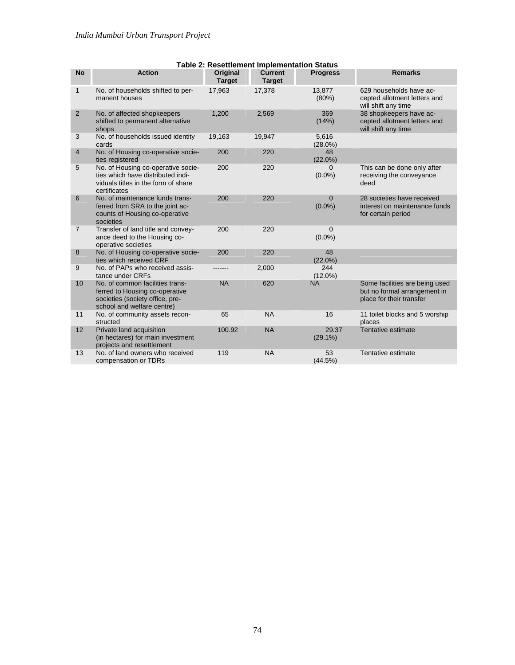|                | Table 2. Resettlement implementation Status                                                                                        |                                  |                                 |                       |                                                                                            |  |  |  |
|----------------|------------------------------------------------------------------------------------------------------------------------------------|----------------------------------|---------------------------------|-----------------------|--------------------------------------------------------------------------------------------|--|--|--|
| <b>No</b>      | <b>Action</b>                                                                                                                      | <b>Original</b><br><b>Target</b> | <b>Current</b><br><b>Target</b> | <b>Progress</b>       | <b>Remarks</b>                                                                             |  |  |  |
| $\mathbf{1}$   | No. of households shifted to per-<br>manent houses                                                                                 | 17,963                           | 17,378                          | 13,877<br>$(80\%)$    | 629 households have ac-<br>cepted allotment letters and<br>will shift any time             |  |  |  |
| $\overline{2}$ | No. of affected shopkeepers<br>shifted to permanent alternative<br>shops                                                           | 1,200                            | 2,569                           | 369<br>(14% )         | 38 shopkeepers have ac-<br>cepted allotment letters and<br>will shift any time             |  |  |  |
| 3              | No. of households issued identity<br>cards                                                                                         | 19,163                           | 19,947                          | 5,616<br>$(28.0\%)$   |                                                                                            |  |  |  |
| 4              | No. of Housing co-operative socie-<br>ties registered                                                                              | 200                              | 220                             | 48<br>$(22.0\%)$      |                                                                                            |  |  |  |
| 5              | No. of Housing co-operative socie-<br>ties which have distributed indi-<br>viduals titles in the form of share<br>certificates     | 200                              | 220                             | 0<br>$(0.0\%)$        | This can be done only after<br>receiving the conveyance<br>deed                            |  |  |  |
| 6              | No. of maintenance funds trans-<br>ferred from SRA to the joint ac-<br>counts of Housing co-operative<br>societies                 | 200                              | 220                             | $\Omega$<br>$(0.0\%)$ | 28 societies have received<br>interest on maintenance funds<br>for certain period          |  |  |  |
| $\overline{7}$ | Transfer of land title and convey-<br>ance deed to the Housing co-<br>operative societies                                          | 200                              | 220                             | $\Omega$<br>$(0.0\%)$ |                                                                                            |  |  |  |
| 8              | No. of Housing co-operative socie-<br>ties which received CRF                                                                      | 200                              | 220                             | 48<br>$(22.0\%)$      |                                                                                            |  |  |  |
| 9              | No. of PAPs who received assis-<br>tance under CRFs                                                                                |                                  | 2,000                           | 244<br>$(12.0\%)$     |                                                                                            |  |  |  |
| 10             | No. of common facilities trans-<br>ferred to Housing co-operative<br>societies (society office, pre-<br>school and welfare centre) | <b>NA</b>                        | 620                             | <b>NA</b>             | Some facilities are being used<br>but no formal arrangement in<br>place for their transfer |  |  |  |
| 11             | No. of community assets recon-<br>structed                                                                                         | 65                               | <b>NA</b>                       | 16                    | 11 toilet blocks and 5 worship<br>places                                                   |  |  |  |
| 12             | Private land acquisition<br>(in hectares) for main investment<br>projects and resettlement                                         | 100.92                           | <b>NA</b>                       | 29.37<br>$(29.1\%)$   | Tentative estimate                                                                         |  |  |  |
| 13             | No. of land owners who received<br>compensation or TDRs                                                                            | 119                              | <b>NA</b>                       | 53<br>(44.5%)         | Tentative estimate                                                                         |  |  |  |

#### **Table 2: Resettlement Implementation Status**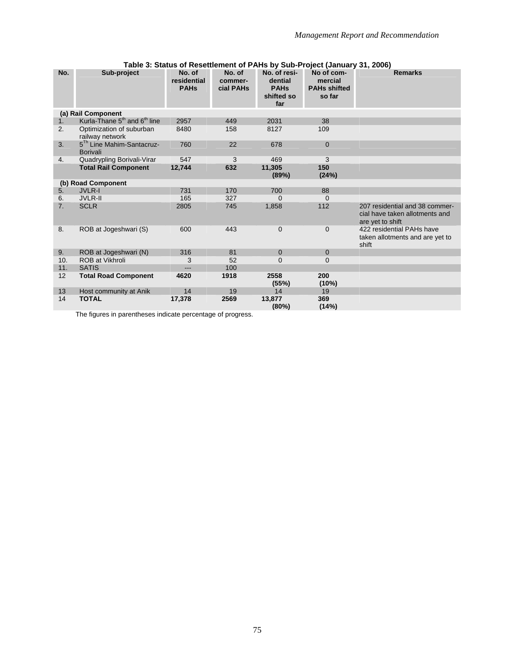| No.            | Sub-project                                              | No. of      | No. of    | No. of resi-       | No of com-          | <b>Remarks</b>                                     |  |  |  |  |
|----------------|----------------------------------------------------------|-------------|-----------|--------------------|---------------------|----------------------------------------------------|--|--|--|--|
|                |                                                          | residential | commer-   | dential            | mercial             |                                                    |  |  |  |  |
|                |                                                          | <b>PAHs</b> | cial PAHs | <b>PAHs</b>        | <b>PAHs shifted</b> |                                                    |  |  |  |  |
|                |                                                          |             |           | shifted so<br>far  | so far              |                                                    |  |  |  |  |
|                | (a) Rail Component                                       |             |           |                    |                     |                                                    |  |  |  |  |
| 1 <sub>1</sub> | Kurla-Thane $5th$ and $6th$ line                         | 2957        | 449       | 2031               | 38                  |                                                    |  |  |  |  |
| 2.             |                                                          | 8480        | 158       | 8127               | 109                 |                                                    |  |  |  |  |
|                | Optimization of suburban<br>railway network              |             |           |                    |                     |                                                    |  |  |  |  |
| 3.             | 5 <sup>Th</sup> Line Mahim-Santacruz-<br><b>Borivali</b> | 760         | 22        | 678                | 0                   |                                                    |  |  |  |  |
| 4.             | Quadrypling Borivali-Virar                               | 547         | 3         | 469                | 3                   |                                                    |  |  |  |  |
|                | <b>Total Rail Component</b>                              | 12,744      | 632       | 11,305             | 150                 |                                                    |  |  |  |  |
|                |                                                          |             |           | (89%)              | (24%)               |                                                    |  |  |  |  |
|                | (b) Road Component                                       |             |           |                    |                     |                                                    |  |  |  |  |
| 5 <sub>1</sub> | <b>JVLR-I</b>                                            | 731         | 170       | 700                | 88                  |                                                    |  |  |  |  |
| 6.             | <b>JVLR-II</b>                                           | 165         | 327       | $\Omega$           | $\Omega$            |                                                    |  |  |  |  |
| 7 <sub>1</sub> | <b>SCLR</b>                                              | 2805        | 745       | 1,858              | 112                 | 207 residential and 38 commer-                     |  |  |  |  |
|                |                                                          |             |           |                    |                     | cial have taken allotments and<br>are yet to shift |  |  |  |  |
| 8.             | ROB at Jogeshwari (S)                                    | 600         | 443       | $\overline{0}$     | 0                   | 422 residential PAHs have                          |  |  |  |  |
|                |                                                          |             |           |                    |                     | taken allotments and are yet to                    |  |  |  |  |
|                |                                                          |             |           |                    |                     | shift                                              |  |  |  |  |
| 9.             | ROB at Jogeshwari (N)                                    | 316         | 81        | $\Omega$           | 0                   |                                                    |  |  |  |  |
| 10.            | <b>ROB at Vikhroli</b>                                   | 3           | 52        | $\Omega$           | 0                   |                                                    |  |  |  |  |
| 11.            | <b>SATIS</b>                                             | $---$       | 100       |                    |                     |                                                    |  |  |  |  |
| 12             | <b>Total Road Component</b>                              | 4620        | 1918      | 2558<br>(55%)      | 200<br>(10%)        |                                                    |  |  |  |  |
| 13             | Host community at Anik                                   | 14          | 19        | 14                 | 19                  |                                                    |  |  |  |  |
| 14             | <b>TOTAL</b>                                             | 17,378      | 2569      | 13,877<br>$(80\%)$ | 369<br>(14%)        |                                                    |  |  |  |  |

#### **Table 3: Status of Resettlement of PAHs by Sub-Project (January 31, 2006)**

The figures in parentheses indicate percentage of progress.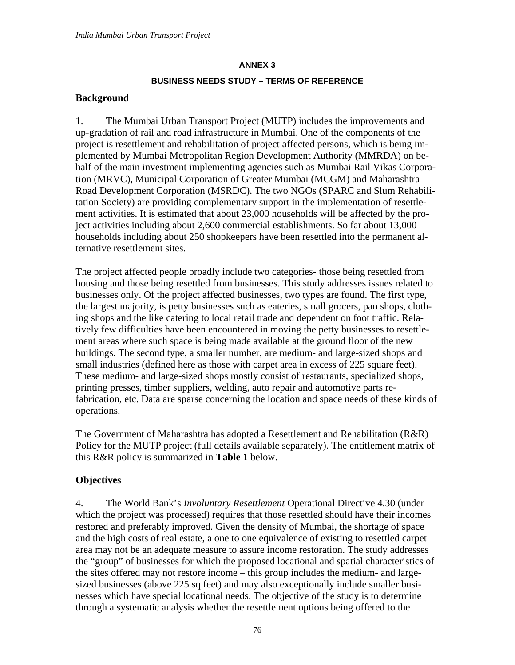#### **BUSINESS NEEDS STUDY – TERMS OF REFERENCE**

#### **Background**

1. The Mumbai Urban Transport Project (MUTP) includes the improvements and up-gradation of rail and road infrastructure in Mumbai. One of the components of the project is resettlement and rehabilitation of project affected persons, which is being implemented by Mumbai Metropolitan Region Development Authority (MMRDA) on behalf of the main investment implementing agencies such as Mumbai Rail Vikas Corporation (MRVC), Municipal Corporation of Greater Mumbai (MCGM) and Maharashtra Road Development Corporation (MSRDC). The two NGOs (SPARC and Slum Rehabilitation Society) are providing complementary support in the implementation of resettlement activities. It is estimated that about 23,000 households will be affected by the project activities including about 2,600 commercial establishments. So far about 13,000 households including about 250 shopkeepers have been resettled into the permanent alternative resettlement sites.

The project affected people broadly include two categories- those being resettled from housing and those being resettled from businesses. This study addresses issues related to businesses only. Of the project affected businesses, two types are found. The first type, the largest majority, is petty businesses such as eateries, small grocers, pan shops, clothing shops and the like catering to local retail trade and dependent on foot traffic. Relatively few difficulties have been encountered in moving the petty businesses to resettlement areas where such space is being made available at the ground floor of the new buildings. The second type, a smaller number, are medium- and large-sized shops and small industries (defined here as those with carpet area in excess of 225 square feet). These medium- and large-sized shops mostly consist of restaurants, specialized shops, printing presses, timber suppliers, welding, auto repair and automotive parts refabrication, etc. Data are sparse concerning the location and space needs of these kinds of operations.

The Government of Maharashtra has adopted a Resettlement and Rehabilitation (R&R) Policy for the MUTP project (full details available separately). The entitlement matrix of this R&R policy is summarized in **Table 1** below.

### **Objectives**

4. The World Bank's *Involuntary Resettlement* Operational Directive 4.30 (under which the project was processed) requires that those resettled should have their incomes restored and preferably improved. Given the density of Mumbai, the shortage of space and the high costs of real estate, a one to one equivalence of existing to resettled carpet area may not be an adequate measure to assure income restoration. The study addresses the "group" of businesses for which the proposed locational and spatial characteristics of the sites offered may not restore income – this group includes the medium- and largesized businesses (above 225 sq feet) and may also exceptionally include smaller businesses which have special locational needs. The objective of the study is to determine through a systematic analysis whether the resettlement options being offered to the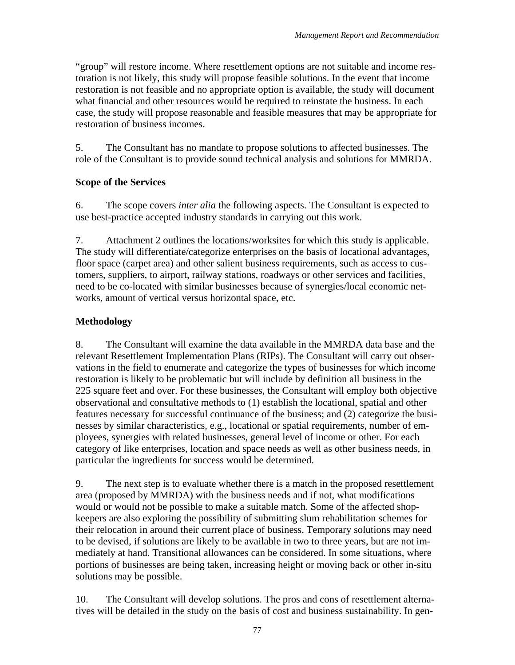"group" will restore income. Where resettlement options are not suitable and income restoration is not likely, this study will propose feasible solutions. In the event that income restoration is not feasible and no appropriate option is available, the study will document what financial and other resources would be required to reinstate the business. In each case, the study will propose reasonable and feasible measures that may be appropriate for restoration of business incomes.

5. The Consultant has no mandate to propose solutions to affected businesses. The role of the Consultant is to provide sound technical analysis and solutions for MMRDA.

## **Scope of the Services**

6. The scope covers *inter alia* the following aspects. The Consultant is expected to use best-practice accepted industry standards in carrying out this work.

7. Attachment 2 outlines the locations/worksites for which this study is applicable. The study will differentiate/categorize enterprises on the basis of locational advantages, floor space (carpet area) and other salient business requirements, such as access to customers, suppliers, to airport, railway stations, roadways or other services and facilities, need to be co-located with similar businesses because of synergies/local economic networks, amount of vertical versus horizontal space, etc.

## **Methodology**

8. The Consultant will examine the data available in the MMRDA data base and the relevant Resettlement Implementation Plans (RIPs). The Consultant will carry out observations in the field to enumerate and categorize the types of businesses for which income restoration is likely to be problematic but will include by definition all business in the 225 square feet and over. For these businesses, the Consultant will employ both objective observational and consultative methods to (1) establish the locational, spatial and other features necessary for successful continuance of the business; and (2) categorize the businesses by similar characteristics, e.g., locational or spatial requirements, number of employees, synergies with related businesses, general level of income or other. For each category of like enterprises, location and space needs as well as other business needs, in particular the ingredients for success would be determined.

9. The next step is to evaluate whether there is a match in the proposed resettlement area (proposed by MMRDA) with the business needs and if not, what modifications would or would not be possible to make a suitable match. Some of the affected shopkeepers are also exploring the possibility of submitting slum rehabilitation schemes for their relocation in around their current place of business. Temporary solutions may need to be devised, if solutions are likely to be available in two to three years, but are not immediately at hand. Transitional allowances can be considered. In some situations, where portions of businesses are being taken, increasing height or moving back or other in-situ solutions may be possible.

10. The Consultant will develop solutions. The pros and cons of resettlement alternatives will be detailed in the study on the basis of cost and business sustainability. In gen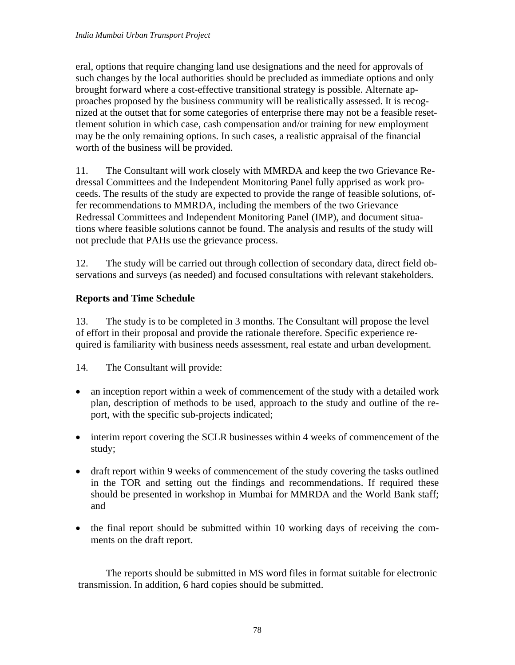eral, options that require changing land use designations and the need for approvals of such changes by the local authorities should be precluded as immediate options and only brought forward where a cost-effective transitional strategy is possible. Alternate approaches proposed by the business community will be realistically assessed. It is recognized at the outset that for some categories of enterprise there may not be a feasible resettlement solution in which case, cash compensation and/or training for new employment may be the only remaining options. In such cases, a realistic appraisal of the financial worth of the business will be provided.

11. The Consultant will work closely with MMRDA and keep the two Grievance Redressal Committees and the Independent Monitoring Panel fully apprised as work proceeds. The results of the study are expected to provide the range of feasible solutions, offer recommendations to MMRDA, including the members of the two Grievance Redressal Committees and Independent Monitoring Panel (IMP), and document situations where feasible solutions cannot be found. The analysis and results of the study will not preclude that PAHs use the grievance process.

12. The study will be carried out through collection of secondary data, direct field observations and surveys (as needed) and focused consultations with relevant stakeholders.

## **Reports and Time Schedule**

13. The study is to be completed in 3 months. The Consultant will propose the level of effort in their proposal and provide the rationale therefore. Specific experience required is familiarity with business needs assessment, real estate and urban development.

14. The Consultant will provide:

- an inception report within a week of commencement of the study with a detailed work plan, description of methods to be used, approach to the study and outline of the report, with the specific sub-projects indicated;
- interim report covering the SCLR businesses within 4 weeks of commencement of the study;
- draft report within 9 weeks of commencement of the study covering the tasks outlined in the TOR and setting out the findings and recommendations. If required these should be presented in workshop in Mumbai for MMRDA and the World Bank staff; and
- the final report should be submitted within 10 working days of receiving the comments on the draft report.

The reports should be submitted in MS word files in format suitable for electronic transmission. In addition, 6 hard copies should be submitted.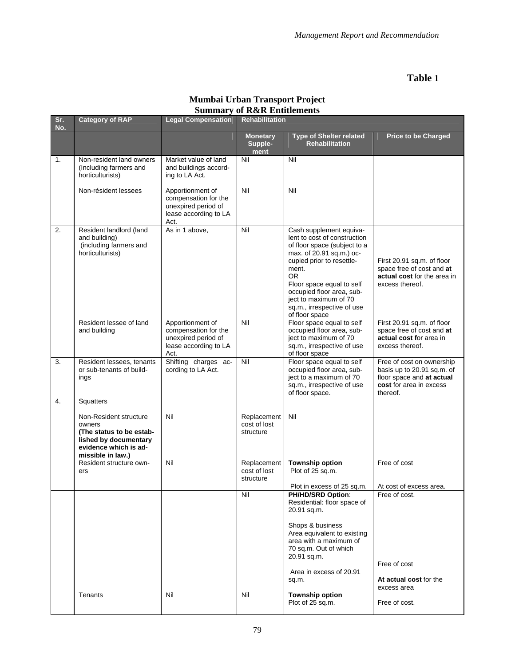## **Table 1**

| Sr.<br>No. | <b>Category of RAP</b>                                                                                                                           | <b>Legal Compensation</b>                                                                        | <b>Rehabilitation</b>                    |                                                                                                                                                                                                                                                                                                           |                                                                                                                             |
|------------|--------------------------------------------------------------------------------------------------------------------------------------------------|--------------------------------------------------------------------------------------------------|------------------------------------------|-----------------------------------------------------------------------------------------------------------------------------------------------------------------------------------------------------------------------------------------------------------------------------------------------------------|-----------------------------------------------------------------------------------------------------------------------------|
|            |                                                                                                                                                  |                                                                                                  | <b>Monetary</b><br>Supple-<br>ment       | <b>Type of Shelter related</b><br><b>Rehabilitation</b>                                                                                                                                                                                                                                                   | <b>Price to be Charged</b>                                                                                                  |
| 1.         | Non-resident land owners<br>(Including farmers and<br>horticulturists)                                                                           | Market value of land<br>and buildings accord-<br>ing to LA Act.                                  | Nil                                      | Nil                                                                                                                                                                                                                                                                                                       |                                                                                                                             |
|            | Non-résident lessees                                                                                                                             | Apportionment of<br>compensation for the<br>unexpired period of<br>lease according to LA<br>Act. | Nil                                      | Nil                                                                                                                                                                                                                                                                                                       |                                                                                                                             |
| 2.         | Resident landlord (land<br>and building)<br>(including farmers and<br>horticulturists)                                                           | As in 1 above,                                                                                   | Nil                                      | Cash supplement equiva-<br>lent to cost of construction<br>of floor space (subject to a<br>max. of 20.91 sq.m.) oc-<br>cupied prior to resettle-<br>ment.<br><b>OR</b><br>Floor space equal to self<br>occupied floor area, sub-<br>ject to maximum of 70<br>sq.m., irrespective of use<br>of floor space | First 20.91 sq.m. of floor<br>space free of cost and at<br>actual cost for the area in<br>excess thereof.                   |
|            | Resident lessee of land<br>and building                                                                                                          | Apportionment of<br>compensation for the<br>unexpired period of<br>lease according to LA<br>Act. | Nil                                      | Floor space equal to self<br>occupied floor area, sub-<br>ject to maximum of 70<br>sq.m., irrespective of use<br>of floor space                                                                                                                                                                           | First 20.91 sq.m. of floor<br>space free of cost and at<br>actual cost for area in<br>excess thereof.                       |
| 3.         | Resident lessees, tenants<br>or sub-tenants of build-<br>ings                                                                                    | Shifting charges ac-<br>cording to LA Act.                                                       | Nil                                      | Floor space equal to self<br>occupied floor area, sub-<br>ject to a maximum of 70<br>sq.m., irrespective of use<br>of floor space.                                                                                                                                                                        | Free of cost on ownership<br>basis up to 20.91 sq.m. of<br>floor space and at actual<br>cost for area in excess<br>thereof. |
| 4.         | Squatters<br>Non-Resident structure<br>owners<br>(The status to be estab-<br>lished by documentary<br>evidence which is ad-<br>missible in law.) | Nil                                                                                              | Replacement<br>cost of lost<br>structure | Nil                                                                                                                                                                                                                                                                                                       |                                                                                                                             |
|            | Resident structure own-<br>ers                                                                                                                   | Nil                                                                                              | Replacement<br>cost of lost<br>structure | <b>Township option</b><br>Plot of 25 sq.m.                                                                                                                                                                                                                                                                | Free of cost                                                                                                                |
|            |                                                                                                                                                  |                                                                                                  | Nil                                      | Plot in excess of 25 sq.m.<br>PH/HD/SRD Option:<br>Residential: floor space of<br>20.91 sq.m.<br>Shops & business<br>Area equivalent to existing<br>area with a maximum of<br>70 sq.m. Out of which<br>20.91 sq.m.<br>Area in excess of 20.91<br>sq.m.                                                    | At cost of excess area.<br>Free of cost.<br>Free of cost<br>At actual cost for the<br>excess area                           |
|            | Tenants                                                                                                                                          | Nil                                                                                              | Nil                                      | <b>Township option</b><br>Plot of 25 sq.m.                                                                                                                                                                                                                                                                | Free of cost.                                                                                                               |

#### **Mumbai Urban Transport Project Summary of R&R Entitlements**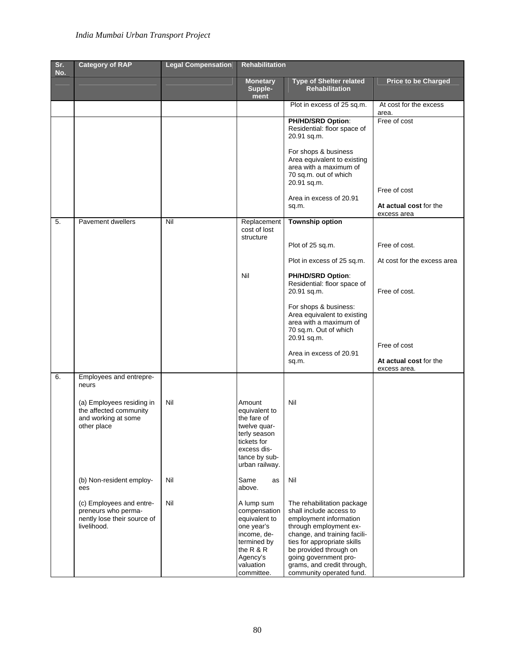## *India Mumbai Urban Transport Project*

| Sr.<br>No. | <b>Category of RAP</b>                                                                        | <b>Legal Compensation</b> | <b>Rehabilitation</b>                                                                                                                       |                                                                                                                                                                                                                                                                                       |                                                       |
|------------|-----------------------------------------------------------------------------------------------|---------------------------|---------------------------------------------------------------------------------------------------------------------------------------------|---------------------------------------------------------------------------------------------------------------------------------------------------------------------------------------------------------------------------------------------------------------------------------------|-------------------------------------------------------|
|            |                                                                                               |                           | <b>Monetary</b><br>Supple-<br>ment                                                                                                          | <b>Type of Shelter related</b><br><b>Rehabilitation</b>                                                                                                                                                                                                                               | <b>Price to be Charged</b>                            |
|            |                                                                                               |                           |                                                                                                                                             | Plot in excess of 25 sq.m.                                                                                                                                                                                                                                                            | At cost for the excess<br>area.                       |
|            |                                                                                               |                           |                                                                                                                                             | PH/HD/SRD Option:<br>Residential: floor space of<br>20.91 sq.m.                                                                                                                                                                                                                       | Free of cost                                          |
|            |                                                                                               |                           |                                                                                                                                             | For shops & business<br>Area equivalent to existing<br>area with a maximum of<br>70 sq.m. out of which<br>20.91 sq.m.                                                                                                                                                                 |                                                       |
|            |                                                                                               |                           |                                                                                                                                             | Area in excess of 20.91<br>sq.m.                                                                                                                                                                                                                                                      | Free of cost<br>At actual cost for the<br>excess area |
| 5.         | <b>Pavement dwellers</b>                                                                      | Nil                       | Replacement<br>cost of lost<br>structure                                                                                                    | <b>Township option</b>                                                                                                                                                                                                                                                                |                                                       |
|            |                                                                                               |                           |                                                                                                                                             | Plot of 25 sq.m.                                                                                                                                                                                                                                                                      | Free of cost.                                         |
|            |                                                                                               |                           |                                                                                                                                             | Plot in excess of 25 sq.m.                                                                                                                                                                                                                                                            | At cost for the excess area                           |
|            |                                                                                               |                           | Nil                                                                                                                                         | PH/HD/SRD Option:<br>Residential: floor space of<br>20.91 sq.m.                                                                                                                                                                                                                       | Free of cost.                                         |
|            |                                                                                               |                           |                                                                                                                                             | For shops & business:<br>Area equivalent to existing<br>area with a maximum of<br>70 sq.m. Out of which<br>20.91 sq.m.                                                                                                                                                                |                                                       |
|            |                                                                                               |                           |                                                                                                                                             | Area in excess of 20.91                                                                                                                                                                                                                                                               | Free of cost                                          |
|            |                                                                                               |                           |                                                                                                                                             | sq.m.                                                                                                                                                                                                                                                                                 | At actual cost for the<br>excess area.                |
| 6.         | Employees and entrepre-<br>neurs                                                              |                           |                                                                                                                                             |                                                                                                                                                                                                                                                                                       |                                                       |
|            | (a) Employees residing in<br>the affected community<br>and working at some<br>other place     | Nil                       | Amount<br>equivalent to<br>the fare of<br>twelve quar-<br>terly season<br>tickets for<br>excess dis-<br>tance by sub-<br>urban railway.     | Nil                                                                                                                                                                                                                                                                                   |                                                       |
|            | (b) Non-resident employ-<br>ees                                                               | Nil                       | Same<br>as<br>above.                                                                                                                        | Nil                                                                                                                                                                                                                                                                                   |                                                       |
|            | (c) Employees and entre-<br>preneurs who perma-<br>nently lose their source of<br>livelihood. | Nil                       | A lump sum<br>compensation<br>equivalent to<br>one year's<br>income, de-<br>termined by<br>the R & R<br>Agency's<br>valuation<br>committee. | The rehabilitation package<br>shall include access to<br>employment information<br>through employment ex-<br>change, and training facili-<br>ties for appropriate skills<br>be provided through on<br>going government pro-<br>grams, and credit through,<br>community operated fund. |                                                       |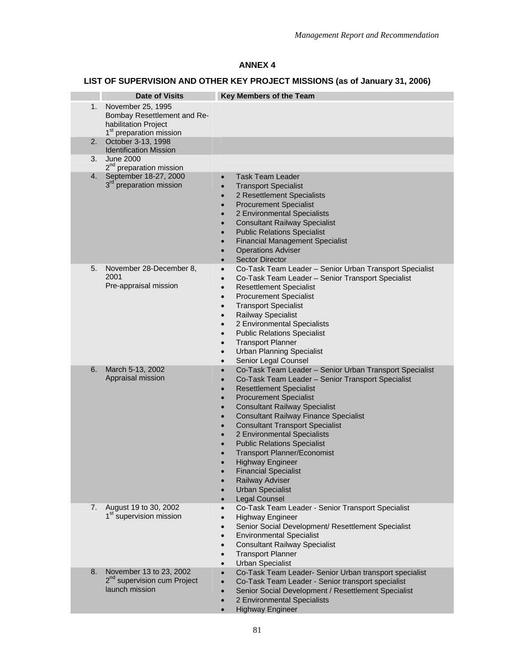# **LIST OF SUPERVISION AND OTHER KEY PROJECT MISSIONS (as of January 31, 2006)**

|    | <b>Date of Visits</b>                                                                                           | <b>Key Members of the Team</b>                                                                                                                                                                                                                                                                                                                                                                                                                                                                                                                                                                                                                                |
|----|-----------------------------------------------------------------------------------------------------------------|---------------------------------------------------------------------------------------------------------------------------------------------------------------------------------------------------------------------------------------------------------------------------------------------------------------------------------------------------------------------------------------------------------------------------------------------------------------------------------------------------------------------------------------------------------------------------------------------------------------------------------------------------------------|
| 1. | November 25, 1995<br>Bombay Resettlement and Re-<br>habilitation Project<br>1 <sup>st</sup> preparation mission |                                                                                                                                                                                                                                                                                                                                                                                                                                                                                                                                                                                                                                                               |
| 2. | October 3-13, 1998<br><b>Identification Mission</b>                                                             |                                                                                                                                                                                                                                                                                                                                                                                                                                                                                                                                                                                                                                                               |
| 3. | <b>June 2000</b><br>2 <sup>nd</sup> preparation mission                                                         |                                                                                                                                                                                                                                                                                                                                                                                                                                                                                                                                                                                                                                                               |
| 4. | September 18-27, 2000<br>3 <sup>rd</sup> preparation mission                                                    | Task Team Leader<br>$\bullet$<br><b>Transport Specialist</b><br>$\bullet$<br>2 Resettlement Specialists<br><b>Procurement Specialist</b><br>$\bullet$<br>2 Environmental Specialists<br>$\bullet$<br><b>Consultant Railway Specialist</b><br>$\bullet$<br><b>Public Relations Specialist</b><br>$\bullet$<br><b>Financial Management Specialist</b><br>$\bullet$<br><b>Operations Adviser</b><br>$\bullet$<br><b>Sector Director</b><br>$\bullet$                                                                                                                                                                                                             |
| 5. | November 28-December 8,<br>2001<br>Pre-appraisal mission                                                        | Co-Task Team Leader - Senior Urban Transport Specialist<br>$\bullet$<br>Co-Task Team Leader - Senior Transport Specialist<br>$\bullet$<br><b>Resettlement Specialist</b><br>$\bullet$<br><b>Procurement Specialist</b><br>$\bullet$<br><b>Transport Specialist</b><br>$\bullet$<br><b>Railway Specialist</b><br>$\bullet$<br>2 Environmental Specialists<br>$\bullet$<br><b>Public Relations Specialist</b><br>$\bullet$<br><b>Transport Planner</b><br>$\bullet$<br><b>Urban Planning Specialist</b><br>$\bullet$<br>Senior Legal Counsel<br>$\bullet$                                                                                                       |
| 6. | March 5-13, 2002<br>Appraisal mission                                                                           | Co-Task Team Leader - Senior Urban Transport Specialist<br>$\bullet$<br>Co-Task Team Leader - Senior Transport Specialist<br>$\bullet$<br><b>Resettlement Specialist</b><br>$\bullet$<br><b>Procurement Specialist</b><br>$\bullet$<br><b>Consultant Railway Specialist</b><br><b>Consultant Railway Finance Specialist</b><br>$\bullet$<br><b>Consultant Transport Specialist</b><br>$\bullet$<br>2 Environmental Specialists<br>$\bullet$<br><b>Public Relations Specialist</b><br><b>Transport Planner/Economist</b><br><b>Highway Engineer</b><br><b>Financial Specialist</b><br>Railway Adviser<br><b>Urban Specialist</b><br>Legal Counsel<br>$\bullet$ |
| 7. | August 19 to 30, 2002<br>1 <sup>st</sup> supervision mission                                                    | Co-Task Team Leader - Senior Transport Specialist<br>$\bullet$<br><b>Highway Engineer</b><br>$\bullet$<br>Senior Social Development/ Resettlement Specialist<br>$\bullet$<br><b>Environmental Specialist</b><br>$\bullet$<br><b>Consultant Railway Specialist</b><br>$\bullet$<br><b>Transport Planner</b><br>$\bullet$<br><b>Urban Specialist</b><br>$\bullet$                                                                                                                                                                                                                                                                                               |
| 8. | November 13 to 23, 2002<br>2 <sup>nd</sup> supervision cum Project<br>launch mission                            | Co-Task Team Leader- Senior Urban transport specialist<br>$\bullet$<br>Co-Task Team Leader - Senior transport specialist<br>$\bullet$<br>Senior Social Development / Resettlement Specialist<br>$\bullet$<br>2 Environmental Specialists<br>$\bullet$<br><b>Highway Engineer</b><br>$\bullet$                                                                                                                                                                                                                                                                                                                                                                 |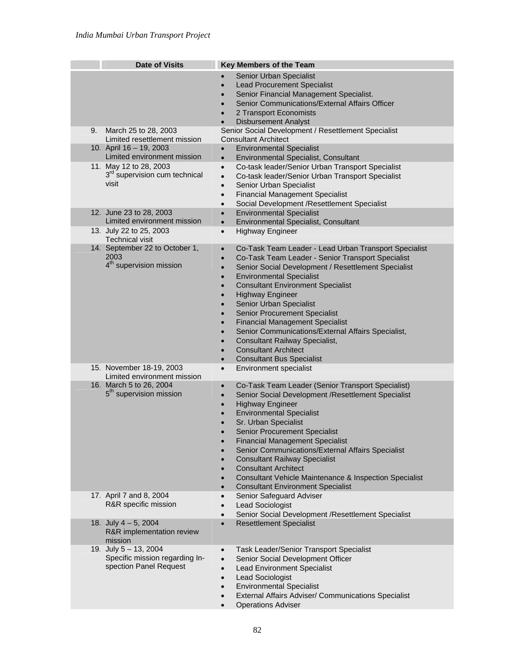|    | <b>Date of Visits</b>                                                                | Key Members of the Team                                                                                                                                                                                                                                                                                                                                                                                                                                                                                                                                                                                                                                                                                                      |
|----|--------------------------------------------------------------------------------------|------------------------------------------------------------------------------------------------------------------------------------------------------------------------------------------------------------------------------------------------------------------------------------------------------------------------------------------------------------------------------------------------------------------------------------------------------------------------------------------------------------------------------------------------------------------------------------------------------------------------------------------------------------------------------------------------------------------------------|
|    |                                                                                      | Senior Urban Specialist<br>$\bullet$<br><b>Lead Procurement Specialist</b><br>$\bullet$<br>Senior Financial Management Specialist.<br>$\bullet$<br>Senior Communications/External Affairs Officer<br>$\bullet$<br>2 Transport Economists<br>$\bullet$<br><b>Disbursement Analyst</b><br>$\bullet$                                                                                                                                                                                                                                                                                                                                                                                                                            |
| 9. | March 25 to 28, 2003<br>Limited resettlement mission                                 | Senior Social Development / Resettlement Specialist<br><b>Consultant Architect</b>                                                                                                                                                                                                                                                                                                                                                                                                                                                                                                                                                                                                                                           |
|    | 10. April 16 - 19, 2003<br>Limited environment mission                               | <b>Environmental Specialist</b><br>$\bullet$<br><b>Environmental Specialist, Consultant</b><br>$\bullet$                                                                                                                                                                                                                                                                                                                                                                                                                                                                                                                                                                                                                     |
|    | 11. May 12 to 28, 2003<br>3 <sup>rd</sup> supervision cum technical<br>visit         | Co-task leader/Senior Urban Transport Specialist<br>$\bullet$<br>Co-task leader/Senior Urban Transport Specialist<br>$\bullet$<br>Senior Urban Specialist<br>$\bullet$<br><b>Financial Management Specialist</b><br>$\bullet$<br>Social Development /Resettlement Specialist<br>$\bullet$                                                                                                                                                                                                                                                                                                                                                                                                                                    |
|    | 12. June 23 to 28, 2003<br>Limited environment mission                               | <b>Environmental Specialist</b><br>$\bullet$<br>Environmental Specialist, Consultant<br>$\bullet$                                                                                                                                                                                                                                                                                                                                                                                                                                                                                                                                                                                                                            |
|    | 13. July 22 to 25, 2003<br><b>Technical visit</b>                                    | <b>Highway Engineer</b><br>$\bullet$                                                                                                                                                                                                                                                                                                                                                                                                                                                                                                                                                                                                                                                                                         |
|    | 14. September 22 to October 1,<br>2003<br>4 <sup>th</sup> supervision mission        | Co-Task Team Leader - Lead Urban Transport Specialist<br>$\bullet$<br>Co-Task Team Leader - Senior Transport Specialist<br>$\bullet$<br>Senior Social Development / Resettlement Specialist<br>$\bullet$<br><b>Environmental Specialist</b><br>$\bullet$<br><b>Consultant Environment Specialist</b><br>$\bullet$<br><b>Highway Engineer</b><br>$\bullet$<br>Senior Urban Specialist<br>$\bullet$<br><b>Senior Procurement Specialist</b><br>$\bullet$<br><b>Financial Management Specialist</b><br>$\bullet$<br>Senior Communications/External Affairs Specialist,<br>$\bullet$<br>Consultant Railway Specialist,<br>$\bullet$<br><b>Consultant Architect</b><br>$\bullet$<br><b>Consultant Bus Specialist</b><br>$\bullet$ |
|    | 15. November 18-19, 2003<br>Limited environment mission                              | <b>Environment specialist</b><br>$\bullet$                                                                                                                                                                                                                                                                                                                                                                                                                                                                                                                                                                                                                                                                                   |
|    | 16. March 5 to 26, 2004<br>5 <sup>th</sup> supervision mission                       | Co-Task Team Leader (Senior Transport Specialist)<br>$\bullet$<br>Senior Social Development / Resettlement Specialist<br>$\bullet$<br><b>Highway Engineer</b><br>$\bullet$<br><b>Environmental Specialist</b><br>$\bullet$<br>Sr. Urban Specialist<br>$\bullet$<br><b>Senior Procurement Specialist</b><br><b>Financial Management Specialist</b><br>$\bullet$<br>Senior Communications/External Affairs Specialist<br><b>Consultant Railway Specialist</b><br>$\bullet$<br><b>Consultant Architect</b><br>$\bullet$<br>Consultant Vehicle Maintenance & Inspection Specialist<br>$\bullet$<br><b>Consultant Environment Specialist</b><br>$\bullet$                                                                         |
|    | 17. April 7 and 8, 2004<br>R&R specific mission                                      | Senior Safeguard Adviser<br>$\bullet$<br>Lead Sociologist<br>$\bullet$<br>Senior Social Development / Resettlement Specialist<br>$\bullet$                                                                                                                                                                                                                                                                                                                                                                                                                                                                                                                                                                                   |
|    | 18. July $4-5$ , 2004<br>R&R implementation review<br>mission                        | <b>Resettlement Specialist</b><br>$\bullet$                                                                                                                                                                                                                                                                                                                                                                                                                                                                                                                                                                                                                                                                                  |
|    | 19. July $5 - 13$ , 2004<br>Specific mission regarding In-<br>spection Panel Request | Task Leader/Senior Transport Specialist<br>$\bullet$<br>Senior Social Development Officer<br>$\bullet$<br><b>Lead Environment Specialist</b><br>$\bullet$<br>Lead Sociologist<br>$\bullet$<br><b>Environmental Specialist</b><br>$\bullet$<br>External Affairs Adviser/ Communications Specialist<br>$\bullet$<br><b>Operations Adviser</b><br>$\bullet$                                                                                                                                                                                                                                                                                                                                                                     |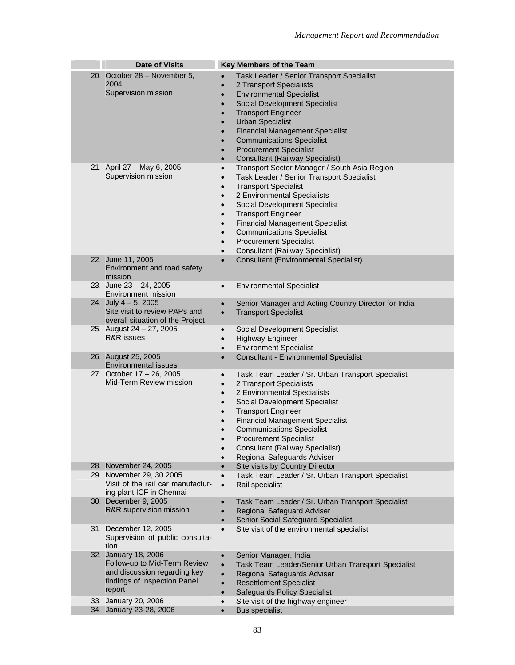| <b>Date of Visits</b>                                                                                                          | Key Members of the Team                                                                                                                                                                                                                                                                                                                                                                                                                                                   |
|--------------------------------------------------------------------------------------------------------------------------------|---------------------------------------------------------------------------------------------------------------------------------------------------------------------------------------------------------------------------------------------------------------------------------------------------------------------------------------------------------------------------------------------------------------------------------------------------------------------------|
| 20. October 28 - November 5,<br>2004<br>Supervision mission                                                                    | Task Leader / Senior Transport Specialist<br>2 Transport Specialists<br><b>Environmental Specialist</b><br>$\bullet$<br>Social Development Specialist<br>$\bullet$<br><b>Transport Engineer</b><br>$\bullet$<br><b>Urban Specialist</b><br>$\bullet$<br><b>Financial Management Specialist</b><br><b>Communications Specialist</b><br>$\bullet$<br><b>Procurement Specialist</b><br>$\bullet$<br><b>Consultant (Railway Specialist)</b><br>$\bullet$                      |
| 21. April 27 - May 6, 2005<br>Supervision mission                                                                              | Transport Sector Manager / South Asia Region<br>$\bullet$<br>Task Leader / Senior Transport Specialist<br>$\bullet$<br><b>Transport Specialist</b><br>2 Environmental Specialists<br>$\bullet$<br>Social Development Specialist<br>$\bullet$<br><b>Transport Engineer</b><br>$\bullet$<br><b>Financial Management Specialist</b><br>$\bullet$<br><b>Communications Specialist</b><br><b>Procurement Specialist</b><br><b>Consultant (Railway Specialist)</b><br>$\bullet$ |
| 22. June 11, 2005<br>Environment and road safety<br>mission                                                                    | <b>Consultant (Environmental Specialist)</b><br>$\bullet$                                                                                                                                                                                                                                                                                                                                                                                                                 |
| 23. June 23 - 24, 2005<br>Environment mission                                                                                  | <b>Environmental Specialist</b><br>$\bullet$                                                                                                                                                                                                                                                                                                                                                                                                                              |
| 24. July $4 - 5$ , 2005<br>Site visit to review PAPs and<br>overall situation of the Project                                   | Senior Manager and Acting Country Director for India<br>$\bullet$<br><b>Transport Specialist</b><br>$\bullet$                                                                                                                                                                                                                                                                                                                                                             |
| 25. August 24 - 27, 2005<br><b>R&amp;R</b> issues                                                                              | Social Development Specialist<br>$\bullet$<br><b>Highway Engineer</b><br>$\bullet$<br><b>Environment Specialist</b><br>$\bullet$                                                                                                                                                                                                                                                                                                                                          |
| 26. August 25, 2005<br>Environmental issues                                                                                    | <b>Consultant - Environmental Specialist</b><br>$\bullet$                                                                                                                                                                                                                                                                                                                                                                                                                 |
| 27. October 17 - 26, 2005<br>Mid-Term Review mission                                                                           | Task Team Leader / Sr. Urban Transport Specialist<br>$\bullet$<br>2 Transport Specialists<br>$\bullet$<br>2 Environmental Specialists<br>$\bullet$<br>Social Development Specialist<br>$\bullet$<br><b>Transport Engineer</b><br>$\bullet$<br><b>Financial Management Specialist</b><br><b>Communications Specialist</b><br>$\bullet$<br><b>Procurement Specialist</b><br><b>Consultant (Railway Specialist)</b><br>$\bullet$<br>Regional Safeguards Adviser<br>$\bullet$ |
| 28. November 24, 2005                                                                                                          | Site visits by Country Director<br>$\bullet$                                                                                                                                                                                                                                                                                                                                                                                                                              |
| 29. November 29, 30 2005<br>Visit of the rail car manufactur-<br>ing plant ICF in Chennai                                      | Task Team Leader / Sr. Urban Transport Specialist<br>$\bullet$<br>Rail specialist<br>$\bullet$                                                                                                                                                                                                                                                                                                                                                                            |
| 30. December 9, 2005<br>R&R supervision mission                                                                                | Task Team Leader / Sr. Urban Transport Specialist<br>$\bullet$<br><b>Regional Safeguard Adviser</b><br>$\bullet$<br>Senior Social Safeguard Specialist<br>$\bullet$                                                                                                                                                                                                                                                                                                       |
| 31. December 12, 2005<br>Supervision of public consulta-<br>tion                                                               | Site visit of the environmental specialist                                                                                                                                                                                                                                                                                                                                                                                                                                |
| 32. January 18, 2006<br>Follow-up to Mid-Term Review<br>and discussion regarding key<br>findings of Inspection Panel<br>report | Senior Manager, India<br>$\bullet$<br>Task Team Leader/Senior Urban Transport Specialist<br>$\bullet$<br>Regional Safeguards Adviser<br>$\bullet$<br><b>Resettlement Specialist</b><br>$\bullet$<br><b>Safeguards Policy Specialist</b><br>$\bullet$                                                                                                                                                                                                                      |
| 33. January 20, 2006<br>34. January 23-28, 2006                                                                                | Site visit of the highway engineer<br>$\bullet$<br><b>Bus specialist</b>                                                                                                                                                                                                                                                                                                                                                                                                  |
|                                                                                                                                | $\bullet$                                                                                                                                                                                                                                                                                                                                                                                                                                                                 |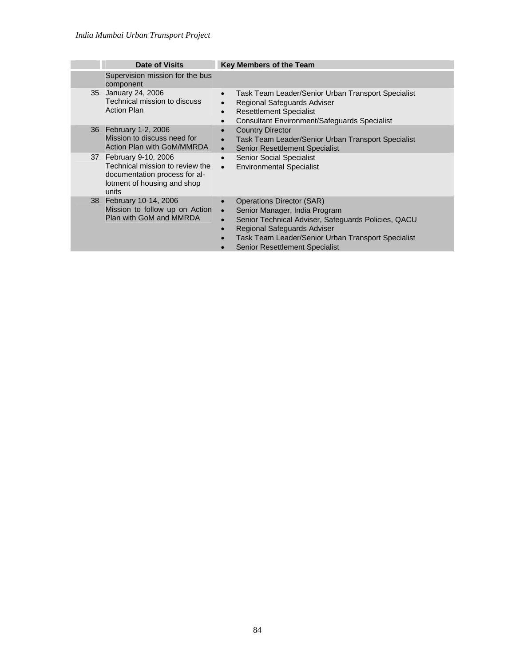| Date of Visits                                                                                                                      | Key Members of the Team                                                                                                                                                                                                                                                                              |
|-------------------------------------------------------------------------------------------------------------------------------------|------------------------------------------------------------------------------------------------------------------------------------------------------------------------------------------------------------------------------------------------------------------------------------------------------|
| Supervision mission for the bus<br>component                                                                                        |                                                                                                                                                                                                                                                                                                      |
| 35. January 24, 2006<br>Technical mission to discuss<br><b>Action Plan</b>                                                          | Task Team Leader/Senior Urban Transport Specialist<br>$\bullet$<br>Regional Safeguards Adviser<br>$\bullet$<br><b>Resettlement Specialist</b><br>$\bullet$<br><b>Consultant Environment/Safeguards Specialist</b>                                                                                    |
| 36. February 1-2, 2006<br>Mission to discuss need for<br>Action Plan with GoM/MMRDA                                                 | <b>Country Director</b><br>$\bullet$<br>Task Team Leader/Senior Urban Transport Specialist<br>$\bullet$<br><b>Senior Resettlement Specialist</b><br>$\bullet$                                                                                                                                        |
| 37. February 9-10, 2006<br>Technical mission to review the<br>documentation process for al-<br>lotment of housing and shop<br>units | <b>Senior Social Specialist</b><br>$\bullet$<br><b>Environmental Specialist</b><br>$\bullet$                                                                                                                                                                                                         |
| 38. February 10-14, 2006<br>Mission to follow up on Action<br>Plan with GoM and MMRDA                                               | <b>Operations Director (SAR)</b><br>$\bullet$<br>Senior Manager, India Program<br>$\bullet$<br>Senior Technical Adviser, Safeguards Policies, QACU<br>$\bullet$<br><b>Regional Safeguards Adviser</b><br>Task Team Leader/Senior Urban Transport Specialist<br><b>Senior Resettlement Specialist</b> |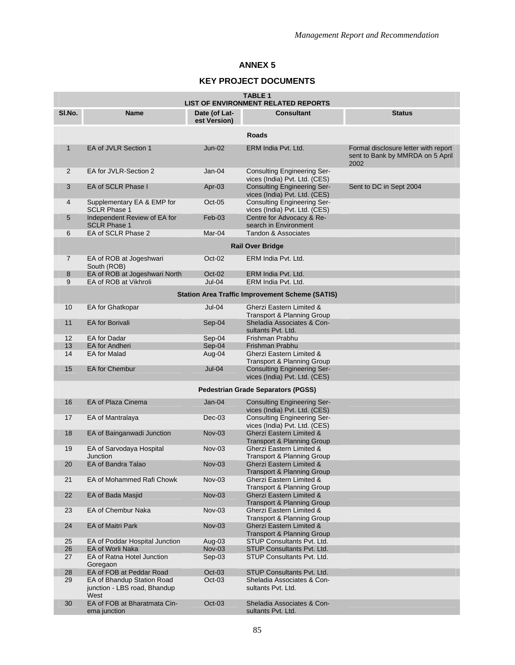### **KEY PROJECT DOCUMENTS**

| <b>TABLE 1</b><br><b>LIST OF ENVIRONMENT RELATED REPORTS</b> |                                                                    |                               |                                                                              |                                                                                  |  |
|--------------------------------------------------------------|--------------------------------------------------------------------|-------------------------------|------------------------------------------------------------------------------|----------------------------------------------------------------------------------|--|
| SI.No.                                                       | Name                                                               | Date (of Lat-<br>est Version) | <b>Consultant</b>                                                            | <b>Status</b>                                                                    |  |
|                                                              |                                                                    |                               | <b>Roads</b>                                                                 |                                                                                  |  |
| $\mathbf{1}$                                                 | EA of JVLR Section 1                                               | $Jun-02$                      | ERM India Pvt. Ltd.                                                          | Formal disclosure letter with report<br>sent to Bank by MMRDA on 5 April<br>2002 |  |
| 2                                                            | EA for JVLR-Section 2                                              | $Jan-04$                      | <b>Consulting Engineering Ser-</b><br>vices (India) Pvt. Ltd. (CES)          |                                                                                  |  |
| 3                                                            | EA of SCLR Phase I                                                 | Apr-03                        | <b>Consulting Engineering Ser-</b><br>vices (India) Pvt. Ltd. (CES)          | Sent to DC in Sept 2004                                                          |  |
| 4                                                            | Supplementary EA & EMP for<br><b>SCLR Phase 1</b>                  | $Oct-05$                      | <b>Consulting Engineering Ser-</b><br>vices (India) Pvt. Ltd. (CES)          |                                                                                  |  |
| 5                                                            | Independent Review of EA for<br><b>SCLR Phase 1</b>                | $Feb-03$                      | Centre for Advocacy & Re-<br>search in Environment                           |                                                                                  |  |
| 6                                                            | EA of SCLR Phase 2                                                 | Mar-04                        | Tandon & Associates                                                          |                                                                                  |  |
|                                                              |                                                                    |                               | <b>Rail Over Bridge</b>                                                      |                                                                                  |  |
| $\overline{7}$                                               | EA of ROB at Jogeshwari                                            | $Oct-02$                      | ERM India Pvt. Ltd.                                                          |                                                                                  |  |
| 8                                                            | South (ROB)<br>EA of ROB at Jogeshwari North                       | Oct-02                        | ERM India Pvt. Ltd.                                                          |                                                                                  |  |
| 9                                                            | EA of ROB at Vikhroli                                              | $Jul-04$                      | ERM India Pvt. Ltd.                                                          |                                                                                  |  |
|                                                              |                                                                    |                               |                                                                              |                                                                                  |  |
|                                                              |                                                                    |                               | <b>Station Area Traffic Improvement Scheme (SATIS)</b>                       |                                                                                  |  |
| 10                                                           | EA for Ghatkopar                                                   | $Jul-04$                      | Gherzi Eastern Limited &<br>Transport & Planning Group                       |                                                                                  |  |
| 11                                                           | <b>EA</b> for Borivali                                             | Sep-04                        | Sheladia Associates & Con-<br>sultants Pvt. Ltd.                             |                                                                                  |  |
| $12 \overline{ }$                                            | <b>EA</b> for Dadar                                                | Sep-04                        | Frishman Prabhu                                                              |                                                                                  |  |
| 13                                                           | <b>EA</b> for Andheri                                              | Sep-04                        | Frishman Prabhu                                                              |                                                                                  |  |
| 14                                                           | <b>EA for Malad</b>                                                | Aug-04                        | Gherzi Eastern Limited &<br>Transport & Planning Group                       |                                                                                  |  |
| 15                                                           | <b>EA for Chembur</b>                                              | $Jul-04$                      | <b>Consulting Engineering Ser-</b><br>vices (India) Pvt. Ltd. (CES)          |                                                                                  |  |
|                                                              |                                                                    |                               | <b>Pedestrian Grade Separators (PGSS)</b>                                    |                                                                                  |  |
| 16                                                           | EA of Plaza Cinema                                                 | $Jan-04$                      | <b>Consulting Engineering Ser-</b><br>vices (India) Pvt. Ltd. (CES)          |                                                                                  |  |
| 17                                                           | EA of Mantralaya                                                   | $Dec-03$                      | <b>Consulting Engineering Ser-</b><br>vices (India) Pvt. Ltd. (CES)          |                                                                                  |  |
| 18                                                           | EA of Bainganwadi Junction                                         | $Nov-03$                      | <b>Gherzi Eastern Limited &amp;</b><br>Transport & Planning Group            |                                                                                  |  |
| 19                                                           | EA of Sarvodaya Hospital<br><b>Junction</b>                        | $Nov-03$                      | Gherzi Eastern Limited &<br>Transport & Planning Group                       |                                                                                  |  |
| 20                                                           | EA of Bandra Talao                                                 | $Nov-03$                      | Gherzi Eastern Limited &<br>Transport & Planning Group                       |                                                                                  |  |
| 21                                                           | EA of Mohammed Rafi Chowk                                          | Nov-03                        | Gherzi Eastern Limited &<br><b>Transport &amp; Planning Group</b>            |                                                                                  |  |
| 22                                                           | <b>EA of Bada Masjid</b>                                           | Nov-03                        | <b>Gherzi Eastern Limited &amp;</b><br><b>Transport &amp; Planning Group</b> |                                                                                  |  |
| 23                                                           | <b>EA of Chembur Naka</b>                                          | Nov-03                        | Gherzi Eastern Limited &<br>Transport & Planning Group                       |                                                                                  |  |
| 24                                                           | EA of Maitri Park                                                  | $Nov-03$                      | Gherzi Eastern Limited &<br><b>Transport &amp; Planning Group</b>            |                                                                                  |  |
| 25                                                           | EA of Poddar Hospital Junction                                     | Aug-03                        | STUP Consultants Pvt. Ltd.                                                   |                                                                                  |  |
| 26                                                           | <b>EA of Worli Naka</b>                                            | <b>Nov-03</b>                 | STUP Consultants Pvt. Ltd.                                                   |                                                                                  |  |
| 27                                                           | EA of Ratna Hotel Junction<br>Goregaon                             | Sep-03                        | STUP Consultants Pvt. Ltd.                                                   |                                                                                  |  |
| 28                                                           | EA of FOB at Peddar Road                                           | $Oct-03$                      | STUP Consultants Pvt. Ltd.                                                   |                                                                                  |  |
| 29                                                           | EA of Bhandup Station Road<br>junction - LBS road, Bhandup<br>West | Oct-03                        | Sheladia Associates & Con-<br>sultants Pvt. Ltd.                             |                                                                                  |  |
| 30                                                           | EA of FOB at Bharatmata Cin-<br>ema junction                       | $Oct-03$                      | Sheladia Associates & Con-<br>sultants Pvt. Ltd.                             |                                                                                  |  |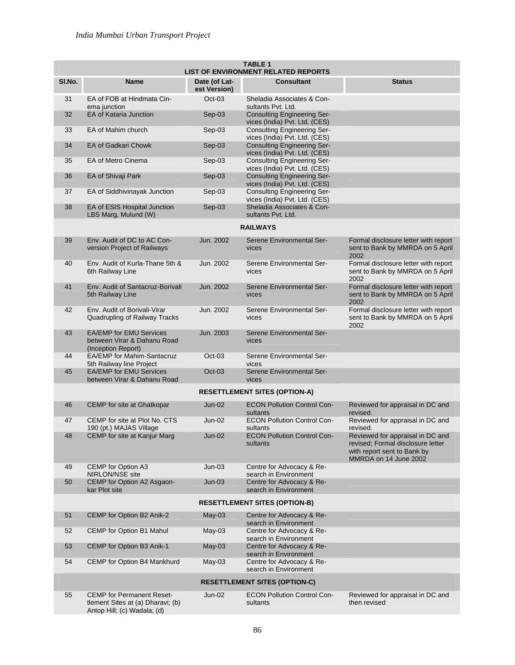|        | <b>TABLE 1</b><br><b>LIST OF ENVIRONMENT RELATED REPORTS</b>                                         |                               |                                                                     |                                                                                                                               |  |  |
|--------|------------------------------------------------------------------------------------------------------|-------------------------------|---------------------------------------------------------------------|-------------------------------------------------------------------------------------------------------------------------------|--|--|
| SI.No. | <b>Name</b>                                                                                          | Date (of Lat-<br>est Version) | <b>Consultant</b>                                                   | <b>Status</b>                                                                                                                 |  |  |
| 31     | EA of FOB at Hindmata Cin-<br>ema junction                                                           | $Oct-03$                      | Sheladia Associates & Con-<br>sultants Pvt. Ltd.                    |                                                                                                                               |  |  |
| 32     | EA of Kataria Junction                                                                               | $Sep-03$                      | <b>Consulting Engineering Ser-</b><br>vices (India) Pvt. Ltd. (CES) |                                                                                                                               |  |  |
| 33     | EA of Mahim church                                                                                   | Sep-03                        | <b>Consulting Engineering Ser-</b><br>vices (India) Pvt. Ltd. (CES) |                                                                                                                               |  |  |
| 34     | <b>EA of Gadkari Chowk</b>                                                                           | Sep-03                        | <b>Consulting Engineering Ser-</b><br>vices (India) Pvt. Ltd. (CES) |                                                                                                                               |  |  |
| 35     | <b>EA of Metro Cinema</b>                                                                            | $Sep-03$                      | <b>Consulting Engineering Ser-</b><br>vices (India) Pvt. Ltd. (CES) |                                                                                                                               |  |  |
| 36     | EA of Shivaji Park                                                                                   | Sep-03                        | <b>Consulting Engineering Ser-</b><br>vices (India) Pvt. Ltd. (CES) |                                                                                                                               |  |  |
| 37     | EA of Siddhivinayak Junction                                                                         | $Sep-03$                      | <b>Consulting Engineering Ser-</b><br>vices (India) Pvt. Ltd. (CES) |                                                                                                                               |  |  |
| 38     | EA of ESIS Hospital Junction<br>LBS Marg, Mulund (W)                                                 | $Sep-03$                      | Sheladia Associates & Con-<br>sultants Pyt. Ltd.                    |                                                                                                                               |  |  |
|        |                                                                                                      |                               | <b>RAILWAYS</b>                                                     |                                                                                                                               |  |  |
| 39     | Env. Audit of DC to AC Con-<br>version Project of Railways                                           | Jun. 2002                     | Serene Environmental Ser-<br>vices                                  | Formal disclosure letter with report<br>sent to Bank by MMRDA on 5 April<br>2002                                              |  |  |
| 40     | Env. Audit of Kurla-Thane 5th &<br>6th Railway Line                                                  | Jun. 2002                     | Serene Environmental Ser-<br>vices                                  | Formal disclosure letter with report<br>sent to Bank by MMRDA on 5 April<br>2002                                              |  |  |
| 41     | Env. Audit of Santacruz-Borivali<br>5th Railway Line                                                 | Jun. 2002                     | Serene Environmental Ser-<br>vices                                  | Formal disclosure letter with report<br>sent to Bank by MMRDA on 5 April<br>2002                                              |  |  |
| 42     | Env. Audit of Borivali-Virar<br>Quadrupling of Railway Tracks                                        | Jun. 2002                     | Serene Environmental Ser-<br>vices                                  | Formal disclosure letter with report<br>sent to Bank by MMRDA on 5 April<br>2002                                              |  |  |
| 43     | <b>EA/EMP for EMU Services</b><br>between Virar & Dahanu Road<br>(Inception Report)                  | Jun. 2003                     | Serene Environmental Ser-<br>vices                                  |                                                                                                                               |  |  |
| 44     | EA/EMP for Mahim-Santacruz<br>5th Railway line Project                                               | $Oct-03$                      | Serene Environmental Ser-<br>vices                                  |                                                                                                                               |  |  |
| 45     | <b>EA/EMP for EMU Services</b><br>between Virar & Dahanu Road                                        | $Oct-03$                      | Serene Environmental Ser-<br>vices                                  |                                                                                                                               |  |  |
|        |                                                                                                      |                               | <b>RESETTLEMENT SITES (OPTION-A)</b>                                |                                                                                                                               |  |  |
| 46     | CEMP for site at Ghatkopar                                                                           | $Jun-02$                      | <b>ECON Pollution Control Con-</b><br>sultants                      | Reviewed for appraisal in DC and<br>revised.                                                                                  |  |  |
| 47     | CEMP for site at Plot No. CTS<br>190 (pt.) MAJAS Village                                             | $Jun-02$                      | <b>ECON Pollution Control Con-</b><br>sultants                      | Reviewed for appraisal in DC and<br>revised.                                                                                  |  |  |
| 48     | <b>CEMP</b> for site at Kanjur Marg                                                                  | $Jun-02$                      | <b>ECON Pollution Control Con-</b><br>sultants                      | Reviewed for appraisal in DC and<br>revised; Formal disclosure letter<br>with report sent to Bank by<br>MMRDA on 14 June 2002 |  |  |
| 49     | CEMP for Option A3<br>NIRLON/NSE site                                                                | $Jun-03$                      | Centre for Advocacy & Re-<br>search in Environment                  |                                                                                                                               |  |  |
| 50     | CEMP for Option A2 Asgaon-<br>kar Plot site                                                          | $Jun-03$                      | Centre for Advocacy & Re-<br>search in Environment                  |                                                                                                                               |  |  |
|        |                                                                                                      |                               | <b>RESETTLEMENT SITES (OPTION-B)</b>                                |                                                                                                                               |  |  |
| 51     | CEMP for Option B2 Anik-2                                                                            | $May-03$                      | Centre for Advocacy & Re-<br>search in Environment                  |                                                                                                                               |  |  |
| 52     | CEMP for Option B1 Mahul                                                                             | $May-03$                      | Centre for Advocacy & Re-<br>search in Environment                  |                                                                                                                               |  |  |
| 53     | CEMP for Option B3 Anik-1                                                                            | $May-03$                      | Centre for Advocacy & Re-<br>search in Environment                  |                                                                                                                               |  |  |
| 54     | CEMP for Option B4 Mankhurd                                                                          | $May-03$                      | Centre for Advocacy & Re-<br>search in Environment                  |                                                                                                                               |  |  |
|        |                                                                                                      |                               | <b>RESETTLEMENT SITES (OPTION-C)</b>                                |                                                                                                                               |  |  |
| 55     | <b>CEMP</b> for Permanent Reset-<br>tlement Sites at (a) Dharavi; (b)<br>Antop Hill; (c) Wadala; (d) | Jun-02                        | <b>ECON Pollution Control Con-</b><br>sultants                      | Reviewed for appraisal in DC and<br>then revised                                                                              |  |  |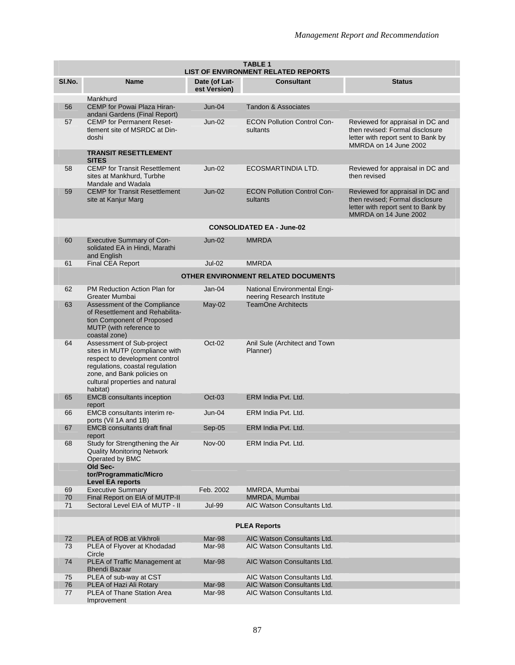|          | <b>TABLE 1</b><br><b>LIST OF ENVIRONMENT RELATED REPORTS</b>                                                                                                                                                  |               |                                                            |                                                                                                                                    |  |  |
|----------|---------------------------------------------------------------------------------------------------------------------------------------------------------------------------------------------------------------|---------------|------------------------------------------------------------|------------------------------------------------------------------------------------------------------------------------------------|--|--|
| SI.No.   | <b>Name</b>                                                                                                                                                                                                   | Date (of Lat- | <b>Consultant</b>                                          | <b>Status</b>                                                                                                                      |  |  |
|          |                                                                                                                                                                                                               | est Version)  |                                                            |                                                                                                                                    |  |  |
|          | Mankhurd                                                                                                                                                                                                      |               |                                                            |                                                                                                                                    |  |  |
| 56       | CEMP for Powai Plaza Hiran-<br>andani Gardens (Final Report)                                                                                                                                                  | $Jun-04$      | <b>Tandon &amp; Associates</b>                             |                                                                                                                                    |  |  |
| 57       | <b>CEMP</b> for Permanent Reset-<br>tlement site of MSRDC at Din-<br>doshi                                                                                                                                    | $Jun-02$      | <b>ECON Pollution Control Con-</b><br>sultants             | Reviewed for appraisal in DC and<br>then revised: Formal disclosure<br>letter with report sent to Bank by<br>MMRDA on 14 June 2002 |  |  |
|          | <b>TRANSIT RESETTLEMENT</b><br><b>SITES</b>                                                                                                                                                                   |               |                                                            |                                                                                                                                    |  |  |
| 58       | <b>CEMP for Transit Resettlement</b><br>sites at Mankhurd, Turbhe<br>Mandale and Wadala                                                                                                                       | $Jun-02$      | ECOSMARTINDIA LTD.                                         | Reviewed for appraisal in DC and<br>then revised                                                                                   |  |  |
| 59       | <b>CEMP for Transit Resettlement</b><br>site at Kanjur Marg                                                                                                                                                   | Jun-02        | <b>ECON Pollution Control Con-</b><br>sultants             | Reviewed for appraisal in DC and<br>then revised; Formal disclosure<br>letter with report sent to Bank by<br>MMRDA on 14 June 2002 |  |  |
|          |                                                                                                                                                                                                               |               | <b>CONSOLIDATED EA - June-02</b>                           |                                                                                                                                    |  |  |
| 60       | <b>Executive Summary of Con-</b><br>solidated EA in Hindi, Marathi<br>and English                                                                                                                             | $Jun-02$      | <b>MMRDA</b>                                               |                                                                                                                                    |  |  |
| 61       | Final CEA Report                                                                                                                                                                                              | $Jul-02$      | <b>MMRDA</b>                                               |                                                                                                                                    |  |  |
|          |                                                                                                                                                                                                               |               | <b>OTHER ENVIRONMENT RELATED DOCUMENTS</b>                 |                                                                                                                                    |  |  |
| 62       | PM Reduction Action Plan for<br>Greater Mumbai                                                                                                                                                                | $Jan-04$      | National Environmental Engi-<br>neering Research Institute |                                                                                                                                    |  |  |
| 63       | Assessment of the Compliance<br>of Resettlement and Rehabilita-<br>tion Component of Proposed<br>MUTP (with reference to<br>coastal zone)                                                                     | $May-02$      | <b>TeamOne Architects</b>                                  |                                                                                                                                    |  |  |
| 64       | Assessment of Sub-project<br>sites in MUTP (compliance with<br>respect to development control<br>regulations, coastal regulation<br>zone, and Bank policies on<br>cultural properties and natural<br>habitat) | $Oct-02$      | Anil Sule (Architect and Town<br>Planner)                  |                                                                                                                                    |  |  |
| 65       | <b>EMCB</b> consultants inception<br>report                                                                                                                                                                   | $Oct-03$      | ERM India Pvt. Ltd.                                        |                                                                                                                                    |  |  |
| 66       | <b>EMCB</b> consultants interim re-<br>ports (Vil 1A and 1B)                                                                                                                                                  | $Jun-04$      | ERM India Pvt. Ltd.                                        |                                                                                                                                    |  |  |
| 67       | <b>EMCB</b> consultants draft final<br>report                                                                                                                                                                 | $Sep-05$      | ERM India Pvt. Ltd.                                        |                                                                                                                                    |  |  |
| 68       | Study for Strengthening the Air<br><b>Quality Monitoring Network</b><br>Operated by BMC                                                                                                                       | $Nov-00$      | ERM India Pvt. Ltd.                                        |                                                                                                                                    |  |  |
|          | Old Sec-<br>tor/Programmatic/Micro<br><b>Level EA reports</b>                                                                                                                                                 |               |                                                            |                                                                                                                                    |  |  |
| 69<br>70 | <b>Executive Summary</b><br>Final Report on EIA of MUTP-II                                                                                                                                                    | Feb. 2002     | MMRDA, Mumbai<br>MMRDA, Mumbai                             |                                                                                                                                    |  |  |
| 71       | Sectoral Level EIA of MUTP - II                                                                                                                                                                               | <b>Jul-99</b> | AIC Watson Consultants Ltd.                                |                                                                                                                                    |  |  |
|          |                                                                                                                                                                                                               |               |                                                            |                                                                                                                                    |  |  |
|          |                                                                                                                                                                                                               |               | <b>PLEA Reports</b>                                        |                                                                                                                                    |  |  |
| 72       | PLEA of ROB at Vikhroli                                                                                                                                                                                       | Mar-98        | AIC Watson Consultants Ltd.                                |                                                                                                                                    |  |  |
| 73       | PLEA of Flyover at Khodadad<br>Circle                                                                                                                                                                         | Mar-98        | AIC Watson Consultants Ltd.                                |                                                                                                                                    |  |  |
| 74       | PLEA of Traffic Management at<br><b>Bhendi Bazaar</b>                                                                                                                                                         | Mar-98        | AIC Watson Consultants Ltd.                                |                                                                                                                                    |  |  |
| 75       | PLEA of sub-way at CST                                                                                                                                                                                        |               | AIC Watson Consultants Ltd.                                |                                                                                                                                    |  |  |
| 76       | PLEA of Hazi Ali Rotary                                                                                                                                                                                       | Mar-98        | AIC Watson Consultants Ltd.                                |                                                                                                                                    |  |  |
| 77       | PLEA of Thane Station Area<br>Improvement                                                                                                                                                                     | Mar-98        | AIC Watson Consultants Ltd.                                |                                                                                                                                    |  |  |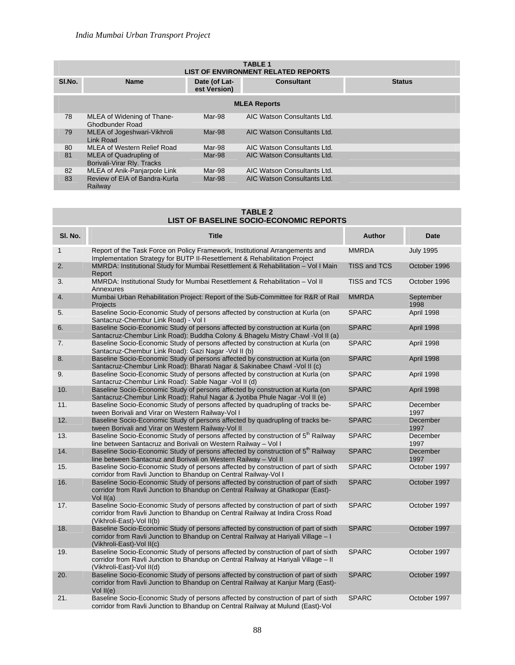| <b>TABLE 1</b><br><b>LIST OF ENVIRONMENT RELATED REPORTS</b> |                                                      |                               |                             |               |  |  |
|--------------------------------------------------------------|------------------------------------------------------|-------------------------------|-----------------------------|---------------|--|--|
| SI.No.                                                       | <b>Name</b>                                          | Date (of Lat-<br>est Version) | <b>Consultant</b>           | <b>Status</b> |  |  |
|                                                              | <b>MLEA Reports</b>                                  |                               |                             |               |  |  |
| 78                                                           | MLEA of Widening of Thane-<br>Ghodbunder Road        | Mar-98                        | AIC Watson Consultants Ltd. |               |  |  |
| 79                                                           | MLEA of Jogeshwari-Vikhroli<br>Link Road             | Mar-98                        | AIC Watson Consultants Ltd. |               |  |  |
| 80                                                           | MLEA of Western Relief Road                          | Mar-98                        | AIC Watson Consultants Ltd. |               |  |  |
| 81                                                           | MLEA of Quadrupling of<br>Borivali-Virar Rly. Tracks | Mar-98                        | AIC Watson Consultants Ltd. |               |  |  |
| 82                                                           | MLEA of Anik-Panjarpole Link                         | Mar-98                        | AIC Watson Consultants Ltd. |               |  |  |
| 83                                                           | Review of EIA of Bandra-Kurla<br>Railway             | Mar-98                        | AIC Watson Consultants Ltd. |               |  |  |

#### **TABLE 2 LIST OF BASELINE SOCIO-ECONOMIC REPORTS**

| SI. No.      | <b>Title</b>                                                                                                                                                                                           | <b>Author</b>       | <b>Date</b>       |
|--------------|--------------------------------------------------------------------------------------------------------------------------------------------------------------------------------------------------------|---------------------|-------------------|
| $\mathbf{1}$ | Report of the Task Force on Policy Framework, Institutional Arrangements and<br>Implementation Strategy for BUTP II-Resettlement & Rehabilitation Project                                              | <b>MMRDA</b>        | <b>July 1995</b>  |
| 2.           | MMRDA: Institutional Study for Mumbai Resettlement & Rehabilitation - Vol I Main<br>Report                                                                                                             | <b>TISS and TCS</b> | October 1996      |
| 3.           | MMRDA: Institutional Study for Mumbai Resettlement & Rehabilitation - Vol II<br>Annexures                                                                                                              | TISS and TCS        | October 1996      |
| 4.           | Mumbai Urban Rehabilitation Project: Report of the Sub-Committee for R&R of Rail<br>Projects                                                                                                           | <b>MMRDA</b>        | September<br>1998 |
| 5.           | Baseline Socio-Economic Study of persons affected by construction at Kurla (on<br>Santacruz-Chembur Link Road) - Vol I                                                                                 | <b>SPARC</b>        | April 1998        |
| 6.           | Baseline Socio-Economic Study of persons affected by construction at Kurla (on<br>Santacruz-Chembur Link Road): Buddha Colony & Bhagelu Mistry Chawl -Vol II (a)                                       | <b>SPARC</b>        | April 1998        |
| 7.           | Baseline Socio-Economic Study of persons affected by construction at Kurla (on<br>Santacruz-Chembur Link Road): Gazi Nagar - Vol II (b)                                                                | <b>SPARC</b>        | April 1998        |
| 8.           | Baseline Socio-Economic Study of persons affected by construction at Kurla (on<br>Santacruz-Chembur Link Road): Bharati Nagar & Sakinabee Chawl -Vol II (c)                                            | <b>SPARC</b>        | April 1998        |
| 9.           | Baseline Socio-Economic Study of persons affected by construction at Kurla (on<br>Santacruz-Chembur Link Road): Sable Nagar - Vol II (d)                                                               | <b>SPARC</b>        | April 1998        |
| 10.          | Baseline Socio-Economic Study of persons affected by construction at Kurla (on<br>Santacruz-Chembur Link Road): Rahul Nagar & Jyotiba Phule Nagar - Vol II (e)                                         | <b>SPARC</b>        | April 1998        |
| 11.          | Baseline Socio-Economic Study of persons affected by quadrupling of tracks be-<br>tween Borivali and Virar on Western Railway-Vol I                                                                    | <b>SPARC</b>        | December<br>1997  |
| 12.          | Baseline Socio-Economic Study of persons affected by quadrupling of tracks be-<br>tween Borivali and Virar on Western Railway-Vol II                                                                   | <b>SPARC</b>        | December<br>1997  |
| 13.          | Baseline Socio-Economic Study of persons affected by construction of 5 <sup>th</sup> Railway<br>line between Santacruz and Borivali on Western Railway - Vol I                                         | <b>SPARC</b>        | December<br>1997  |
| 14.          | Baseline Socio-Economic Study of persons affected by construction of 5 <sup>th</sup> Railway<br>line between Santacruz and Borivali on Western Railway - Vol II                                        | <b>SPARC</b>        | December<br>1997  |
| 15.          | Baseline Socio-Economic Study of persons affected by construction of part of sixth<br>corridor from Ravli Junction to Bhandup on Central Railway-Vol I                                                 | <b>SPARC</b>        | October 1997      |
| 16.          | Baseline Socio-Economic Study of persons affected by construction of part of sixth<br>corridor from Ravli Junction to Bhandup on Central Railway at Ghatkopar (East)-<br>Vol II(a)                     | <b>SPARC</b>        | October 1997      |
| 17.          | Baseline Socio-Economic Study of persons affected by construction of part of sixth<br>corridor from Ravli Junction to Bhandup on Central Railway at Indira Cross Road<br>(Vikhroli-East)-Vol II(b)     | <b>SPARC</b>        | October 1997      |
| 18.          | Baseline Socio-Economic Study of persons affected by construction of part of sixth<br>corridor from Ravli Junction to Bhandup on Central Railway at Hariyali Village - I<br>(Vikhroli-East)-Vol II(c)  | <b>SPARC</b>        | October 1997      |
| 19.          | Baseline Socio-Economic Study of persons affected by construction of part of sixth<br>corridor from Ravli Junction to Bhandup on Central Railway at Hariyali Village - II<br>(Vikhroli-East)-Vol II(d) | <b>SPARC</b>        | October 1997      |
| 20.          | Baseline Socio-Economic Study of persons affected by construction of part of sixth<br>corridor from Ravli Junction to Bhandup on Central Railway at Kanjur Marg (East)-<br>Vol II(e)                   | <b>SPARC</b>        | October 1997      |
| 21.          | Baseline Socio-Economic Study of persons affected by construction of part of sixth<br>corridor from Ravli Junction to Bhandup on Central Railway at Mulund (East)-Vol                                  | <b>SPARC</b>        | October 1997      |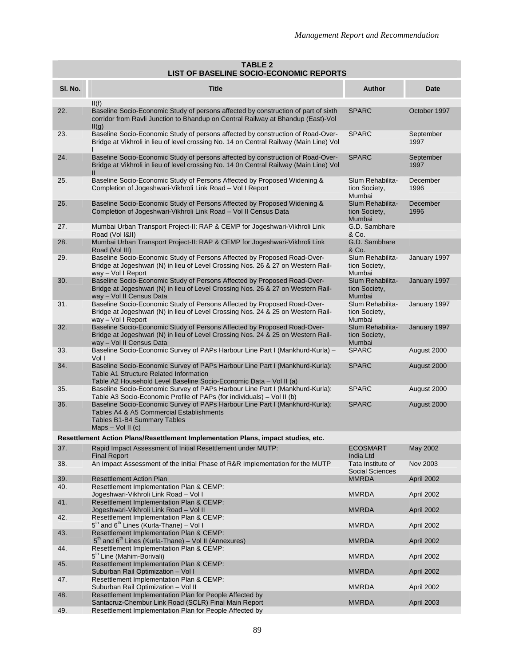| <b>TABLE 2</b><br><b>LIST OF BASELINE SOCIO-ECONOMIC REPORTS</b> |                                                                                                                                                                                              |                                             |                   |  |  |  |
|------------------------------------------------------------------|----------------------------------------------------------------------------------------------------------------------------------------------------------------------------------------------|---------------------------------------------|-------------------|--|--|--|
| SI. No.                                                          | <b>Title</b>                                                                                                                                                                                 | Author                                      | Date              |  |  |  |
| 22.                                                              | II(f)<br>Baseline Socio-Economic Study of persons affected by construction of part of sixth<br>corridor from Ravli Junction to Bhandup on Central Railway at Bhandup (East)-Vol<br>II(g)     | <b>SPARC</b>                                | October 1997      |  |  |  |
| 23.                                                              | Baseline Socio-Economic Study of persons affected by construction of Road-Over-<br>Bridge at Vikhroli in lieu of level crossing No. 14 on Central Railway (Main Line) Vol                    | <b>SPARC</b>                                | September<br>1997 |  |  |  |
| 24.                                                              | Baseline Socio-Economic Study of persons affected by construction of Road-Over-<br>Bridge at Vikhroli in lieu of level crossing No. 14 0n Central Railway (Main Line) Vol<br>$\mathbf{I}$    | <b>SPARC</b>                                | September<br>1997 |  |  |  |
| 25.                                                              | Baseline Socio-Economic Study of Persons Affected by Proposed Widening &<br>Completion of Jogeshwari-Vikhroli Link Road - Vol I Report                                                       | Slum Rehabilita-<br>tion Society,<br>Mumbai | December<br>1996  |  |  |  |
| 26.                                                              | Baseline Socio-Economic Study of Persons Affected by Proposed Widening &<br>Completion of Jogeshwari-Vikhroli Link Road - Vol II Census Data                                                 | Slum Rehabilita-<br>tion Society,<br>Mumbai | December<br>1996  |  |  |  |
| 27.                                                              | Mumbai Urban Transport Project-II: RAP & CEMP for Jogeshwari-Vikhroli Link<br>Road (Vol 1&II)                                                                                                | G.D. Sambhare<br>& Co.                      |                   |  |  |  |
| 28.                                                              | Mumbai Urban Transport Project-II: RAP & CEMP for Jogeshwari-Vikhroli Link<br>Road (Vol III)                                                                                                 | G.D. Sambhare<br>& Co.                      |                   |  |  |  |
| 29.                                                              | Baseline Socio-Economic Study of Persons Affected by Proposed Road-Over-<br>Bridge at Jogeshwari (N) in lieu of Level Crossing Nos. 26 & 27 on Western Rail-<br>way - Vol I Report           | Slum Rehabilita-<br>tion Society,<br>Mumbai | January 1997      |  |  |  |
| 30.                                                              | Baseline Socio-Economic Study of Persons Affected by Proposed Road-Over-<br>Bridge at Jogeshwari (N) in lieu of Level Crossing Nos. 26 & 27 on Western Rail-<br>way - Vol II Census Data     | Slum Rehabilita-<br>tion Society,<br>Mumbai | January 1997      |  |  |  |
| 31.                                                              | Baseline Socio-Economic Study of Persons Affected by Proposed Road-Over-<br>Bridge at Jogeshwari (N) in lieu of Level Crossing Nos. 24 & 25 on Western Rail-<br>way - Vol I Report           | Slum Rehabilita-<br>tion Society,<br>Mumbai | January 1997      |  |  |  |
| 32.                                                              | Baseline Socio-Economic Study of Persons Affected by Proposed Road-Over-<br>Bridge at Jogeshwari (N) in lieu of Level Crossing Nos. 24 & 25 on Western Rail-<br>way - Vol II Census Data     | Slum Rehabilita-<br>tion Society,<br>Mumbai | January 1997      |  |  |  |
| 33.                                                              | Baseline Socio-Economic Survey of PAPs Harbour Line Part I (Mankhurd-Kurla) -<br>Vol I                                                                                                       | <b>SPARC</b>                                | August 2000       |  |  |  |
| 34.                                                              | Baseline Socio-Economic Survey of PAPs Harbour Line Part I (Mankhurd-Kurla):<br>Table A1 Structure Related Information<br>Table A2 Household Level Baseline Socio-Economic Data - Vol II (a) | <b>SPARC</b>                                | August 2000       |  |  |  |
| 35.                                                              | Baseline Socio-Economic Survey of PAPs Harbour Line Part I (Mankhurd-Kurla):<br>Table A3 Socio-Economic Profile of PAPs (for individuals) – Vol II (b)                                       | <b>SPARC</b>                                | August 2000       |  |  |  |
| 36.                                                              | Baseline Socio-Economic Survey of PAPs Harbour Line Part I (Mankhurd-Kurla):<br>Tables A4 & A5 Commercial Establishments<br><b>Tables B1-B4 Summary Tables</b><br>Maps $-$ Vol II (c)        | <b>SPARC</b>                                | August 2000       |  |  |  |
|                                                                  | Resettlement Action Plans/Resettlement Implementation Plans, impact studies, etc.                                                                                                            |                                             |                   |  |  |  |
| 37.                                                              | Rapid Impact Assessment of Initial Resettlement under MUTP:<br><b>Final Report</b>                                                                                                           | ECOSMART<br>India Ltd                       | May 2002          |  |  |  |
| 38.                                                              | An Impact Assessment of the Initial Phase of R&R Implementation for the MUTP                                                                                                                 | Tata Institute of<br><b>Social Sciences</b> | Nov 2003          |  |  |  |
| 39.<br>40.                                                       | <b>Resettlement Action Plan</b><br>Resettlement Implementation Plan & CEMP:                                                                                                                  | <b>MMRDA</b>                                | April 2002        |  |  |  |
| 41.                                                              | Jogeshwari-Vikhroli Link Road - Vol I<br>Resettlement Implementation Plan & CEMP:                                                                                                            | <b>MMRDA</b>                                | April 2002        |  |  |  |
| 42.                                                              | Jogeshwari-Vikhroli Link Road - Vol II<br>Resettlement Implementation Plan & CEMP:                                                                                                           | <b>MMRDA</b>                                | April 2002        |  |  |  |
| 43.                                                              | $5th$ and $6th$ Lines (Kurla-Thane) – Vol I<br>Resettlement Implementation Plan & CEMP:                                                                                                      | <b>MMRDA</b>                                | April 2002        |  |  |  |
|                                                                  | $5th$ and $6th$ Lines (Kurla-Thane) – Vol II (Annexures)                                                                                                                                     | <b>MMRDA</b>                                | April 2002        |  |  |  |
| 44.                                                              | Resettlement Implementation Plan & CEMP:<br>5 <sup>th</sup> Line (Mahim-Borivali)                                                                                                            | <b>MMRDA</b>                                | April 2002        |  |  |  |
| 45.                                                              | Resettlement Implementation Plan & CEMP:<br>Suburban Rail Optimization - Vol I                                                                                                               | <b>MMRDA</b>                                | April 2002        |  |  |  |
| 47.                                                              | Resettlement Implementation Plan & CEMP:<br>Suburban Rail Optimization - Vol II                                                                                                              | <b>MMRDA</b>                                | April 2002        |  |  |  |
| 48.                                                              | Resettlement Implementation Plan for People Affected by<br>Santacruz-Chembur Link Road (SCLR) Final Main Report                                                                              | <b>MMRDA</b>                                | April 2003        |  |  |  |
| 49.                                                              | Resettlement Implementation Plan for People Affected by                                                                                                                                      |                                             |                   |  |  |  |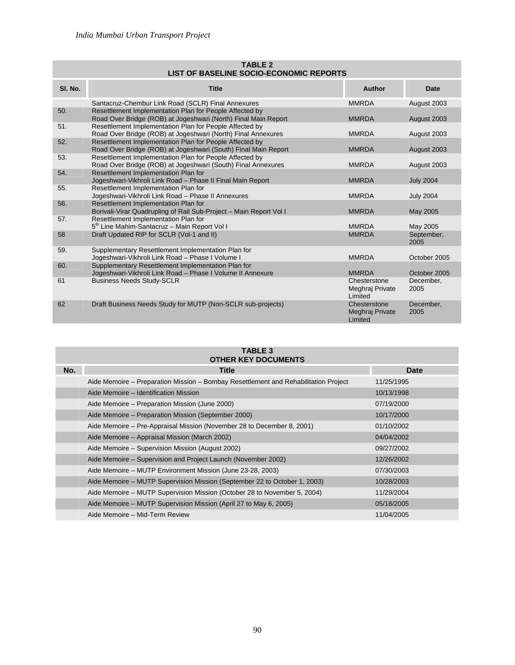|         | <b>TABLE 2</b><br>LIST OF BASELINE SOCIO-ECONOMIC REPORTS                                                                 |                                            |                    |  |  |  |
|---------|---------------------------------------------------------------------------------------------------------------------------|--------------------------------------------|--------------------|--|--|--|
| SI. No. | <b>Title</b>                                                                                                              | Author                                     | <b>Date</b>        |  |  |  |
|         | Santacruz-Chembur Link Road (SCLR) Final Annexures                                                                        | <b>MMRDA</b>                               | August 2003        |  |  |  |
| 50.     | Resettlement Implementation Plan for People Affected by<br>Road Over Bridge (ROB) at Jogeshwari (North) Final Main Report | <b>MMRDA</b>                               | August 2003        |  |  |  |
| 51.     | Resettlement Implementation Plan for People Affected by<br>Road Over Bridge (ROB) at Jogeshwari (North) Final Annexures   | <b>MMRDA</b>                               | August 2003        |  |  |  |
| 52.     | Resettlement Implementation Plan for People Affected by<br>Road Over Bridge (ROB) at Jogeshwari (South) Final Main Report | <b>MMRDA</b>                               | August 2003        |  |  |  |
| 53.     | Resettlement Implementation Plan for People Affected by<br>Road Over Bridge (ROB) at Jogeshwari (South) Final Annexures   | <b>MMRDA</b>                               | August 2003        |  |  |  |
| 54.     | Resettlement Implementation Plan for<br>Jogeshwari-Vikhroli Link Road - Phase II Final Main Report                        | <b>MMRDA</b>                               | <b>July 2004</b>   |  |  |  |
| 55.     | Resettlement Implementation Plan for<br>Jogeshwari-Vikhroli Link Road - Phase II Annexures                                | <b>MMRDA</b>                               | <b>July 2004</b>   |  |  |  |
| 56.     | Resettlement Implementation Plan for<br>Borivali-Virar Quadrupling of Rail Sub-Project - Main Report Vol I                | <b>MMRDA</b>                               | May 2005           |  |  |  |
| 57.     | Resettlement Implementation Plan for<br>5 <sup>th</sup> Line Mahim-Santacruz - Main Report Vol I                          | <b>MMRDA</b>                               | May 2005           |  |  |  |
| 58      | Draft Updated RIP for SCLR (Vol-1 and II)                                                                                 | <b>MMRDA</b>                               | September,<br>2005 |  |  |  |
| 59.     | Supplementary Resettlement Implementation Plan for<br>Jogeshwari-Vikhroli Link Road - Phase I Volume I                    | <b>MMRDA</b>                               | October 2005       |  |  |  |
| 60.     | Supplementary Resettlement Implementation Plan for<br>Jogeshwari-Vikhroli Link Road - Phase I Volume II Annexure          | <b>MMRDA</b>                               | October 2005       |  |  |  |
| 61      | <b>Business Needs Study-SCLR</b>                                                                                          | Chesterstone<br>Meghraj Private<br>Limited | December,<br>2005  |  |  |  |
| 62      | Draft Business Needs Study for MUTP (Non-SCLR sub-projects)                                                               | Chesterstone<br>Meghraj Private<br>Limited | December,<br>2005  |  |  |  |

## **TABLE 3**

| <b>OTHER KEY DOCUMENTS</b> |                                                                                     |             |  |  |
|----------------------------|-------------------------------------------------------------------------------------|-------------|--|--|
| No.                        | <b>Title</b>                                                                        | <b>Date</b> |  |  |
|                            | Aide Memoire – Preparation Mission – Bombay Resettlement and Rehabilitation Project | 11/25/1995  |  |  |
|                            | Aide Memoire – Identification Mission                                               | 10/13/1998  |  |  |
|                            | Aide Memoire – Preparation Mission (June 2000)                                      | 07/19/2000  |  |  |
|                            | Aide Memoire – Preparation Mission (September 2000)                                 | 10/17/2000  |  |  |
|                            | Aide Memoire - Pre-Appraisal Mission (November 28 to December 8, 2001)              | 01/10/2002  |  |  |
|                            | Aide Memoire – Appraisal Mission (March 2002)                                       | 04/04/2002  |  |  |
|                            | Aide Memoire – Supervision Mission (August 2002)                                    | 09/27/2002  |  |  |
|                            | Aide Memoire – Supervision and Project Launch (November 2002)                       | 12/26/2002  |  |  |
|                            | Aide Memoire – MUTP Environment Mission (June 23-28, 2003)                          | 07/30/2003  |  |  |
|                            | Aide Memoire – MUTP Supervision Mission (September 22 to October 1, 2003)           | 10/28/2003  |  |  |
|                            | Aide Memoire – MUTP Supervision Mission (October 28 to November 5, 2004)            | 11/29/2004  |  |  |
|                            | Aide Memoire – MUTP Supervision Mission (April 27 to May 6, 2005)                   | 05/18/2005  |  |  |
|                            | Aide Memoire - Mid-Term Review                                                      | 11/04/2005  |  |  |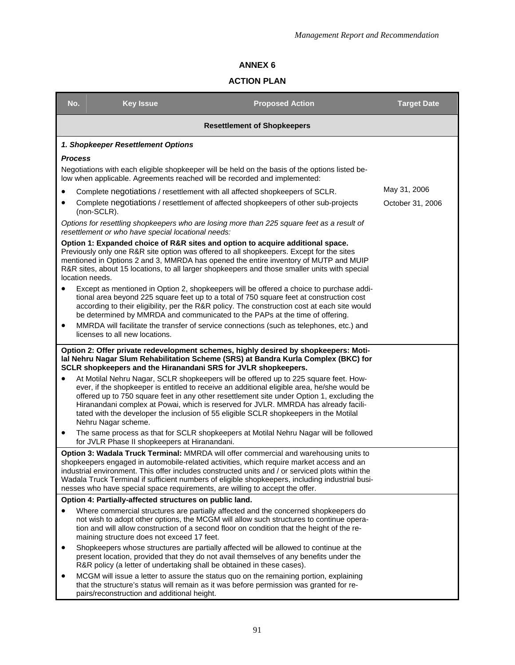### **ACTION PLAN**

| No.                                                     | <b>Key Issue</b>                                                                                                                                                                                                                                                                                                                                                                                                                                                         | <b>Proposed Action</b>                                                                                                                                                                                                                                                                                                                                                                                                                                            | <b>Target Date</b> |  |  |
|---------------------------------------------------------|--------------------------------------------------------------------------------------------------------------------------------------------------------------------------------------------------------------------------------------------------------------------------------------------------------------------------------------------------------------------------------------------------------------------------------------------------------------------------|-------------------------------------------------------------------------------------------------------------------------------------------------------------------------------------------------------------------------------------------------------------------------------------------------------------------------------------------------------------------------------------------------------------------------------------------------------------------|--------------------|--|--|
| <b>Resettlement of Shopkeepers</b>                      |                                                                                                                                                                                                                                                                                                                                                                                                                                                                          |                                                                                                                                                                                                                                                                                                                                                                                                                                                                   |                    |  |  |
|                                                         | 1. Shopkeeper Resettlement Options                                                                                                                                                                                                                                                                                                                                                                                                                                       |                                                                                                                                                                                                                                                                                                                                                                                                                                                                   |                    |  |  |
| <b>Process</b>                                          |                                                                                                                                                                                                                                                                                                                                                                                                                                                                          |                                                                                                                                                                                                                                                                                                                                                                                                                                                                   |                    |  |  |
|                                                         |                                                                                                                                                                                                                                                                                                                                                                                                                                                                          | Negotiations with each eligible shopkeeper will be held on the basis of the options listed be-<br>low when applicable. Agreements reached will be recorded and implemented:                                                                                                                                                                                                                                                                                       |                    |  |  |
|                                                         |                                                                                                                                                                                                                                                                                                                                                                                                                                                                          | Complete negotiations / resettlement with all affected shopkeepers of SCLR.                                                                                                                                                                                                                                                                                                                                                                                       | May 31, 2006       |  |  |
|                                                         | (non-SCLR).                                                                                                                                                                                                                                                                                                                                                                                                                                                              | Complete negotiations / resettlement of affected shopkeepers of other sub-projects                                                                                                                                                                                                                                                                                                                                                                                | October 31, 2006   |  |  |
|                                                         | resettlement or who have special locational needs:                                                                                                                                                                                                                                                                                                                                                                                                                       | Options for resettling shopkeepers who are losing more than 225 square feet as a result of                                                                                                                                                                                                                                                                                                                                                                        |                    |  |  |
|                                                         | Option 1: Expanded choice of R&R sites and option to acquire additional space.<br>Previously only one R&R site option was offered to all shopkeepers. Except for the sites<br>mentioned in Options 2 and 3, MMRDA has opened the entire inventory of MUTP and MUIP<br>R&R sites, about 15 locations, to all larger shopkeepers and those smaller units with special<br>location needs.                                                                                   |                                                                                                                                                                                                                                                                                                                                                                                                                                                                   |                    |  |  |
|                                                         |                                                                                                                                                                                                                                                                                                                                                                                                                                                                          | Except as mentioned in Option 2, shopkeepers will be offered a choice to purchase addi-<br>tional area beyond 225 square feet up to a total of 750 square feet at construction cost<br>according to their eligibility, per the R&R policy. The construction cost at each site would<br>be determined by MMRDA and communicated to the PAPs at the time of offering.                                                                                               |                    |  |  |
| ٠                                                       | licenses to all new locations.                                                                                                                                                                                                                                                                                                                                                                                                                                           | MMRDA will facilitate the transfer of service connections (such as telephones, etc.) and                                                                                                                                                                                                                                                                                                                                                                          |                    |  |  |
|                                                         | Option 2: Offer private redevelopment schemes, highly desired by shopkeepers: Moti-<br>lal Nehru Nagar Slum Rehabilitation Scheme (SRS) at Bandra Kurla Complex (BKC) for<br>SCLR shopkeepers and the Hiranandani SRS for JVLR shopkeepers.                                                                                                                                                                                                                              |                                                                                                                                                                                                                                                                                                                                                                                                                                                                   |                    |  |  |
| $\bullet$                                               | Nehru Nagar scheme.                                                                                                                                                                                                                                                                                                                                                                                                                                                      | At Motilal Nehru Nagar, SCLR shopkeepers will be offered up to 225 square feet. How-<br>ever, if the shopkeeper is entitled to receive an additional eligible area, he/she would be<br>offered up to 750 square feet in any other resettlement site under Option 1, excluding the<br>Hiranandani complex at Powai, which is reserved for JVLR. MMRDA has already facili-<br>tated with the developer the inclusion of 55 eligible SCLR shopkeepers in the Motilal |                    |  |  |
| $\bullet$                                               | for JVLR Phase II shopkeepers at Hiranandani.                                                                                                                                                                                                                                                                                                                                                                                                                            | The same process as that for SCLR shopkeepers at Motilal Nehru Nagar will be followed                                                                                                                                                                                                                                                                                                                                                                             |                    |  |  |
|                                                         | Option 3: Wadala Truck Terminal: MMRDA will offer commercial and warehousing units to<br>shopkeepers engaged in automobile-related activities, which require market access and an<br>industrial environment. This offer includes constructed units and / or serviced plots within the<br>Wadala Truck Terminal if sufficient numbers of eligible shopkeepers, including industrial busi-<br>nesses who have special space requirements, are willing to accept the offer. |                                                                                                                                                                                                                                                                                                                                                                                                                                                                   |                    |  |  |
| Option 4: Partially-affected structures on public land. |                                                                                                                                                                                                                                                                                                                                                                                                                                                                          |                                                                                                                                                                                                                                                                                                                                                                                                                                                                   |                    |  |  |
|                                                         | maining structure does not exceed 17 feet.                                                                                                                                                                                                                                                                                                                                                                                                                               | Where commercial structures are partially affected and the concerned shopkeepers do<br>not wish to adopt other options, the MCGM will allow such structures to continue opera-<br>tion and will allow construction of a second floor on condition that the height of the re-                                                                                                                                                                                      |                    |  |  |
| $\bullet$                                               | R&R policy (a letter of undertaking shall be obtained in these cases).                                                                                                                                                                                                                                                                                                                                                                                                   | Shopkeepers whose structures are partially affected will be allowed to continue at the<br>present location, provided that they do not avail themselves of any benefits under the                                                                                                                                                                                                                                                                                  |                    |  |  |
|                                                         | pairs/reconstruction and additional height.                                                                                                                                                                                                                                                                                                                                                                                                                              | MCGM will issue a letter to assure the status quo on the remaining portion, explaining<br>that the structure's status will remain as it was before permission was granted for re-                                                                                                                                                                                                                                                                                 |                    |  |  |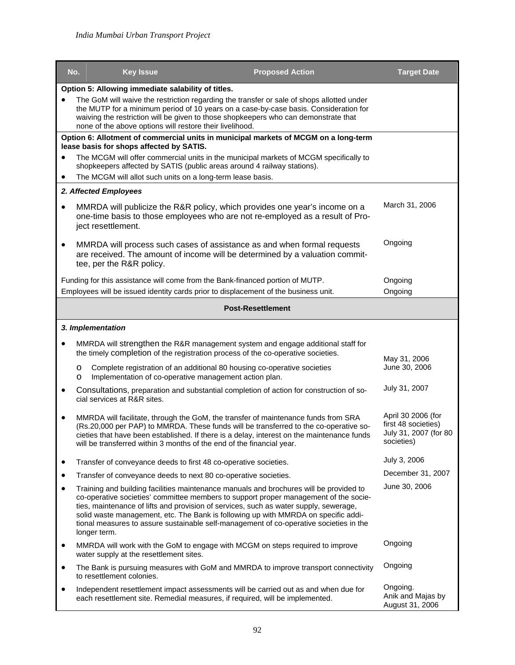|           | No.                                                                                                                                                                                                                                                                                                                                  | <b>Key Issue</b>                                           | <b>Proposed Action</b>                                                                                                                                                                                                                                                                                                                                                                                                                                  | <b>Target Date</b>                                                               |
|-----------|--------------------------------------------------------------------------------------------------------------------------------------------------------------------------------------------------------------------------------------------------------------------------------------------------------------------------------------|------------------------------------------------------------|---------------------------------------------------------------------------------------------------------------------------------------------------------------------------------------------------------------------------------------------------------------------------------------------------------------------------------------------------------------------------------------------------------------------------------------------------------|----------------------------------------------------------------------------------|
|           |                                                                                                                                                                                                                                                                                                                                      | Option 5: Allowing immediate salability of titles.         |                                                                                                                                                                                                                                                                                                                                                                                                                                                         |                                                                                  |
| $\bullet$ | The GoM will waive the restriction regarding the transfer or sale of shops allotted under<br>the MUTP for a minimum period of 10 years on a case-by-case basis. Consideration for<br>waiving the restriction will be given to those shopkeepers who can demonstrate that<br>none of the above options will restore their livelihood. |                                                            |                                                                                                                                                                                                                                                                                                                                                                                                                                                         |                                                                                  |
|           |                                                                                                                                                                                                                                                                                                                                      |                                                            | Option 6: Allotment of commercial units in municipal markets of MCGM on a long-term                                                                                                                                                                                                                                                                                                                                                                     |                                                                                  |
|           |                                                                                                                                                                                                                                                                                                                                      | lease basis for shops affected by SATIS.                   | The MCGM will offer commercial units in the municipal markets of MCGM specifically to<br>shopkeepers affected by SATIS (public areas around 4 railway stations).                                                                                                                                                                                                                                                                                        |                                                                                  |
| ٠         |                                                                                                                                                                                                                                                                                                                                      | The MCGM will allot such units on a long-term lease basis. |                                                                                                                                                                                                                                                                                                                                                                                                                                                         |                                                                                  |
|           | 2. Affected Employees                                                                                                                                                                                                                                                                                                                |                                                            |                                                                                                                                                                                                                                                                                                                                                                                                                                                         |                                                                                  |
| $\bullet$ | ject resettlement.                                                                                                                                                                                                                                                                                                                   |                                                            | MMRDA will publicize the R&R policy, which provides one year's income on a<br>one-time basis to those employees who are not re-employed as a result of Pro-                                                                                                                                                                                                                                                                                             | March 31, 2006                                                                   |
| $\bullet$ |                                                                                                                                                                                                                                                                                                                                      | tee, per the R&R policy.                                   | MMRDA will process such cases of assistance as and when formal requests<br>are received. The amount of income will be determined by a valuation commit-                                                                                                                                                                                                                                                                                                 | Ongoing                                                                          |
|           |                                                                                                                                                                                                                                                                                                                                      |                                                            | Funding for this assistance will come from the Bank-financed portion of MUTP.                                                                                                                                                                                                                                                                                                                                                                           | Ongoing                                                                          |
|           |                                                                                                                                                                                                                                                                                                                                      |                                                            | Employees will be issued identity cards prior to displacement of the business unit.                                                                                                                                                                                                                                                                                                                                                                     | Ongoing                                                                          |
|           |                                                                                                                                                                                                                                                                                                                                      |                                                            | <b>Post-Resettlement</b>                                                                                                                                                                                                                                                                                                                                                                                                                                |                                                                                  |
|           | 3. Implementation                                                                                                                                                                                                                                                                                                                    |                                                            |                                                                                                                                                                                                                                                                                                                                                                                                                                                         |                                                                                  |
|           |                                                                                                                                                                                                                                                                                                                                      |                                                            | MMRDA will strengthen the R&R management system and engage additional staff for<br>the timely completion of the registration process of the co-operative societies.                                                                                                                                                                                                                                                                                     | May 31, 2006                                                                     |
|           | $\circ$<br>$\circ$                                                                                                                                                                                                                                                                                                                   |                                                            | Complete registration of an additional 80 housing co-operative societies<br>Implementation of co-operative management action plan.                                                                                                                                                                                                                                                                                                                      | June 30, 2006                                                                    |
| ٠         |                                                                                                                                                                                                                                                                                                                                      | cial services at R&R sites.                                | Consultations, preparation and substantial completion of action for construction of so-                                                                                                                                                                                                                                                                                                                                                                 | July 31, 2007                                                                    |
| $\bullet$ |                                                                                                                                                                                                                                                                                                                                      |                                                            | MMRDA will facilitate, through the GoM, the transfer of maintenance funds from SRA<br>(Rs.20,000 per PAP) to MMRDA. These funds will be transferred to the co-operative so-<br>cieties that have been established. If there is a delay, interest on the maintenance funds<br>will be transferred within 3 months of the end of the financial year.                                                                                                      | April 30 2006 (for<br>first 48 societies)<br>July 31, 2007 (for 80<br>societies) |
| ٠         |                                                                                                                                                                                                                                                                                                                                      |                                                            | Transfer of conveyance deeds to first 48 co-operative societies.                                                                                                                                                                                                                                                                                                                                                                                        | July 3, 2006                                                                     |
| $\bullet$ |                                                                                                                                                                                                                                                                                                                                      |                                                            | Transfer of conveyance deeds to next 80 co-operative societies.                                                                                                                                                                                                                                                                                                                                                                                         | December 31, 2007                                                                |
| $\bullet$ | longer term.                                                                                                                                                                                                                                                                                                                         |                                                            | Training and building facilities maintenance manuals and brochures will be provided to<br>co-operative societies' committee members to support proper management of the socie-<br>ties, maintenance of lifts and provision of services, such as water supply, sewerage,<br>solid waste management, etc. The Bank is following up with MMRDA on specific addi-<br>tional measures to assure sustainable self-management of co-operative societies in the | June 30, 2006                                                                    |
| $\bullet$ |                                                                                                                                                                                                                                                                                                                                      | water supply at the resettlement sites.                    | MMRDA will work with the GoM to engage with MCGM on steps required to improve                                                                                                                                                                                                                                                                                                                                                                           | Ongoing                                                                          |
| $\bullet$ | to resettlement colonies.                                                                                                                                                                                                                                                                                                            |                                                            | The Bank is pursuing measures with GoM and MMRDA to improve transport connectivity                                                                                                                                                                                                                                                                                                                                                                      | Ongoing                                                                          |
| $\bullet$ |                                                                                                                                                                                                                                                                                                                                      |                                                            | Independent resettlement impact assessments will be carried out as and when due for<br>each resettlement site. Remedial measures, if required, will be implemented.                                                                                                                                                                                                                                                                                     | Ongoing.<br>Anik and Majas by<br>August 31, 2006                                 |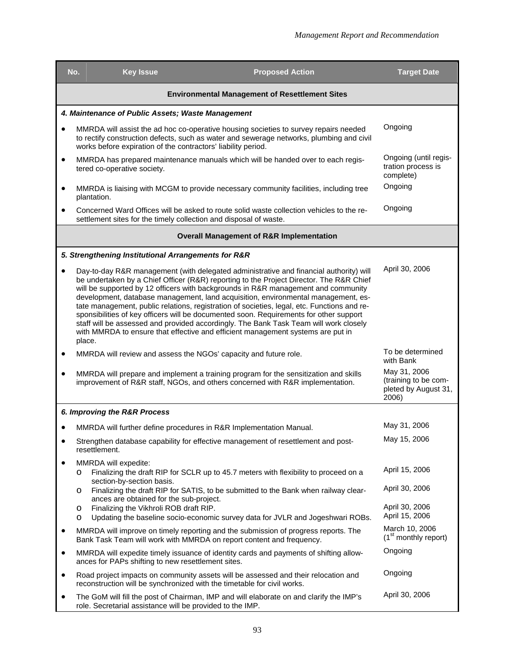|           | <b>Key Issue</b><br>No.                                                 | <b>Proposed Action</b>                                                                                                                                                                                                                                                                                                                                                                                                                                                                                                                                                                                                                                                                                                           | <b>Target Date</b>                                                    |
|-----------|-------------------------------------------------------------------------|----------------------------------------------------------------------------------------------------------------------------------------------------------------------------------------------------------------------------------------------------------------------------------------------------------------------------------------------------------------------------------------------------------------------------------------------------------------------------------------------------------------------------------------------------------------------------------------------------------------------------------------------------------------------------------------------------------------------------------|-----------------------------------------------------------------------|
|           |                                                                         | <b>Environmental Management of Resettlement Sites</b>                                                                                                                                                                                                                                                                                                                                                                                                                                                                                                                                                                                                                                                                            |                                                                       |
|           | 4. Maintenance of Public Assets; Waste Management                       |                                                                                                                                                                                                                                                                                                                                                                                                                                                                                                                                                                                                                                                                                                                                  |                                                                       |
| $\bullet$ | works before expiration of the contractors' liability period.           | MMRDA will assist the ad hoc co-operative housing societies to survey repairs needed<br>to rectify construction defects, such as water and sewerage networks, plumbing and civil                                                                                                                                                                                                                                                                                                                                                                                                                                                                                                                                                 | Ongoing                                                               |
| ٠         | tered co-operative society.                                             | MMRDA has prepared maintenance manuals which will be handed over to each regis-                                                                                                                                                                                                                                                                                                                                                                                                                                                                                                                                                                                                                                                  | Ongoing (until regis-<br>tration process is<br>complete)              |
| $\bullet$ | plantation.                                                             | MMRDA is liaising with MCGM to provide necessary community facilities, including tree                                                                                                                                                                                                                                                                                                                                                                                                                                                                                                                                                                                                                                            | Ongoing                                                               |
| $\bullet$ | settlement sites for the timely collection and disposal of waste.       | Concerned Ward Offices will be asked to route solid waste collection vehicles to the re-                                                                                                                                                                                                                                                                                                                                                                                                                                                                                                                                                                                                                                         | Ongoing                                                               |
|           |                                                                         | <b>Overall Management of R&amp;R Implementation</b>                                                                                                                                                                                                                                                                                                                                                                                                                                                                                                                                                                                                                                                                              |                                                                       |
|           | 5. Strengthening Institutional Arrangements for R&R                     |                                                                                                                                                                                                                                                                                                                                                                                                                                                                                                                                                                                                                                                                                                                                  |                                                                       |
|           | place.                                                                  | Day-to-day R&R management (with delegated administrative and financial authority) will<br>be undertaken by a Chief Officer (R&R) reporting to the Project Director. The R&R Chief<br>will be supported by 12 officers with backgrounds in R&R management and community<br>development, database management, land acquisition, environmental management, es-<br>tate management, public relations, registration of societies, legal, etc. Functions and re-<br>sponsibilities of key officers will be documented soon. Requirements for other support<br>staff will be assessed and provided accordingly. The Bank Task Team will work closely<br>with MMRDA to ensure that effective and efficient management systems are put in | April 30, 2006                                                        |
| ٠         | MMRDA will review and assess the NGOs' capacity and future role.        |                                                                                                                                                                                                                                                                                                                                                                                                                                                                                                                                                                                                                                                                                                                                  | To be determined<br>with Bank                                         |
| $\bullet$ |                                                                         | MMRDA will prepare and implement a training program for the sensitization and skills<br>improvement of R&R staff, NGOs, and others concerned with R&R implementation.                                                                                                                                                                                                                                                                                                                                                                                                                                                                                                                                                            | May 31, 2006<br>(training to be com-<br>pleted by August 31,<br>2006) |
|           | 6. Improving the R&R Process                                            |                                                                                                                                                                                                                                                                                                                                                                                                                                                                                                                                                                                                                                                                                                                                  |                                                                       |
|           | MMRDA will further define procedures in R&R Implementation Manual.      |                                                                                                                                                                                                                                                                                                                                                                                                                                                                                                                                                                                                                                                                                                                                  | May 31, 2006                                                          |
| ٠         | resettlement.                                                           | Strengthen database capability for effective management of resettlement and post-                                                                                                                                                                                                                                                                                                                                                                                                                                                                                                                                                                                                                                                | May 15, 2006                                                          |
|           | MMRDA will expedite:<br>O<br>section-by-section basis.                  | Finalizing the draft RIP for SCLR up to 45.7 meters with flexibility to proceed on a                                                                                                                                                                                                                                                                                                                                                                                                                                                                                                                                                                                                                                             | April 15, 2006                                                        |
|           | O<br>ances are obtained for the sub-project.                            | Finalizing the draft RIP for SATIS, to be submitted to the Bank when railway clear-                                                                                                                                                                                                                                                                                                                                                                                                                                                                                                                                                                                                                                              | April 30, 2006                                                        |
|           | Finalizing the Vikhroli ROB draft RIP.<br>O<br>O                        | Updating the baseline socio-economic survey data for JVLR and Jogeshwari ROBs.                                                                                                                                                                                                                                                                                                                                                                                                                                                                                                                                                                                                                                                   | April 30, 2006<br>April 15, 2006                                      |
| ٠         | Bank Task Team will work with MMRDA on report content and frequency.    | MMRDA will improve on timely reporting and the submission of progress reports. The                                                                                                                                                                                                                                                                                                                                                                                                                                                                                                                                                                                                                                               | March 10, 2006<br>$(1st$ monthly report)                              |
| $\bullet$ | ances for PAPs shifting to new resettlement sites.                      | MMRDA will expedite timely issuance of identity cards and payments of shifting allow-                                                                                                                                                                                                                                                                                                                                                                                                                                                                                                                                                                                                                                            | Ongoing                                                               |
| ٠         | reconstruction will be synchronized with the timetable for civil works. | Road project impacts on community assets will be assessed and their relocation and                                                                                                                                                                                                                                                                                                                                                                                                                                                                                                                                                                                                                                               | Ongoing                                                               |
| ٠         | role. Secretarial assistance will be provided to the IMP.               | The GoM will fill the post of Chairman, IMP and will elaborate on and clarify the IMP's                                                                                                                                                                                                                                                                                                                                                                                                                                                                                                                                                                                                                                          | April 30, 2006                                                        |